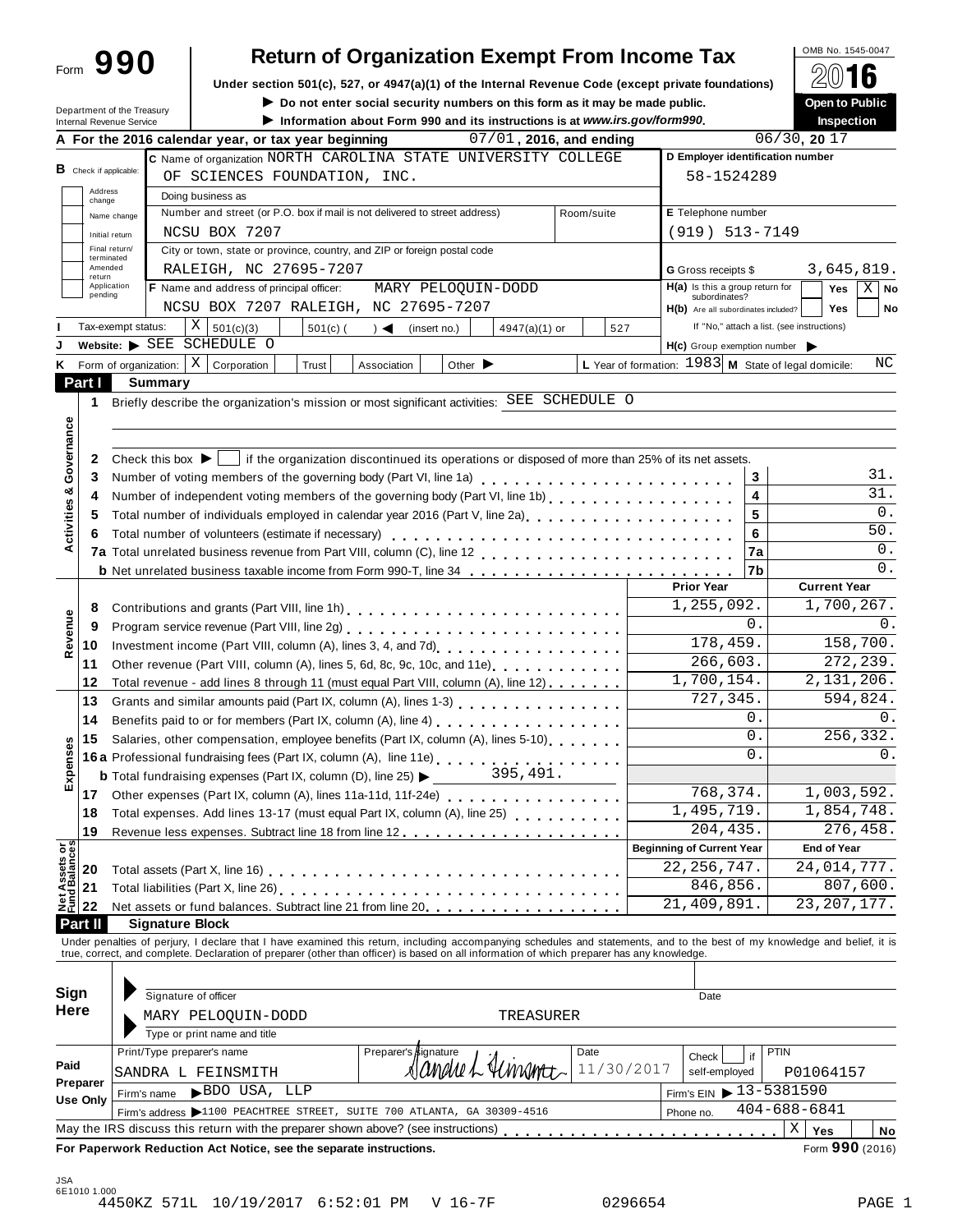| Form | 990 |  |
|------|-----|--|
|      |     |  |

# Return of Organization Exempt From Income Tax  $\sqrt{\frac{600 \text{ N} \cdot 1545-0047}{\mathcal{D}(1)} }$

Under section 501(c), 527, or 4947(a)(1) of the Internal Revenue Code (except private foundations) **A** △ △ △ △<br>▶ Do not enter social security numbers on this form as it may be made public. ● ● ● ● ● ● ● ● ● ● ● ● ● ● ● ●

▶ Do not enter social security numbers on this form as it may be made public.<br>
▶ Information phont Form 000 and its instructions is at unusing gov/form000

|                                      | Department of the Treasury<br>Internal Revenue Service | $\blacktriangleright$ Do not enter social security numbers on this form as it may be made public.<br>Information about Form 990 and its instructions is at www.irs.gov/form990.                                                |                                                        | <b>Open to Public</b><br><b>Inspection</b> |
|--------------------------------------|--------------------------------------------------------|--------------------------------------------------------------------------------------------------------------------------------------------------------------------------------------------------------------------------------|--------------------------------------------------------|--------------------------------------------|
|                                      |                                                        | 07/01, 2016, and ending<br>A For the 2016 calendar year, or tax year beginning                                                                                                                                                 |                                                        | 06/30, 2017                                |
|                                      |                                                        | C Name of organization NORTH CAROLINA STATE UNIVERSITY COLLEGE                                                                                                                                                                 | D Employer identification number                       |                                            |
| <b>B</b> Check if applicable:        |                                                        | OF SCIENCES FOUNDATION, INC.                                                                                                                                                                                                   | 58-1524289                                             |                                            |
| Address                              |                                                        | Doing business as                                                                                                                                                                                                              |                                                        |                                            |
| change                               |                                                        | Number and street (or P.O. box if mail is not delivered to street address)<br>Room/suite                                                                                                                                       | E Telephone number                                     |                                            |
|                                      | Name change                                            | NCSU BOX 7207                                                                                                                                                                                                                  | $(919) 513 - 7149$                                     |                                            |
|                                      | Initial return<br>Final return/                        | City or town, state or province, country, and ZIP or foreign postal code                                                                                                                                                       |                                                        |                                            |
|                                      | terminated<br>Amended                                  |                                                                                                                                                                                                                                |                                                        |                                            |
| return                               |                                                        | RALEIGH, NC 27695-7207                                                                                                                                                                                                         | <b>G</b> Gross receipts \$                             | 3,645,819.                                 |
| pending                              | Application                                            | F Name and address of principal officer:<br>MARY PELOQUIN-DODD                                                                                                                                                                 | $H(a)$ is this a group return for<br>subordinates?     | X <sub>1</sub><br>Yes<br><b>No</b>         |
|                                      |                                                        | NCSU BOX 7207 RALEIGH, NC 27695-7207                                                                                                                                                                                           | H(b) Are all subordinates included?                    | <b>Yes</b><br>No                           |
|                                      | Tax-exempt status:                                     | $X \mid$<br>501(c)(3)<br>$501(c)$ (<br>527<br>$\rightarrow$<br>(insert no.)<br>4947(a)(1) or                                                                                                                                   |                                                        | If "No," attach a list. (see instructions) |
|                                      |                                                        | Website: SEE SCHEDULE O                                                                                                                                                                                                        | H(c) Group exemption number                            |                                            |
| Κ                                    | Form of organization:                                  | X   Corporation<br>Trust<br>Other $\blacktriangleright$<br>Association                                                                                                                                                         | L Year of formation: $1983$ M State of legal domicile: | ΝC                                         |
| Part I                               |                                                        | <b>Summary</b>                                                                                                                                                                                                                 |                                                        |                                            |
| 1                                    |                                                        | Briefly describe the organization's mission or most significant activities: SEE SCHEDULE O                                                                                                                                     |                                                        |                                            |
|                                      |                                                        |                                                                                                                                                                                                                                |                                                        |                                            |
| Governance                           |                                                        |                                                                                                                                                                                                                                |                                                        |                                            |
| 2                                    |                                                        | Check this box $\blacktriangleright$  <br>if the organization discontinued its operations or disposed of more than 25% of its net assets.                                                                                      |                                                        |                                            |
| 3                                    |                                                        |                                                                                                                                                                                                                                | 3                                                      | 31.                                        |
| 4                                    |                                                        | Number of independent voting members of the governing body (Part VI, line 1b)                                                                                                                                                  | 4                                                      | 31.                                        |
| 5                                    |                                                        | Total number of individuals employed in calendar year 2016 (Part V, line 2a)<br>Total number of individuals employed in calendar year 2016 (Part V, line 2a)                                                                   | 5                                                      | 0.                                         |
| Activities &<br>6                    |                                                        |                                                                                                                                                                                                                                | 6                                                      | $50.$                                      |
|                                      |                                                        | Total number of volunteers (estimate if necessary)                                                                                                                                                                             |                                                        | 0.                                         |
|                                      |                                                        |                                                                                                                                                                                                                                | 7a                                                     | 0.                                         |
|                                      |                                                        | <b>b</b> Net unrelated business taxable income from Form 990-T, line 34                                                                                                                                                        | 7b<br><b>Prior Year</b>                                | <b>Current Year</b>                        |
|                                      |                                                        |                                                                                                                                                                                                                                |                                                        |                                            |
| 8                                    |                                                        |                                                                                                                                                                                                                                | 1,255,092.                                             | 1,700,267.                                 |
| Revenue<br>9                         |                                                        |                                                                                                                                                                                                                                | 0.                                                     | 0.                                         |
| 10                                   |                                                        |                                                                                                                                                                                                                                | 178,459.                                               | 158,700.                                   |
| 11                                   |                                                        | Other revenue (Part VIII, column (A), lines 5, 6d, 8c, 9c, 10c, and 11e) [100]                                                                                                                                                 | 266,603.                                               | 272, 239.                                  |
| 12                                   |                                                        | Total revenue - add lines 8 through 11 (must equal Part VIII, column (A), line 12)                                                                                                                                             | 1,700,154.                                             | 2,131,206.                                 |
| 13                                   |                                                        | Grants and similar amounts paid (Part IX, column (A), lines 1-3) [10] Canada and similar and similar and similar $($                                                                                                           | 727,345.                                               | 594,824.                                   |
| 14                                   |                                                        | Benefits paid to or for members (Part IX, column (A), line 4) [10] cases is a contract of the sensus cases in the sensus cases in the sensus cases in the sensus cases in the sensus cases in the sensus cases in the sensus c | 0.                                                     | 0.                                         |
| 15                                   |                                                        | Salaries, other compensation, employee benefits (Part IX, column (A), lines 5-10)                                                                                                                                              | $\overline{0}$ .                                       | 256,332.                                   |
|                                      |                                                        | 16a Professional fundraising fees (Part IX, column (A), line 11e)<br>16a Professional fundraising fees (Part IX, column (A), line 11e)                                                                                         | $\overline{0}$ .                                       | 0.                                         |
| Expenses                             |                                                        | 395,491.<br><b>b</b> Total fundraising expenses (Part IX, column (D), line 25) $\blacktriangleright$                                                                                                                           |                                                        |                                            |
| 17 <sub>1</sub>                      |                                                        | Other expenses (Part IX, column (A), lines 11a-11d, 11f-24e)                                                                                                                                                                   | 768,374.                                               | 1,003,592.                                 |
| 18                                   |                                                        | Total expenses. Add lines 13-17 (must equal Part IX, column (A), line 25)                                                                                                                                                      | 1,495,719.                                             | 1,854,748.                                 |
| 19                                   |                                                        |                                                                                                                                                                                                                                | 204,435.                                               | 276,458.                                   |
|                                      |                                                        |                                                                                                                                                                                                                                | <b>Beginning of Current Year</b>                       | <b>End of Year</b>                         |
| Net Assets or<br>Fund Balances<br>20 |                                                        |                                                                                                                                                                                                                                | 22, 256, 747.                                          | 24,014,777.                                |
| 21                                   |                                                        |                                                                                                                                                                                                                                | 846,856.                                               | 807,600.                                   |
| 22                                   |                                                        |                                                                                                                                                                                                                                | 21,409,891.                                            | 23, 207, 177.                              |
|                                      |                                                        | Net assets or fund balances. Subtract line 21 from line 20.                                                                                                                                                                    |                                                        |                                            |
| Part II                              |                                                        | <b>Signature Block</b>                                                                                                                                                                                                         |                                                        |                                            |
|                                      |                                                        | Under penalties of perjury, I declare that I have examined this return, including accompanying schedules and statements, and to the best of my knowledge and belief, it is true, correct, and complete. Declaration of prepare |                                                        |                                            |
|                                      |                                                        |                                                                                                                                                                                                                                |                                                        |                                            |
| Sign                                 |                                                        |                                                                                                                                                                                                                                |                                                        |                                            |
|                                      |                                                        | Signature of officer                                                                                                                                                                                                           | Date                                                   |                                            |
| <b>Here</b>                          |                                                        | MARY PELOQUIN-DODD<br>TREASURER                                                                                                                                                                                                |                                                        |                                            |
|                                      |                                                        | Type or print name and title                                                                                                                                                                                                   |                                                        |                                            |
|                                      |                                                        | Print/Type preparer's name<br>Date<br>Preparer's signature                                                                                                                                                                     | if<br>Check                                            | PTIN                                       |
| Paid                                 |                                                        | dlan <i>die L</i> 4cmant<br>SANDRA L FEINSMITH                                                                                                                                                                                 | 11/30/2017<br>self-employed                            | P01064157                                  |
| Preparer                             | Firm's name                                            | BDO USA, LLP                                                                                                                                                                                                                   | Firm's EIN ▶ 13-5381590                                |                                            |
|                                      |                                                        |                                                                                                                                                                                                                                |                                                        | $404 - 688 - 6841$                         |
|                                      |                                                        |                                                                                                                                                                                                                                |                                                        |                                            |
| Use Only                             |                                                        | Firm's address >1100 PEACHTREE STREET, SUITE 700 ATLANTA, GA 30309-4516<br>May the IRS discuss this return with the preparer shown above? (see instructions)                                                                   | Phone no.                                              | $\mathbf X$<br>Yes<br>No                   |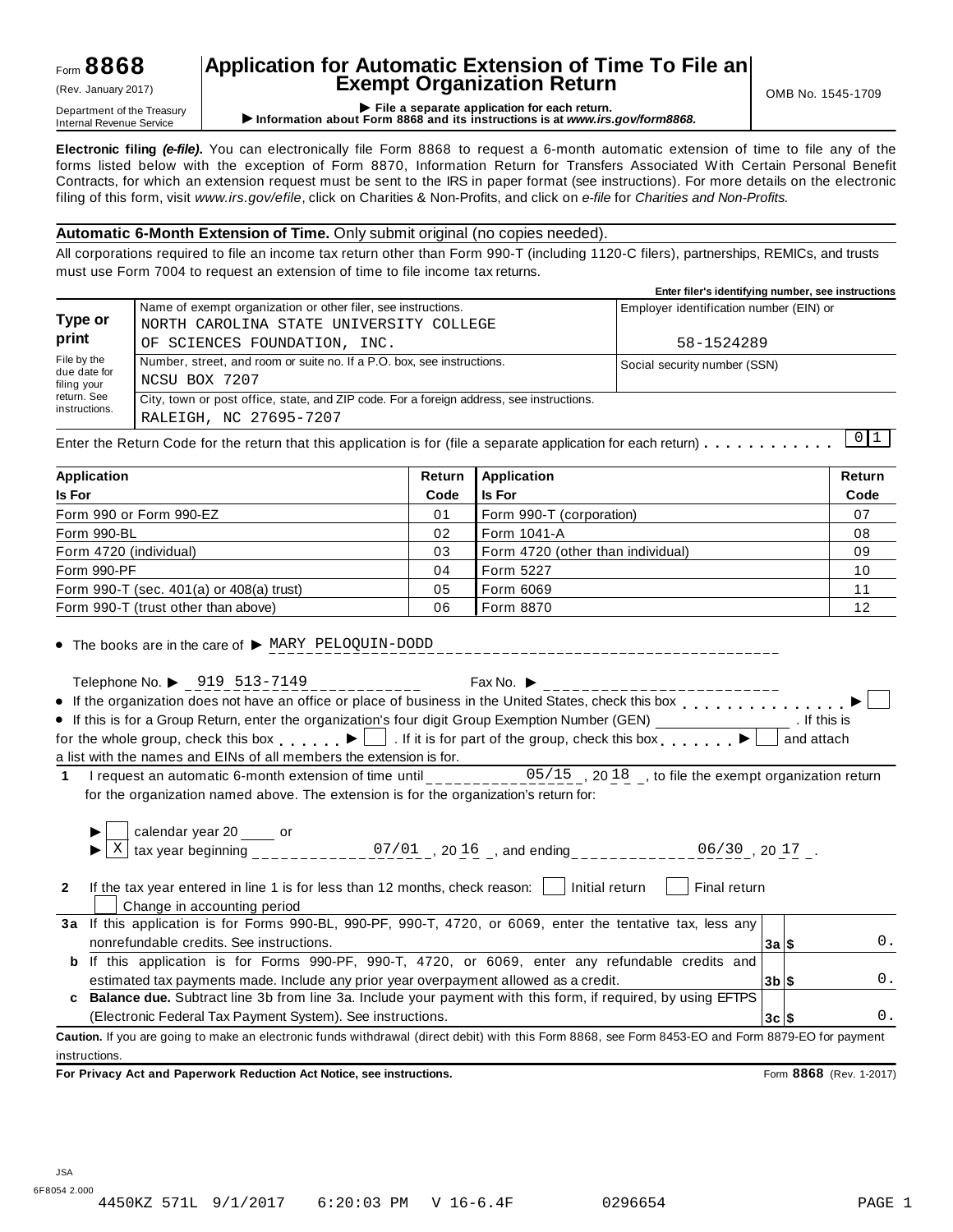## Form **8868**

## **Application for Automatic Extension of Time To File an Exempt Organization Return** (Rev. January 2017) OMB No. 1545-1709

Department of the Treasury<br>Department of the Treasury<br>Internal Revenue Service **CONFICE 1999 File a separate application for each return.**<br>Internal Revenue Service **CONFICE 1999 File a separate application for each return.** 

**Electronic filing** *(e-file)***.** You can electronically file Form 8868 to request a 6-month automatic extension of time to file any of the forms listed below with the exception of Form 8870, Information Return for Transfers Associated With Certain Personal Benefit Contracts, for which an extension request must be sent to the IRS in paper format (see instructions). For more details on the electronic filing of this form, visit *www.irs.gov/efile*, click on Charities & Non-Profits, and click on *e-file* for *Charities and Non-Profits.*

#### **Automatic 6-Month Extension of Time.** Only submit original (no copies needed).

All corporations required to file an income tax return other than Form 990-T (including 1120-C filers), partnerships, REMICs, and trusts must use Form 7004 to request an extension of time to file income tax returns.

|                                                                                                                    | Enter filer's identifying number, see instructions |
|--------------------------------------------------------------------------------------------------------------------|----------------------------------------------------|
| Name of exempt organization or other filer, see instructions.                                                      | Employer identification number (EIN) or            |
| OF SCIENCES FOUNDATION, INC.                                                                                       | 58-1524289                                         |
| Number, street, and room or suite no. If a P.O. box, see instructions.<br>NCSU BOX 7207                            | Social security number (SSN)                       |
| City, town or post office, state, and ZIP code. For a foreign address, see instructions.<br>RALEIGH, NC 27695-7207 | .                                                  |
|                                                                                                                    | NORTH CAROLINA STATE UNIVERSITY COLLEGE            |

Enter the Return Code for the return that this application is for (file a separate application for each return)  $\ldots$   $\ldots$   $\ldots$   $\ldots$  $\begin{array}{c|c} 0 & 1 \end{array}$ 

| Application                              | Return | <b>Application</b>                | Return |
|------------------------------------------|--------|-----------------------------------|--------|
| <b>Is For</b>                            | Code   | <b>Is For</b>                     | Code   |
| Form 990 or Form 990-EZ                  | 01     | Form 990-T (corporation)          | 07     |
| Form 990-BL                              | 02     | Form 1041-A                       | 08     |
| Form 4720 (individual)                   | 03     | Form 4720 (other than individual) | 09     |
| Form 990-PF                              | 04     | Form 5227                         | 10     |
| Form 990-T (sec. 401(a) or 408(a) trust) | 05     | Form 6069                         | 11     |
| Form 990-T (trust other than above)      | 06     | Form 8870                         | 12     |

 $\bullet$  The books are in the care of  $\triangleright$  MARY PELOQUIN-DODD

Telephone No.  $\triangleright$  919 513-7149<br>If the experiments of the state of the state of the state of the limit of  $\cdot$ If the organization does not have an office or place of business in the United States, check this box  $\Box$ If this is for a Group Return, enter the organization's four digit Group Exemption Number (GEN)  $\overline{\phantom{a}}$  for the organization's four digit Group Exemption Number (GEN) . If this is for the whole group, check this box  $\Box$ . If it is for part of the group, check this box  $\Box$  and attach

a list with the names and EINs of all members the extension is for.

**1** I request an automatic 6-month extension of time until \_\_\_\_\_\_\_\_\_\_ for the organization named above. The extension is for the organization's return for:  $05/15$ , 2018, to file the exempt organization return

|                | calendar year 20 ____ or<br>tax year beginning<br>07/01, 2016, and ending<br>$06/30$ , 20 17.                                                |                    |  |       |
|----------------|----------------------------------------------------------------------------------------------------------------------------------------------|--------------------|--|-------|
| $\overline{2}$ | If the tax year entered in line 1 is for less than 12 months, check reason:<br>Initial return<br>Final return<br>Change in accounting period |                    |  |       |
|                | 3a If this application is for Forms 990-BL, 990-PF, 990-T, 4720, or 6069, enter the tentative tax, less any                                  |                    |  |       |
|                | nonrefundable credits. See instructions.                                                                                                     | $3a$   $$$         |  | 0.    |
| b              | If this application is for Forms 990-PF, 990-T, 4720, or 6069, enter any refundable credits and                                              |                    |  |       |
|                | estimated tax payments made. Include any prior year overpayment allowed as a credit.                                                         | $3b$ $\frac{1}{3}$ |  | $0$ . |
|                | Balance due. Subtract line 3b from line 3a. Include your payment with this form, if required, by using EFTPS                                 |                    |  |       |
|                | (Electronic Federal Tax Payment System). See instructions.                                                                                   | $3c$   $$$         |  | $0$ . |
|                |                                                                                                                                              |                    |  |       |

**Caution.** If you are going to make an electronic funds withdrawal (direct debit) with this Form 8868, see Form 8453-EO and Form 8879-EO for payment instructions.

**For Privacy Act and Paperwork Reduction Act Notice, see instructions.** Form **8868** (Rev. 1-2017)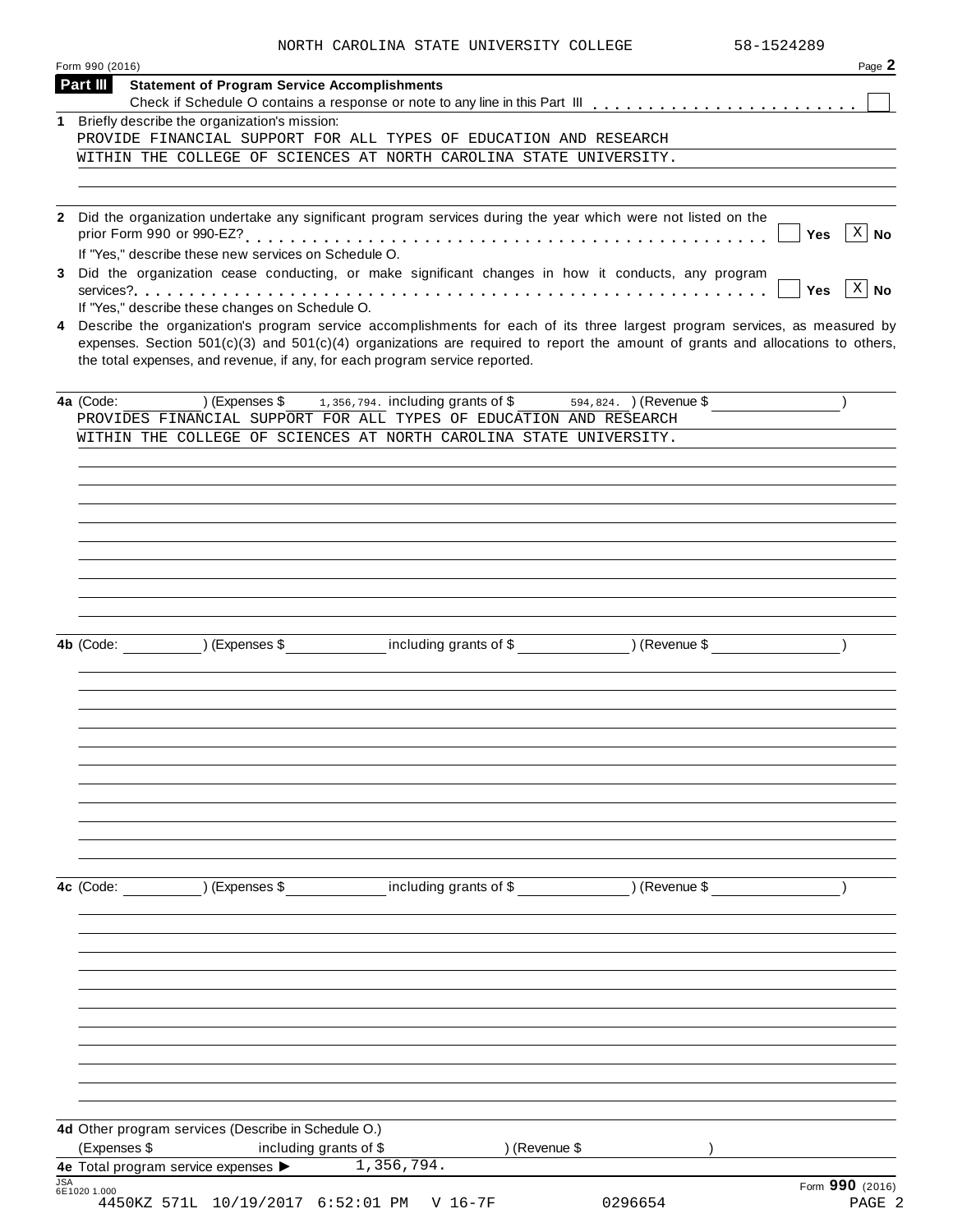|  | NORTH CAROLINA STATE UNIVERSITY COLLEGE | 58-1524289 |
|--|-----------------------------------------|------------|

|            | Form 990 (2016)                                                                                                                                                                                                   | Page 2                     |
|------------|-------------------------------------------------------------------------------------------------------------------------------------------------------------------------------------------------------------------|----------------------------|
|            | Part III<br><b>Statement of Program Service Accomplishments</b>                                                                                                                                                   |                            |
|            | Briefly describe the organization's mission:                                                                                                                                                                      |                            |
| 1          | PROVIDE FINANCIAL SUPPORT FOR ALL TYPES OF EDUCATION AND RESEARCH                                                                                                                                                 |                            |
|            | WITHIN THE COLLEGE OF SCIENCES AT NORTH CAROLINA STATE UNIVERSITY.                                                                                                                                                |                            |
|            |                                                                                                                                                                                                                   |                            |
|            |                                                                                                                                                                                                                   |                            |
|            | 2 Did the organization undertake any significant program services during the year which were not listed on the<br>If "Yes," describe these new services on Schedule O.                                            | $X \mid No$<br>Yes         |
|            | 3 Did the organization cease conducting, or make significant changes in how it conducts, any program                                                                                                              | $x \mid N$ o<br><b>Yes</b> |
| 4          | If "Yes," describe these changes on Schedule O.<br>Describe the organization's program service accomplishments for each of its three largest program services, as measured by                                     |                            |
|            | expenses. Section $501(c)(3)$ and $501(c)(4)$ organizations are required to report the amount of grants and allocations to others,<br>the total expenses, and revenue, if any, for each program service reported. |                            |
|            | $(1, 3, 5, 6, 7)$ (Expenses \$1,356,794. including grants of \$594,824. ) (Revenue \$<br>4a (Code:<br>PROVIDES FINANCIAL SUPPORT FOR ALL TYPES OF EDUCATION AND RESEARCH                                          |                            |
|            | WITHIN THE COLLEGE OF SCIENCES AT NORTH CAROLINA STATE UNIVERSITY.                                                                                                                                                |                            |
|            |                                                                                                                                                                                                                   |                            |
|            |                                                                                                                                                                                                                   |                            |
|            |                                                                                                                                                                                                                   |                            |
|            |                                                                                                                                                                                                                   |                            |
|            |                                                                                                                                                                                                                   |                            |
|            |                                                                                                                                                                                                                   |                            |
|            |                                                                                                                                                                                                                   |                            |
|            |                                                                                                                                                                                                                   |                            |
|            | 4b (Code: ) (Expenses \$ including grants of \$ ) (Revenue \$                                                                                                                                                     |                            |
|            |                                                                                                                                                                                                                   |                            |
|            |                                                                                                                                                                                                                   |                            |
|            |                                                                                                                                                                                                                   |                            |
|            |                                                                                                                                                                                                                   |                            |
|            |                                                                                                                                                                                                                   |                            |
|            |                                                                                                                                                                                                                   |                            |
|            |                                                                                                                                                                                                                   |                            |
|            |                                                                                                                                                                                                                   |                            |
|            |                                                                                                                                                                                                                   |                            |
|            |                                                                                                                                                                                                                   |                            |
|            | (Expenses \$ including grants of \$ ) (Revenue \$<br>4c (Code:                                                                                                                                                    |                            |
|            |                                                                                                                                                                                                                   |                            |
|            |                                                                                                                                                                                                                   |                            |
|            |                                                                                                                                                                                                                   |                            |
|            |                                                                                                                                                                                                                   |                            |
|            |                                                                                                                                                                                                                   |                            |
|            |                                                                                                                                                                                                                   |                            |
|            |                                                                                                                                                                                                                   |                            |
|            |                                                                                                                                                                                                                   |                            |
|            |                                                                                                                                                                                                                   |                            |
|            |                                                                                                                                                                                                                   |                            |
|            | 4d Other program services (Describe in Schedule O.)<br>(Expenses \$<br>including grants of \$<br>) (Revenue \$                                                                                                    |                            |
|            | 4e Total program service expenses > 1,356,794.                                                                                                                                                                    |                            |
| <b>JSA</b> | 6E1020 1.000                                                                                                                                                                                                      | Form 990 (2016)            |
|            | 4450KZ 571L 10/19/2017 6:52:01 PM V 16-7F<br>0296654                                                                                                                                                              | PAGE 2                     |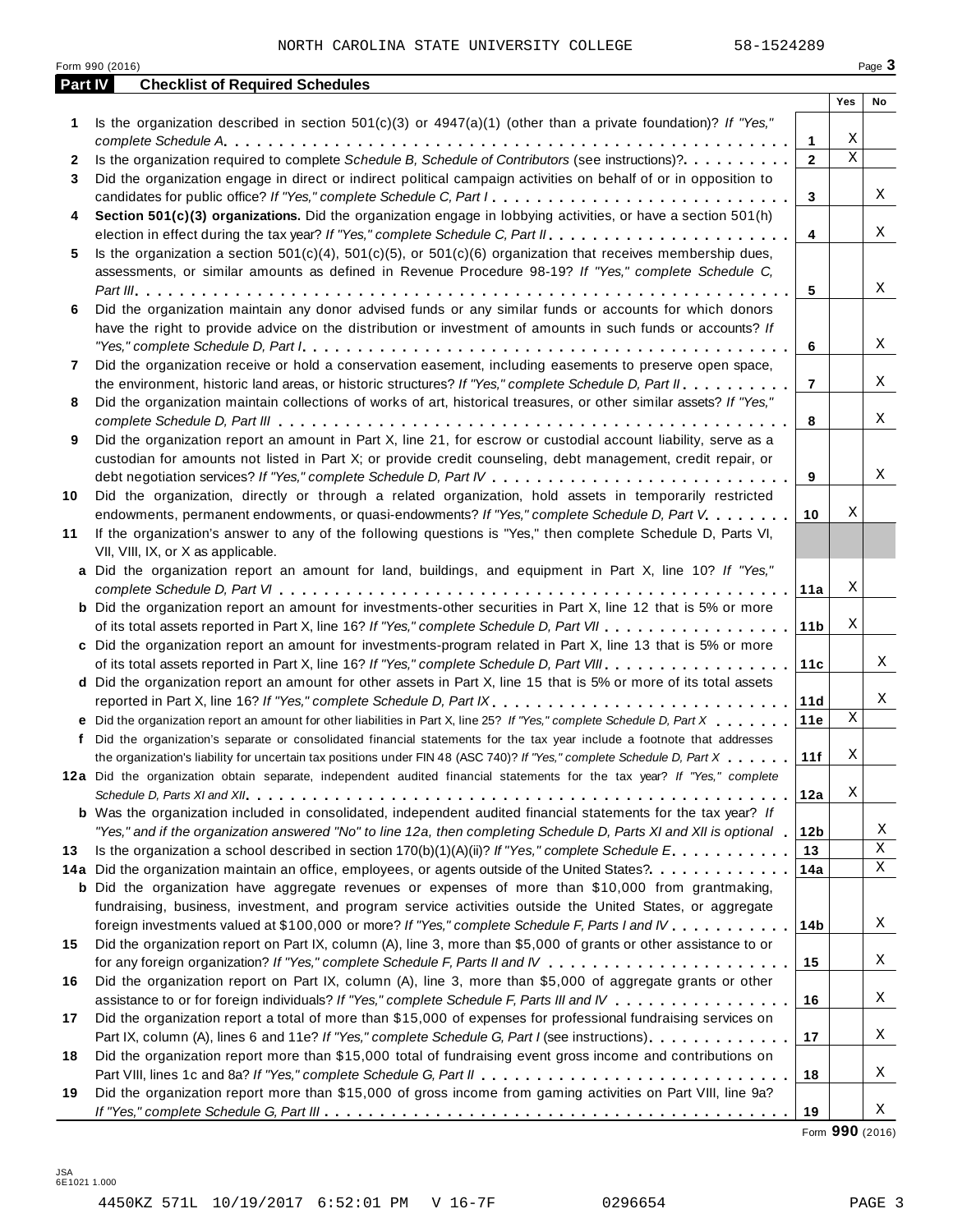|         | Form 990 (2016)                                                                                                                                                                                                                                                                                                                                                                               |                |                 |                  | Page 3 |
|---------|-----------------------------------------------------------------------------------------------------------------------------------------------------------------------------------------------------------------------------------------------------------------------------------------------------------------------------------------------------------------------------------------------|----------------|-----------------|------------------|--------|
| Part IV | <b>Checklist of Required Schedules</b>                                                                                                                                                                                                                                                                                                                                                        |                |                 |                  |        |
|         |                                                                                                                                                                                                                                                                                                                                                                                               |                |                 | Yes              | No     |
| 1       | Is the organization described in section $501(c)(3)$ or $4947(a)(1)$ (other than a private foundation)? If "Yes,"                                                                                                                                                                                                                                                                             |                |                 |                  |        |
|         |                                                                                                                                                                                                                                                                                                                                                                                               | 1              |                 | Χ<br>$\mathbf X$ |        |
| 2       | Is the organization required to complete Schedule B, Schedule of Contributors (see instructions)?.                                                                                                                                                                                                                                                                                            | $\mathbf{2}$   |                 |                  |        |
| 3       | Did the organization engage in direct or indirect political campaign activities on behalf of or in opposition to                                                                                                                                                                                                                                                                              |                |                 |                  |        |
|         | candidates for public office? If "Yes," complete Schedule C, Part I.                                                                                                                                                                                                                                                                                                                          |                | 3               |                  | Χ      |
| 4       | Section 501(c)(3) organizations. Did the organization engage in lobbying activities, or have a section 501(h)                                                                                                                                                                                                                                                                                 |                |                 |                  | Χ      |
|         |                                                                                                                                                                                                                                                                                                                                                                                               | $\overline{4}$ |                 |                  |        |
| 5       | Is the organization a section $501(c)(4)$ , $501(c)(5)$ , or $501(c)(6)$ organization that receives membership dues,                                                                                                                                                                                                                                                                          |                |                 |                  |        |
|         | assessments, or similar amounts as defined in Revenue Procedure 98-19? If "Yes," complete Schedule C,                                                                                                                                                                                                                                                                                         | 5              |                 |                  | Χ      |
| 6       | Did the organization maintain any donor advised funds or any similar funds or accounts for which donors                                                                                                                                                                                                                                                                                       |                |                 |                  |        |
|         | have the right to provide advice on the distribution or investment of amounts in such funds or accounts? If                                                                                                                                                                                                                                                                                   |                |                 |                  |        |
|         | "Yes," complete Schedule D, Part $l_1, \ldots, l_k, \ldots, l_k, \ldots, l_k, \ldots, l_k, \ldots, l_k, \ldots, l_k, \ldots, l_k, \ldots, l_k, \ldots, l_k, \ldots, l_k, \ldots, l_k, \ldots, l_k, \ldots, l_k, \ldots, l_k, \ldots, l_k, \ldots, l_k, \ldots, l_k, \ldots, l_k, \ldots, l_k, \ldots, l_k, \ldots, l_k, \ldots, l_k, \ldots, l_k, \ldots, l_k, \ldots, l_k, \ldots, l_k, \ld$ | 6              |                 |                  | Χ      |
| 7       | Did the organization receive or hold a conservation easement, including easements to preserve open space,                                                                                                                                                                                                                                                                                     |                |                 |                  |        |
|         | the environment, historic land areas, or historic structures? If "Yes," complete Schedule D, Part II.                                                                                                                                                                                                                                                                                         | $\overline{7}$ |                 |                  | Χ      |
| 8       | Did the organization maintain collections of works of art, historical treasures, or other similar assets? If "Yes,"                                                                                                                                                                                                                                                                           |                |                 |                  |        |
|         |                                                                                                                                                                                                                                                                                                                                                                                               | 8              |                 |                  | Χ      |
| 9       | Did the organization report an amount in Part X, line 21, for escrow or custodial account liability, serve as a                                                                                                                                                                                                                                                                               |                |                 |                  |        |
|         | custodian for amounts not listed in Part X; or provide credit counseling, debt management, credit repair, or                                                                                                                                                                                                                                                                                  |                |                 |                  |        |
|         |                                                                                                                                                                                                                                                                                                                                                                                               | 9              |                 |                  | Χ      |
| 10      | Did the organization, directly or through a related organization, hold assets in temporarily restricted                                                                                                                                                                                                                                                                                       |                |                 |                  |        |
|         | endowments, permanent endowments, or quasi-endowments? If "Yes," complete Schedule D, Part V.                                                                                                                                                                                                                                                                                                 | 10             |                 | Χ                |        |
| 11      | If the organization's answer to any of the following questions is "Yes," then complete Schedule D, Parts VI,                                                                                                                                                                                                                                                                                  |                |                 |                  |        |
|         | VII, VIII, IX, or X as applicable.                                                                                                                                                                                                                                                                                                                                                            |                |                 |                  |        |
|         | a Did the organization report an amount for land, buildings, and equipment in Part X, line 10? If "Yes,"                                                                                                                                                                                                                                                                                      |                |                 |                  |        |
|         |                                                                                                                                                                                                                                                                                                                                                                                               |                | 11a             | Χ                |        |
|         | <b>b</b> Did the organization report an amount for investments-other securities in Part X, line 12 that is 5% or more                                                                                                                                                                                                                                                                         |                |                 |                  |        |
|         |                                                                                                                                                                                                                                                                                                                                                                                               |                | 11 <sub>b</sub> | Χ                |        |
|         | c Did the organization report an amount for investments-program related in Part X, line 13 that is 5% or more                                                                                                                                                                                                                                                                                 |                |                 |                  |        |
|         |                                                                                                                                                                                                                                                                                                                                                                                               |                | 11c             |                  | Χ      |
|         | d Did the organization report an amount for other assets in Part X, line 15 that is 5% or more of its total assets                                                                                                                                                                                                                                                                            |                |                 |                  |        |
|         | reported in Part X, line 16? If "Yes," complete Schedule D, Part IX.                                                                                                                                                                                                                                                                                                                          |                | 11d             |                  | Χ      |
|         | e Did the organization report an amount for other liabilities in Part X, line 25? If "Yes," complete Schedule D, Part X                                                                                                                                                                                                                                                                       |                | 11e             | Χ                |        |
|         | f Did the organization's separate or consolidated financial statements for the tax year include a footnote that addresses                                                                                                                                                                                                                                                                     |                |                 |                  |        |
|         | the organization's liability for uncertain tax positions under FIN 48 (ASC 740)? If "Yes," complete Schedule D, Part X                                                                                                                                                                                                                                                                        |                | 11f             | Χ                |        |
|         | 12a Did the organization obtain separate, independent audited financial statements for the tax year? If "Yes," complete                                                                                                                                                                                                                                                                       |                |                 |                  |        |
|         |                                                                                                                                                                                                                                                                                                                                                                                               | 12a            |                 | Χ                |        |
|         | <b>b</b> Was the organization included in consolidated, independent audited financial statements for the tax year? If                                                                                                                                                                                                                                                                         |                |                 |                  |        |
|         | "Yes," and if the organization answered "No" to line 12a, then completing Schedule D, Parts XI and XII is optional 1                                                                                                                                                                                                                                                                          |                | 12b             |                  | Χ      |
| 13      | Is the organization a school described in section $170(b)(1)(A)(ii)?$ If "Yes," complete Schedule E.                                                                                                                                                                                                                                                                                          |                | 13              |                  | Χ      |
|         | 14a Did the organization maintain an office, employees, or agents outside of the United States?.                                                                                                                                                                                                                                                                                              | 14a            |                 |                  | X      |
|         | <b>b</b> Did the organization have aggregate revenues or expenses of more than \$10,000 from grantmaking,                                                                                                                                                                                                                                                                                     |                |                 |                  |        |
|         | fundraising, business, investment, and program service activities outside the United States, or aggregate                                                                                                                                                                                                                                                                                     |                |                 |                  |        |
|         | foreign investments valued at \$100,000 or more? If "Yes," complete Schedule F, Parts I and IV                                                                                                                                                                                                                                                                                                |                | 14 <sub>b</sub> |                  | Χ      |
| 15      | Did the organization report on Part IX, column (A), line 3, more than \$5,000 of grants or other assistance to or                                                                                                                                                                                                                                                                             |                |                 |                  |        |
|         |                                                                                                                                                                                                                                                                                                                                                                                               | 15             |                 |                  | Χ      |
| 16      | Did the organization report on Part IX, column (A), line 3, more than \$5,000 of aggregate grants or other                                                                                                                                                                                                                                                                                    |                |                 |                  |        |
|         | assistance to or for foreign individuals? If "Yes," complete Schedule F, Parts III and IV                                                                                                                                                                                                                                                                                                     | 16             |                 |                  | Χ      |
| 17      | Did the organization report a total of more than \$15,000 of expenses for professional fundraising services on                                                                                                                                                                                                                                                                                |                |                 |                  |        |
|         | Part IX, column (A), lines 6 and 11e? If "Yes," complete Schedule G, Part I (see instructions)                                                                                                                                                                                                                                                                                                | 17             |                 |                  | Χ      |
| 18      | Did the organization report more than \$15,000 total of fundraising event gross income and contributions on                                                                                                                                                                                                                                                                                   |                |                 |                  |        |
|         |                                                                                                                                                                                                                                                                                                                                                                                               | 18             |                 |                  | Χ      |
| 19      | Did the organization report more than \$15,000 of gross income from gaming activities on Part VIII, line 9a?                                                                                                                                                                                                                                                                                  |                |                 |                  |        |
|         |                                                                                                                                                                                                                                                                                                                                                                                               | 19             |                 |                  | Χ      |

Form **990** (2016)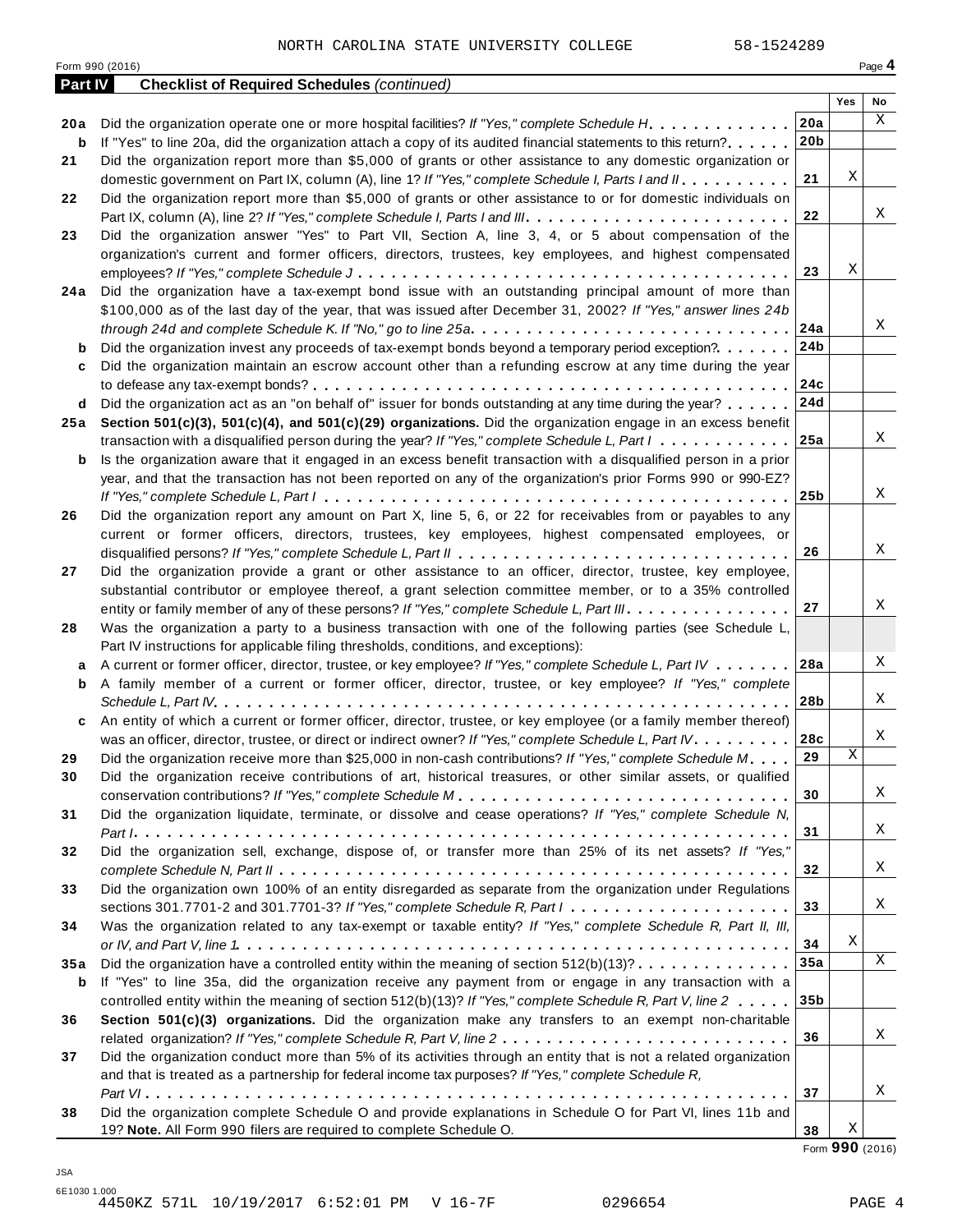Form <sup>990</sup> (2016) Page **4**

| Part IV | <b>Checklist of Required Schedules (continued)</b>                                                                                          |                 |     |    |
|---------|---------------------------------------------------------------------------------------------------------------------------------------------|-----------------|-----|----|
|         |                                                                                                                                             |                 | Yes | No |
| 20 a    | Did the organization operate one or more hospital facilities? If "Yes," complete Schedule H.                                                | 20a             |     | X  |
| b       | If "Yes" to line 20a, did the organization attach a copy of its audited financial statements to this return?                                | 20 <sub>b</sub> |     |    |
| 21      | Did the organization report more than \$5,000 of grants or other assistance to any domestic organization or                                 |                 |     |    |
|         | domestic government on Part IX, column (A), line 1? If "Yes," complete Schedule I, Parts I and II.                                          | 21              | Χ   |    |
| 22      | Did the organization report more than \$5,000 of grants or other assistance to or for domestic individuals on                               |                 |     |    |
|         |                                                                                                                                             | 22              |     | Χ  |
| 23      | Did the organization answer "Yes" to Part VII, Section A, line 3, 4, or 5 about compensation of the                                         |                 |     |    |
|         | organization's current and former officers, directors, trustees, key employees, and highest compensated                                     |                 |     |    |
|         |                                                                                                                                             | 23              | Χ   |    |
| 24 a    | Did the organization have a tax-exempt bond issue with an outstanding principal amount of more than                                         |                 |     |    |
|         | \$100,000 as of the last day of the year, that was issued after December 31, 2002? If "Yes," answer lines 24b                               |                 |     |    |
|         | through 24d and complete Schedule K. If "No," go to line 25a $\ldots \ldots \ldots \ldots \ldots \ldots \ldots \ldots \ldots \ldots \ldots$ | 24a             |     | Χ  |
| b       | Did the organization invest any proceeds of tax-exempt bonds beyond a temporary period exception?                                           | 24 <sub>b</sub> |     |    |
| c       | Did the organization maintain an escrow account other than a refunding escrow at any time during the year                                   |                 |     |    |
|         |                                                                                                                                             | 24c             |     |    |
| d       | Did the organization act as an "on behalf of" issuer for bonds outstanding at any time during the year?                                     | 24d             |     |    |
| 25a     | Section 501(c)(3), 501(c)(4), and 501(c)(29) organizations. Did the organization engage in an excess benefit                                |                 |     |    |
|         | transaction with a disqualified person during the year? If "Yes," complete Schedule L, Part I                                               | 25a             |     | Χ  |
| b       | Is the organization aware that it engaged in an excess benefit transaction with a disqualified person in a prior                            |                 |     |    |
|         | year, and that the transaction has not been reported on any of the organization's prior Forms 990 or 990-EZ?                                |                 |     |    |
|         |                                                                                                                                             | 25b             |     | Χ  |
| 26      | Did the organization report any amount on Part X, line 5, 6, or 22 for receivables from or payables to any                                  |                 |     |    |
|         | current or former officers, directors, trustees, key employees, highest compensated employees, or                                           |                 |     |    |
|         |                                                                                                                                             | 26              |     | Χ  |
| 27      | Did the organization provide a grant or other assistance to an officer, director, trustee, key employee,                                    |                 |     |    |
|         | substantial contributor or employee thereof, a grant selection committee member, or to a 35% controlled                                     |                 |     |    |
|         | entity or family member of any of these persons? If "Yes," complete Schedule L, Part III.                                                   | 27              |     | Χ  |
| 28      | Was the organization a party to a business transaction with one of the following parties (see Schedule L,                                   |                 |     |    |
|         | Part IV instructions for applicable filing thresholds, conditions, and exceptions):                                                         |                 |     |    |
| а       | A current or former officer, director, trustee, or key employee? If "Yes," complete Schedule L, Part IV                                     | 28a             |     | Χ  |
| b       | A family member of a current or former officer, director, trustee, or key employee? If "Yes," complete                                      |                 |     |    |
|         |                                                                                                                                             | 28b             |     | Χ  |
| c       | An entity of which a current or former officer, director, trustee, or key employee (or a family member thereof)                             |                 |     |    |
|         | was an officer, director, trustee, or direct or indirect owner? If "Yes," complete Schedule L, Part IV.                                     | 28c             |     | Χ  |
| 29      | Did the organization receive more than \$25,000 in non-cash contributions? If "Yes," complete Schedule M.                                   | 29              | Χ   |    |
| 30      | Did the organization receive contributions of art, historical treasures, or other similar assets, or qualified                              |                 |     |    |
|         |                                                                                                                                             | 30              |     | Χ  |
| 31      | Did the organization liquidate, terminate, or dissolve and cease operations? If "Yes," complete Schedule N,                                 |                 |     |    |
|         |                                                                                                                                             | 31              |     | Χ  |
| 32      | Did the organization sell, exchange, dispose of, or transfer more than 25% of its net assets? If "Yes,"                                     |                 |     |    |
|         |                                                                                                                                             | 32              |     | Χ  |
| 33      | Did the organization own 100% of an entity disregarded as separate from the organization under Regulations                                  |                 |     |    |
|         | sections 301.7701-2 and 301.7701-3? If "Yes," complete Schedule R, Part $l_1, \ldots, l_l, \ldots, l_l, \ldots, l_l, \ldots, l_l$           | 33              |     | Χ  |
| 34      | Was the organization related to any tax-exempt or taxable entity? If "Yes," complete Schedule R, Part II, III,                              |                 |     |    |
|         |                                                                                                                                             | 34              | Χ   |    |
| 35a     | Did the organization have a controlled entity within the meaning of section $512(b)(13)? \ldots \ldots \ldots \ldots$                       | 35a             |     | X  |
| b       | If "Yes" to line 35a, did the organization receive any payment from or engage in any transaction with a                                     |                 |     |    |
|         | controlled entity within the meaning of section 512(b)(13)? If "Yes," complete Schedule R, Part V, line 2                                   | 35 <sub>b</sub> |     |    |
| 36      | Section 501(c)(3) organizations. Did the organization make any transfers to an exempt non-charitable                                        |                 |     |    |
|         |                                                                                                                                             | 36              |     | Χ  |
| 37      | Did the organization conduct more than 5% of its activities through an entity that is not a related organization                            |                 |     |    |
|         | and that is treated as a partnership for federal income tax purposes? If "Yes," complete Schedule R,                                        |                 |     |    |
|         |                                                                                                                                             | 37              |     | Χ  |
| 38      | Did the organization complete Schedule O and provide explanations in Schedule O for Part VI, lines 11b and                                  |                 |     |    |
|         | 19? Note. All Form 990 filers are required to complete Schedule O.                                                                          | 38              | Χ   |    |

Form **990** (2016)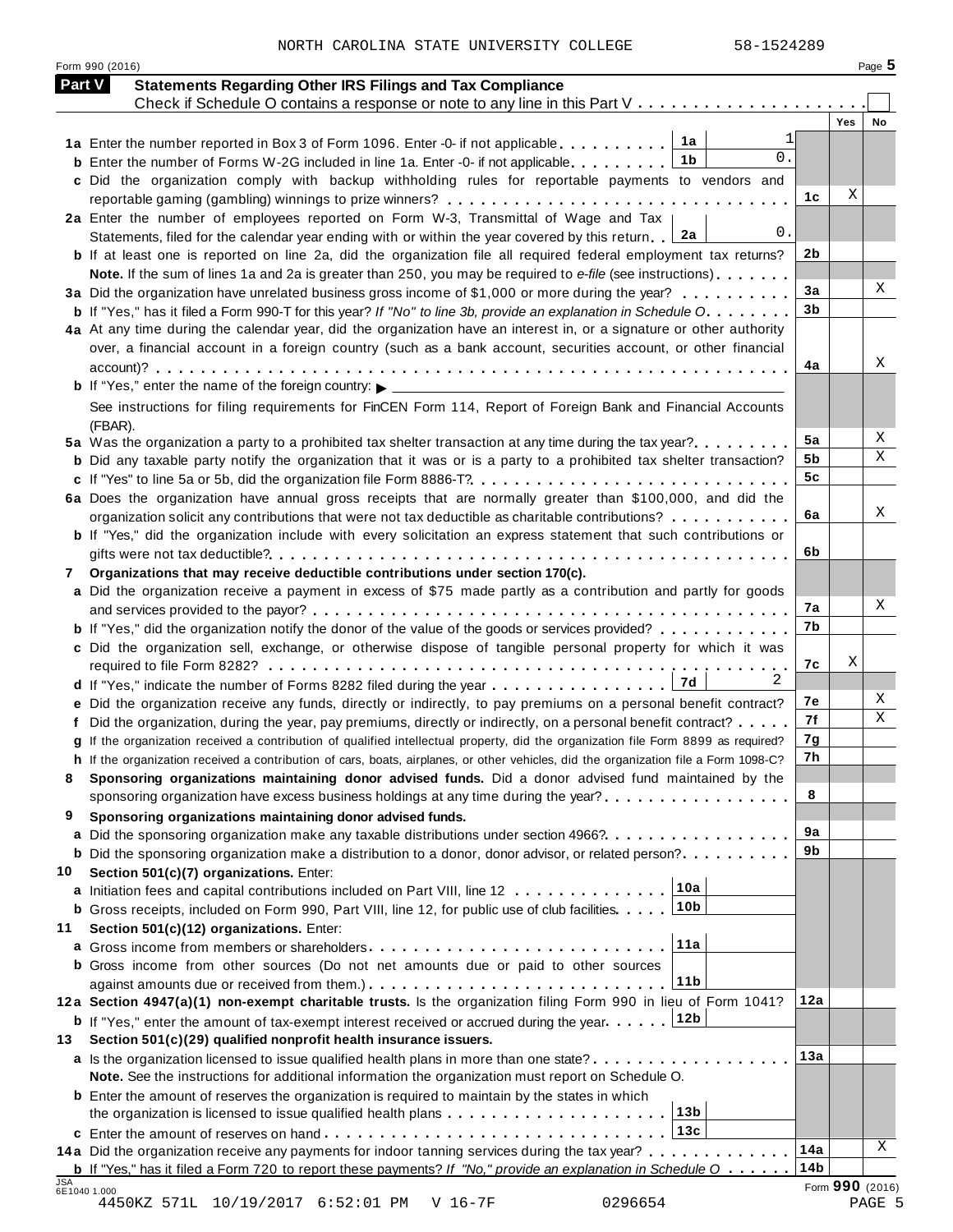NORTH CAROLINA STATE UNIVERSITY COLLEGE 58-1524289

Form <sup>990</sup> (2016) Page **5**

| <b>Part V</b> | <b>Statements Regarding Other IRS Filings and Tax Compliance</b>                                                                                                                                                       |                        |            |    |
|---------------|------------------------------------------------------------------------------------------------------------------------------------------------------------------------------------------------------------------------|------------------------|------------|----|
|               | Check if Schedule O contains a response or note to any line in this Part V                                                                                                                                             |                        | <b>Yes</b> | No |
|               | 1a<br>1a Enter the number reported in Box 3 of Form 1096. Enter -0- if not applicable                                                                                                                                  |                        |            |    |
|               | 0.<br>1b<br><b>b</b> Enter the number of Forms W-2G included in line 1a. Enter -0- if not applicable                                                                                                                   |                        |            |    |
|               | c Did the organization comply with backup withholding rules for reportable payments to vendors and                                                                                                                     |                        |            |    |
|               |                                                                                                                                                                                                                        | 1c                     | Χ          |    |
|               | 2a Enter the number of employees reported on Form W-3, Transmittal of Wage and Tax                                                                                                                                     |                        |            |    |
|               | 0.<br>2a<br>Statements, filed for the calendar year ending with or within the year covered by this return.                                                                                                             |                        |            |    |
|               | <b>b</b> If at least one is reported on line 2a, did the organization file all required federal employment tax returns?                                                                                                | 2b                     |            |    |
|               | Note. If the sum of lines 1a and 2a is greater than 250, you may be required to e-file (see instructions)                                                                                                              |                        |            |    |
|               | 3a Did the organization have unrelated business gross income of \$1,000 or more during the year?                                                                                                                       | 3a                     |            | X  |
|               | <b>b</b> If "Yes," has it filed a Form 990-T for this year? If "No" to line 3b, provide an explanation in Schedule O.                                                                                                  | 3 <sub>b</sub>         |            |    |
|               | 4a At any time during the calendar year, did the organization have an interest in, or a signature or other authority                                                                                                   |                        |            |    |
|               | over, a financial account in a foreign country (such as a bank account, securities account, or other financial                                                                                                         |                        |            |    |
|               |                                                                                                                                                                                                                        | 4a                     |            | Х  |
|               | <b>b</b> If "Yes," enter the name of the foreign country: $\triangleright$ _____________________                                                                                                                       |                        |            |    |
|               | See instructions for filing requirements for FinCEN Form 114, Report of Foreign Bank and Financial Accounts                                                                                                            |                        |            |    |
|               | (FBAR).                                                                                                                                                                                                                |                        |            |    |
|               | 5a Was the organization a party to a prohibited tax shelter transaction at any time during the tax year?                                                                                                               | 5a                     |            | X  |
|               | <b>b</b> Did any taxable party notify the organization that it was or is a party to a prohibited tax shelter transaction?                                                                                              | 5b                     |            | Χ  |
|               | c If "Yes" to line 5a or 5b, did the organization file Form 8886-T?                                                                                                                                                    | 5c                     |            |    |
|               | 6a Does the organization have annual gross receipts that are normally greater than \$100,000, and did the                                                                                                              |                        |            |    |
|               | organization solicit any contributions that were not tax deductible as charitable contributions?                                                                                                                       | 6a                     |            | Χ  |
|               | <b>b</b> If "Yes," did the organization include with every solicitation an express statement that such contributions or                                                                                                |                        |            |    |
|               |                                                                                                                                                                                                                        | 6b                     |            |    |
| 7             | Organizations that may receive deductible contributions under section 170(c).                                                                                                                                          |                        |            |    |
|               | a Did the organization receive a payment in excess of \$75 made partly as a contribution and partly for goods                                                                                                          |                        |            |    |
|               |                                                                                                                                                                                                                        | 7а                     |            | X  |
|               | <b>b</b> If "Yes," did the organization notify the donor of the value of the goods or services provided?                                                                                                               | 7b                     |            |    |
|               | c Did the organization sell, exchange, or otherwise dispose of tangible personal property for which it was                                                                                                             |                        |            |    |
|               |                                                                                                                                                                                                                        | 7c                     | Χ          |    |
|               | 2<br>7d                                                                                                                                                                                                                |                        |            |    |
|               | e Did the organization receive any funds, directly or indirectly, to pay premiums on a personal benefit contract?                                                                                                      | 7е                     |            | X  |
|               | f Did the organization, during the year, pay premiums, directly or indirectly, on a personal benefit contract?                                                                                                         | 7f                     |            | Χ  |
|               | g If the organization received a contribution of qualified intellectual property, did the organization file Form 8899 as required?                                                                                     | 7g                     |            |    |
|               | h If the organization received a contribution of cars, boats, airplanes, or other vehicles, did the organization file a Form 1098-C?                                                                                   | 7h                     |            |    |
|               | Sponsoring organizations maintaining donor advised funds. Did a donor advised fund maintained by the                                                                                                                   |                        |            |    |
|               | sponsoring organization have excess business holdings at any time during the year?                                                                                                                                     | 8                      |            |    |
| 9             | Sponsoring organizations maintaining donor advised funds.                                                                                                                                                              |                        |            |    |
|               | a Did the sponsoring organization make any taxable distributions under section 4966?                                                                                                                                   | 9a                     |            |    |
|               | <b>b</b> Did the sponsoring organization make a distribution to a donor, donor advisor, or related person?                                                                                                             | 9b                     |            |    |
| 10            | Section 501(c)(7) organizations. Enter:                                                                                                                                                                                |                        |            |    |
|               | 10a<br>a Initiation fees and capital contributions included on Part VIII, line 12                                                                                                                                      |                        |            |    |
|               | 10 <sub>b</sub><br><b>b</b> Gross receipts, included on Form 990, Part VIII, line 12, for public use of club facilities                                                                                                |                        |            |    |
| 11            | Section 501(c)(12) organizations. Enter:                                                                                                                                                                               |                        |            |    |
|               | 11a                                                                                                                                                                                                                    |                        |            |    |
|               | <b>b</b> Gross income from other sources (Do not net amounts due or paid to other sources                                                                                                                              |                        |            |    |
|               | 11b                                                                                                                                                                                                                    | 12a                    |            |    |
|               | 12a Section 4947(a)(1) non-exempt charitable trusts. Is the organization filing Form 990 in lieu of Form 1041?                                                                                                         |                        |            |    |
|               | 12b<br><b>b</b> If "Yes," enter the amount of tax-exempt interest received or accrued during the year                                                                                                                  |                        |            |    |
| 13            | Section 501(c)(29) qualified nonprofit health insurance issuers.                                                                                                                                                       | 13a                    |            |    |
|               | a Is the organization licensed to issue qualified health plans in more than one state?                                                                                                                                 |                        |            |    |
|               | Note. See the instructions for additional information the organization must report on Schedule O.                                                                                                                      |                        |            |    |
|               | <b>b</b> Enter the amount of reserves the organization is required to maintain by the states in which                                                                                                                  |                        |            |    |
|               |                                                                                                                                                                                                                        |                        |            |    |
|               | 13 <sub>b</sub>                                                                                                                                                                                                        |                        |            |    |
|               | 13c                                                                                                                                                                                                                    |                        |            |    |
|               | 14a Did the organization receive any payments for indoor tanning services during the tax year?<br><b>b</b> If "Yes," has it filed a Form 720 to report these payments? If "No," provide an explanation in Schedule $0$ | 14a<br>14 <sub>b</sub> |            | Χ  |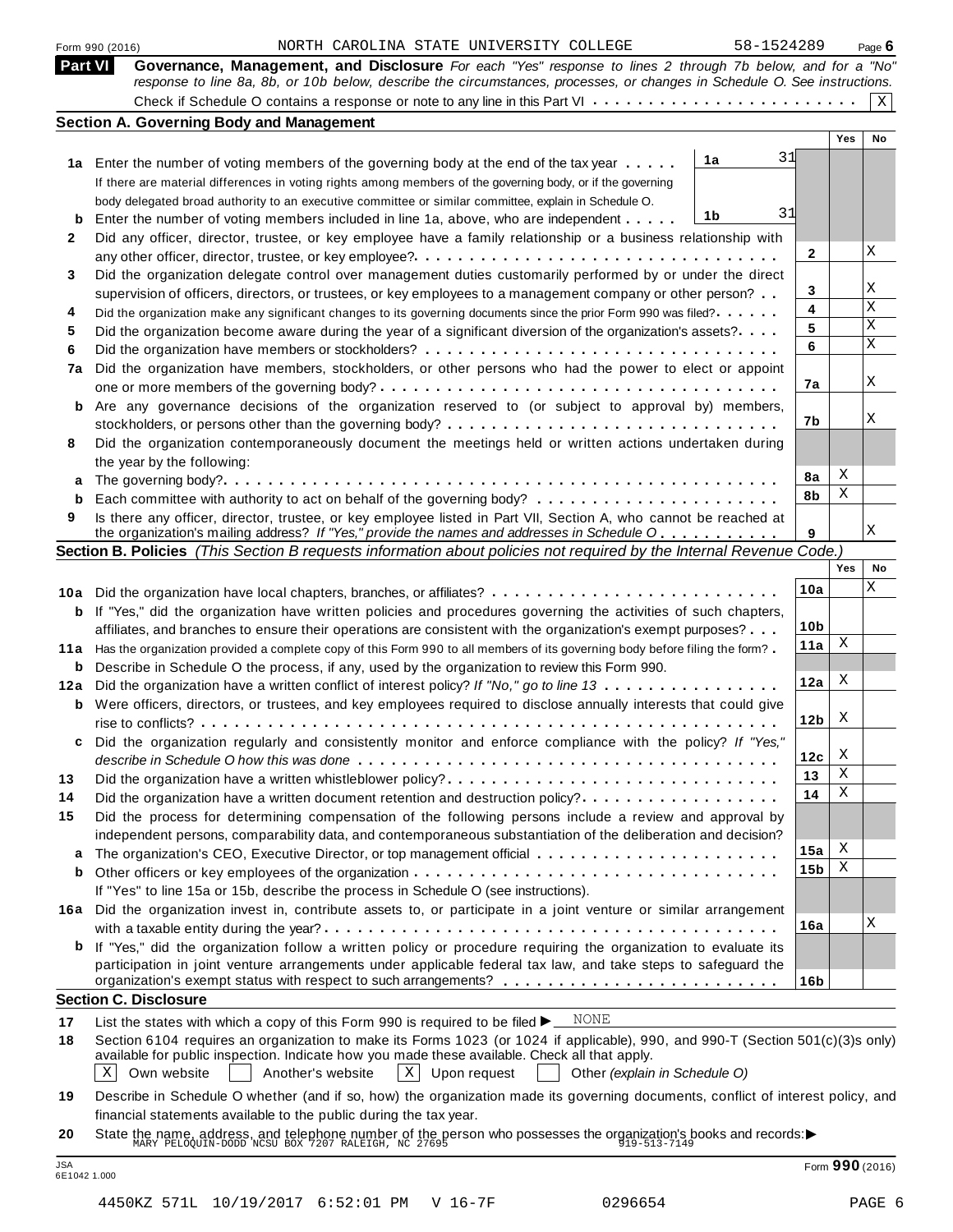|                | 58-1524289<br>NORTH CAROLINA STATE UNIVERSITY COLLEGE<br>Form 990 (2016)                                                                                                                                                                |                 |            | Page $6$    |
|----------------|-----------------------------------------------------------------------------------------------------------------------------------------------------------------------------------------------------------------------------------------|-----------------|------------|-------------|
| <b>Part VI</b> | Governance, Management, and Disclosure For each "Yes" response to lines 2 through 7b below, and for a "No"<br>response to line 8a, 8b, or 10b below, describe the circumstances, processes, or changes in Schedule O. See instructions. |                 |            |             |
|                |                                                                                                                                                                                                                                         |                 |            | $\mathbf X$ |
|                | <b>Section A. Governing Body and Management</b>                                                                                                                                                                                         |                 |            |             |
|                |                                                                                                                                                                                                                                         |                 | <b>Yes</b> | No          |
|                | 31<br>1a<br>1a Enter the number of voting members of the governing body at the end of the tax year                                                                                                                                      |                 |            |             |
|                | If there are material differences in voting rights among members of the governing body, or if the governing                                                                                                                             |                 |            |             |
|                | body delegated broad authority to an executive committee or similar committee, explain in Schedule O.                                                                                                                                   |                 |            |             |
| b              | 31<br>1b<br>Enter the number of voting members included in line 1a, above, who are independent                                                                                                                                          |                 |            |             |
| 2              | Did any officer, director, trustee, or key employee have a family relationship or a business relationship with                                                                                                                          |                 |            |             |
|                |                                                                                                                                                                                                                                         | $\mathbf{2}$    |            | Χ           |
| 3              | Did the organization delegate control over management duties customarily performed by or under the direct                                                                                                                               |                 |            |             |
|                | supervision of officers, directors, or trustees, or key employees to a management company or other person?                                                                                                                              | 3               |            | Χ           |
| 4              | Did the organization make any significant changes to its governing documents since the prior Form 990 was filed?                                                                                                                        | 4               |            | X           |
| 5              | Did the organization become aware during the year of a significant diversion of the organization's assets?                                                                                                                              | 5               |            | X           |
| 6              |                                                                                                                                                                                                                                         | 6               |            | X           |
| 7a             | Did the organization have members, stockholders, or other persons who had the power to elect or appoint                                                                                                                                 |                 |            |             |
|                |                                                                                                                                                                                                                                         | 7a              |            | Χ           |
| b              | Are any governance decisions of the organization reserved to (or subject to approval by) members,                                                                                                                                       |                 |            |             |
|                |                                                                                                                                                                                                                                         | 7b              |            | Χ           |
| 8              | Did the organization contemporaneously document the meetings held or written actions undertaken during                                                                                                                                  |                 |            |             |
|                | the year by the following:                                                                                                                                                                                                              |                 |            |             |
| a              |                                                                                                                                                                                                                                         | 8a              | X          |             |
| b              |                                                                                                                                                                                                                                         | 8b              | Χ          |             |
| 9              | Is there any officer, director, trustee, or key employee listed in Part VII, Section A, who cannot be reached at                                                                                                                        |                 |            |             |
|                | the organization's mailing address? If "Yes," provide the names and addresses in Schedule O                                                                                                                                             | 9               |            | Χ           |
|                | Section B. Policies (This Section B requests information about policies not required by the Internal Revenue Code.)                                                                                                                     |                 |            |             |
|                |                                                                                                                                                                                                                                         |                 | Yes        | No          |
|                | 10a Did the organization have local chapters, branches, or affiliates?                                                                                                                                                                  | 10a             |            | X           |
| b              | If "Yes," did the organization have written policies and procedures governing the activities of such chapters,                                                                                                                          |                 |            |             |
|                | affiliates, and branches to ensure their operations are consistent with the organization's exempt purposes?                                                                                                                             | 10 <sub>b</sub> |            |             |
|                | 11a Has the organization provided a complete copy of this Form 990 to all members of its governing body before filing the form?                                                                                                         | 11a             | X          |             |
|                | <b>b</b> Describe in Schedule O the process, if any, used by the organization to review this Form 990.                                                                                                                                  |                 |            |             |
|                | 12a Did the organization have a written conflict of interest policy? If "No," go to line 13                                                                                                                                             | 12a             | Χ          |             |
|                | <b>b</b> Were officers, directors, or trustees, and key employees required to disclose annually interests that could give                                                                                                               |                 |            |             |
|                |                                                                                                                                                                                                                                         | 12b             | X          |             |
| c              | Did the organization regularly and consistently monitor and enforce compliance with the policy? If "Yes,"                                                                                                                               |                 |            |             |
|                |                                                                                                                                                                                                                                         | 12c             | X          |             |
| 13             | Did the organization have a written whistleblower policy?                                                                                                                                                                               | 13              | Χ          |             |
| 14             | Did the organization have a written document retention and destruction policy?                                                                                                                                                          | 14              | Χ          |             |
| 15             | Did the process for determining compensation of the following persons include a review and approval by                                                                                                                                  |                 |            |             |
|                | independent persons, comparability data, and contemporaneous substantiation of the deliberation and decision?                                                                                                                           |                 |            |             |
| a              |                                                                                                                                                                                                                                         | 15a             | X<br>Χ     |             |
| b              |                                                                                                                                                                                                                                         | 15 <sub>b</sub> |            |             |
|                | If "Yes" to line 15a or 15b, describe the process in Schedule O (see instructions).                                                                                                                                                     |                 |            |             |
|                | 16a Did the organization invest in, contribute assets to, or participate in a joint venture or similar arrangement                                                                                                                      |                 |            | Χ           |
|                |                                                                                                                                                                                                                                         | 16a             |            |             |
| b              | If "Yes," did the organization follow a written policy or procedure requiring the organization to evaluate its<br>participation in joint venture arrangements under applicable federal tax law, and take steps to safeguard the         | 16 <sub>b</sub> |            |             |
|                | <b>Section C. Disclosure</b>                                                                                                                                                                                                            |                 |            |             |
| 17             | NONE<br>List the states with which a copy of this Form 990 is required to be filed $\blacktriangleright$                                                                                                                                |                 |            |             |
| 18             | Section 6104 requires an organization to make its Forms 1023 (or 1024 if applicable), 990, and 990-T (Section 501(c)(3)s only)                                                                                                          |                 |            |             |
|                | available for public inspection. Indicate how you made these available. Check all that apply.                                                                                                                                           |                 |            |             |
|                | Own website<br>$ X $ Upon request<br> X <br>Another's website<br>Other (explain in Schedule O)                                                                                                                                          |                 |            |             |
| 19             | Describe in Schedule O whether (and if so, how) the organization made its governing documents, conflict of interest policy, and                                                                                                         |                 |            |             |
|                |                                                                                                                                                                                                                                         |                 |            |             |

**20** nnancial statements available to the public during the tax year.<br>State the name, address, and telephone number of the person who possesses the organization's books and records:<br><sup>MARY PELOQUIN-DODD NCSU BOX 7207 RALEIGH, NC</sup>

JSA Form **<sup>990</sup>** (2016) 6E1042 1.000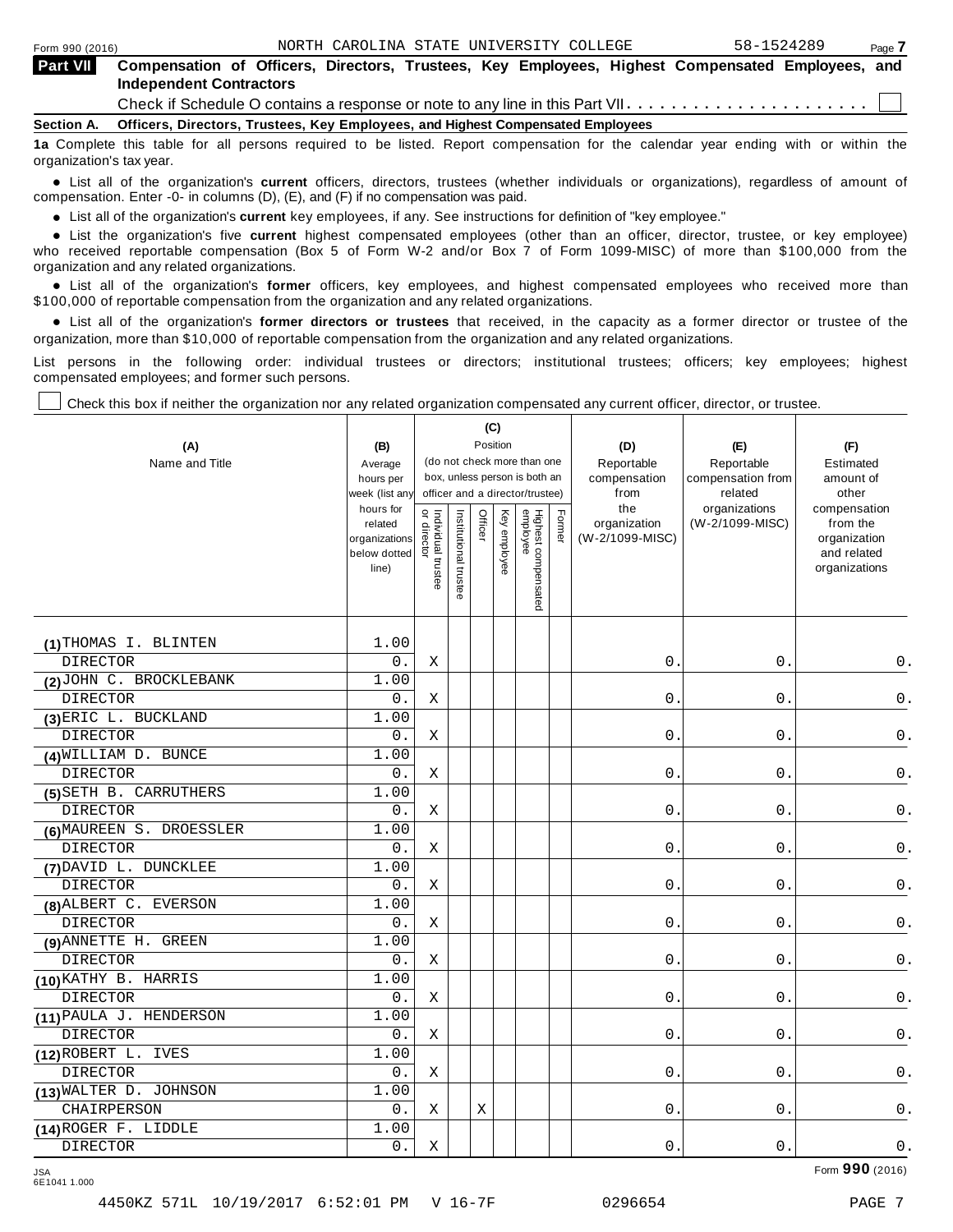| <b>Part VII</b> | Compensation of Officers, Directors, Trustees, Key Employees, Highest Compensated Employees, and<br><b>Independent Contractors</b> |
|-----------------|------------------------------------------------------------------------------------------------------------------------------------|
|                 | Check if Schedule O contains a response or note to any line in this Part VII $\dots\dots\dots\dots\dots\dots\dots\dots\dots\Box$   |
|                 | Section A. Officers, Directors, Trustees, Key Employees, and Highest Compensated Employees                                         |
|                 | 1a Complete this table for all persons required to be listed. Report compensation for the calendar year ending with or within the  |

organization's tax year.

anization's lax year.<br>● List all of the organization's **current** officers, directors, trustees (whether individuals or organizations), regardless of amount of<br>nnensation Enter -0- in columns (D) (E) and (E) if no compensa compensation. Enter -0- in columns (D), (E), and (F) if no compensation was paid.

• List all of the organization's **current** key employees, if any. See instructions for definition of "key employee."<br>● List the experientials five expect highest expressed explores (other than an efficer director of

**Example in the organization's current** key employees, if any. See instructions for definition of key employee.<br>• List the organization's five **current** highest compensated employees (other than an officer, director, trust who received reportable compensation (Box 5 of Form W-2 and/or Box 7 of Form 1099-MISC) of more than \$100,000 from the

organization and any related organizations.<br>• List all of the organization's **former** officers, key employees, and highest compensated employees who received more than<br>\$1.00.000 of reportable componention from the erganiza \$100,000 of reportable compensation from the organization and any related organizations.

% List all of the organization's **former directors or trustees** that received, in the capacity as a former director or trustee of the organization, more than \$10,000 of reportable compensation from the organization and any related organizations.

List persons in the following order: individual trustees or directors; institutional trustees; officers; key employees; highest compensated employees; and former such persons.

Check this box if neither the organization nor any related organization compensated any current officer, director, or trustee.

|                          |                             |                                   |                                                              | (C)      |              |                                 |            |                      |                          |                              |
|--------------------------|-----------------------------|-----------------------------------|--------------------------------------------------------------|----------|--------------|---------------------------------|------------|----------------------|--------------------------|------------------------------|
| (A)                      | (B)                         |                                   |                                                              | Position |              |                                 |            | (D)                  | (E)                      | (F)                          |
| Name and Title           | Average                     |                                   | (do not check more than one<br>box, unless person is both an |          |              |                                 | Reportable | Reportable           | Estimated                |                              |
|                          | hours per                   |                                   |                                                              |          |              | officer and a director/trustee) |            | compensation<br>from | compensation from        | amount of<br>other           |
|                          | week (list any<br>hours for |                                   |                                                              |          |              |                                 |            | the                  | related<br>organizations | compensation                 |
|                          | related                     | or director<br>Individual trustee | Institutional trustee                                        | Officer  | Key employee |                                 | Former     | organization         | (W-2/1099-MISC)          | from the                     |
|                          | organizations               |                                   |                                                              |          |              |                                 |            | (W-2/1099-MISC)      |                          | organization                 |
|                          | below dotted<br>line)       |                                   |                                                              |          |              |                                 |            |                      |                          | and related<br>organizations |
|                          |                             |                                   |                                                              |          |              |                                 |            |                      |                          |                              |
|                          |                             |                                   |                                                              |          |              | Highest compensated<br>employee |            |                      |                          |                              |
|                          |                             |                                   |                                                              |          |              |                                 |            |                      |                          |                              |
| (1) THOMAS I. BLINTEN    | 1.00                        |                                   |                                                              |          |              |                                 |            |                      |                          |                              |
| <b>DIRECTOR</b>          | 0.                          | Χ                                 |                                                              |          |              |                                 |            | 0.                   | 0.                       | $0$ .                        |
| (2) JOHN C. BROCKLEBANK  | 1.00                        |                                   |                                                              |          |              |                                 |            |                      |                          |                              |
| <b>DIRECTOR</b>          | 0.                          | X                                 |                                                              |          |              |                                 |            | $0$ .                | $0$ .                    | $\mathsf 0$ .                |
| (3) ERIC L. BUCKLAND     | 1.00                        |                                   |                                                              |          |              |                                 |            |                      |                          |                              |
| <b>DIRECTOR</b>          | 0.                          | Χ                                 |                                                              |          |              |                                 |            | 0.                   | 0.                       | $\mathsf{0}$ .               |
| (4) WILLIAM D. BUNCE     | 1.00                        |                                   |                                                              |          |              |                                 |            |                      |                          |                              |
| <b>DIRECTOR</b>          | 0.                          | Χ                                 |                                                              |          |              |                                 |            | 0.                   | 0.                       | $\mathsf 0$ .                |
| (5) SETH B. CARRUTHERS   | 1.00                        |                                   |                                                              |          |              |                                 |            |                      |                          |                              |
| <b>DIRECTOR</b>          | $0$ .                       | Χ                                 |                                                              |          |              |                                 |            | 0.                   | 0.                       | 0.                           |
| (6) MAUREEN S. DROESSLER | 1.00                        |                                   |                                                              |          |              |                                 |            |                      |                          |                              |
| <b>DIRECTOR</b>          | 0.                          | Χ                                 |                                                              |          |              |                                 |            | $0$ .                | 0.                       | 0.                           |
| (7) DAVID L. DUNCKLEE    | 1.00                        |                                   |                                                              |          |              |                                 |            |                      |                          |                              |
| <b>DIRECTOR</b>          | 0.                          | Χ                                 |                                                              |          |              |                                 |            | $0$ .                | 0.                       | 0.                           |
| (8) ALBERT C. EVERSON    | 1.00                        |                                   |                                                              |          |              |                                 |            |                      |                          |                              |
| <b>DIRECTOR</b>          | 0.                          | Χ                                 |                                                              |          |              |                                 |            | 0.                   | $\mathbf{0}$ .           | $0$ .                        |
| (9) ANNETTE H. GREEN     | 1.00                        |                                   |                                                              |          |              |                                 |            |                      |                          |                              |
| <b>DIRECTOR</b>          | 0.                          | Χ                                 |                                                              |          |              |                                 |            | 0.                   | 0.                       | $0$ .                        |
| (10) KATHY B. HARRIS     | 1.00                        |                                   |                                                              |          |              |                                 |            |                      |                          |                              |
| <b>DIRECTOR</b>          | 0.                          | Χ                                 |                                                              |          |              |                                 |            | 0.                   | 0.                       | $0$ .                        |
| (11) PAULA J. HENDERSON  | 1.00                        |                                   |                                                              |          |              |                                 |            |                      |                          |                              |
| <b>DIRECTOR</b>          | 0.                          | Χ                                 |                                                              |          |              |                                 |            | 0.                   | 0.                       | 0.                           |
| (12) ROBERT L. IVES      | 1.00                        |                                   |                                                              |          |              |                                 |            |                      |                          |                              |
| <b>DIRECTOR</b>          | $0$ .                       | Χ                                 |                                                              |          |              |                                 |            | $0$ .                | 0.                       | 0.                           |
| (13) WALTER D. JOHNSON   | 1.00                        |                                   |                                                              |          |              |                                 |            |                      |                          |                              |
| CHAIRPERSON              | $0$ .                       | Χ                                 |                                                              | Χ        |              |                                 |            | $0$ .                | $\mathsf{O}$ .           | $\mathsf 0$ .                |
| (14) ROGER F. LIDDLE     | 1.00                        |                                   |                                                              |          |              |                                 |            |                      |                          |                              |
| <b>DIRECTOR</b>          | $0$ .                       | Χ                                 |                                                              |          |              |                                 |            | $0$ .                | $\mathsf 0$ .            | $\mathsf 0$ .                |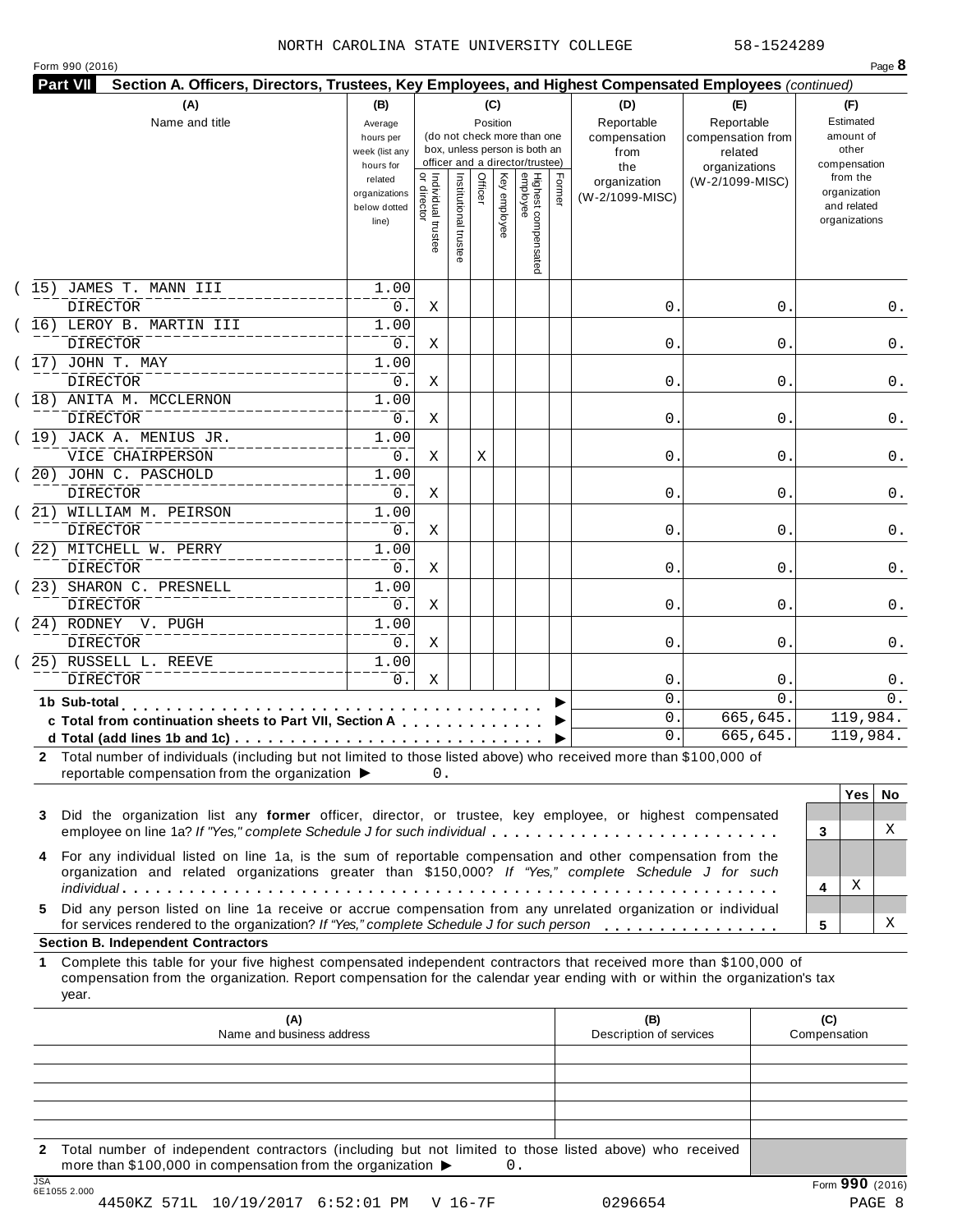#### NORTH CAROLINA STATE UNIVERSITY COLLEGE 58-1524289

| Form 990 (2016) |  |  |  |
|-----------------|--|--|--|
|-----------------|--|--|--|

|    | (A)<br>Name and title                                                                                                                                                                                                                                                              | (B)<br>(C)<br>(D)<br>(E)<br>Reportable<br>Reportable<br>Position<br>Average<br>(do not check more than one<br>compensation<br>compensation from<br>hours per<br>box, unless person is both an<br>week (list any<br>from<br>related<br>officer and a director/trustee)<br>hours for<br>the<br>organizations |                                           |                       | (F)<br>Estimated<br>amount of<br>other<br>compensation |              |                                 |        |                                 |                 |             |                                                          |       |
|----|------------------------------------------------------------------------------------------------------------------------------------------------------------------------------------------------------------------------------------------------------------------------------------|------------------------------------------------------------------------------------------------------------------------------------------------------------------------------------------------------------------------------------------------------------------------------------------------------------|-------------------------------------------|-----------------------|--------------------------------------------------------|--------------|---------------------------------|--------|---------------------------------|-----------------|-------------|----------------------------------------------------------|-------|
|    |                                                                                                                                                                                                                                                                                    | related<br>organizations<br>below dotted<br>line)                                                                                                                                                                                                                                                          | <br>  Individual trustee<br>  or director | Institutional trustee | Officer                                                | Key employee | Highest compensated<br>employee | Former | organization<br>(W-2/1099-MISC) | (W-2/1099-MISC) |             | from the<br>organization<br>and related<br>organizations |       |
|    | (15) JAMES T. MANN III<br><b>DIRECTOR</b>                                                                                                                                                                                                                                          | 1.00                                                                                                                                                                                                                                                                                                       |                                           |                       |                                                        |              |                                 |        | 0.                              |                 |             |                                                          |       |
|    | (16) LEROY B. MARTIN III                                                                                                                                                                                                                                                           | 0.<br>1.00                                                                                                                                                                                                                                                                                                 | Χ                                         |                       |                                                        |              |                                 |        |                                 |                 | 0           |                                                          | 0.    |
|    | <b>DIRECTOR</b>                                                                                                                                                                                                                                                                    | 0.                                                                                                                                                                                                                                                                                                         | Χ                                         |                       |                                                        |              |                                 |        | 0.                              |                 | 0           |                                                          | 0.    |
|    | (17) JOHN T. MAY                                                                                                                                                                                                                                                                   | 1.00                                                                                                                                                                                                                                                                                                       |                                           |                       |                                                        |              |                                 |        |                                 |                 |             |                                                          |       |
|    | <b>DIRECTOR</b>                                                                                                                                                                                                                                                                    | 0.                                                                                                                                                                                                                                                                                                         | Χ                                         |                       |                                                        |              |                                 |        | 0.                              |                 | 0           |                                                          | 0.    |
|    | (18) ANITA M. MCCLERNON                                                                                                                                                                                                                                                            | 1.00                                                                                                                                                                                                                                                                                                       |                                           |                       |                                                        |              |                                 |        |                                 |                 |             |                                                          |       |
|    | <b>DIRECTOR</b>                                                                                                                                                                                                                                                                    | 0.                                                                                                                                                                                                                                                                                                         | Χ                                         |                       |                                                        |              |                                 |        | 0.                              |                 | 0           |                                                          | 0.    |
|    | (19) JACK A. MENIUS JR.                                                                                                                                                                                                                                                            | 1.00                                                                                                                                                                                                                                                                                                       |                                           |                       |                                                        |              |                                 |        |                                 |                 |             |                                                          |       |
|    | VICE CHAIRPERSON                                                                                                                                                                                                                                                                   | 0.                                                                                                                                                                                                                                                                                                         | Χ                                         |                       | Χ                                                      |              |                                 |        | 0.                              |                 | 0           |                                                          | 0.    |
|    | 20) JOHN C. PASCHOLD                                                                                                                                                                                                                                                               | 1.00                                                                                                                                                                                                                                                                                                       |                                           |                       |                                                        |              |                                 |        |                                 |                 |             |                                                          |       |
|    | <b>DIRECTOR</b>                                                                                                                                                                                                                                                                    | 0.                                                                                                                                                                                                                                                                                                         | Χ                                         |                       |                                                        |              |                                 |        | 0.                              |                 | 0           |                                                          | 0.    |
|    | 21) WILLIAM M. PEIRSON                                                                                                                                                                                                                                                             | 1.00                                                                                                                                                                                                                                                                                                       |                                           |                       |                                                        |              |                                 |        |                                 |                 |             |                                                          |       |
|    | <b>DIRECTOR</b>                                                                                                                                                                                                                                                                    | 0.                                                                                                                                                                                                                                                                                                         | Χ                                         |                       |                                                        |              |                                 |        | 0.                              |                 | 0           |                                                          | 0.    |
|    | 22) MITCHELL W. PERRY                                                                                                                                                                                                                                                              | 1.00                                                                                                                                                                                                                                                                                                       |                                           |                       |                                                        |              |                                 |        |                                 |                 |             |                                                          |       |
|    | DIRECTOR                                                                                                                                                                                                                                                                           | 0.                                                                                                                                                                                                                                                                                                         | Χ                                         |                       |                                                        |              |                                 |        | 0.                              |                 | 0           |                                                          | 0.    |
|    | (23) SHARON C. PRESNELL                                                                                                                                                                                                                                                            | 1.00                                                                                                                                                                                                                                                                                                       |                                           |                       |                                                        |              |                                 |        |                                 |                 |             |                                                          |       |
|    | DIRECTOR                                                                                                                                                                                                                                                                           | 0.                                                                                                                                                                                                                                                                                                         | Χ                                         |                       |                                                        |              |                                 |        | 0.                              |                 | 0           |                                                          | 0.    |
|    | 24) RODNEY V. PUGH                                                                                                                                                                                                                                                                 | 1.00                                                                                                                                                                                                                                                                                                       |                                           |                       |                                                        |              |                                 |        |                                 |                 |             |                                                          |       |
|    | <b>DIRECTOR</b>                                                                                                                                                                                                                                                                    | $0$ .                                                                                                                                                                                                                                                                                                      | Χ                                         |                       |                                                        |              |                                 |        | 0.                              |                 | 0           |                                                          | 0.    |
|    | 25) RUSSELL L. REEVE                                                                                                                                                                                                                                                               | 1.00                                                                                                                                                                                                                                                                                                       |                                           |                       |                                                        |              |                                 |        |                                 |                 |             |                                                          |       |
|    | <b>DIRECTOR</b>                                                                                                                                                                                                                                                                    | 0.                                                                                                                                                                                                                                                                                                         | Χ                                         |                       |                                                        |              |                                 |        | 0.                              |                 | 0           |                                                          | $0$ . |
|    | 1b Sub-total<br>.                                                                                                                                                                                                                                                                  |                                                                                                                                                                                                                                                                                                            |                                           |                       |                                                        |              |                                 |        | 0.                              |                 | $\mathbf 0$ |                                                          | 0.    |
|    | c Total from continuation sheets to Part VII, Section A                                                                                                                                                                                                                            |                                                                                                                                                                                                                                                                                                            |                                           |                       |                                                        |              |                                 |        | 0.                              | 665,645.        |             | 119,984.                                                 |       |
|    |                                                                                                                                                                                                                                                                                    |                                                                                                                                                                                                                                                                                                            |                                           |                       |                                                        |              |                                 |        | 0.                              | 665,645.        |             | 119,984.                                                 |       |
| 3  | 2 Total number of individuals (including but not limited to those listed above) who received more than \$100,000 of<br>reportable compensation from the organization ▶<br>Did the organization list any former officer, director, or trustee, key employee, or highest compensated |                                                                                                                                                                                                                                                                                                            | 0.                                        |                       |                                                        |              |                                 |        |                                 |                 |             | <b>Yes</b>                                               | No.   |
|    | employee on line 1a? If "Yes," complete Schedule J for such individual                                                                                                                                                                                                             |                                                                                                                                                                                                                                                                                                            |                                           |                       |                                                        |              |                                 |        |                                 |                 |             | 3                                                        | X     |
| 4  | For any individual listed on line 1a, is the sum of reportable compensation and other compensation from the<br>organization and related organizations greater than \$150,000? If "Yes," complete Schedule J for such                                                               |                                                                                                                                                                                                                                                                                                            |                                           |                       |                                                        |              |                                 |        |                                 |                 |             | Χ<br>4                                                   |       |
| 5. | Did any person listed on line 1a receive or accrue compensation from any unrelated organization or individual<br>for services rendered to the organization? If "Yes," complete Schedule J for such person                                                                          |                                                                                                                                                                                                                                                                                                            |                                           |                       |                                                        |              |                                 |        |                                 |                 |             | 5                                                        | X     |
|    | <b>Section B. Independent Contractors</b>                                                                                                                                                                                                                                          |                                                                                                                                                                                                                                                                                                            |                                           |                       |                                                        |              |                                 |        |                                 |                 |             |                                                          |       |
| 1. | Complete this table for your five highest compensated independent contractors that received more than \$100,000 of<br>compensation from the organization. Report compensation for the calendar year ending with or within the organization's tax<br>year.                          |                                                                                                                                                                                                                                                                                                            |                                           |                       |                                                        |              |                                 |        |                                 |                 |             |                                                          |       |
|    | (A)<br>Name and business address                                                                                                                                                                                                                                                   |                                                                                                                                                                                                                                                                                                            |                                           |                       |                                                        |              |                                 |        | (B)<br>Description of services  |                 |             | (C)<br>Compensation                                      |       |
|    |                                                                                                                                                                                                                                                                                    |                                                                                                                                                                                                                                                                                                            |                                           |                       |                                                        |              |                                 |        |                                 |                 |             |                                                          |       |
|    |                                                                                                                                                                                                                                                                                    |                                                                                                                                                                                                                                                                                                            |                                           |                       |                                                        |              |                                 |        |                                 |                 |             |                                                          |       |
|    |                                                                                                                                                                                                                                                                                    |                                                                                                                                                                                                                                                                                                            |                                           |                       |                                                        |              |                                 |        |                                 |                 |             |                                                          |       |

**2** Total number of independent contractors (including but not limited to those listed above) who received more than \$100,000 in compensation from the organization  $\triangleright$  0.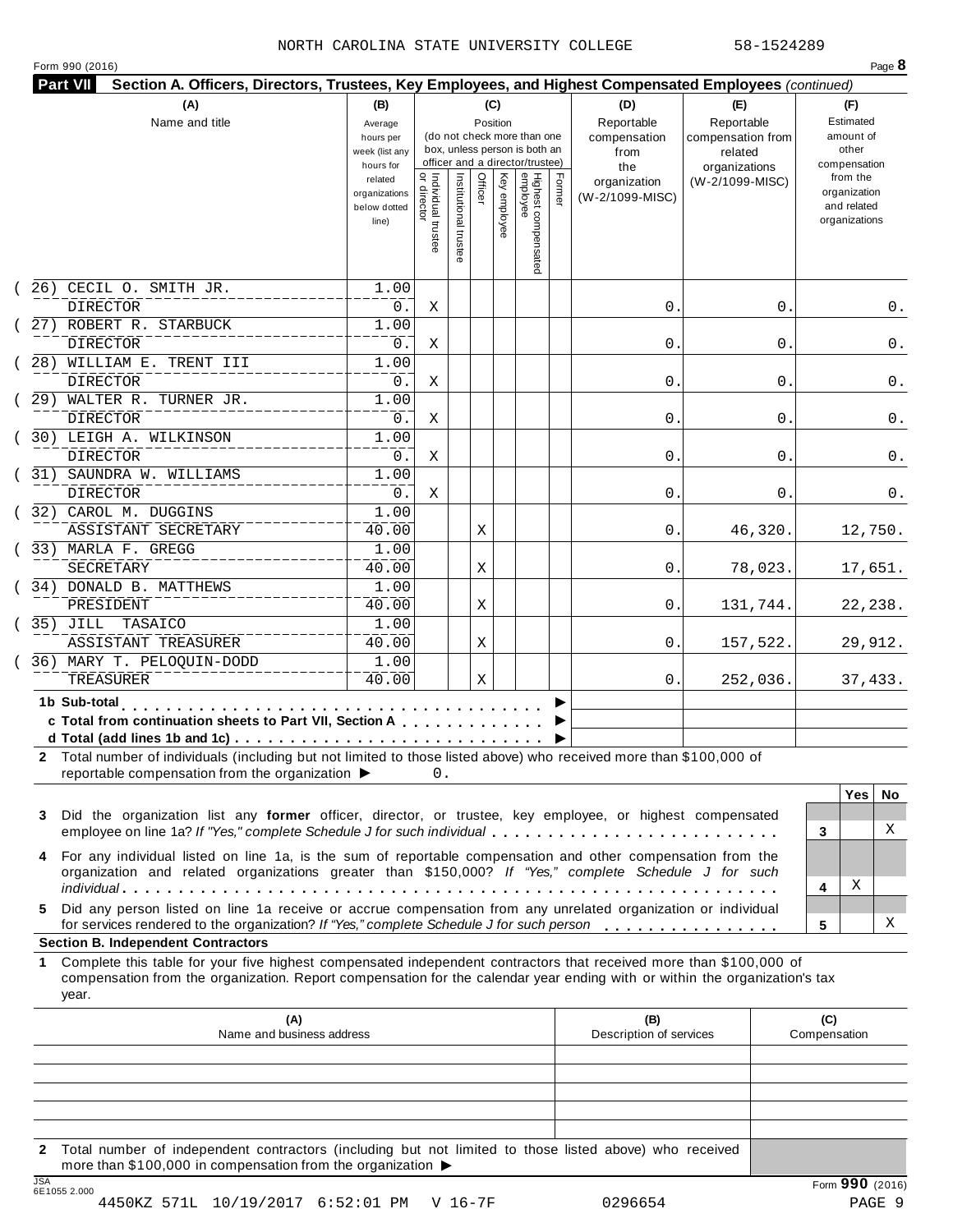#### NORTH CAROLINA STATE UNIVERSITY COLLEGE 58-1524289

| Form 990 (2016) |  |  |  |
|-----------------|--|--|--|
|-----------------|--|--|--|

| (A)                                                                                                                                                                                                                                                                                                                                                                | (B)                                                            |                                          |                       | (C)      |                                                                                    |        | (D)                                    | (E)                                                              | (F)<br>Estimated                                                         |  |
|--------------------------------------------------------------------------------------------------------------------------------------------------------------------------------------------------------------------------------------------------------------------------------------------------------------------------------------------------------------------|----------------------------------------------------------------|------------------------------------------|-----------------------|----------|------------------------------------------------------------------------------------|--------|----------------------------------------|------------------------------------------------------------------|--------------------------------------------------------------------------|--|
| Name and title                                                                                                                                                                                                                                                                                                                                                     | Average<br>hours per<br>week (list any                         |                                          |                       | Position | (do not check more than one<br>box, unless person is both an                       |        | Reportable<br>compensation<br>from     | Reportable<br>amount of<br>compensation from<br>other<br>related |                                                                          |  |
|                                                                                                                                                                                                                                                                                                                                                                    | hours for<br>related<br>organizations<br>below dotted<br>line) | Individual trustee<br> <br>  or director | Institutional trustee | Officer  | officer and a director/trustee)<br>Highest compensated<br>employee<br>Key employee | Former | the<br>organization<br>(W-2/1099-MISC) | organizations<br>(W-2/1099-MISC)                                 | compensation<br>from the<br>organization<br>and related<br>organizations |  |
| CECIL O. SMITH JR.<br>26)<br><b>DIRECTOR</b>                                                                                                                                                                                                                                                                                                                       | 1.00<br>0.                                                     | Χ                                        |                       |          |                                                                                    |        | 0.                                     | 0.                                                               | 0.                                                                       |  |
| 27) ROBERT R. STARBUCK<br><b>DIRECTOR</b>                                                                                                                                                                                                                                                                                                                          | 1.00<br>0.                                                     | Χ                                        |                       |          |                                                                                    |        | 0.                                     | 0                                                                | 0.                                                                       |  |
| 28) WILLIAM E. TRENT III<br><b>DIRECTOR</b>                                                                                                                                                                                                                                                                                                                        | 1.00<br>0.                                                     | Χ                                        |                       |          |                                                                                    |        | 0.                                     | 0                                                                | 0.                                                                       |  |
| 29) WALTER R. TURNER JR.<br>DIRECTOR                                                                                                                                                                                                                                                                                                                               | 1.00<br>0.                                                     | Χ                                        |                       |          |                                                                                    |        | 0.                                     | 0                                                                | 0.                                                                       |  |
| 30) LEIGH A. WILKINSON<br>DIRECTOR                                                                                                                                                                                                                                                                                                                                 | 1.00<br>0.                                                     | Χ                                        |                       |          |                                                                                    |        | 0.                                     | 0                                                                | 0.                                                                       |  |
| (31) SAUNDRA W. WILLIAMS<br><b>DIRECTOR</b>                                                                                                                                                                                                                                                                                                                        | 1.00<br>$0$ .                                                  | Χ                                        |                       |          |                                                                                    |        | 0.                                     | 0                                                                | 0.                                                                       |  |
| (32) CAROL M. DUGGINS<br>ASSISTANT SECRETARY                                                                                                                                                                                                                                                                                                                       | $\overline{1}$ .00<br>40.00                                    |                                          |                       | Χ        |                                                                                    |        | 0.                                     | 46,320.                                                          | 12,750.                                                                  |  |
| (33) MARLA F. GREGG<br>SECRETARY                                                                                                                                                                                                                                                                                                                                   | 1.00<br>40.00                                                  |                                          |                       | Χ        |                                                                                    |        | 0.                                     | 78,023.                                                          | 17,651.                                                                  |  |
| (34) DONALD B. MATTHEWS<br>PRESIDENT                                                                                                                                                                                                                                                                                                                               | 1.00<br>40.00                                                  |                                          |                       | Χ        |                                                                                    |        | 0.                                     | 131,744.                                                         | 22,238.                                                                  |  |
| (35) JILL TASAICO<br>ASSISTANT TREASURER                                                                                                                                                                                                                                                                                                                           | 1.00<br>40.00                                                  |                                          |                       | Χ        |                                                                                    |        | 0.                                     | 157,522.                                                         | 29,912.                                                                  |  |
| 36) MARY T. PELOQUIN-DODD<br>TREASURER                                                                                                                                                                                                                                                                                                                             | 1.00<br>40.00                                                  |                                          |                       | Χ        |                                                                                    |        | 0.                                     | 252,036.                                                         | 37,433.                                                                  |  |
| 1b Sub-total<br>c Total from continuation sheets to Part VII, Section A<br>2 Total number of individuals (including but not limited to those listed above) who received more than \$100,000 of<br>reportable compensation from the organization ▶<br>Did the organization list any former officer, director, or trustee, key employee, or highest compensated<br>3 |                                                                | 0.                                       |                       |          |                                                                                    |        |                                        |                                                                  | <b>Yes</b><br>No.                                                        |  |
| employee on line 1a? If "Yes," complete Schedule J for such individual<br>For any individual listed on line 1a, is the sum of reportable compensation and other compensation from the<br>4<br>organization and related organizations greater than \$150,000? If "Yes," complete Schedule J for such                                                                |                                                                |                                          |                       |          |                                                                                    |        |                                        |                                                                  | X<br>3<br>Χ<br>4                                                         |  |
| Did any person listed on line 1a receive or accrue compensation from any unrelated organization or individual<br>5.<br>for services rendered to the organization? If "Yes," complete Schedule J for such person<br><b>Section B. Independent Contractors</b>                                                                                                       |                                                                |                                          |                       |          |                                                                                    |        |                                        |                                                                  | х<br>5                                                                   |  |
| Complete this table for your five highest compensated independent contractors that received more than \$100,000 of<br>1.<br>compensation from the organization. Report compensation for the calendar year ending with or within the organization's tax<br>year.                                                                                                    |                                                                |                                          |                       |          |                                                                                    |        |                                        |                                                                  |                                                                          |  |
| (A)<br>Name and business address                                                                                                                                                                                                                                                                                                                                   |                                                                |                                          |                       |          |                                                                                    |        | (B)<br>Description of services         |                                                                  | (C)<br>Compensation                                                      |  |
| Total number of independent contractors (including but not limited to those listed above) who received                                                                                                                                                                                                                                                             |                                                                |                                          |                       |          |                                                                                    |        |                                        |                                                                  |                                                                          |  |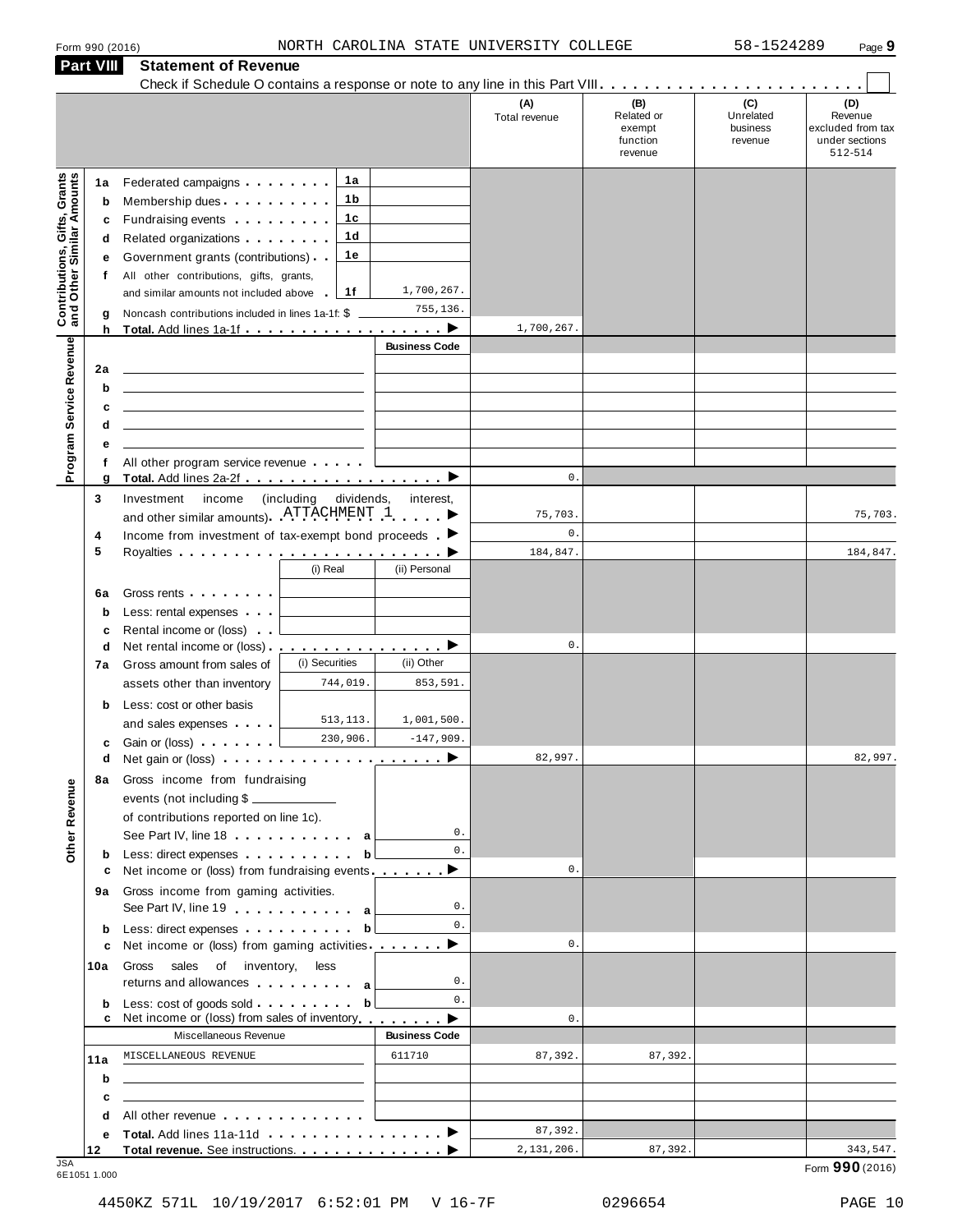|                                                                  | <b>Part VIII</b> | <b>Statement of Revenue</b>                                                                                                                                                                                                    |                          |                      |                      |                                                    |                                         |                                                                  |
|------------------------------------------------------------------|------------------|--------------------------------------------------------------------------------------------------------------------------------------------------------------------------------------------------------------------------------|--------------------------|----------------------|----------------------|----------------------------------------------------|-----------------------------------------|------------------------------------------------------------------|
|                                                                  |                  |                                                                                                                                                                                                                                |                          |                      | (A)<br>Total revenue | (B)<br>Related or<br>exempt<br>function<br>revenue | (C)<br>Unrelated<br>business<br>revenue | (D)<br>Revenue<br>excluded from tax<br>under sections<br>512-514 |
|                                                                  | 1a               | Federated campaigns                                                                                                                                                                                                            | 1a                       |                      |                      |                                                    |                                         |                                                                  |
| <b>Contributions, Gifts, Grants</b><br>and Other Similar Amounts | b                | Membership dues                                                                                                                                                                                                                | 1b                       |                      |                      |                                                    |                                         |                                                                  |
|                                                                  | c                | Fundraising events <b>Fundraising</b>                                                                                                                                                                                          | 1c                       |                      |                      |                                                    |                                         |                                                                  |
|                                                                  | d                | Related organizations                                                                                                                                                                                                          | 1d                       |                      |                      |                                                    |                                         |                                                                  |
|                                                                  | е                | Government grants (contributions)                                                                                                                                                                                              | 1e                       |                      |                      |                                                    |                                         |                                                                  |
|                                                                  | f                | All other contributions, gifts, grants,                                                                                                                                                                                        |                          |                      |                      |                                                    |                                         |                                                                  |
|                                                                  |                  | and similar amounts not included above                                                                                                                                                                                         | 1f                       | 1,700,267.           |                      |                                                    |                                         |                                                                  |
|                                                                  | g                | Noncash contributions included in lines 1a-1f: \$                                                                                                                                                                              |                          | 755,136.             |                      |                                                    |                                         |                                                                  |
|                                                                  | h                |                                                                                                                                                                                                                                |                          | <b>Business Code</b> | 1,700,267.           |                                                    |                                         |                                                                  |
|                                                                  |                  |                                                                                                                                                                                                                                |                          |                      |                      |                                                    |                                         |                                                                  |
|                                                                  | 2a               |                                                                                                                                                                                                                                |                          |                      |                      |                                                    |                                         |                                                                  |
|                                                                  | b<br>c           | the control of the control of the control of the control of the control of the control of<br><u> 1989 - Johann John Stein, mars an de Frankrik (f. 1989)</u>                                                                   |                          |                      |                      |                                                    |                                         |                                                                  |
|                                                                  | d                | the contract of the contract of the contract of the contract of the contract of                                                                                                                                                |                          |                      |                      |                                                    |                                         |                                                                  |
|                                                                  | е                |                                                                                                                                                                                                                                |                          |                      |                      |                                                    |                                         |                                                                  |
| Program Service Revenue                                          | f                | All other program service revenue                                                                                                                                                                                              |                          |                      |                      |                                                    |                                         |                                                                  |
|                                                                  | g                |                                                                                                                                                                                                                                |                          |                      | $\mathbf{0}$ .       |                                                    |                                         |                                                                  |
|                                                                  | 3                | Investment<br>income                                                                                                                                                                                                           | including)<br>dividends, | interest,            |                      |                                                    |                                         |                                                                  |
|                                                                  |                  | and other similar amounts) ATTACHMENT 1                                                                                                                                                                                        |                          |                      | 75,703.              |                                                    |                                         | 75,703.                                                          |
|                                                                  | 4                | Income from investment of tax-exempt bond proceeds $\blacksquare$                                                                                                                                                              |                          |                      | $\mathbf{0}$ .       |                                                    |                                         |                                                                  |
|                                                                  | 5                |                                                                                                                                                                                                                                |                          |                      | 184,847.             |                                                    |                                         | 184,847.                                                         |
|                                                                  |                  |                                                                                                                                                                                                                                | (i) Real                 | (ii) Personal        |                      |                                                    |                                         |                                                                  |
|                                                                  | 6a               | Gross rents <b>contains a container</b>                                                                                                                                                                                        |                          |                      |                      |                                                    |                                         |                                                                  |
|                                                                  | b                | Less: rental expenses                                                                                                                                                                                                          |                          |                      |                      |                                                    |                                         |                                                                  |
|                                                                  | c<br>d           | Rental income or (loss)<br>Net rental income or (loss) $\cdots$ $\cdots$ $\cdots$ $\cdots$ $\cdots$                                                                                                                            |                          |                      | $0$ .                |                                                    |                                         |                                                                  |
|                                                                  | 7а               | Gross amount from sales of                                                                                                                                                                                                     | (i) Securities           | (ii) Other           |                      |                                                    |                                         |                                                                  |
|                                                                  |                  | assets other than inventory                                                                                                                                                                                                    | 744,019.                 | 853,591.             |                      |                                                    |                                         |                                                                  |
|                                                                  | b                | Less: cost or other basis                                                                                                                                                                                                      |                          |                      |                      |                                                    |                                         |                                                                  |
|                                                                  |                  | and sales expenses                                                                                                                                                                                                             | 513, 113.                | 1,001,500.           |                      |                                                    |                                         |                                                                  |
|                                                                  | c                | Gain or (loss) <b>Cain Contains and Containing</b>                                                                                                                                                                             | 230,906.                 | $-147,909.$          |                      |                                                    |                                         |                                                                  |
|                                                                  |                  | d Net gain or (loss) example a series and net produce the series of the series of the series of the series of                                                                                                                  |                          | ▶                    | 82,997               |                                                    |                                         | 82,997.                                                          |
|                                                                  | 8а               | Gross income from fundraising                                                                                                                                                                                                  |                          |                      |                      |                                                    |                                         |                                                                  |
|                                                                  |                  | events (not including \$                                                                                                                                                                                                       |                          |                      |                      |                                                    |                                         |                                                                  |
| Other Revenue                                                    |                  | of contributions reported on line 1c).                                                                                                                                                                                         |                          |                      |                      |                                                    |                                         |                                                                  |
|                                                                  |                  | See Part IV, line 18 a                                                                                                                                                                                                         |                          | 0.                   |                      |                                                    |                                         |                                                                  |
|                                                                  | b                | Less: direct expenses by the set of the set of the set of the set of the set of the set of the set of the set of the set of the set of the set of the set of the set of the set of the set of the set of the set of the set of |                          | 0.                   | $\mathbf{0}$ .       |                                                    |                                         |                                                                  |
|                                                                  | c                | Net income or (loss) from fundraising events _________                                                                                                                                                                         |                          |                      |                      |                                                    |                                         |                                                                  |
|                                                                  | 9а               | Gross income from gaming activities.<br>See Part IV, line 19                                                                                                                                                                   |                          | 0.                   |                      |                                                    |                                         |                                                                  |
|                                                                  |                  | Less: direct expenses b                                                                                                                                                                                                        |                          | 0.                   |                      |                                                    |                                         |                                                                  |
|                                                                  | b<br>c           | Net income or (loss) from gaming activities                                                                                                                                                                                    |                          | ▶                    | $\mathbf{0}$ .       |                                                    |                                         |                                                                  |
|                                                                  | 10a              | Gross sales of inventory,                                                                                                                                                                                                      | less                     |                      |                      |                                                    |                                         |                                                                  |
|                                                                  |                  | returns and allowances and allowances                                                                                                                                                                                          |                          | 0.                   |                      |                                                    |                                         |                                                                  |
|                                                                  | b                | Less: cost of goods sold b                                                                                                                                                                                                     |                          | 0.                   |                      |                                                    |                                         |                                                                  |
|                                                                  | c                | Net income or (loss) from sales of inventory                                                                                                                                                                                   |                          |                      | $\mathbf{0}$ .       |                                                    |                                         |                                                                  |
|                                                                  |                  | Miscellaneous Revenue                                                                                                                                                                                                          |                          | <b>Business Code</b> |                      |                                                    |                                         |                                                                  |
|                                                                  | 11a              | MISCELLANEOUS REVENUE                                                                                                                                                                                                          |                          | 611710               | 87,392.              | 87,392.                                            |                                         |                                                                  |
|                                                                  | b                | <u> 1989 - Johann Barn, mars ann an t-Amhain Aonaich an t-Aonaich an t-Aonaich ann an t-Aonaich ann an t-Aonaich</u>                                                                                                           |                          |                      |                      |                                                    |                                         |                                                                  |
|                                                                  | c                | <u> 1989 - Johann Stein, mars an deutscher Stein und der Stein und der Stein und der Stein und der Stein und der</u>                                                                                                           |                          |                      |                      |                                                    |                                         |                                                                  |
|                                                                  | d                | All other revenue entering the series of the series of the series of the series of the series of the series of                                                                                                                 |                          |                      |                      |                                                    |                                         |                                                                  |
|                                                                  | е                |                                                                                                                                                                                                                                |                          |                      | 87,392.              |                                                    |                                         |                                                                  |
| .ISA                                                             | 12               |                                                                                                                                                                                                                                |                          |                      | 2,131,206.           | 87,392.                                            |                                         | 343,547                                                          |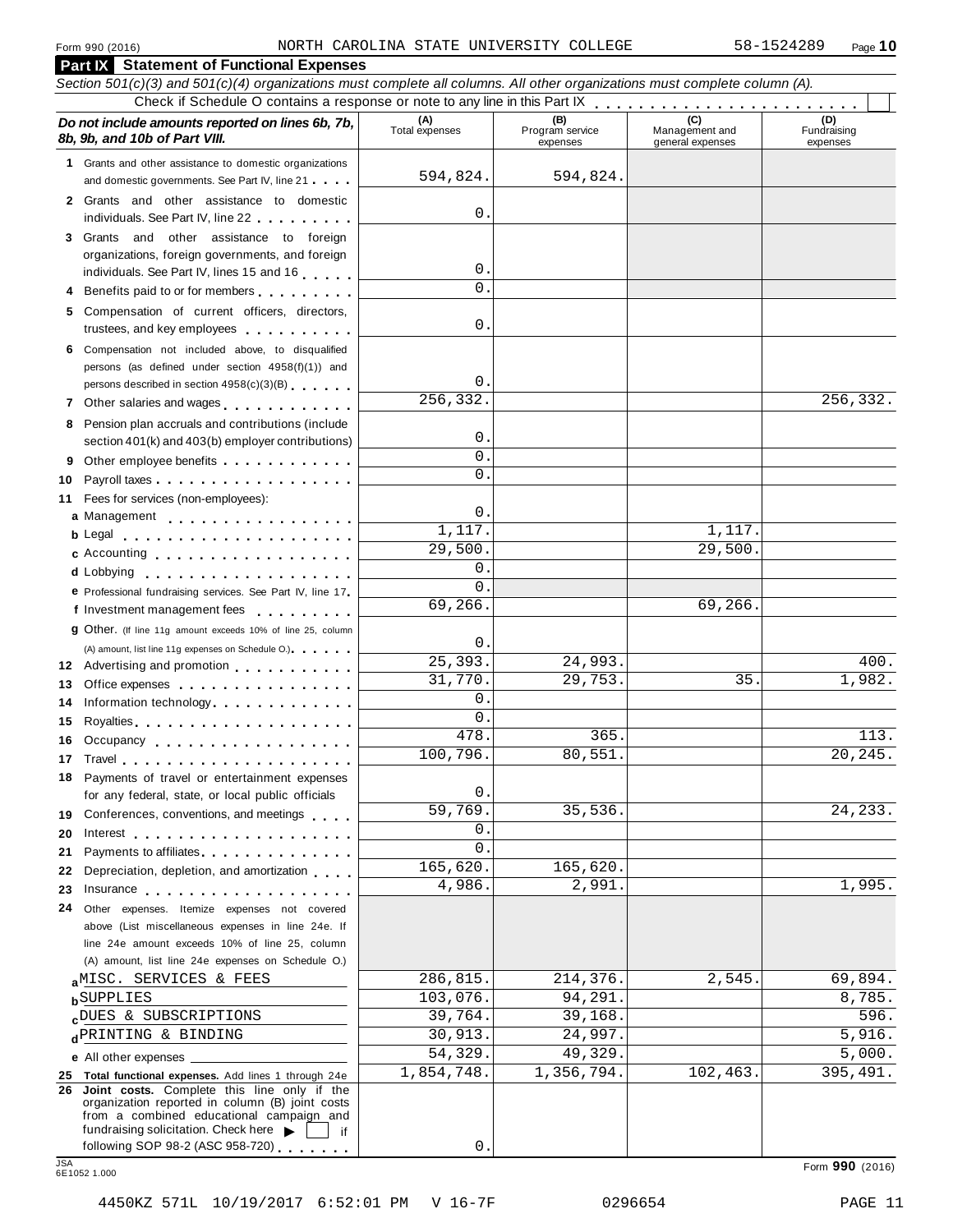**Part IX Statement of Functional Expenses**

| Section 501(c)(3) and 501(c)(4) organizations must complete all columns. All other organizations must complete column (A).                                                                                                                                                       |                        |                        |                                    |                         |
|----------------------------------------------------------------------------------------------------------------------------------------------------------------------------------------------------------------------------------------------------------------------------------|------------------------|------------------------|------------------------------------|-------------------------|
| Do not include amounts reported on lines 6b, 7b,                                                                                                                                                                                                                                 | (A)<br>Total expenses  | (B)<br>Program service |                                    | (D)                     |
| 8b, 9b, and 10b of Part VIII.                                                                                                                                                                                                                                                    |                        | expenses               | Management and<br>general expenses | Fundraising<br>expenses |
| 1 Grants and other assistance to domestic organizations                                                                                                                                                                                                                          |                        |                        |                                    |                         |
| and domestic governments. See Part IV, line 21                                                                                                                                                                                                                                   | 594,824.               | 594,824.               |                                    |                         |
| 2 Grants and other assistance to domestic<br>individuals. See Part IV, line 22                                                                                                                                                                                                   | $\mathsf{O}$ .         |                        |                                    |                         |
| 3 Grants and other assistance to foreign                                                                                                                                                                                                                                         |                        |                        |                                    |                         |
| organizations, foreign governments, and foreign                                                                                                                                                                                                                                  |                        |                        |                                    |                         |
| individuals. See Part IV, lines 15 and 16                                                                                                                                                                                                                                        | 0.                     |                        |                                    |                         |
| 4 Benefits paid to or for members                                                                                                                                                                                                                                                | $\Omega$               |                        |                                    |                         |
| 5 Compensation of current officers, directors,<br>trustees, and key employees expressed as a set of the set of the set of the set of the set of the set of the set of the set of the set of the set of the set of the set of the set of the set of the set of the set of the set | $\mathsf{O}$ .         |                        |                                    |                         |
| 6 Compensation not included above, to disqualified                                                                                                                                                                                                                               |                        |                        |                                    |                         |
| persons (as defined under section 4958(f)(1)) and                                                                                                                                                                                                                                |                        |                        |                                    |                         |
| persons described in section 4958(c)(3)(B)                                                                                                                                                                                                                                       | $\mathbf 0$ .          |                        |                                    |                         |
| Other salaries and wages <b>with a state of the salaries</b><br>7                                                                                                                                                                                                                | $\overline{256,332}$ . |                        |                                    | 256,332.                |
| 8 Pension plan accruals and contributions (include                                                                                                                                                                                                                               |                        |                        |                                    |                         |
| section 401(k) and 403(b) employer contributions)                                                                                                                                                                                                                                | $\mathsf{O}$ .         |                        |                                    |                         |
| Other employee benefits<br>9                                                                                                                                                                                                                                                     | 0                      |                        |                                    |                         |
| 10                                                                                                                                                                                                                                                                               | $\Omega$ .             |                        |                                    |                         |
| Fees for services (non-employees):<br>11                                                                                                                                                                                                                                         |                        |                        |                                    |                         |
| a Management                                                                                                                                                                                                                                                                     | $\mathsf{O}$ .         |                        |                                    |                         |
|                                                                                                                                                                                                                                                                                  | 1,117.                 |                        | 1,117.                             |                         |
| c Accounting                                                                                                                                                                                                                                                                     | $\overline{29,500}$ .  |                        | 29,500.                            |                         |
|                                                                                                                                                                                                                                                                                  | $\mathbf{0}$ .         |                        |                                    |                         |
| e Professional fundraising services. See Part IV, line 17                                                                                                                                                                                                                        | $\mathbf{0}$           |                        |                                    |                         |
| f Investment management fees                                                                                                                                                                                                                                                     | 69,266.                |                        | 69,266.                            |                         |
| <b>g</b> Other. (If line 11g amount exceeds 10% of line 25, column                                                                                                                                                                                                               |                        |                        |                                    |                         |
| (A) amount, list line 11g expenses on Schedule O.)                                                                                                                                                                                                                               | $\mathbf 0$ .          |                        |                                    |                         |
| 12 Advertising and promotion                                                                                                                                                                                                                                                     | 25,393.                | 24,993.                |                                    | 400.                    |
| Office expenses extensive and the set of the set of the set of the set of the set of the set of the set of the<br>13                                                                                                                                                             | 31,770.                | 29,753.                | 35                                 | 1,982.                  |
| Information technology experience and the state of the state of the state of the state of the state of the state of the state of the state of the state of the state of the state of the state of the state of the state of th<br>14                                             | 0                      |                        |                                    |                         |
| 15                                                                                                                                                                                                                                                                               | $\mathsf{O}$ .         |                        |                                    |                         |
| Occupancy<br>16                                                                                                                                                                                                                                                                  | 478.                   | 365                    |                                    | 113.                    |
|                                                                                                                                                                                                                                                                                  | 100,796.               | 80,551                 |                                    | 20,245.                 |
| 18 Payments of travel or entertainment expenses<br>for any federal, state, or local public officials                                                                                                                                                                             | 0.                     |                        |                                    |                         |
| 19 Conferences, conventions, and meetings                                                                                                                                                                                                                                        | 59,769.                | 35,536.                |                                    | 24, 233.                |
| 20                                                                                                                                                                                                                                                                               | 0.                     |                        |                                    |                         |
| Payments to affiliates.<br>21                                                                                                                                                                                                                                                    | 0                      |                        |                                    |                         |
| Depreciation, depletion, and amortization<br>22                                                                                                                                                                                                                                  | 165,620.               | 165,620.               |                                    |                         |
| Insurance experience and the set of the set of the set of the set of the set of the set of the set of the set of the set of the set of the set of the set of the set of the set of the set of the set of the set of the set of<br>23                                             | 4,986.                 | 2,991.                 |                                    | 1,995.                  |
| Other expenses. Itemize expenses not covered<br>24                                                                                                                                                                                                                               |                        |                        |                                    |                         |
| above (List miscellaneous expenses in line 24e. If                                                                                                                                                                                                                               |                        |                        |                                    |                         |
| line 24e amount exceeds 10% of line 25, column                                                                                                                                                                                                                                   |                        |                        |                                    |                         |
| (A) amount, list line 24e expenses on Schedule O.)                                                                                                                                                                                                                               |                        |                        |                                    |                         |
| aMISC. SERVICES & FEES                                                                                                                                                                                                                                                           | 286,815.               | 214,376.               | 2,545.                             | 69,894.                 |
| <b>b</b> SUPPLIES                                                                                                                                                                                                                                                                | 103,076.               | 94,291                 |                                    | 8,785.                  |
| cDUES & SUBSCRIPTIONS                                                                                                                                                                                                                                                            | 39,764.                | 39,168.                |                                    | 596.                    |
| dPRINTING & BINDING                                                                                                                                                                                                                                                              | 30,913.                | 24,997.                |                                    | 5,916.                  |
| e All other expenses _                                                                                                                                                                                                                                                           | 54,329.                | 49,329.                |                                    | 5,000.                  |
| 25 Total functional expenses. Add lines 1 through 24e                                                                                                                                                                                                                            | 1,854,748.             | 1,356,794.             | 102,463.                           | 395,491.                |
| 26 Joint costs. Complete this line only if the<br>organization reported in column (B) joint costs<br>from a combined educational campaign and<br>fundraising solicitation. Check here<br>if                                                                                      |                        |                        |                                    |                         |
| following SOP 98-2 (ASC 958-720)                                                                                                                                                                                                                                                 | $\mathsf{O}$           |                        |                                    |                         |
| <b>JSA</b><br>6E1052 1.000                                                                                                                                                                                                                                                       |                        |                        |                                    | Form 990 (2016)         |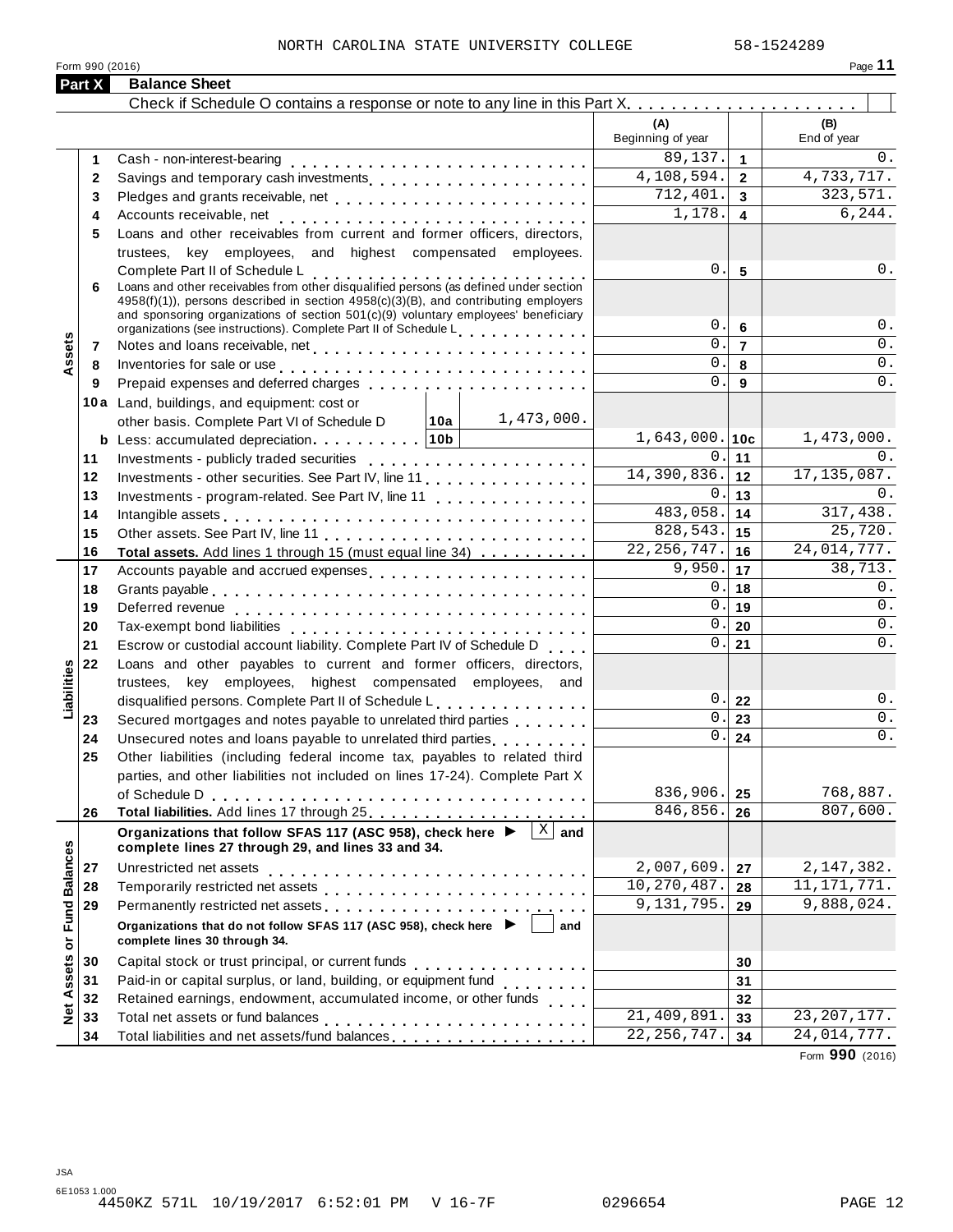#### NORTH CAROLINA STATE UNIVERSITY COLLEGE 58-1524289

| Form 990 (2016) | Page |
|-----------------|------|
|                 |      |

|                      | <b>Part X</b> | <b>Balance Sheet</b>                                                                                                                                                                                                                                                                                   |                           |                         |                        |
|----------------------|---------------|--------------------------------------------------------------------------------------------------------------------------------------------------------------------------------------------------------------------------------------------------------------------------------------------------------|---------------------------|-------------------------|------------------------|
|                      |               |                                                                                                                                                                                                                                                                                                        |                           |                         |                        |
|                      |               |                                                                                                                                                                                                                                                                                                        | (A)<br>Beginning of year  |                         | (B)<br>End of year     |
|                      |               |                                                                                                                                                                                                                                                                                                        | 89,137.                   | $\mathbf{1}$            | $0$ .                  |
|                      | 2             | Savings and temporary cash investments                                                                                                                                                                                                                                                                 | 4,108,594.                | $\overline{2}$          | 4,733,717.             |
|                      | 3             |                                                                                                                                                                                                                                                                                                        | 712,401.                  | 3                       | 323,571.               |
|                      | 4             |                                                                                                                                                                                                                                                                                                        | 1,178.                    | $\overline{\mathbf{4}}$ | 6, 244.                |
|                      | 5             | Loans and other receivables from current and former officers, directors,                                                                                                                                                                                                                               |                           |                         |                        |
|                      |               | trustees, key employees, and highest compensated employees.                                                                                                                                                                                                                                            |                           |                         |                        |
|                      | 6             | Complete Part II of Schedule L<br>Loans and other receivables from other disqualified persons (as defined under section<br>4958(f)(1)), persons described in section 4958(c)(3)(B), and contributing employers<br>and sponsoring organizations of section $501(c)(9)$ voluntary employees' beneficiary | 0.<br>0.                  | 5<br>6                  | $\mathsf 0$ .<br>$0$ . |
|                      | 7             | organizations (see instructions). Complete Part II of Schedule Letter Part 1 and 20                                                                                                                                                                                                                    | 0.                        | $\overline{7}$          | 0.                     |
| Assets               | 8             | Inventories for sale or use enterpreteral processes and contact the sale or use of the set of the set of the s                                                                                                                                                                                         | $\mathbf{0}$ .            | 8                       | $0$ .                  |
|                      | 9             |                                                                                                                                                                                                                                                                                                        | $\mathbf 0$ .             | 9                       | $\overline{0}$ .       |
|                      |               | 10a Land, buildings, and equipment: cost or                                                                                                                                                                                                                                                            |                           |                         |                        |
|                      |               | $ 10a $ 1,473,000.<br>other basis. Complete Part VI of Schedule D                                                                                                                                                                                                                                      |                           |                         |                        |
|                      |               | <b>b</b> Less: accumulated depreciation $\cdots$ 10b                                                                                                                                                                                                                                                   | $1,643,000.$ 10c          |                         | 1,473,000.             |
|                      | 11            |                                                                                                                                                                                                                                                                                                        | 0.                        | 11                      | 0.                     |
|                      | 12            | Investments - other securities. See Part IV, line 11                                                                                                                                                                                                                                                   | 14,390,836.               | 12                      | 17, 135, 087.          |
|                      | 13            | Investments - program-related. See Part IV, line 11                                                                                                                                                                                                                                                    | 0.                        | 13                      | 0.                     |
|                      | 14            |                                                                                                                                                                                                                                                                                                        | 483,058.                  | 14                      | 317,438.               |
|                      | 15            |                                                                                                                                                                                                                                                                                                        | 828,543.                  | 15                      | 25,720.                |
|                      | 16            | Total assets. Add lines 1 through 15 (must equal line 34)                                                                                                                                                                                                                                              | $\overline{22,256,747}$ . | 16                      | 24,014,777.            |
|                      | 17            | Accounts payable and accrued expenses                                                                                                                                                                                                                                                                  | 9,950.                    | 17                      | 38, 713.               |
|                      | 18            |                                                                                                                                                                                                                                                                                                        | 0.                        | 18                      | $0$ .                  |
|                      | 19            |                                                                                                                                                                                                                                                                                                        | 0.                        | 19                      | 0.                     |
|                      | 20            |                                                                                                                                                                                                                                                                                                        | 0.                        | 20                      | $0$ .                  |
|                      | 21            | Escrow or custodial account liability. Complete Part IV of Schedule D                                                                                                                                                                                                                                  | 0.                        | 21                      | $0$ .                  |
|                      | 22            | Loans and other payables to current and former officers, directors,                                                                                                                                                                                                                                    |                           |                         |                        |
| Liabilities          |               | trustees, key employees, highest compensated employees, and                                                                                                                                                                                                                                            |                           |                         |                        |
|                      |               | disqualified persons. Complete Part II of Schedule L.                                                                                                                                                                                                                                                  | 0.                        | 22                      | $0$ .                  |
|                      | 23            | Secured mortgages and notes payable to unrelated third parties                                                                                                                                                                                                                                         | $0$ .                     | 23                      | $\overline{0}$ .       |
|                      | 24            | Unsecured notes and loans payable to unrelated third parties                                                                                                                                                                                                                                           | 0.                        | 24                      | $0$ .                  |
|                      | 25            | Other liabilities (including federal income tax, payables to related third                                                                                                                                                                                                                             |                           |                         |                        |
|                      |               | parties, and other liabilities not included on lines 17-24). Complete Part X                                                                                                                                                                                                                           |                           |                         |                        |
|                      |               | of Schedule D                                                                                                                                                                                                                                                                                          | 836,906.                  | 25                      | 768,887.<br>807,600.   |
|                      | 26            |                                                                                                                                                                                                                                                                                                        | 846,856.                  | 26                      |                        |
| <b>Fund Balances</b> |               | Organizations that follow SFAS 117 (ASC 958), check here ▶<br>$X$ and<br>complete lines 27 through 29, and lines 33 and 34.                                                                                                                                                                            |                           |                         |                        |
|                      | 27            | Unrestricted net assets                                                                                                                                                                                                                                                                                | 2,007,609.                | 27                      | 2, 147, 382.           |
|                      | 28            |                                                                                                                                                                                                                                                                                                        | 10,270,487.               | 28                      | 11, 171, 771.          |
|                      | 29            | Permanently restricted net assets<br>intervals and intervals are not restricted in the set of assets<br>intervals and intervals are not restricted in the set of a set of a set of a set of an intervals are not restricted in the                                                                     | 9,131,795.                | 29                      | 9,888,024.             |
|                      |               | Organizations that do not follow SFAS 117 (ASC 958), check here<br>and<br>complete lines 30 through 34.                                                                                                                                                                                                |                           |                         |                        |
|                      | 30            |                                                                                                                                                                                                                                                                                                        |                           | 30                      |                        |
| Net Assets or        | 31            | Paid-in or capital surplus, or land, building, or equipment fund<br>                                                                                                                                                                                                                                   |                           | 31                      |                        |
|                      | 32            | Retained earnings, endowment, accumulated income, or other funds                                                                                                                                                                                                                                       |                           | 32                      |                        |
|                      | 33            |                                                                                                                                                                                                                                                                                                        | 21,409,891                | 33                      | 23, 207, 177.          |
|                      | 34            | Total liabilities and net assets/fund balances                                                                                                                                                                                                                                                         | 22, 256, 747.             | 34                      | 24,014,777.            |

Form **990** (2016)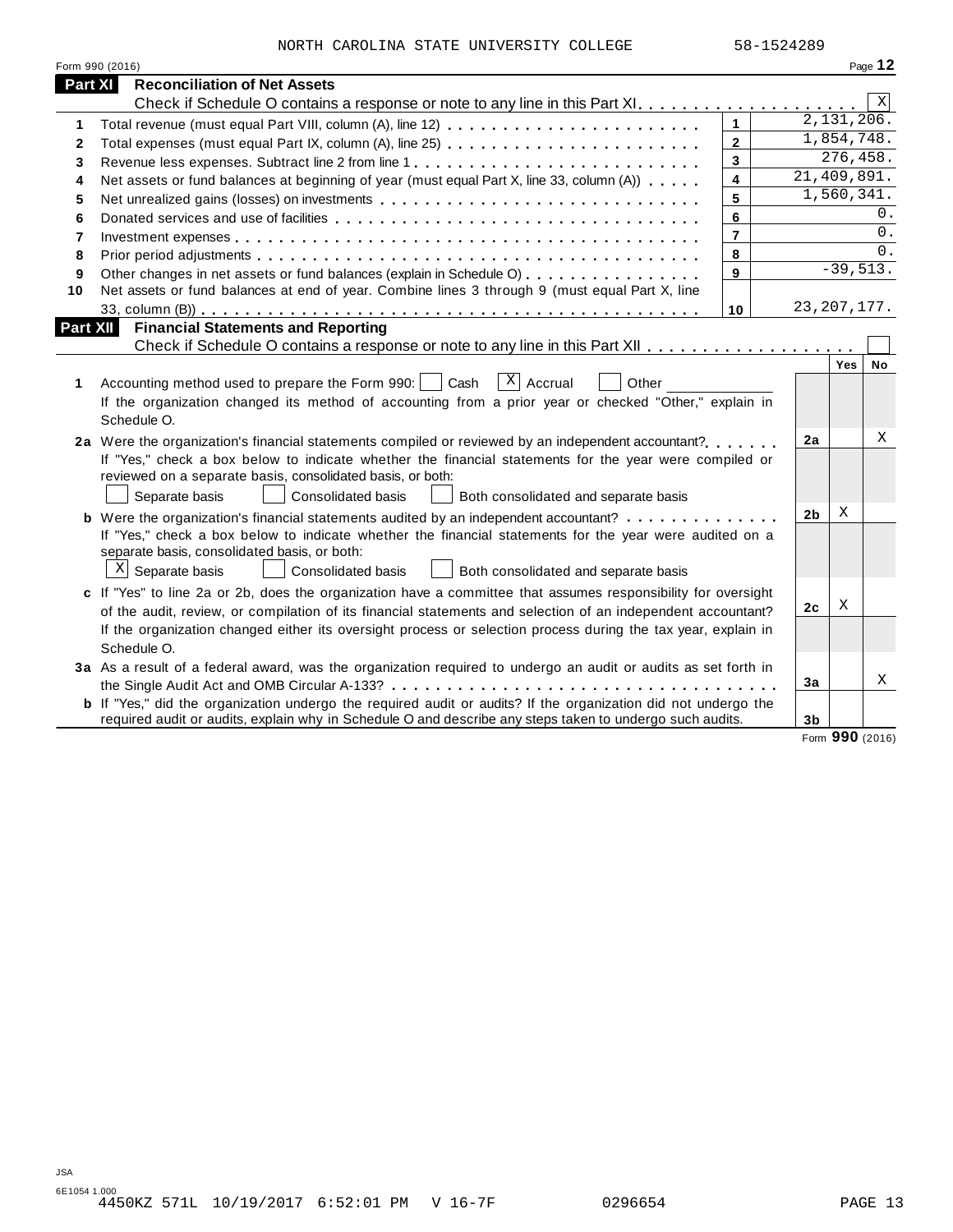| NORTH CAROLINA STATE UNIVERSITY COLLEGE |  | 58-1524289 |
|-----------------------------------------|--|------------|

|                | Form 990 (2016)                                                                                                       |                         |                |                         | Page 12 |
|----------------|-----------------------------------------------------------------------------------------------------------------------|-------------------------|----------------|-------------------------|---------|
| <b>Part XI</b> | <b>Reconciliation of Net Assets</b>                                                                                   |                         |                |                         |         |
|                |                                                                                                                       |                         |                |                         | X       |
| 1              | Total revenue (must equal Part VIII, column (A), line 12)                                                             | $\mathbf{1}$            |                | $\overline{2,131},206.$ |         |
| $\mathbf{2}$   | Total expenses (must equal Part IX, column (A), line 25)                                                              | $\mathbf{2}$            |                | 1,854,748.              |         |
| 3              |                                                                                                                       | 3                       |                | 276,458.                |         |
| 4              | Net assets or fund balances at beginning of year (must equal Part X, line 33, column (A))                             | $\overline{\mathbf{4}}$ |                | 21,409,891.             |         |
| 5              | Net unrealized gains (losses) on investments                                                                          | 5                       |                | 1,560,341.              |         |
| 6              |                                                                                                                       | 6                       |                |                         | $0$ .   |
| 7              |                                                                                                                       | $\overline{7}$          |                |                         | 0.      |
| 8              |                                                                                                                       | 8                       |                |                         | 0.      |
| 9              | Other changes in net assets or fund balances (explain in Schedule O)                                                  | 9                       |                | $-39,513.$              |         |
| 10             | Net assets or fund balances at end of year. Combine lines 3 through 9 (must equal Part X, line                        |                         |                |                         |         |
|                |                                                                                                                       | 10                      |                | 23, 207, 177.           |         |
| Part XII       | <b>Financial Statements and Reporting</b>                                                                             |                         |                |                         |         |
|                |                                                                                                                       |                         |                |                         |         |
|                |                                                                                                                       |                         |                | Yes                     | No      |
| 1              | $X$ Accrual<br>Accounting method used to prepare the Form 990:  <br>Cash<br>Other                                     |                         |                |                         |         |
|                | If the organization changed its method of accounting from a prior year or checked "Other," explain in                 |                         |                |                         |         |
|                | Schedule O.                                                                                                           |                         |                |                         |         |
|                | 2a Were the organization's financial statements compiled or reviewed by an independent accountant?                    |                         | 2a             |                         | X       |
|                | If "Yes," check a box below to indicate whether the financial statements for the year were compiled or                |                         |                |                         |         |
|                | reviewed on a separate basis, consolidated basis, or both:                                                            |                         |                |                         |         |
|                | Separate basis<br>Consolidated basis<br>Both consolidated and separate basis                                          |                         |                |                         |         |
|                | <b>b</b> Were the organization's financial statements audited by an independent accountant?                           |                         | 2 <sub>b</sub> | X                       |         |
|                | If "Yes," check a box below to indicate whether the financial statements for the year were audited on a               |                         |                |                         |         |
|                | separate basis, consolidated basis, or both:                                                                          |                         |                |                         |         |
|                | $X$ Separate basis<br><b>Consolidated basis</b><br>Both consolidated and separate basis                               |                         |                |                         |         |
|                | c If "Yes" to line 2a or 2b, does the organization have a committee that assumes responsibility for oversight         |                         |                |                         |         |
|                | of the audit, review, or compilation of its financial statements and selection of an independent accountant?          |                         | 2 <sub>c</sub> | Χ                       |         |
|                | If the organization changed either its oversight process or selection process during the tax year, explain in         |                         |                |                         |         |
|                | Schedule O.                                                                                                           |                         |                |                         |         |
|                | 3a As a result of a federal award, was the organization required to undergo an audit or audits as set forth in        |                         |                |                         |         |
|                |                                                                                                                       |                         | 3a             |                         | X       |
|                | <b>b</b> If "Yes," did the organization undergo the required audit or audits? If the organization did not undergo the |                         |                |                         |         |
|                | required audit or audits, explain why in Schedule O and describe any steps taken to undergo such audits.              |                         | 3 <sub>b</sub> |                         |         |
|                |                                                                                                                       |                         |                | Form 990 (2016)         |         |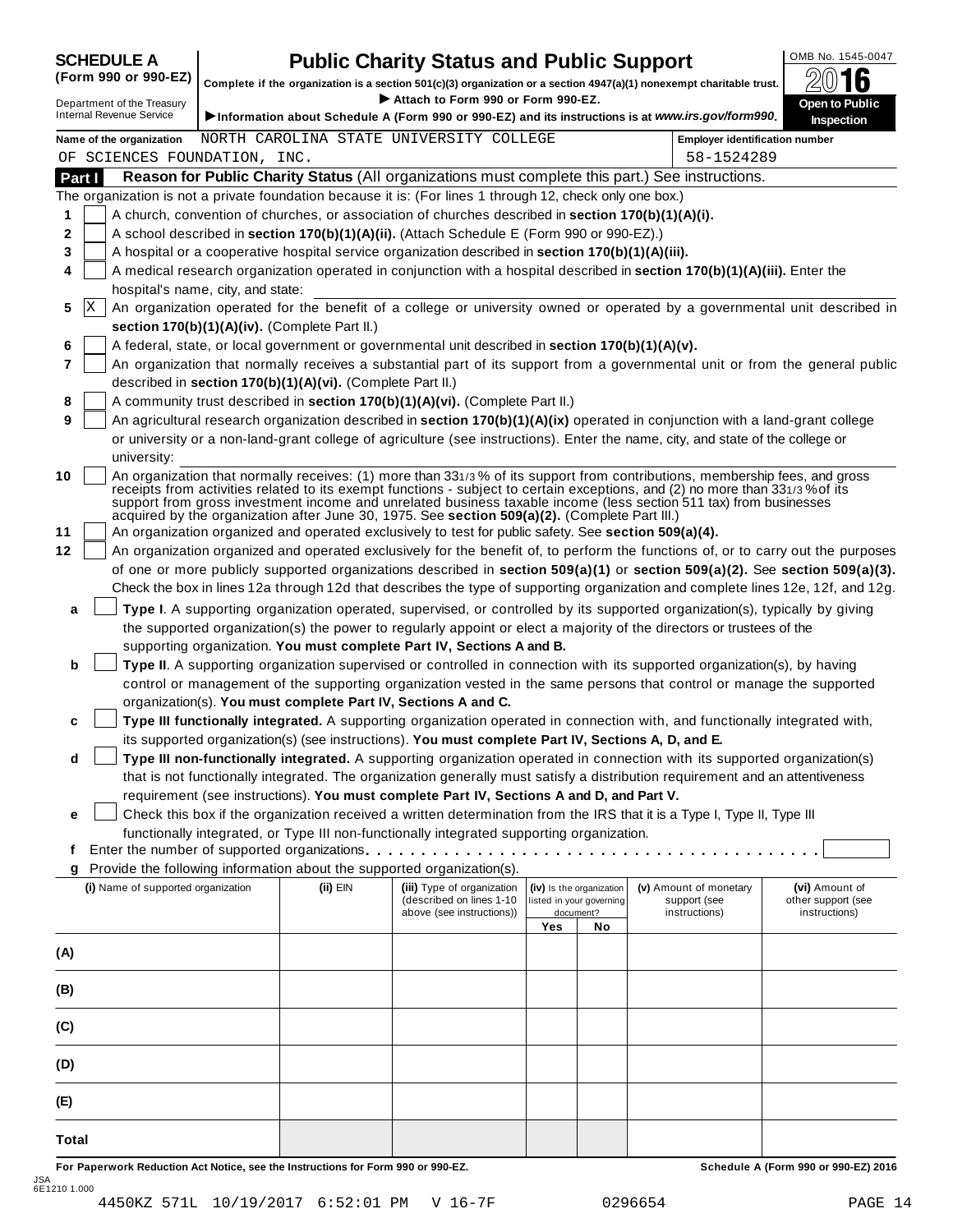# **SCHEDULE A Public Charity Status and Public Support**<br>(Form 990 or 990-EZ) complete if the organization is a section 501(c)(3) organization or a section 4947(a)(1) nonexempt charitable trust.

(Form 990 or 990-EZ) complete if the organization is a section 501(c)(3) organization or a section 4947(a)(1) nonexempt charitable trust. 2016 <sup>D</sup> I **Attach to Form <sup>990</sup> or Form 990-EZ.** epartment of the Treasury **Open to Public**

| Department of the Treasury | Attach to Form 990 or Form 990-EZ.                                                                   |
|----------------------------|------------------------------------------------------------------------------------------------------|
| Internal Revenue Service   | l Dinformation about Schedule A (Form 990 or 990-EZ) and its instructions is at www.irs.gov/form990. |



|          |    |                                                                                                                                                                                                                                                                                                                                                                                                                                                                                                                                                                                          |          | $\sim$ . The matter about concurre $\sim$ (Form you or you EE) and its modulated back minimal significantly |                                                      |           |                                        | inspection                           |
|----------|----|------------------------------------------------------------------------------------------------------------------------------------------------------------------------------------------------------------------------------------------------------------------------------------------------------------------------------------------------------------------------------------------------------------------------------------------------------------------------------------------------------------------------------------------------------------------------------------------|----------|-------------------------------------------------------------------------------------------------------------|------------------------------------------------------|-----------|----------------------------------------|--------------------------------------|
|          |    | Name of the organization                                                                                                                                                                                                                                                                                                                                                                                                                                                                                                                                                                 |          | NORTH CAROLINA STATE UNIVERSITY COLLEGE                                                                     |                                                      |           | <b>Employer identification number</b>  |                                      |
| Part I   |    | OF SCIENCES FOUNDATION, INC.<br>Reason for Public Charity Status (All organizations must complete this part.) See instructions.                                                                                                                                                                                                                                                                                                                                                                                                                                                          |          |                                                                                                             |                                                      |           | 58-1524289                             |                                      |
|          |    | The organization is not a private foundation because it is: (For lines 1 through 12, check only one box.)                                                                                                                                                                                                                                                                                                                                                                                                                                                                                |          |                                                                                                             |                                                      |           |                                        |                                      |
| 1        |    | A church, convention of churches, or association of churches described in section 170(b)(1)(A)(i).                                                                                                                                                                                                                                                                                                                                                                                                                                                                                       |          |                                                                                                             |                                                      |           |                                        |                                      |
| 2        |    | A school described in section 170(b)(1)(A)(ii). (Attach Schedule E (Form 990 or 990-EZ).)                                                                                                                                                                                                                                                                                                                                                                                                                                                                                                |          |                                                                                                             |                                                      |           |                                        |                                      |
| 3        |    | A hospital or a cooperative hospital service organization described in section 170(b)(1)(A)(iii).                                                                                                                                                                                                                                                                                                                                                                                                                                                                                        |          |                                                                                                             |                                                      |           |                                        |                                      |
| 4        |    | A medical research organization operated in conjunction with a hospital described in section 170(b)(1)(A)(iii). Enter the                                                                                                                                                                                                                                                                                                                                                                                                                                                                |          |                                                                                                             |                                                      |           |                                        |                                      |
|          |    | hospital's name, city, and state:                                                                                                                                                                                                                                                                                                                                                                                                                                                                                                                                                        |          |                                                                                                             |                                                      |           |                                        |                                      |
| 5        | ΙX | An organization operated for the benefit of a college or university owned or operated by a governmental unit described in                                                                                                                                                                                                                                                                                                                                                                                                                                                                |          |                                                                                                             |                                                      |           |                                        |                                      |
|          |    | section 170(b)(1)(A)(iv). (Complete Part II.)                                                                                                                                                                                                                                                                                                                                                                                                                                                                                                                                            |          |                                                                                                             |                                                      |           |                                        |                                      |
| 6        |    | A federal, state, or local government or governmental unit described in section 170(b)(1)(A)(v).                                                                                                                                                                                                                                                                                                                                                                                                                                                                                         |          |                                                                                                             |                                                      |           |                                        |                                      |
| 7        |    | An organization that normally receives a substantial part of its support from a governmental unit or from the general public                                                                                                                                                                                                                                                                                                                                                                                                                                                             |          |                                                                                                             |                                                      |           |                                        |                                      |
|          |    | described in section 170(b)(1)(A)(vi). (Complete Part II.)                                                                                                                                                                                                                                                                                                                                                                                                                                                                                                                               |          |                                                                                                             |                                                      |           |                                        |                                      |
| 8        |    | A community trust described in section 170(b)(1)(A)(vi). (Complete Part II.)                                                                                                                                                                                                                                                                                                                                                                                                                                                                                                             |          |                                                                                                             |                                                      |           |                                        |                                      |
| 9        |    | An agricultural research organization described in section 170(b)(1)(A)(ix) operated in conjunction with a land-grant college                                                                                                                                                                                                                                                                                                                                                                                                                                                            |          |                                                                                                             |                                                      |           |                                        |                                      |
|          |    | or university or a non-land-grant college of agriculture (see instructions). Enter the name, city, and state of the college or                                                                                                                                                                                                                                                                                                                                                                                                                                                           |          |                                                                                                             |                                                      |           |                                        |                                      |
|          |    | university:                                                                                                                                                                                                                                                                                                                                                                                                                                                                                                                                                                              |          |                                                                                                             |                                                      |           |                                        |                                      |
| 10<br>11 |    | An organization that normally receives: (1) more than 331/3% of its support from contributions, membership fees, and gross<br>receipts from activities related to its exempt functions - subject to certain exceptions, and (2) no more than 331/3% of its<br>support from gross investment income and unrelated business taxable income (less section 511 tax) from businesses<br>acquired by the organization after June 30, 1975. See section 509(a)(2). (Complete Part III.)<br>An organization organized and operated exclusively to test for public safety. See section 509(a)(4). |          |                                                                                                             |                                                      |           |                                        |                                      |
| 12       |    | An organization organized and operated exclusively for the benefit of, to perform the functions of, or to carry out the purposes                                                                                                                                                                                                                                                                                                                                                                                                                                                         |          |                                                                                                             |                                                      |           |                                        |                                      |
|          |    | of one or more publicly supported organizations described in section 509(a)(1) or section 509(a)(2). See section 509(a)(3).                                                                                                                                                                                                                                                                                                                                                                                                                                                              |          |                                                                                                             |                                                      |           |                                        |                                      |
|          |    | Check the box in lines 12a through 12d that describes the type of supporting organization and complete lines 12e, 12f, and 12g.                                                                                                                                                                                                                                                                                                                                                                                                                                                          |          |                                                                                                             |                                                      |           |                                        |                                      |
| a        |    | Type I. A supporting organization operated, supervised, or controlled by its supported organization(s), typically by giving                                                                                                                                                                                                                                                                                                                                                                                                                                                              |          |                                                                                                             |                                                      |           |                                        |                                      |
|          |    | the supported organization(s) the power to regularly appoint or elect a majority of the directors or trustees of the                                                                                                                                                                                                                                                                                                                                                                                                                                                                     |          |                                                                                                             |                                                      |           |                                        |                                      |
|          |    | supporting organization. You must complete Part IV, Sections A and B.                                                                                                                                                                                                                                                                                                                                                                                                                                                                                                                    |          |                                                                                                             |                                                      |           |                                        |                                      |
| b        |    | Type II. A supporting organization supervised or controlled in connection with its supported organization(s), by having                                                                                                                                                                                                                                                                                                                                                                                                                                                                  |          |                                                                                                             |                                                      |           |                                        |                                      |
|          |    | control or management of the supporting organization vested in the same persons that control or manage the supported                                                                                                                                                                                                                                                                                                                                                                                                                                                                     |          |                                                                                                             |                                                      |           |                                        |                                      |
|          |    | organization(s). You must complete Part IV, Sections A and C.                                                                                                                                                                                                                                                                                                                                                                                                                                                                                                                            |          |                                                                                                             |                                                      |           |                                        |                                      |
| c        |    | Type III functionally integrated. A supporting organization operated in connection with, and functionally integrated with,                                                                                                                                                                                                                                                                                                                                                                                                                                                               |          |                                                                                                             |                                                      |           |                                        |                                      |
|          |    | its supported organization(s) (see instructions). You must complete Part IV, Sections A, D, and E.                                                                                                                                                                                                                                                                                                                                                                                                                                                                                       |          |                                                                                                             |                                                      |           |                                        |                                      |
| d        |    | Type III non-functionally integrated. A supporting organization operated in connection with its supported organization(s)                                                                                                                                                                                                                                                                                                                                                                                                                                                                |          |                                                                                                             |                                                      |           |                                        |                                      |
|          |    | that is not functionally integrated. The organization generally must satisfy a distribution requirement and an attentiveness                                                                                                                                                                                                                                                                                                                                                                                                                                                             |          |                                                                                                             |                                                      |           |                                        |                                      |
|          |    | requirement (see instructions). You must complete Part IV, Sections A and D, and Part V.                                                                                                                                                                                                                                                                                                                                                                                                                                                                                                 |          |                                                                                                             |                                                      |           |                                        |                                      |
| е        |    | Check this box if the organization received a written determination from the IRS that it is a Type I, Type II, Type III                                                                                                                                                                                                                                                                                                                                                                                                                                                                  |          |                                                                                                             |                                                      |           |                                        |                                      |
|          |    | functionally integrated, or Type III non-functionally integrated supporting organization.                                                                                                                                                                                                                                                                                                                                                                                                                                                                                                |          |                                                                                                             |                                                      |           |                                        |                                      |
| f        |    | Enter the number of supported organizations.                                                                                                                                                                                                                                                                                                                                                                                                                                                                                                                                             |          |                                                                                                             |                                                      |           |                                        |                                      |
|          |    | Provide the following information about the supported organization(s).                                                                                                                                                                                                                                                                                                                                                                                                                                                                                                                   |          |                                                                                                             |                                                      |           |                                        |                                      |
|          |    | (i) Name of supported organization                                                                                                                                                                                                                                                                                                                                                                                                                                                                                                                                                       | (ii) EIN | (iii) Type of organization<br>(described on lines 1-10                                                      | (iv) Is the organization<br>listed in your governing |           | (v) Amount of monetary<br>support (see | (vi) Amount of<br>other support (see |
|          |    |                                                                                                                                                                                                                                                                                                                                                                                                                                                                                                                                                                                          |          | above (see instructions))                                                                                   |                                                      | document? | instructions)                          | instructions)                        |
|          |    |                                                                                                                                                                                                                                                                                                                                                                                                                                                                                                                                                                                          |          |                                                                                                             | Yes                                                  | No        |                                        |                                      |
| (A)      |    |                                                                                                                                                                                                                                                                                                                                                                                                                                                                                                                                                                                          |          |                                                                                                             |                                                      |           |                                        |                                      |
| (B)      |    |                                                                                                                                                                                                                                                                                                                                                                                                                                                                                                                                                                                          |          |                                                                                                             |                                                      |           |                                        |                                      |
|          |    |                                                                                                                                                                                                                                                                                                                                                                                                                                                                                                                                                                                          |          |                                                                                                             |                                                      |           |                                        |                                      |
| (C)      |    |                                                                                                                                                                                                                                                                                                                                                                                                                                                                                                                                                                                          |          |                                                                                                             |                                                      |           |                                        |                                      |
| (D)      |    |                                                                                                                                                                                                                                                                                                                                                                                                                                                                                                                                                                                          |          |                                                                                                             |                                                      |           |                                        |                                      |
| (E)      |    |                                                                                                                                                                                                                                                                                                                                                                                                                                                                                                                                                                                          |          |                                                                                                             |                                                      |           |                                        |                                      |
|          |    |                                                                                                                                                                                                                                                                                                                                                                                                                                                                                                                                                                                          |          |                                                                                                             |                                                      |           |                                        |                                      |
| Total    |    |                                                                                                                                                                                                                                                                                                                                                                                                                                                                                                                                                                                          |          |                                                                                                             |                                                      |           |                                        |                                      |

For Paperwork Reduction Act Notice, see the Instructions for Form 990 or 990-EZ. Schedule A (Form 990 or 990-EZ) 2016 JSA 6E1210 1.000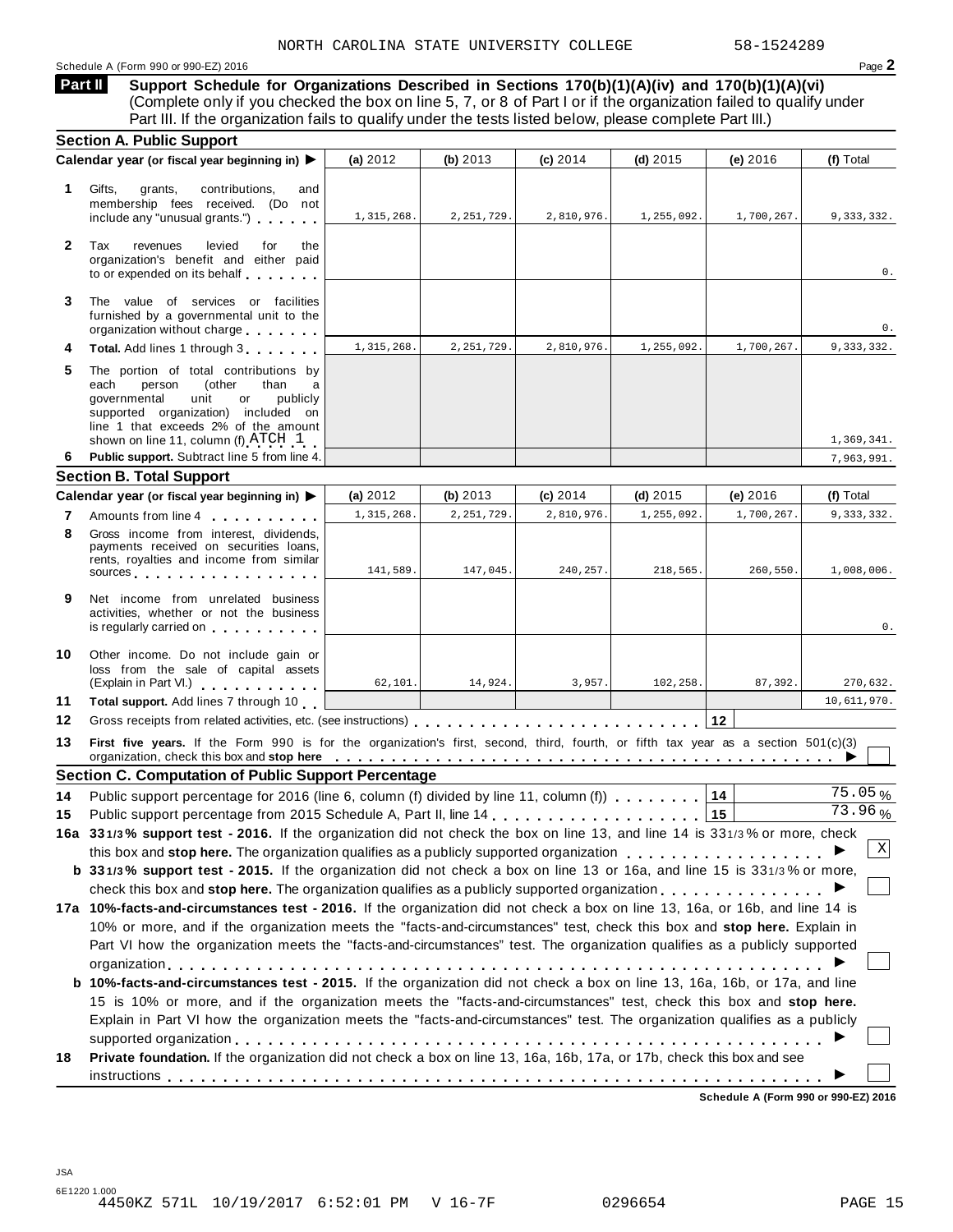**Support Schedule for Organizations Described in Sections 170(b)(1)(A)(iv) and 170(b)(1)(A)(vi)** (Complete only if you checked the box on line 5, 7, or 8 of Part I or if the organization failed to qualify under Part III. If the organization fails to qualify under the tests listed below, please complete Part III.) **Part II**

| <b>Section A. Public Support</b>                                                                                                                                                                                                                                                                                |                                                                                                                                                                                                                                                                                    |                          |                                                                                       |                          |                                                                                                                                                                                                                                                    |                                                                                                                                                                                                                                                                                                                                                                                                                                                                                                                                                                                                                                                                                                                                                                                                                                                                                                                                                                                                                                                                                                                                                                                                                                                                                               |  |  |  |
|-----------------------------------------------------------------------------------------------------------------------------------------------------------------------------------------------------------------------------------------------------------------------------------------------------------------|------------------------------------------------------------------------------------------------------------------------------------------------------------------------------------------------------------------------------------------------------------------------------------|--------------------------|---------------------------------------------------------------------------------------|--------------------------|----------------------------------------------------------------------------------------------------------------------------------------------------------------------------------------------------------------------------------------------------|-----------------------------------------------------------------------------------------------------------------------------------------------------------------------------------------------------------------------------------------------------------------------------------------------------------------------------------------------------------------------------------------------------------------------------------------------------------------------------------------------------------------------------------------------------------------------------------------------------------------------------------------------------------------------------------------------------------------------------------------------------------------------------------------------------------------------------------------------------------------------------------------------------------------------------------------------------------------------------------------------------------------------------------------------------------------------------------------------------------------------------------------------------------------------------------------------------------------------------------------------------------------------------------------------|--|--|--|
| Calendar year (or fiscal year beginning in) ▶                                                                                                                                                                                                                                                                   | (a) $2012$                                                                                                                                                                                                                                                                         | (b) $2013$               | $(c)$ 2014                                                                            | (d) $2015$               | (e) $2016$                                                                                                                                                                                                                                         | (f) Total                                                                                                                                                                                                                                                                                                                                                                                                                                                                                                                                                                                                                                                                                                                                                                                                                                                                                                                                                                                                                                                                                                                                                                                                                                                                                     |  |  |  |
| Gifts,<br>contributions,<br>grants,<br>and<br>membership fees received. (Do not<br>include any "unusual grants.")                                                                                                                                                                                               | 1,315,268.                                                                                                                                                                                                                                                                         | 2, 251, 729.             | 2,810,976.                                                                            | 1,255,092.               | 1,700,267.                                                                                                                                                                                                                                         | 9,333,332.                                                                                                                                                                                                                                                                                                                                                                                                                                                                                                                                                                                                                                                                                                                                                                                                                                                                                                                                                                                                                                                                                                                                                                                                                                                                                    |  |  |  |
| Tax<br>revenues<br>levied<br>for<br>the<br>organization's benefit and either paid<br>to or expended on its behalf                                                                                                                                                                                               |                                                                                                                                                                                                                                                                                    |                          |                                                                                       |                          |                                                                                                                                                                                                                                                    | 0.                                                                                                                                                                                                                                                                                                                                                                                                                                                                                                                                                                                                                                                                                                                                                                                                                                                                                                                                                                                                                                                                                                                                                                                                                                                                                            |  |  |  |
| The value of services or facilities<br>furnished by a governmental unit to the                                                                                                                                                                                                                                  |                                                                                                                                                                                                                                                                                    |                          |                                                                                       |                          |                                                                                                                                                                                                                                                    | 0.                                                                                                                                                                                                                                                                                                                                                                                                                                                                                                                                                                                                                                                                                                                                                                                                                                                                                                                                                                                                                                                                                                                                                                                                                                                                                            |  |  |  |
| Total. Add lines 1 through 3                                                                                                                                                                                                                                                                                    | 1,315,268.                                                                                                                                                                                                                                                                         | 2, 251, 729.             | 2,810,976.                                                                            | 1,255,092.               | 1,700,267.                                                                                                                                                                                                                                         | 9,333,332.                                                                                                                                                                                                                                                                                                                                                                                                                                                                                                                                                                                                                                                                                                                                                                                                                                                                                                                                                                                                                                                                                                                                                                                                                                                                                    |  |  |  |
| The portion of total contributions by<br>each<br>person<br>(other<br>than<br>a<br>qovernmental<br>unit<br>publicly<br>or<br>supported organization) included on<br>line 1 that exceeds 2% of the amount                                                                                                         |                                                                                                                                                                                                                                                                                    |                          |                                                                                       |                          |                                                                                                                                                                                                                                                    | 1,369,341.                                                                                                                                                                                                                                                                                                                                                                                                                                                                                                                                                                                                                                                                                                                                                                                                                                                                                                                                                                                                                                                                                                                                                                                                                                                                                    |  |  |  |
|                                                                                                                                                                                                                                                                                                                 |                                                                                                                                                                                                                                                                                    |                          |                                                                                       |                          |                                                                                                                                                                                                                                                    | 7,963,991.                                                                                                                                                                                                                                                                                                                                                                                                                                                                                                                                                                                                                                                                                                                                                                                                                                                                                                                                                                                                                                                                                                                                                                                                                                                                                    |  |  |  |
|                                                                                                                                                                                                                                                                                                                 |                                                                                                                                                                                                                                                                                    |                          |                                                                                       |                          |                                                                                                                                                                                                                                                    |                                                                                                                                                                                                                                                                                                                                                                                                                                                                                                                                                                                                                                                                                                                                                                                                                                                                                                                                                                                                                                                                                                                                                                                                                                                                                               |  |  |  |
|                                                                                                                                                                                                                                                                                                                 |                                                                                                                                                                                                                                                                                    |                          |                                                                                       |                          |                                                                                                                                                                                                                                                    | (f) Total                                                                                                                                                                                                                                                                                                                                                                                                                                                                                                                                                                                                                                                                                                                                                                                                                                                                                                                                                                                                                                                                                                                                                                                                                                                                                     |  |  |  |
|                                                                                                                                                                                                                                                                                                                 |                                                                                                                                                                                                                                                                                    |                          |                                                                                       |                          |                                                                                                                                                                                                                                                    | 9,333,332.                                                                                                                                                                                                                                                                                                                                                                                                                                                                                                                                                                                                                                                                                                                                                                                                                                                                                                                                                                                                                                                                                                                                                                                                                                                                                    |  |  |  |
| Gross income from interest, dividends,<br>payments received on securities loans,<br>rents, royalties and income from similar<br>sources and the set of the set of the set of the set of the set of the set of the set of the set of the set of                                                                  | 141,589.                                                                                                                                                                                                                                                                           | 147,045.                 | 240, 257.                                                                             | 218,565.                 | 260,550.                                                                                                                                                                                                                                           | 1,008,006.                                                                                                                                                                                                                                                                                                                                                                                                                                                                                                                                                                                                                                                                                                                                                                                                                                                                                                                                                                                                                                                                                                                                                                                                                                                                                    |  |  |  |
| Net income from unrelated business<br>activities, whether or not the business<br>is regularly carried on the control of the control of the control of the control of the control of the control of the control of the control of the control of the control of the control of the control of the control of the |                                                                                                                                                                                                                                                                                    |                          |                                                                                       |                          |                                                                                                                                                                                                                                                    | 0.                                                                                                                                                                                                                                                                                                                                                                                                                                                                                                                                                                                                                                                                                                                                                                                                                                                                                                                                                                                                                                                                                                                                                                                                                                                                                            |  |  |  |
| Other income. Do not include gain or<br>loss from the sale of capital assets                                                                                                                                                                                                                                    | 62,101.                                                                                                                                                                                                                                                                            | 14,924.                  | 3,957.                                                                                | 102,258.                 | 87,392.                                                                                                                                                                                                                                            | 270,632.                                                                                                                                                                                                                                                                                                                                                                                                                                                                                                                                                                                                                                                                                                                                                                                                                                                                                                                                                                                                                                                                                                                                                                                                                                                                                      |  |  |  |
| Total support. Add lines 7 through 10                                                                                                                                                                                                                                                                           |                                                                                                                                                                                                                                                                                    |                          |                                                                                       |                          |                                                                                                                                                                                                                                                    | 10,611,970.                                                                                                                                                                                                                                                                                                                                                                                                                                                                                                                                                                                                                                                                                                                                                                                                                                                                                                                                                                                                                                                                                                                                                                                                                                                                                   |  |  |  |
|                                                                                                                                                                                                                                                                                                                 |                                                                                                                                                                                                                                                                                    |                          |                                                                                       |                          |                                                                                                                                                                                                                                                    |                                                                                                                                                                                                                                                                                                                                                                                                                                                                                                                                                                                                                                                                                                                                                                                                                                                                                                                                                                                                                                                                                                                                                                                                                                                                                               |  |  |  |
|                                                                                                                                                                                                                                                                                                                 |                                                                                                                                                                                                                                                                                    |                          |                                                                                       |                          |                                                                                                                                                                                                                                                    |                                                                                                                                                                                                                                                                                                                                                                                                                                                                                                                                                                                                                                                                                                                                                                                                                                                                                                                                                                                                                                                                                                                                                                                                                                                                                               |  |  |  |
|                                                                                                                                                                                                                                                                                                                 |                                                                                                                                                                                                                                                                                    |                          |                                                                                       |                          |                                                                                                                                                                                                                                                    |                                                                                                                                                                                                                                                                                                                                                                                                                                                                                                                                                                                                                                                                                                                                                                                                                                                                                                                                                                                                                                                                                                                                                                                                                                                                                               |  |  |  |
|                                                                                                                                                                                                                                                                                                                 |                                                                                                                                                                                                                                                                                    |                          |                                                                                       |                          |                                                                                                                                                                                                                                                    | $75.05\%$<br>73.96%                                                                                                                                                                                                                                                                                                                                                                                                                                                                                                                                                                                                                                                                                                                                                                                                                                                                                                                                                                                                                                                                                                                                                                                                                                                                           |  |  |  |
|                                                                                                                                                                                                                                                                                                                 |                                                                                                                                                                                                                                                                                    |                          |                                                                                       |                          |                                                                                                                                                                                                                                                    |                                                                                                                                                                                                                                                                                                                                                                                                                                                                                                                                                                                                                                                                                                                                                                                                                                                                                                                                                                                                                                                                                                                                                                                                                                                                                               |  |  |  |
|                                                                                                                                                                                                                                                                                                                 |                                                                                                                                                                                                                                                                                    |                          |                                                                                       |                          |                                                                                                                                                                                                                                                    |                                                                                                                                                                                                                                                                                                                                                                                                                                                                                                                                                                                                                                                                                                                                                                                                                                                                                                                                                                                                                                                                                                                                                                                                                                                                                               |  |  |  |
| X                                                                                                                                                                                                                                                                                                               |                                                                                                                                                                                                                                                                                    |                          |                                                                                       |                          |                                                                                                                                                                                                                                                    |                                                                                                                                                                                                                                                                                                                                                                                                                                                                                                                                                                                                                                                                                                                                                                                                                                                                                                                                                                                                                                                                                                                                                                                                                                                                                               |  |  |  |
|                                                                                                                                                                                                                                                                                                                 |                                                                                                                                                                                                                                                                                    |                          |                                                                                       |                          |                                                                                                                                                                                                                                                    |                                                                                                                                                                                                                                                                                                                                                                                                                                                                                                                                                                                                                                                                                                                                                                                                                                                                                                                                                                                                                                                                                                                                                                                                                                                                                               |  |  |  |
|                                                                                                                                                                                                                                                                                                                 |                                                                                                                                                                                                                                                                                    |                          |                                                                                       |                          |                                                                                                                                                                                                                                                    |                                                                                                                                                                                                                                                                                                                                                                                                                                                                                                                                                                                                                                                                                                                                                                                                                                                                                                                                                                                                                                                                                                                                                                                                                                                                                               |  |  |  |
|                                                                                                                                                                                                                                                                                                                 |                                                                                                                                                                                                                                                                                    |                          |                                                                                       |                          |                                                                                                                                                                                                                                                    |                                                                                                                                                                                                                                                                                                                                                                                                                                                                                                                                                                                                                                                                                                                                                                                                                                                                                                                                                                                                                                                                                                                                                                                                                                                                                               |  |  |  |
|                                                                                                                                                                                                                                                                                                                 |                                                                                                                                                                                                                                                                                    |                          |                                                                                       |                          |                                                                                                                                                                                                                                                    |                                                                                                                                                                                                                                                                                                                                                                                                                                                                                                                                                                                                                                                                                                                                                                                                                                                                                                                                                                                                                                                                                                                                                                                                                                                                                               |  |  |  |
|                                                                                                                                                                                                                                                                                                                 |                                                                                                                                                                                                                                                                                    |                          |                                                                                       |                          |                                                                                                                                                                                                                                                    |                                                                                                                                                                                                                                                                                                                                                                                                                                                                                                                                                                                                                                                                                                                                                                                                                                                                                                                                                                                                                                                                                                                                                                                                                                                                                               |  |  |  |
|                                                                                                                                                                                                                                                                                                                 |                                                                                                                                                                                                                                                                                    |                          |                                                                                       |                          |                                                                                                                                                                                                                                                    |                                                                                                                                                                                                                                                                                                                                                                                                                                                                                                                                                                                                                                                                                                                                                                                                                                                                                                                                                                                                                                                                                                                                                                                                                                                                                               |  |  |  |
| b 10%-facts-and-circumstances test - 2015. If the organization did not check a box on line 13, 16a, 16b, or 17a, and line<br>15 is 10% or more, and if the organization meets the "facts-and-circumstances" test, check this box and stop here.                                                                 |                                                                                                                                                                                                                                                                                    |                          |                                                                                       |                          |                                                                                                                                                                                                                                                    |                                                                                                                                                                                                                                                                                                                                                                                                                                                                                                                                                                                                                                                                                                                                                                                                                                                                                                                                                                                                                                                                                                                                                                                                                                                                                               |  |  |  |
| Explain in Part VI how the organization meets the "facts-and-circumstances" test. The organization qualifies as a publicly                                                                                                                                                                                      |                                                                                                                                                                                                                                                                                    |                          |                                                                                       |                          |                                                                                                                                                                                                                                                    |                                                                                                                                                                                                                                                                                                                                                                                                                                                                                                                                                                                                                                                                                                                                                                                                                                                                                                                                                                                                                                                                                                                                                                                                                                                                                               |  |  |  |
| Private foundation. If the organization did not check a box on line 13, 16a, 16b, 17a, or 17b, check this box and see                                                                                                                                                                                           |                                                                                                                                                                                                                                                                                    |                          |                                                                                       |                          |                                                                                                                                                                                                                                                    |                                                                                                                                                                                                                                                                                                                                                                                                                                                                                                                                                                                                                                                                                                                                                                                                                                                                                                                                                                                                                                                                                                                                                                                                                                                                                               |  |  |  |
|                                                                                                                                                                                                                                                                                                                 | organization without charge<br>shown on line 11, column (f) $\text{ATCH}$ 1<br>Public support. Subtract line 5 from line 4.<br><b>Section B. Total Support</b><br>Calendar year (or fiscal year beginning in) ▶<br>Amounts from line 4<br>(Explain in Part VI.) <b>All Accords</b> | (a) 2012<br>1, 315, 268. | (b) 2013<br>2, 251, 729<br><b>Section C. Computation of Public Support Percentage</b> | $(c)$ 2014<br>2,810,976. | (d) $2015$<br>1,255,092.<br>Public support percentage for 2016 (line 6, column (f) divided by line 11, column (f) $\ldots$ ,,,,,<br>Public support percentage from 2015 Schedule A, Part II, line 14 [Concepts 1, 1, 1, 1, 1, 1, 1, 1, 1, 1, 1, 1, | (e) $2016$<br>1,700,267<br>12<br>First five years. If the Form 990 is for the organization's first, second, third, fourth, or fifth tax year as a section 501(c)(3)<br>organization, check this box and stop here enterpretation of the content of the content of the content of the content of the content of the content of the content of the content of the content of the content of the content<br>14<br>15<br>16a 331/3% support test - 2016. If the organization did not check the box on line 13, and line 14 is 331/3% or more, check<br>this box and stop here. The organization qualifies as a publicly supported organization<br>b 331/3% support test - 2015. If the organization did not check a box on line 13 or 16a, and line 15 is 331/3% or more,<br>check this box and stop here. The organization qualifies as a publicly supported organization $\ldots$ , $\ldots$ , $\ldots$<br>17a 10%-facts-and-circumstances test - 2016. If the organization did not check a box on line 13, 16a, or 16b, and line 14 is<br>10% or more, and if the organization meets the "facts-and-circumstances" test, check this box and stop here. Explain in<br>Part VI how the organization meets the "facts-and-circumstances" test. The organization qualifies as a publicly supported |  |  |  |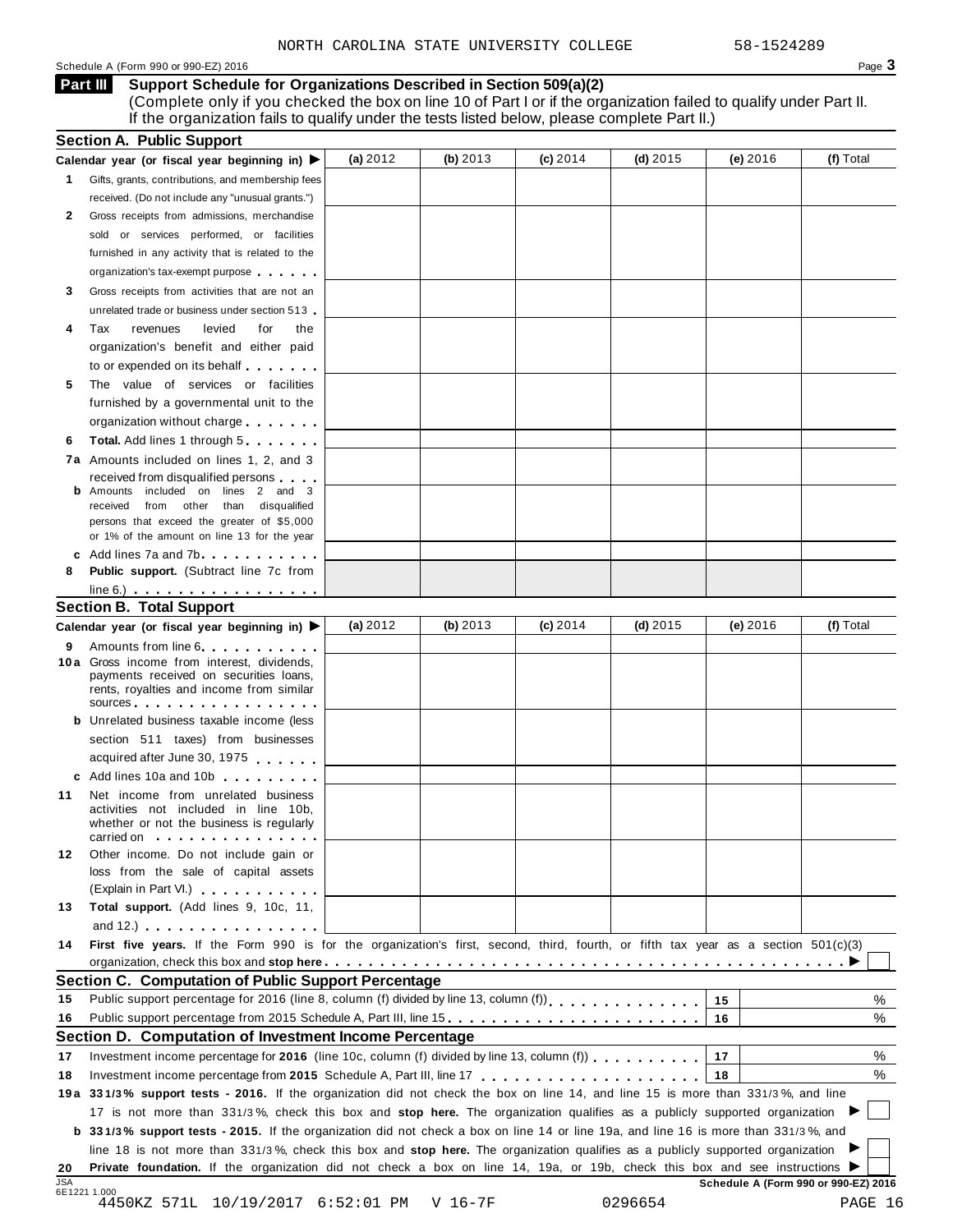#### Schedule A (Form 990 or 990-EZ) 2016  $\overline{\phantom{a}}$

**Support Schedule for Organizations Described in Section 509(a)(2) Part III**

(Complete only if you checked the box on line 10 of Part I or if the organization failed to qualify under Part II. If the organization fails to qualify under the tests listed below, please complete Part II.)

|            | <b>Section A. Public Support</b>                                                                                                                                                                                                        |            |            |            |            |                                      |           |
|------------|-----------------------------------------------------------------------------------------------------------------------------------------------------------------------------------------------------------------------------------------|------------|------------|------------|------------|--------------------------------------|-----------|
|            | Calendar year (or fiscal year beginning in) $\blacktriangleright$                                                                                                                                                                       | (a) 2012   | (b) 2013   | $(c)$ 2014 | $(d)$ 2015 | (e) 2016                             | (f) Total |
| 1.         | Gifts, grants, contributions, and membership fees                                                                                                                                                                                       |            |            |            |            |                                      |           |
|            | received. (Do not include any "unusual grants.")                                                                                                                                                                                        |            |            |            |            |                                      |           |
| 2          | Gross receipts from admissions, merchandise                                                                                                                                                                                             |            |            |            |            |                                      |           |
|            | sold or services performed, or facilities                                                                                                                                                                                               |            |            |            |            |                                      |           |
|            | furnished in any activity that is related to the                                                                                                                                                                                        |            |            |            |            |                                      |           |
|            | organization's tax-exempt purpose                                                                                                                                                                                                       |            |            |            |            |                                      |           |
| 3          | Gross receipts from activities that are not an                                                                                                                                                                                          |            |            |            |            |                                      |           |
|            | unrelated trade or business under section 513                                                                                                                                                                                           |            |            |            |            |                                      |           |
| 4          | Tax<br>revenues<br>levied<br>for<br>the                                                                                                                                                                                                 |            |            |            |            |                                      |           |
|            | organization's benefit and either paid                                                                                                                                                                                                  |            |            |            |            |                                      |           |
|            | to or expended on its behalf                                                                                                                                                                                                            |            |            |            |            |                                      |           |
| 5          | The value of services or facilities                                                                                                                                                                                                     |            |            |            |            |                                      |           |
|            | furnished by a governmental unit to the                                                                                                                                                                                                 |            |            |            |            |                                      |           |
|            |                                                                                                                                                                                                                                         |            |            |            |            |                                      |           |
|            | organization without charge                                                                                                                                                                                                             |            |            |            |            |                                      |           |
| 6          | <b>Total.</b> Add lines 1 through 5                                                                                                                                                                                                     |            |            |            |            |                                      |           |
|            | 7a Amounts included on lines 1, 2, and 3                                                                                                                                                                                                |            |            |            |            |                                      |           |
|            | received from disqualified persons<br><b>b</b> Amounts included on lines 2 and 3                                                                                                                                                        |            |            |            |            |                                      |           |
|            | received from other than disqualified                                                                                                                                                                                                   |            |            |            |            |                                      |           |
|            | persons that exceed the greater of \$5,000                                                                                                                                                                                              |            |            |            |            |                                      |           |
|            | or 1% of the amount on line 13 for the year                                                                                                                                                                                             |            |            |            |            |                                      |           |
|            | c Add lines 7a and 7b                                                                                                                                                                                                                   |            |            |            |            |                                      |           |
| 8          | Public support. (Subtract line 7c from                                                                                                                                                                                                  |            |            |            |            |                                      |           |
|            | $line 6.)$                                                                                                                                                                                                                              |            |            |            |            |                                      |           |
|            | <b>Section B. Total Support</b>                                                                                                                                                                                                         |            |            |            |            |                                      |           |
|            | Calendar year (or fiscal year beginning in) ▶                                                                                                                                                                                           | (a) $2012$ | (b) $2013$ | $(c)$ 2014 | $(d)$ 2015 | (e) $2016$                           | (f) Total |
| 9          | Amounts from line 6                                                                                                                                                                                                                     |            |            |            |            |                                      |           |
|            | 10 a Gross income from interest, dividends,<br>payments received on securities loans,<br>rents, royalties and income from similar                                                                                                       |            |            |            |            |                                      |           |
|            | sources and the set of the set of the set of the set of the set of the set of the set of the set of the set of                                                                                                                          |            |            |            |            |                                      |           |
|            | <b>b</b> Unrelated business taxable income (less                                                                                                                                                                                        |            |            |            |            |                                      |           |
|            | section 511 taxes) from businesses                                                                                                                                                                                                      |            |            |            |            |                                      |           |
|            | acquired after June 30, 1975                                                                                                                                                                                                            |            |            |            |            |                                      |           |
|            | c Add lines 10a and 10b                                                                                                                                                                                                                 |            |            |            |            |                                      |           |
| 11         | Net income from unrelated business<br>activities not included in line 10b,<br>whether or not the business is regularly<br>carried on experience of the control of the set of the set of the set of the set of the set of the set of the |            |            |            |            |                                      |           |
| 12         | Other income. Do not include gain or                                                                                                                                                                                                    |            |            |            |            |                                      |           |
|            | loss from the sale of capital assets                                                                                                                                                                                                    |            |            |            |            |                                      |           |
|            | (Explain in Part VI.) <b>All and Strategies</b>                                                                                                                                                                                         |            |            |            |            |                                      |           |
| 13         | Total support. (Add lines 9, 10c, 11,                                                                                                                                                                                                   |            |            |            |            |                                      |           |
|            | and 12.) $\cdots$ $\cdots$ $\cdots$ $\cdots$                                                                                                                                                                                            |            |            |            |            |                                      |           |
| 14         | First five years. If the Form 990 is for the organization's first, second, third, fourth, or fifth tax year as a section 501(c)(3)                                                                                                      |            |            |            |            |                                      |           |
|            |                                                                                                                                                                                                                                         |            |            |            |            |                                      |           |
|            | Section C. Computation of Public Support Percentage                                                                                                                                                                                     |            |            |            |            |                                      |           |
| 15         |                                                                                                                                                                                                                                         |            |            |            |            | 15                                   | %         |
| 16         | Public support percentage from 2015 Schedule A, Part III, line 15.                                                                                                                                                                      |            |            |            |            | 16                                   | %         |
|            | Section D. Computation of Investment Income Percentage                                                                                                                                                                                  |            |            |            |            |                                      |           |
|            |                                                                                                                                                                                                                                         |            |            |            |            |                                      |           |
| 17         | Investment income percentage for 2016 (line 10c, column (f) divided by line 13, column (f) $\ldots$ ,,,,,,,                                                                                                                             |            |            |            |            | 17                                   | %         |
| 18         |                                                                                                                                                                                                                                         |            |            |            |            | 18                                   | %         |
|            | 19a 331/3% support tests - 2016. If the organization did not check the box on line 14, and line 15 is more than 331/3%, and line                                                                                                        |            |            |            |            |                                      |           |
|            | 17 is not more than 331/3%, check this box and stop here. The organization qualifies as a publicly supported organization                                                                                                               |            |            |            |            |                                      |           |
|            | <b>b</b> 331/3% support tests - 2015. If the organization did not check a box on line 14 or line 19a, and line 16 is more than 331/3%, and                                                                                              |            |            |            |            |                                      |           |
|            | line 18 is not more than 331/3%, check this box and stop here. The organization qualifies as a publicly supported organization                                                                                                          |            |            |            |            |                                      |           |
| 20         | Private foundation. If the organization did not check a box on line 14, 19a, or 19b, check this box and see instructions ▶                                                                                                              |            |            |            |            |                                      |           |
| <b>JSA</b> | 6E1221 1.000                                                                                                                                                                                                                            |            |            |            |            | Schedule A (Form 990 or 990-EZ) 2016 |           |
|            | 4450KZ 571L 10/19/2017 6:52:01 PM                                                                                                                                                                                                       |            | V 16-7F    |            | 0296654    |                                      | PAGE 16   |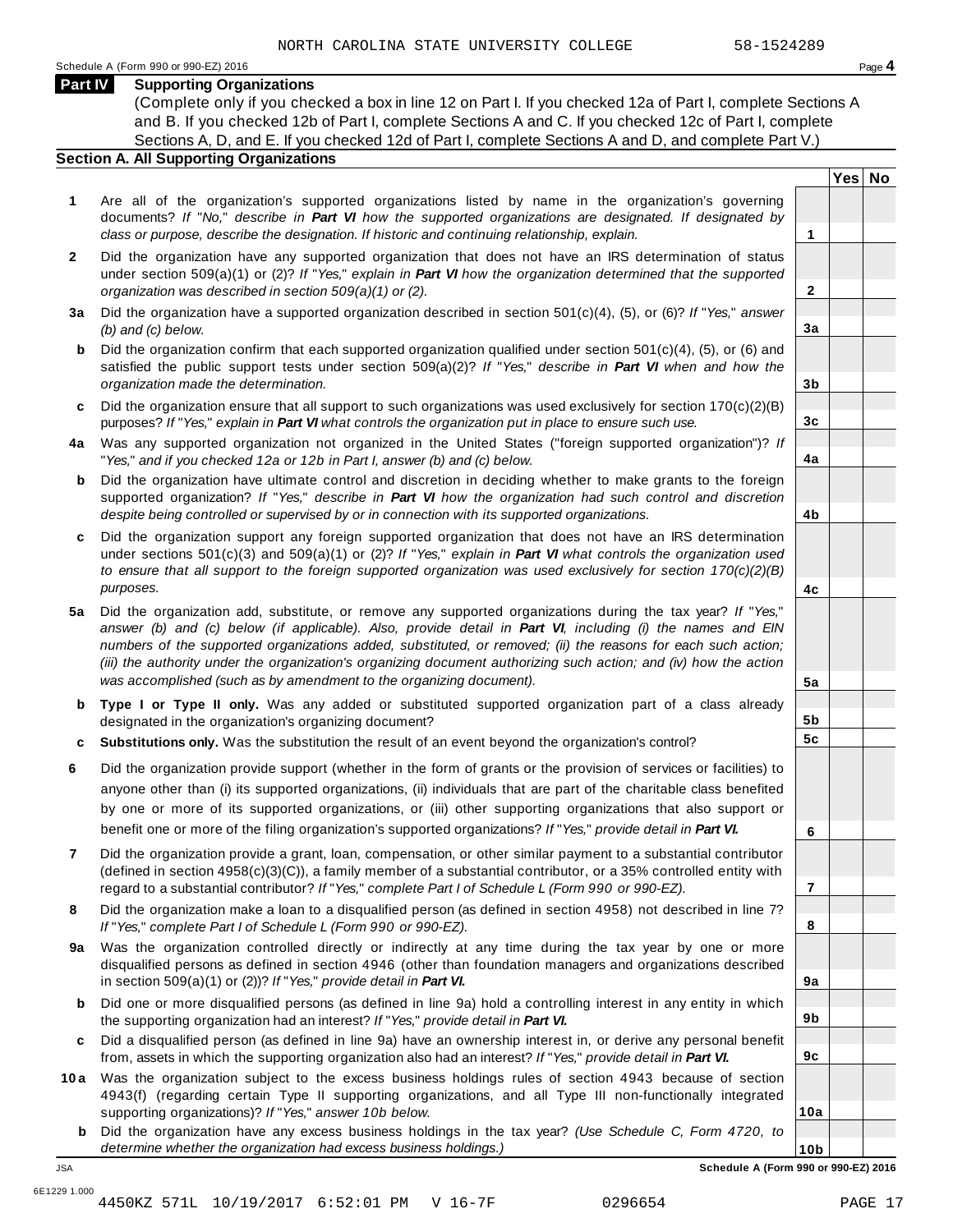#### **Part IV Supporting Organizations**

(Complete only if you checked a box in line 12 on Part I. If you checked 12a of Part I, complete Sections A and B. If you checked 12b of Part I, complete Sections A and C. If you checked 12c of Part I, complete Sections A, D, and E. If you checked 12d of Part I, complete Sections A and D, and complete Part V.)

#### **Section A. All Supporting Organizations**

- **1** Are all of the organization's supported organizations listed by name in the organization's governing documents? *If* "*No,*" *describe in Part VI how the supported organizations are designated. If designated by class or purpose, describe the designation. If historic and continuing relationship, explain.* **1**
- **2** Did the organization have any supported organization that does not have an IRS determination of status under section 509(a)(1) or (2)? *If*"*Yes,*" *explain in Part VI how the organization determined that the supported organization was described in section 509(a)(1) or (2).*
- **3 a** Did the organization have a supported organization described in section 501(c)(4), (5), or (6)? *If* "*Yes,*" *answer (b) and (c) below.*
- **b** Did the organization confirm that each supported organization qualified under section 501(c)(4), (5), or (6) and | satisfied the public support tests under section 509(a)(2)? *If* "*Yes,*" *describe in Part VI when and how the organization made the determination.*
- **c** Did the organization ensure that all support to such organizations was used exclusively for section 170(c)(2)(B) purposes? *If*"*Yes,*" *explain in Part VI what controls the organization put in place to ensure such use.*
- **4 a** Was any supported organization not organized in the United States ("foreign supported organization")? *If* "*Yes,*" *and if you checked 12a or 12b in Part I, answer (b) and (c) below.*
- **b** Did the organization have ultimate control and discretion in deciding whether to make grants to the foreign | supported organization? *If* "*Yes,*" *describe in Part VI how the organization had such control and discretion despite being controlled or supervised by or in connection with its supported organizations.*
- **c** Did the organization support any foreign supported organization that does not have an IRS determination | under sections 501(c)(3) and 509(a)(1) or (2)? *If* "*Yes,*" *explain in Part VI what controls the organization used to ensure that all support to the foreign supported organization was used exclusively for section 170(c)(2)(B) purposes.*
- **5 a** Did the organization add, substitute, or remove any supported organizations during the tax year? *If* "*Yes,*" answer (b) and (c) below (if applicable). Also, provide detail in Part VI, including (i) the names and EIN *numbers of the supported organizations added, substituted, or removed; (ii) the reasons for each such action;* (iii) the authority under the organization's organizing document authorizing such action; and (iv) how the action *was accomplished (such as by amendment to the organizing document).*
- **b** Type I or Type II only. Was any added or substituted supported organization part of a class already | designated in the organization's organizing document?
- **c Substitutions only.** Was the substitution the result of an event beyond the organization's control?
- **6** Did the organization provide support (whether in the form of grants or the provision of services or facilities) to anyone other than (i) its supported organizations, (ii) individuals that are part of the charitable class benefited by one or more of its supported organizations, or (iii) other supporting organizations that also support or benefit one or more of the filing organization's supported organizations? *If*"*Yes,*" *provide detail in Part VI.*
- **7** Did the organization provide a grant, loan, compensation, or other similar payment to a substantial contributor (defined in section 4958(c)(3)(C)), a family member of a substantial contributor, or a 35% controlled entity with regard to a substantial contributor? *If*"*Yes,*" *complete Part I of Schedule L (Form 990 or 990-EZ).*
- **8** Did the organization make a loan to a disqualified person (as defined in section 4958) not described in line 7? *If* "*Yes,*" *complete Part I of Schedule L (Form 990 or 990-EZ).*
- **a** Was the organization controlled directly or indirectly at any time during the tax year by one or more | **9** disqualified persons as defined in section 4946 (other than foundation managers and organizations described in section 509(a)(1) or (2))? *If*"*Yes,*" *provide detail in Part VI.*
- **b** Did one or more disqualified persons (as defined in line 9a) hold a controlling interest in any entity in which | the supporting organization had an interest? *If*"*Yes,*" *provide detail in Part VI.*
- **c** Did a disqualified person (as defined in line 9a) have an ownership interest in, or derive any personal benefit from, assets in which the supporting organization also had an interest? *If*"*Yes,*" *provide detail in Part VI.*
- **10a** Was the organization subject to the excess business holdings rules of section 4943 because of section | 4943(f) (regarding certain Type II supporting organizations, and all Type III non-functionally integrated supporting organizations)? *If*"*Yes,*" *answer 10b below.*
	- **b** Did the organization have any excess business holdings in the tax year? *(Use Schedule C, Form 4720, to determine whether the organization had excess business holdings.)*

**Yes No**

**2**

**3a**

**3b**

**3c**

**4a**

**4b**

**4c**

**5a**

**5b 5c**

**6**

**7**

**8**

**9a**

**9b**

**9c**

**10b** JSA **Schedule A (Form 990 or 990-EZ) 2016**

**10a**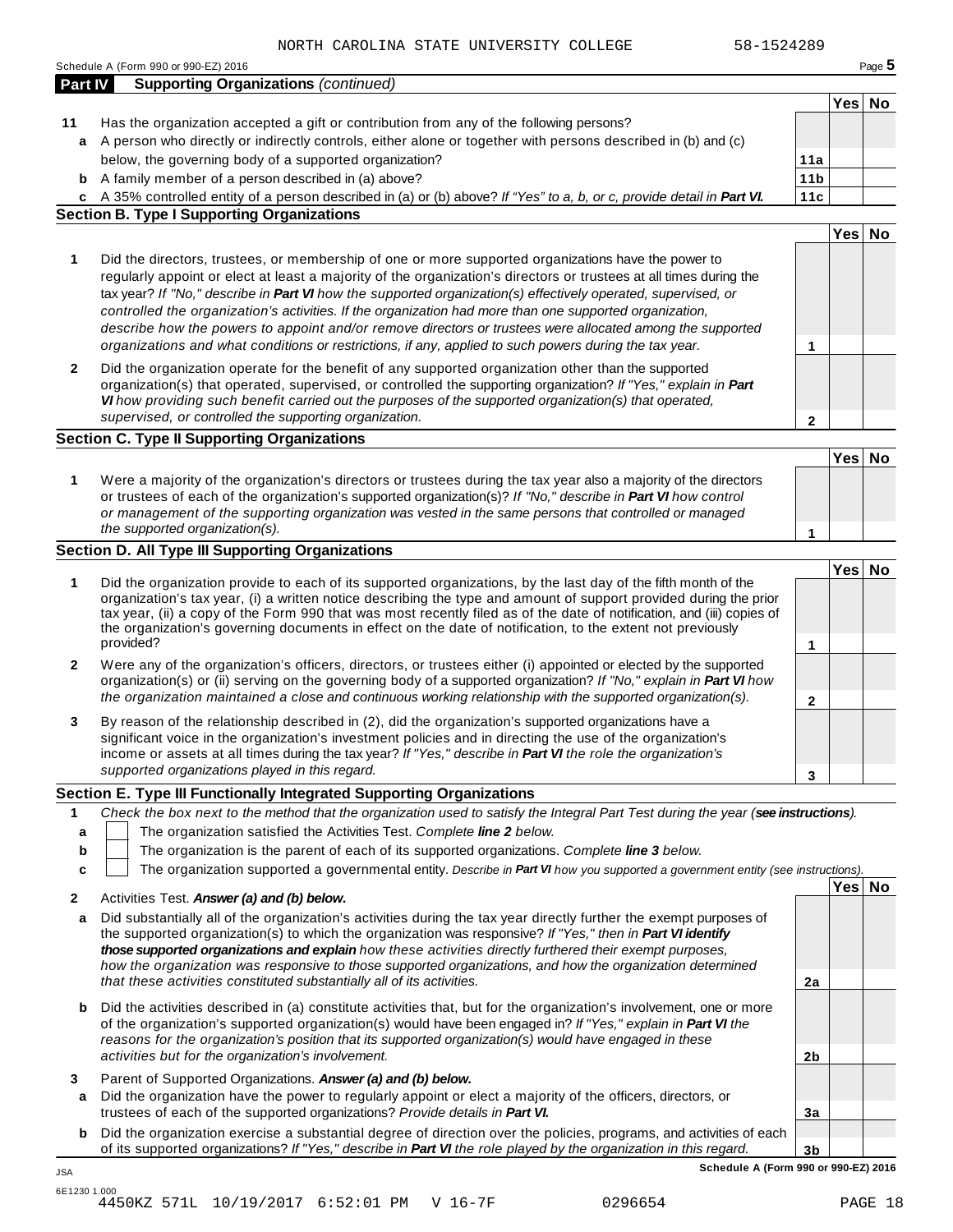|         | Schedule A (Form 990 or 990-EZ) 2016                                                                                                                                                                                              |                 |        | Page 5 |
|---------|-----------------------------------------------------------------------------------------------------------------------------------------------------------------------------------------------------------------------------------|-----------------|--------|--------|
| Part IV | <b>Supporting Organizations (continued)</b>                                                                                                                                                                                       |                 |        |        |
|         |                                                                                                                                                                                                                                   |                 | Yes No |        |
| 11      | Has the organization accepted a gift or contribution from any of the following persons?                                                                                                                                           |                 |        |        |
| a       | A person who directly or indirectly controls, either alone or together with persons described in (b) and (c)                                                                                                                      |                 |        |        |
|         | below, the governing body of a supported organization?                                                                                                                                                                            | 11a             |        |        |
|         | <b>b</b> A family member of a person described in (a) above?                                                                                                                                                                      | 11 <sub>b</sub> |        |        |
|         | c A 35% controlled entity of a person described in (a) or (b) above? If "Yes" to a, b, or c, provide detail in Part VI.                                                                                                           | 11c             |        |        |
|         | <b>Section B. Type I Supporting Organizations</b>                                                                                                                                                                                 |                 |        |        |
|         |                                                                                                                                                                                                                                   |                 | Yes No |        |
| 1       | Did the directors, trustees, or membership of one or more supported organizations have the power to                                                                                                                               |                 |        |        |
|         | regularly appoint or elect at least a majority of the organization's directors or trustees at all times during the                                                                                                                |                 |        |        |
|         | tax year? If "No," describe in Part VI how the supported organization(s) effectively operated, supervised, or                                                                                                                     |                 |        |        |
|         | controlled the organization's activities. If the organization had more than one supported organization,                                                                                                                           |                 |        |        |
|         | describe how the powers to appoint and/or remove directors or trustees were allocated among the supported                                                                                                                         |                 |        |        |
|         | organizations and what conditions or restrictions, if any, applied to such powers during the tax year.                                                                                                                            | 1               |        |        |
| 2       | Did the organization operate for the benefit of any supported organization other than the supported                                                                                                                               |                 |        |        |
|         | organization(s) that operated, supervised, or controlled the supporting organization? If "Yes," explain in Part                                                                                                                   |                 |        |        |
|         | VI how providing such benefit carried out the purposes of the supported organization(s) that operated,                                                                                                                            |                 |        |        |
|         | supervised, or controlled the supporting organization.                                                                                                                                                                            | $\mathbf{2}$    |        |        |
|         | <b>Section C. Type II Supporting Organizations</b>                                                                                                                                                                                |                 |        |        |
|         |                                                                                                                                                                                                                                   |                 | Yes No |        |
|         |                                                                                                                                                                                                                                   |                 |        |        |
| 1       | Were a majority of the organization's directors or trustees during the tax year also a majority of the directors<br>or trustees of each of the organization's supported organization(s)? If "No," describe in Part VI how control |                 |        |        |
|         | or management of the supporting organization was vested in the same persons that controlled or managed                                                                                                                            |                 |        |        |
|         | the supported organization(s).                                                                                                                                                                                                    | 1               |        |        |
|         | Section D. All Type III Supporting Organizations                                                                                                                                                                                  |                 |        |        |
|         |                                                                                                                                                                                                                                   |                 | Yes No |        |
| 1       | Did the organization provide to each of its supported organizations, by the last day of the fifth month of the                                                                                                                    |                 |        |        |
|         | organization's tax year, (i) a written notice describing the type and amount of support provided during the prior                                                                                                                 |                 |        |        |
|         | tax year, (ii) a copy of the Form 990 that was most recently filed as of the date of notification, and (iii) copies of                                                                                                            |                 |        |        |
|         | the organization's governing documents in effect on the date of notification, to the extent not previously                                                                                                                        |                 |        |        |
|         | provided?                                                                                                                                                                                                                         | 1               |        |        |
| 2       | Were any of the organization's officers, directors, or trustees either (i) appointed or elected by the supported                                                                                                                  |                 |        |        |
|         | organization(s) or (ii) serving on the governing body of a supported organization? If "No," explain in Part VI how                                                                                                                |                 |        |        |
|         | the organization maintained a close and continuous working relationship with the supported organization(s).                                                                                                                       | 2               |        |        |
| 3       | By reason of the relationship described in (2), did the organization's supported organizations have a                                                                                                                             |                 |        |        |
|         | significant voice in the organization's investment policies and in directing the use of the organization's                                                                                                                        |                 |        |        |
|         | income or assets at all times during the tax year? If "Yes," describe in Part VI the role the organization's                                                                                                                      |                 |        |        |
|         | supported organizations played in this regard.                                                                                                                                                                                    | 3               |        |        |
|         | Section E. Type III Functionally Integrated Supporting Organizations                                                                                                                                                              |                 |        |        |
| 1       | Check the box next to the method that the organization used to satisfy the Integral Part Test during the year (see instructions).                                                                                                 |                 |        |        |
| a       | The organization satisfied the Activities Test. Complete line 2 below.                                                                                                                                                            |                 |        |        |
| b       | The organization is the parent of each of its supported organizations. Complete line 3 below.                                                                                                                                     |                 |        |        |
| C       | The organization supported a governmental entity. Describe in Part VI how you supported a government entity (see instructions).                                                                                                   |                 |        |        |
|         |                                                                                                                                                                                                                                   |                 | Yes No |        |
| 2       | Activities Test. Answer (a) and (b) below.                                                                                                                                                                                        |                 |        |        |
| a       | Did substantially all of the organization's activities during the tax year directly further the exempt purposes of                                                                                                                |                 |        |        |
|         | the supported organization(s) to which the organization was responsive? If "Yes," then in Part VI identify                                                                                                                        |                 |        |        |
|         | those supported organizations and explain how these activities directly furthered their exempt purposes,                                                                                                                          |                 |        |        |
|         | how the organization was responsive to those supported organizations, and how the organization determined                                                                                                                         |                 |        |        |
|         | that these activities constituted substantially all of its activities.                                                                                                                                                            | 2a              |        |        |
| b       | Did the activities described in (a) constitute activities that, but for the organization's involvement, one or more                                                                                                               |                 |        |        |
|         | of the organization's supported organization(s) would have been engaged in? If "Yes," explain in Part VI the                                                                                                                      |                 |        |        |
|         | reasons for the organization's position that its supported organization(s) would have engaged in these                                                                                                                            |                 |        |        |
|         | activities but for the organization's involvement.                                                                                                                                                                                | 2 <sub>b</sub>  |        |        |
| 3       | Parent of Supported Organizations. Answer (a) and (b) below.                                                                                                                                                                      |                 |        |        |
| a       | Did the organization have the power to regularly appoint or elect a majority of the officers, directors, or                                                                                                                       |                 |        |        |
|         | trustees of each of the supported organizations? Provide details in Part VI.                                                                                                                                                      | 3a              |        |        |
|         |                                                                                                                                                                                                                                   |                 |        |        |
| b       | Did the organization exercise a substantial degree of direction over the policies, programs, and activities of each                                                                                                               |                 |        |        |
|         |                                                                                                                                                                                                                                   |                 |        |        |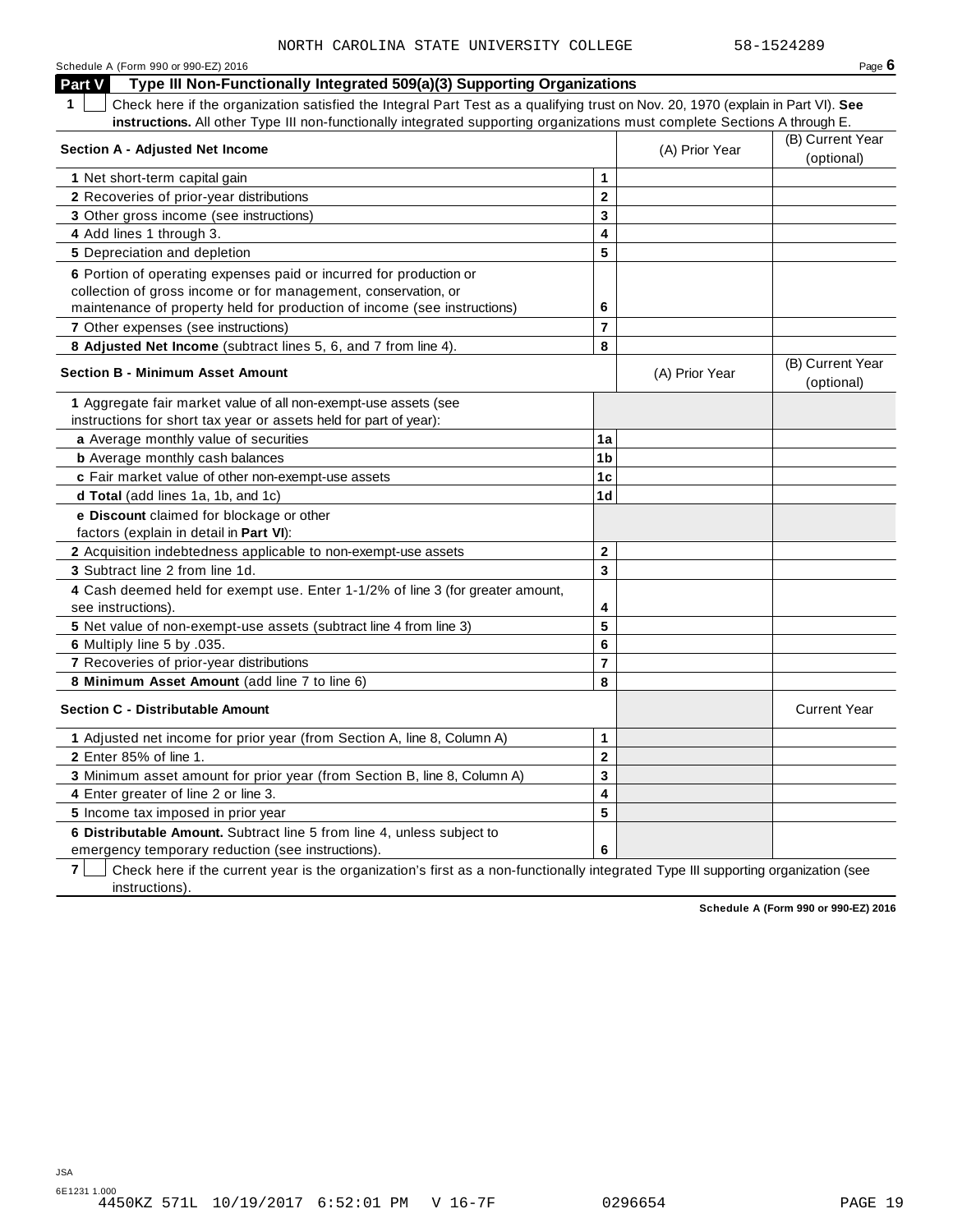| Schedule A (Form 990 or 990-EZ) 2016                                                                                                            |                         |                | Page $6$            |
|-------------------------------------------------------------------------------------------------------------------------------------------------|-------------------------|----------------|---------------------|
| Type III Non-Functionally Integrated 509(a)(3) Supporting Organizations<br>Part V                                                               |                         |                |                     |
| $\mathbf 1$<br>Check here if the organization satisfied the Integral Part Test as a qualifying trust on Nov. 20, 1970 (explain in Part VI). See |                         |                |                     |
| instructions. All other Type III non-functionally integrated supporting organizations must complete Sections A through E.                       |                         |                |                     |
|                                                                                                                                                 |                         |                | (B) Current Year    |
| <b>Section A - Adjusted Net Income</b>                                                                                                          |                         | (A) Prior Year | (optional)          |
| 1 Net short-term capital gain                                                                                                                   | 1                       |                |                     |
| 2 Recoveries of prior-year distributions                                                                                                        | $\overline{\mathbf{2}}$ |                |                     |
| 3 Other gross income (see instructions)                                                                                                         | 3                       |                |                     |
| 4 Add lines 1 through 3.                                                                                                                        | 4                       |                |                     |
| 5 Depreciation and depletion                                                                                                                    | 5                       |                |                     |
| 6 Portion of operating expenses paid or incurred for production or                                                                              |                         |                |                     |
| collection of gross income or for management, conservation, or                                                                                  |                         |                |                     |
| maintenance of property held for production of income (see instructions)                                                                        | 6                       |                |                     |
| <b>7</b> Other expenses (see instructions)                                                                                                      | $\overline{7}$          |                |                     |
| 8 Adjusted Net Income (subtract lines 5, 6, and 7 from line 4).                                                                                 | 8                       |                |                     |
|                                                                                                                                                 |                         |                | (B) Current Year    |
| <b>Section B - Minimum Asset Amount</b>                                                                                                         |                         | (A) Prior Year | (optional)          |
| 1 Aggregate fair market value of all non-exempt-use assets (see                                                                                 |                         |                |                     |
| instructions for short tax year or assets held for part of year):                                                                               |                         |                |                     |
| a Average monthly value of securities                                                                                                           | 1a                      |                |                     |
| <b>b</b> Average monthly cash balances                                                                                                          | 1 <sub>b</sub>          |                |                     |
| c Fair market value of other non-exempt-use assets                                                                                              | 1 <sub>c</sub>          |                |                     |
| d Total (add lines 1a, 1b, and 1c)                                                                                                              | 1d                      |                |                     |
| e Discount claimed for blockage or other                                                                                                        |                         |                |                     |
| factors (explain in detail in <b>Part VI)</b> :                                                                                                 |                         |                |                     |
| 2 Acquisition indebtedness applicable to non-exempt-use assets                                                                                  | $\mathbf{2}$            |                |                     |
| 3 Subtract line 2 from line 1d.                                                                                                                 | $\overline{3}$          |                |                     |
| 4 Cash deemed held for exempt use. Enter 1-1/2% of line 3 (for greater amount,                                                                  |                         |                |                     |
| see instructions).                                                                                                                              | 4                       |                |                     |
| 5 Net value of non-exempt-use assets (subtract line 4 from line 3)                                                                              | 5                       |                |                     |
| 6 Multiply line 5 by .035.                                                                                                                      | $6\phantom{1}6$         |                |                     |
| 7 Recoveries of prior-year distributions                                                                                                        | $\overline{7}$          |                |                     |
| 8 Minimum Asset Amount (add line 7 to line 6)                                                                                                   | 8                       |                |                     |
| <b>Section C - Distributable Amount</b>                                                                                                         |                         |                | <b>Current Year</b> |
| 1 Adjusted net income for prior year (from Section A, line 8, Column A)                                                                         | $\mathbf 1$             |                |                     |
| 2 Enter 85% of line 1.                                                                                                                          | $\mathbf 2$             |                |                     |
| 3 Minimum asset amount for prior year (from Section B, line 8, Column A)                                                                        | 3                       |                |                     |
| 4 Enter greater of line 2 or line 3.                                                                                                            | $\overline{\mathbf{4}}$ |                |                     |
| 5 Income tax imposed in prior year                                                                                                              | 5                       |                |                     |
| 6 Distributable Amount. Subtract line 5 from line 4, unless subject to                                                                          |                         |                |                     |
| emergency temporary reduction (see instructions).                                                                                               | 6                       |                |                     |

**7** | Check here if the current year is the organization's first as a non-functionally integrated Type III supporting organization (see instructions).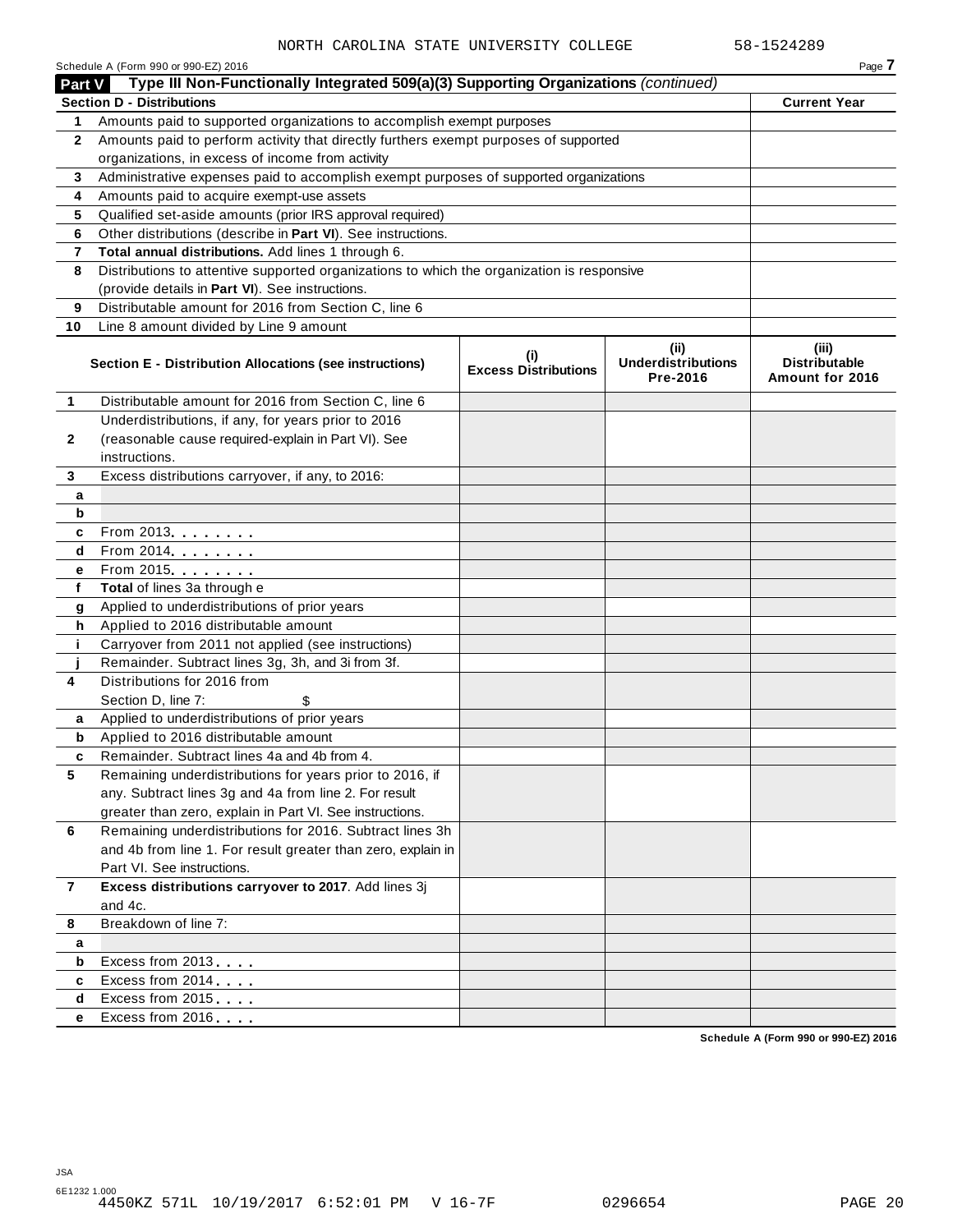|                | Schedule A (Form 990 or 990-EZ) 2016                                                       |                                    |                                               | Page 7                                           |
|----------------|--------------------------------------------------------------------------------------------|------------------------------------|-----------------------------------------------|--------------------------------------------------|
| <b>Part V</b>  | Type III Non-Functionally Integrated 509(a)(3) Supporting Organizations (continued)        |                                    |                                               |                                                  |
|                | <b>Section D - Distributions</b>                                                           |                                    |                                               | <b>Current Year</b>                              |
| 1.             | Amounts paid to supported organizations to accomplish exempt purposes                      |                                    |                                               |                                                  |
| $\mathbf{2}$   | Amounts paid to perform activity that directly furthers exempt purposes of supported       |                                    |                                               |                                                  |
|                | organizations, in excess of income from activity                                           |                                    |                                               |                                                  |
| 3              | Administrative expenses paid to accomplish exempt purposes of supported organizations      |                                    |                                               |                                                  |
| 4              | Amounts paid to acquire exempt-use assets                                                  |                                    |                                               |                                                  |
| 5              | Qualified set-aside amounts (prior IRS approval required)                                  |                                    |                                               |                                                  |
| 6              | Other distributions (describe in Part VI). See instructions.                               |                                    |                                               |                                                  |
| 7              | Total annual distributions. Add lines 1 through 6.                                         |                                    |                                               |                                                  |
| 8              | Distributions to attentive supported organizations to which the organization is responsive |                                    |                                               |                                                  |
|                | (provide details in Part VI). See instructions.                                            |                                    |                                               |                                                  |
| 9              | Distributable amount for 2016 from Section C, line 6                                       |                                    |                                               |                                                  |
| 10             | Line 8 amount divided by Line 9 amount                                                     |                                    |                                               |                                                  |
|                | Section E - Distribution Allocations (see instructions)                                    | (i)<br><b>Excess Distributions</b> | (ii)<br><b>Underdistributions</b><br>Pre-2016 | (iii)<br><b>Distributable</b><br>Amount for 2016 |
| 1              | Distributable amount for 2016 from Section C, line 6                                       |                                    |                                               |                                                  |
|                | Underdistributions, if any, for years prior to 2016                                        |                                    |                                               |                                                  |
| 2              | (reasonable cause required-explain in Part VI). See                                        |                                    |                                               |                                                  |
|                | instructions.                                                                              |                                    |                                               |                                                  |
| 3              | Excess distributions carryover, if any, to 2016:                                           |                                    |                                               |                                                  |
| а              |                                                                                            |                                    |                                               |                                                  |
| b              |                                                                                            |                                    |                                               |                                                  |
| c              | From 2013 <b>Algebra</b>                                                                   |                                    |                                               |                                                  |
| d              | $From 2014$                                                                                |                                    |                                               |                                                  |
| е              | From 2015 <b></b>                                                                          |                                    |                                               |                                                  |
| f              | Total of lines 3a through e                                                                |                                    |                                               |                                                  |
| g              | Applied to underdistributions of prior years                                               |                                    |                                               |                                                  |
| h              | Applied to 2016 distributable amount                                                       |                                    |                                               |                                                  |
| j.             | Carryover from 2011 not applied (see instructions)                                         |                                    |                                               |                                                  |
|                | Remainder. Subtract lines 3g, 3h, and 3i from 3f.                                          |                                    |                                               |                                                  |
| 4              | Distributions for 2016 from                                                                |                                    |                                               |                                                  |
|                | Section D, line 7:                                                                         |                                    |                                               |                                                  |
| a              | Applied to underdistributions of prior years                                               |                                    |                                               |                                                  |
| b              | Applied to 2016 distributable amount                                                       |                                    |                                               |                                                  |
|                | Remainder. Subtract lines 4a and 4b from 4.                                                |                                    |                                               |                                                  |
| 5              | Remaining underdistributions for years prior to 2016, if                                   |                                    |                                               |                                                  |
|                | any. Subtract lines 3g and 4a from line 2. For result                                      |                                    |                                               |                                                  |
|                | greater than zero, explain in Part VI. See instructions.                                   |                                    |                                               |                                                  |
| 6              | Remaining underdistributions for 2016. Subtract lines 3h                                   |                                    |                                               |                                                  |
|                | and 4b from line 1. For result greater than zero, explain in                               |                                    |                                               |                                                  |
|                | Part VI. See instructions.                                                                 |                                    |                                               |                                                  |
| $\overline{7}$ | Excess distributions carryover to 2017. Add lines 3j                                       |                                    |                                               |                                                  |
|                | and 4c.                                                                                    |                                    |                                               |                                                  |
| 8              | Breakdown of line 7:                                                                       |                                    |                                               |                                                  |
| а              |                                                                                            |                                    |                                               |                                                  |
| b              | Excess from 2013                                                                           |                                    |                                               |                                                  |
| c              | Excess from 2014                                                                           |                                    |                                               |                                                  |
| d              | Excess from 2015                                                                           |                                    |                                               |                                                  |
| е              | Excess from 2016                                                                           |                                    |                                               |                                                  |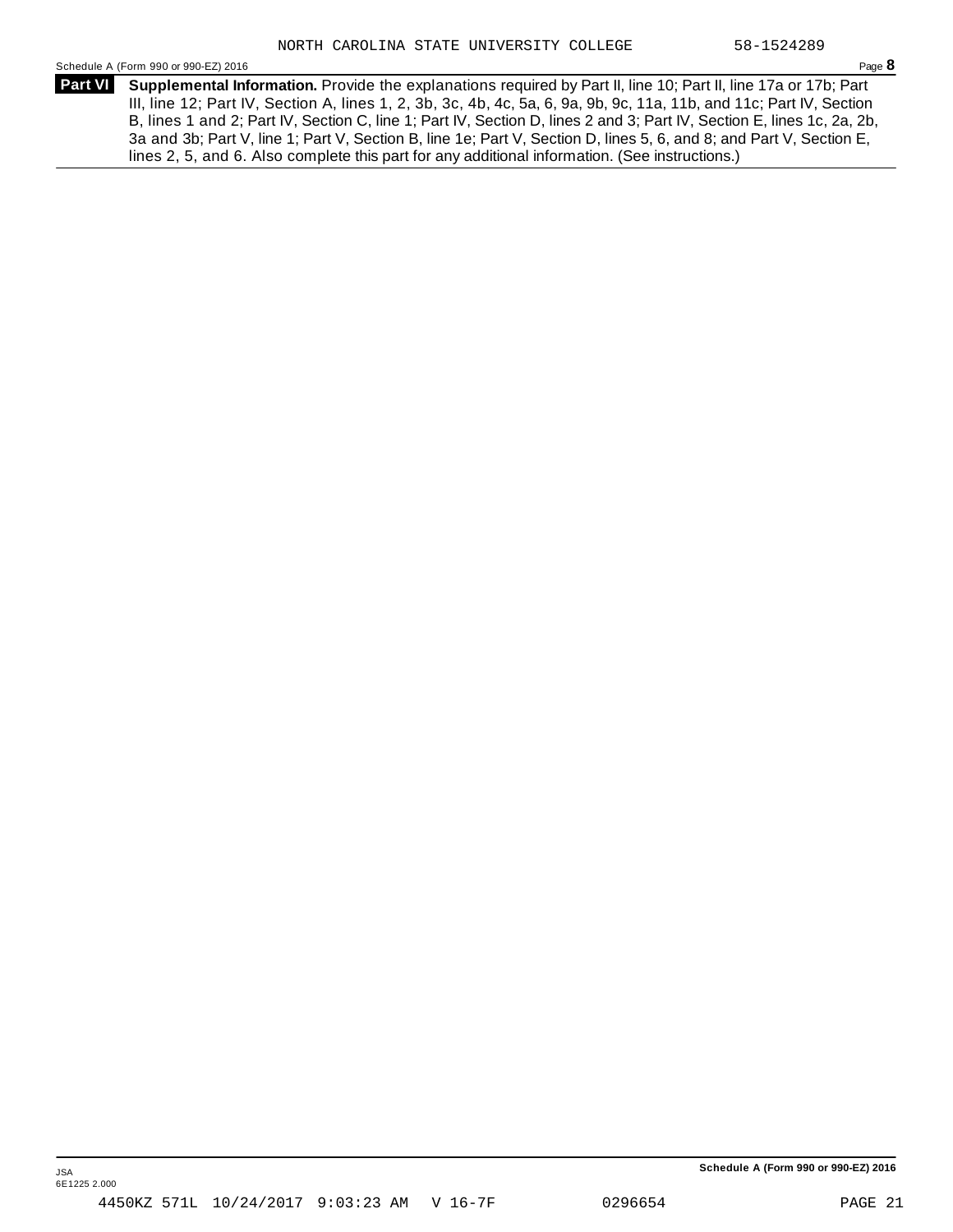Schedule <sup>A</sup> (Form <sup>990</sup> or 990-EZ) <sup>2016</sup> Page **8**

**Supplemental Information.** Provide the explanations required by Part II, line 10; Part II, line 17a or 17b; Part **Part VI** III, line 12; Part IV, Section A, lines 1, 2, 3b, 3c, 4b, 4c, 5a, 6, 9a, 9b, 9c, 11a, 11b, and 11c; Part IV, Section B, lines 1 and 2; Part IV, Section C, line 1; Part IV, Section D, lines 2 and 3; Part IV, Section E, lines 1c, 2a, 2b, 3a and 3b; Part V, line 1; Part V, Section B, line 1e; Part V, Section D, lines 5, 6, and 8; and Part V, Section E, lines 2, 5, and 6. Also complete this part for any additional information. (See instructions.)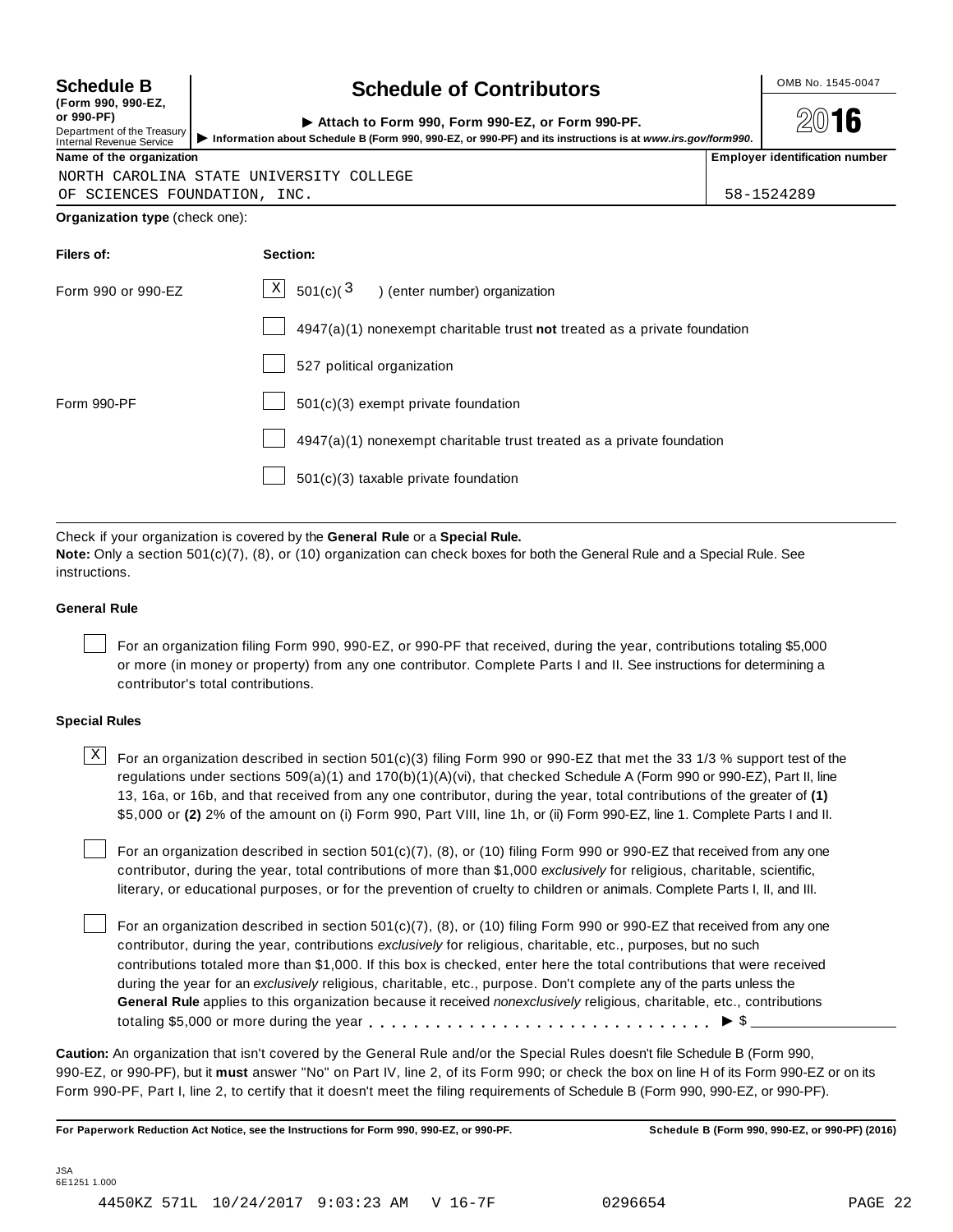| <b>Schedule B</b><br>(Form 990, 990-EZ,                                     | <b>Schedule of Contributors</b>                                                                                                                                |  | OMB No. 1545-0047                     |  |  |  |
|-----------------------------------------------------------------------------|----------------------------------------------------------------------------------------------------------------------------------------------------------------|--|---------------------------------------|--|--|--|
| or 990-PF)<br>Department of the Treasury<br><b>Internal Revenue Service</b> | Attach to Form 990, Form 990-EZ, or Form 990-PF.<br>Information about Schedule B (Form 990, 990-EZ, or 990-PF) and its instructions is at www.irs.gov/form990. |  | $20$ 16                               |  |  |  |
| Name of the organization                                                    |                                                                                                                                                                |  | <b>Employer identification number</b> |  |  |  |
|                                                                             | NORTH CAROLINA STATE UNIVERSITY COLLEGE                                                                                                                        |  |                                       |  |  |  |
| OF SCIENCES FOUNDATION, INC.                                                |                                                                                                                                                                |  | 58-1524289                            |  |  |  |
| <b>Organization type (check one):</b>                                       |                                                                                                                                                                |  |                                       |  |  |  |
| Filers of:                                                                  | Section:                                                                                                                                                       |  |                                       |  |  |  |
| Form 990 or 990-EZ                                                          | $\vert X \vert$<br>501(c)( $3$<br>) (enter number) organization                                                                                                |  |                                       |  |  |  |
|                                                                             | 4947(a)(1) nonexempt charitable trust not treated as a private foundation                                                                                      |  |                                       |  |  |  |
|                                                                             | 527 political organization                                                                                                                                     |  |                                       |  |  |  |
| Form 990-PF                                                                 | $501(c)(3)$ exempt private foundation                                                                                                                          |  |                                       |  |  |  |
|                                                                             | $4947(a)(1)$ nonexempt charitable trust treated as a private foundation                                                                                        |  |                                       |  |  |  |
|                                                                             | $501(c)(3)$ taxable private foundation                                                                                                                         |  |                                       |  |  |  |

Check if your organization is covered by the **General Rule** or a **Special Rule.**

**Note:** Only a section 501(c)(7), (8), or (10) organization can check boxes for both the General Rule and a Special Rule. See instructions.

#### **General Rule**

For an organization filing Form 990, 990-EZ, or 990-PF that received, during the year, contributions totaling \$5,000 or more (in money or property) from any one contributor. Complete Parts I and II. See instructions for determining a contributor's total contributions.

#### **Special Rules**

 $\text{X}$  For an organization described in section 501(c)(3) filing Form 990 or 990-EZ that met the 33 1/3 % support test of the regulations under sections 509(a)(1) and 170(b)(1)(A)(vi), that checked Schedule A (Form 990 or 990-EZ), Part II, line 13, 16a, or 16b, and that received from any one contributor, during the year, total contributions of the greater of **(1)** \$5,000 or **(2)** 2% of the amount on (i) Form 990, Part VIII, line 1h, or (ii) Form 990-EZ, line 1. Complete Parts I and II.

For an organization described in section 501(c)(7), (8), or (10) filing Form 990 or 990-EZ that received from any one contributor, during the year, total contributions of more than \$1,000 *exclusively* for religious, charitable, scientific, literary, or educational purposes, or for the prevention of cruelty to children or animals. Complete Parts I, II, and III.

For an organization described in section 501(c)(7), (8), or (10) filing Form 990 or 990-EZ that received from any one contributor, during the year, contributions *exclusively* for religious, charitable, etc., purposes, but no such contributions totaled more than \$1,000. If this box is checked, enter here the total contributions that were received during the year for an *exclusively* religious, charitable, etc., purpose. Don't complete any of the parts unless the **General Rule** applies to this organization because it received *nonexclusively* religious, charitable, etc., contributions totaling \$5,000 or more during the year m m m m m m m m m m m m m m m m m m m m m m m m m m m m m m m I \$

**Caution:** An organization that isn't covered by the General Rule and/or the Special Rules doesn't file Schedule B (Form 990, 990-EZ, or 990-PF), but it **must** answer "No" on Part IV, line 2, of its Form 990; or check the box on line H of its Form 990-EZ or on its Form 990-PF, Part I, line 2, to certify that it doesn't meet the filing requirements of Schedule B (Form 990, 990-EZ, or 990-PF).

For Paperwork Reduction Act Notice, see the Instructions for Form 990, 990-EZ, or 990-PF. Schedule B (Form 990, 990-EZ, or 990-PF) (2016)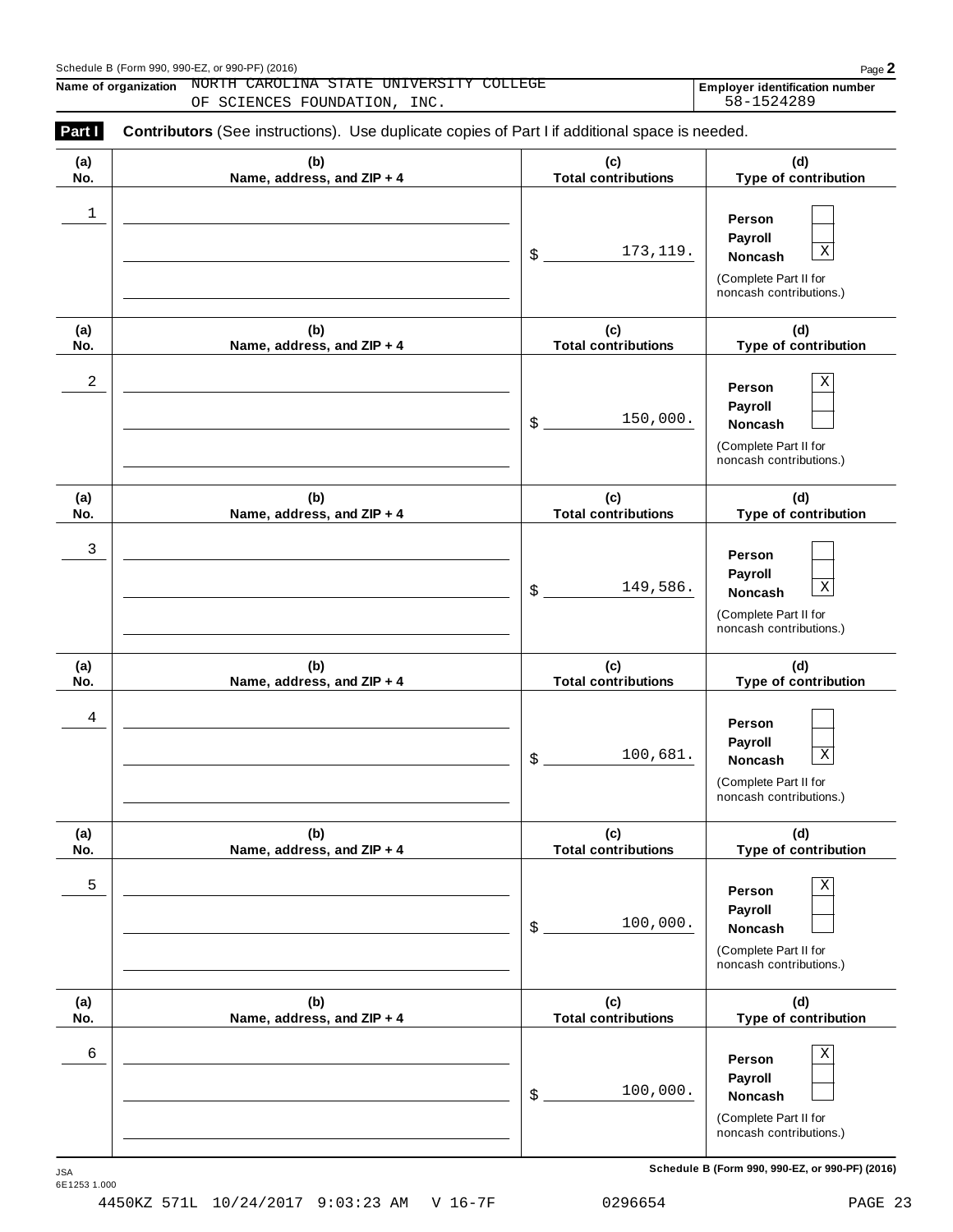#### Schedule <sup>B</sup> (Form 990, 990-EZ, or 990-PF) (2016) Page **2**

**Name of organization NORTH CAROLINA STATE UNIVERSITY COLLEGE Employer identification number** 

OF SCIENCES FOUNDATION, INC.  $58-1524289$ 

| (a) | (b)                        | (c)                        | (d)                                                                                             |
|-----|----------------------------|----------------------------|-------------------------------------------------------------------------------------------------|
| No. | Name, address, and ZIP + 4 | <b>Total contributions</b> | Type of contribution                                                                            |
| 1   |                            | 173, 119.<br>\$            | Person<br>Payroll<br>$\mathbf X$<br>Noncash<br>(Complete Part II for<br>noncash contributions.) |
| (a) | (b)                        | (c)                        | (d)                                                                                             |
| No. | Name, address, and ZIP + 4 | <b>Total contributions</b> | Type of contribution                                                                            |
| 2   |                            | 150,000.<br>\$             | Χ<br>Person<br>Payroll<br>Noncash<br>(Complete Part II for<br>noncash contributions.)           |
| (a) | (b)                        | (c)                        | (d)                                                                                             |
| No. | Name, address, and ZIP + 4 | <b>Total contributions</b> | Type of contribution                                                                            |
| 3   |                            | 149,586.<br>\$             | Person<br>Payroll<br>$\mathbf X$<br>Noncash<br>(Complete Part II for<br>noncash contributions.) |
| (a) | (b)                        | (c)                        | (d)                                                                                             |
| No. | Name, address, and ZIP + 4 | <b>Total contributions</b> | Type of contribution                                                                            |
| 4   |                            | 100,681.<br>\$             | Person<br>Payroll<br>$\mathbf X$<br>Noncash<br>(Complete Part II for<br>noncash contributions.) |
| (a) | (b)                        | (c)                        | (d)                                                                                             |
| No. | Name, address, and ZIP + 4 | <b>Total contributions</b> | Type of contribution                                                                            |
| 5   |                            | 100,000.<br>\$             | Χ<br>Person<br>Payroll<br><b>Noncash</b><br>(Complete Part II for<br>noncash contributions.)    |
| (a) | (b)                        | (c)                        | (d)                                                                                             |
| No. | Name, address, and ZIP + 4 | <b>Total contributions</b> | Type of contribution                                                                            |
| 6   |                            | 100,000.<br>\$             | Χ<br>Person<br>Payroll<br>Noncash<br>(Complete Part II for<br>noncash contributions.)           |

 $S$ chedule B (Form 990, 990-EZ, or 990-PF) (2016)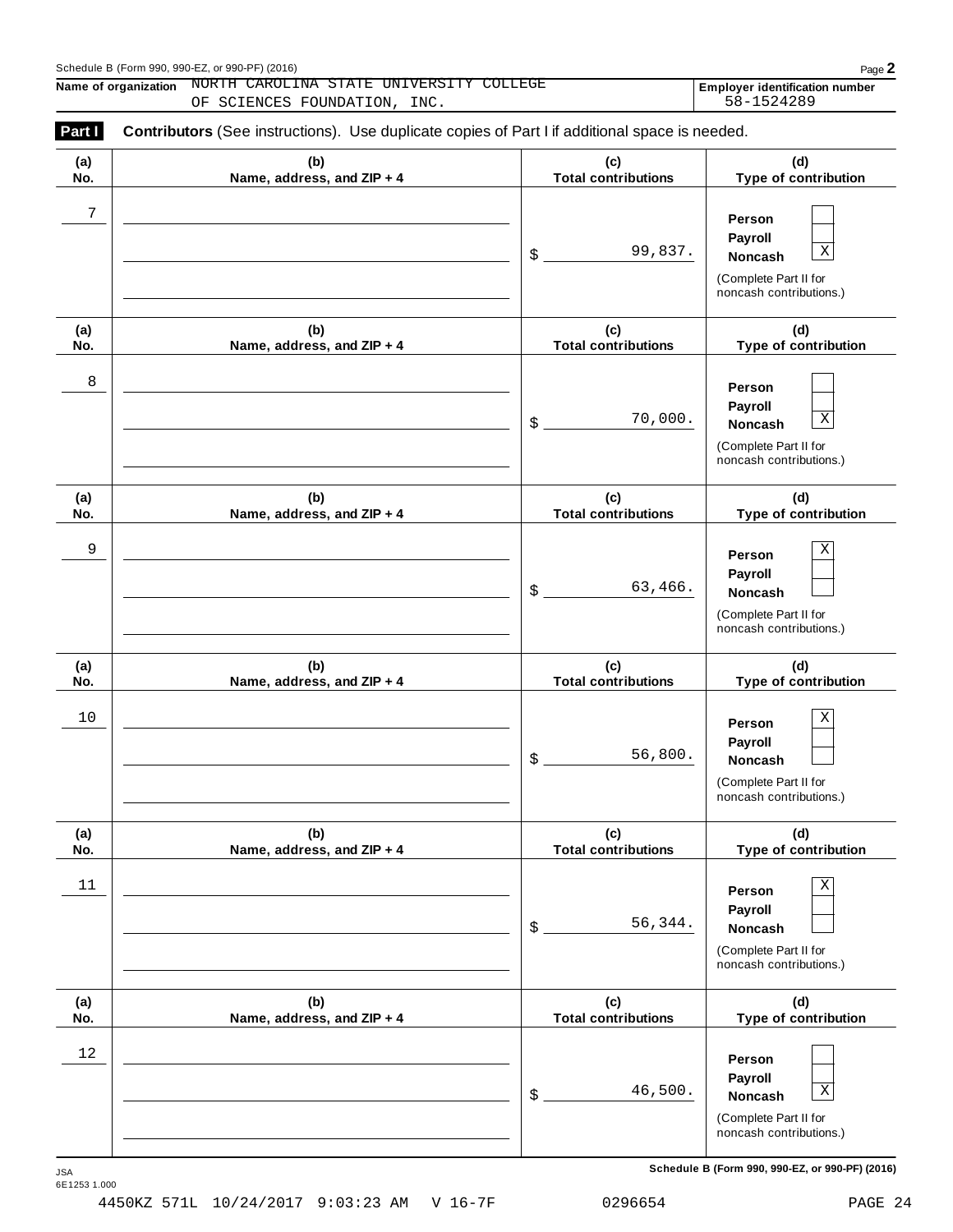#### Schedule <sup>B</sup> (Form 990, 990-EZ, or 990-PF) (2016) Page **2**

**Name of organization NORTH CAROLINA STATE UNIVERSITY COLLEGE Employer identification number** 

OF SCIENCES FOUNDATION, INC. 58-1524289

| (a)        | (b)                               | (c)                               | (d)                                                                                                    |
|------------|-----------------------------------|-----------------------------------|--------------------------------------------------------------------------------------------------------|
| No.        | Name, address, and ZIP + 4        | <b>Total contributions</b>        | Type of contribution                                                                                   |
| 7          |                                   | 99,837.<br>\$                     | Person<br>Payroll<br>$\mathbf X$<br>Noncash<br>(Complete Part II for<br>noncash contributions.)        |
| (a)        | (b)                               | (c)                               | (d)                                                                                                    |
| No.        | Name, address, and ZIP + 4        | <b>Total contributions</b>        | Type of contribution                                                                                   |
| 8          |                                   | 70,000.<br>\$                     | Person<br>Payroll<br>$\mathbf X$<br>Noncash<br>(Complete Part II for<br>noncash contributions.)        |
| (a)<br>No. | (b)<br>Name, address, and ZIP + 4 | (c)<br><b>Total contributions</b> | (d)<br>Type of contribution                                                                            |
| 9          |                                   | 63,466.<br>\$                     | Χ<br>Person<br>Payroll<br>Noncash<br>(Complete Part II for<br>noncash contributions.)                  |
| (a)<br>No. | (b)<br>Name, address, and ZIP + 4 | (c)<br><b>Total contributions</b> | (d)<br>Type of contribution                                                                            |
| 10         |                                   | 56,800.<br>\$                     | $\mathbf X$<br>Person<br>Payroll<br>Noncash<br>(Complete Part II for<br>noncash contributions.)        |
| (a)<br>No. | (b)<br>Name, address, and ZIP + 4 | (c)<br><b>Total contributions</b> | (d)<br>Type of contribution                                                                            |
| 11         |                                   | 56,344.<br>\$                     | $\mathbf X$<br>Person<br>Payroll<br><b>Noncash</b><br>(Complete Part II for<br>noncash contributions.) |
| (a)<br>No. | (b)<br>Name, address, and ZIP + 4 | (c)<br><b>Total contributions</b> | (d)<br>Type of contribution                                                                            |
| 12         |                                   | 46,500.<br>\$                     | Person<br>Payroll<br>$\mathbf X$<br><b>Noncash</b><br>(Complete Part II for<br>noncash contributions.) |

 $S$ chedule B (Form 990, 990-EZ, or 990-PF) (2016)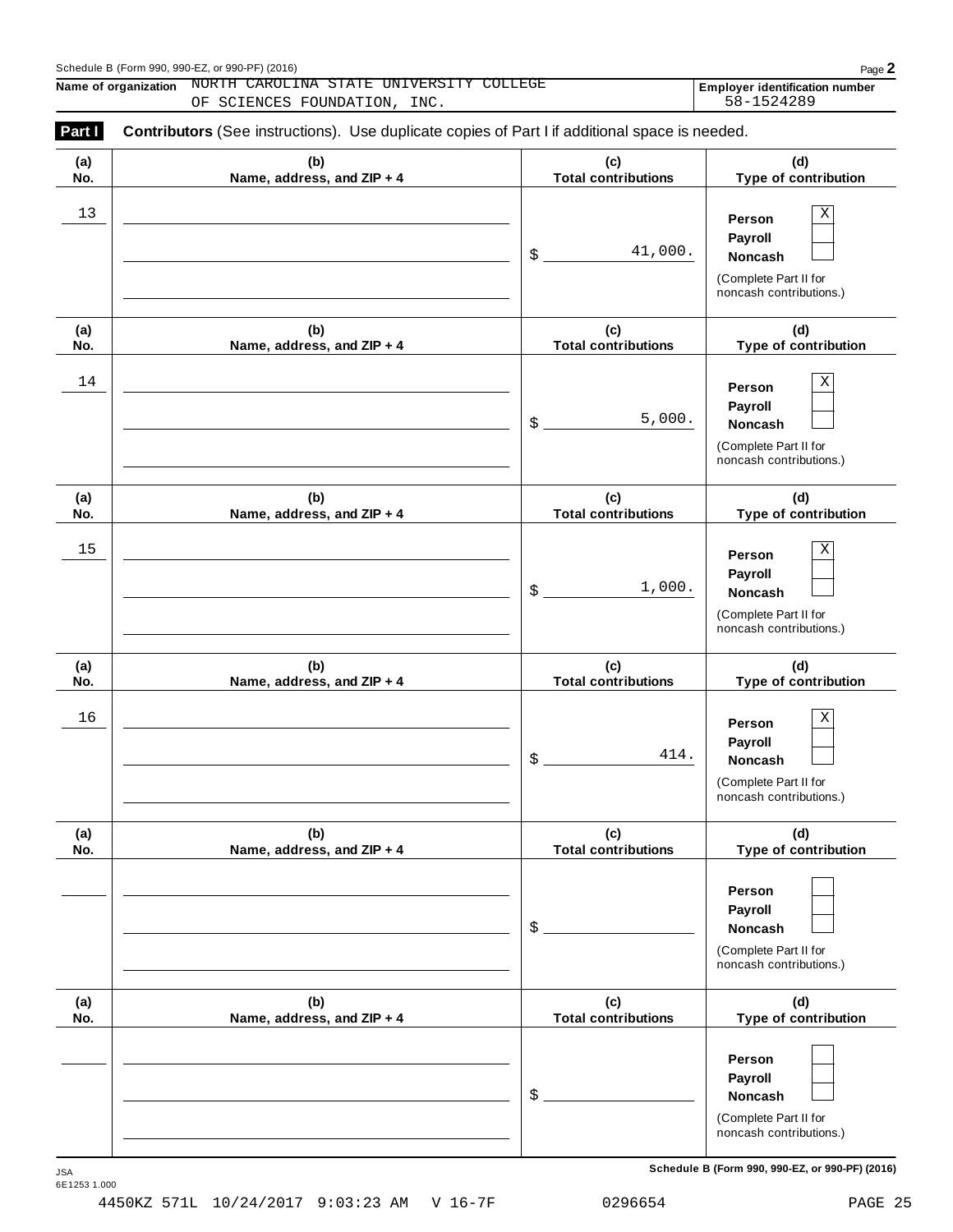#### Schedule <sup>B</sup> (Form 990, 990-EZ, or 990-PF) (2016) Page **2**

**Name of organization NORTH CAROLINA STATE UNIVERSITY COLLEGE Employer identification number** OF SCIENCES FOUNDATION, INC.  $58-1524289$ 

| (a)  | (b)                        | (c)                        | (d)                                                                                             |
|------|----------------------------|----------------------------|-------------------------------------------------------------------------------------------------|
| No.  | Name, address, and ZIP + 4 | <b>Total contributions</b> | Type of contribution                                                                            |
| $13$ |                            | 41,000.<br>\$              | $\mathbf X$<br>Person<br>Payroll<br>Noncash<br>(Complete Part II for<br>noncash contributions.) |
| (a)  | (b)                        | (c)                        | (d)                                                                                             |
| No.  | Name, address, and ZIP + 4 | <b>Total contributions</b> | Type of contribution                                                                            |
| 14   |                            | 5,000.<br>\$               | $\mathbf X$<br>Person<br>Payroll<br>Noncash<br>(Complete Part II for<br>noncash contributions.) |
| (a)  | (b)                        | (c)                        | (d)                                                                                             |
| No.  | Name, address, and ZIP + 4 | <b>Total contributions</b> | Type of contribution                                                                            |
| 15   |                            | 1,000.<br>\$               | $\mathbf X$<br>Person<br>Payroll<br>Noncash<br>(Complete Part II for<br>noncash contributions.) |
| (a)  | (b)                        | (c)                        | (d)                                                                                             |
| No.  | Name, address, and ZIP + 4 | <b>Total contributions</b> | Type of contribution                                                                            |
| 16   |                            | 414.<br>\$                 | $\rm X$<br>Person<br>Payroll<br>Noncash<br>(Complete Part II for<br>noncash contributions.)     |
| (a)  | (b)                        | (c)                        | (d)                                                                                             |
| No.  | Name, address, and ZIP + 4 | <b>Total contributions</b> | Type of contribution                                                                            |
|      |                            | \$                         | Person<br>Payroll<br>Noncash<br>(Complete Part II for<br>noncash contributions.)                |
| (a)  | (b)                        | (c)                        | (d)                                                                                             |
| No.  | Name, address, and ZIP + 4 | <b>Total contributions</b> | Type of contribution                                                                            |
|      |                            | \$                         | Person<br>Payroll<br>Noncash<br>(Complete Part II for<br>noncash contributions.)                |

 $S$ chedule B (Form 990, 990-EZ, or 990-PF) (2016)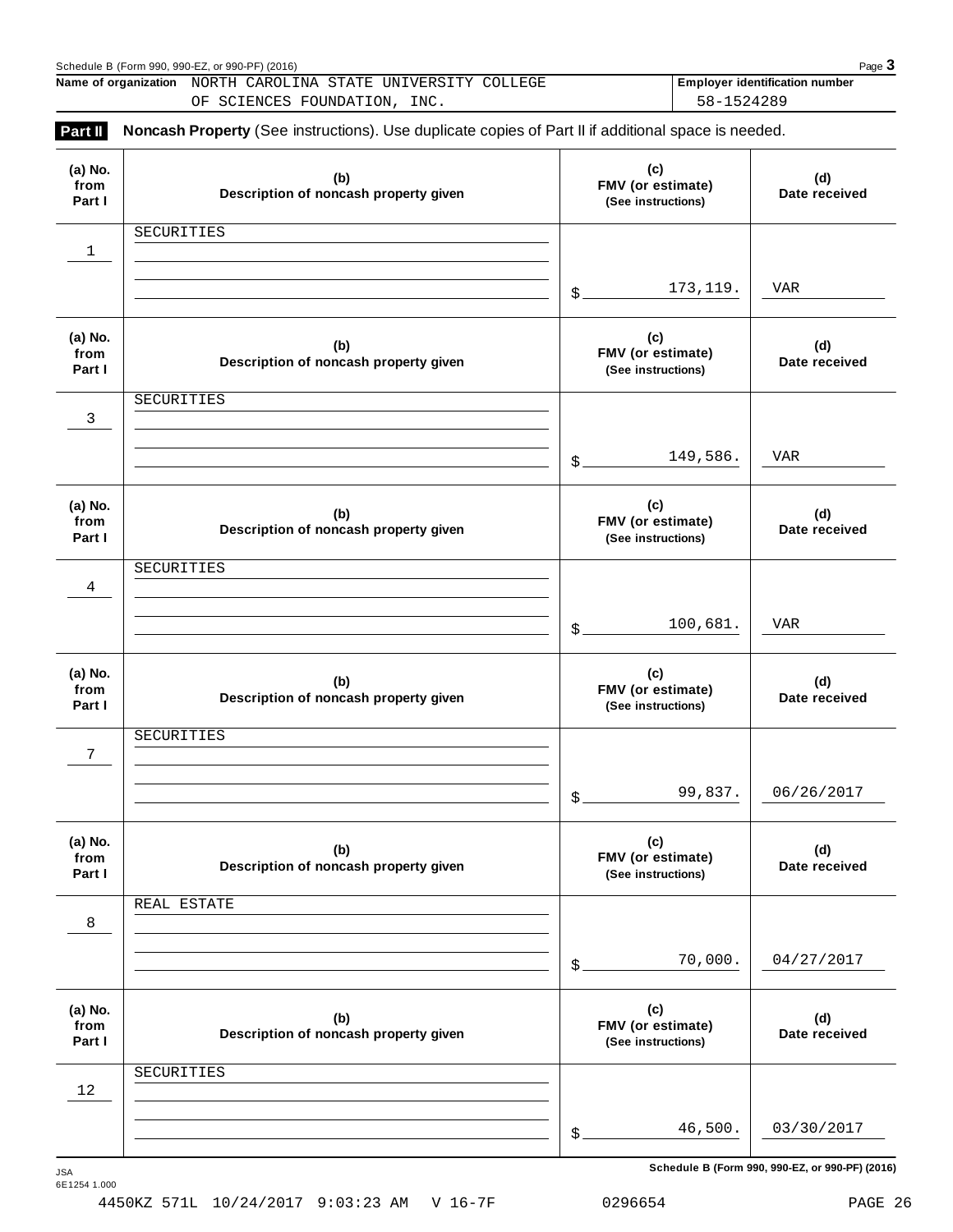|                           | Schedule B (Form 990, 990-EZ, or 990-PF) (2016)<br>Name of organization NORTH CAROLINA STATE UNIVERSITY COLLEGE                     |                                                | Page 3<br><b>Employer identification number</b><br>58-1524289 |
|---------------------------|-------------------------------------------------------------------------------------------------------------------------------------|------------------------------------------------|---------------------------------------------------------------|
| Part II                   | OF SCIENCES FOUNDATION, INC.<br>Noncash Property (See instructions). Use duplicate copies of Part II if additional space is needed. |                                                |                                                               |
| (a) No.<br>from<br>Part I | (b)<br>Description of noncash property given                                                                                        | (c)<br>FMV (or estimate)<br>(See instructions) | (d)<br>Date received                                          |
| $\mathbf 1$               | SECURITIES                                                                                                                          |                                                |                                                               |
|                           |                                                                                                                                     | 173, 119.<br>$\mathcal{S}_{-}$                 | VAR                                                           |
| (a) No.<br>from<br>Part I | (b)<br>Description of noncash property given                                                                                        | (c)<br>FMV (or estimate)<br>(See instructions) | (d)<br>Date received                                          |
| 3                         | SECURITIES                                                                                                                          |                                                |                                                               |
|                           |                                                                                                                                     | 149,586.<br>$\mathcal{S}_{-}$                  | VAR                                                           |
| (a) No.<br>from<br>Part I | (b)<br>Description of noncash property given                                                                                        | (c)<br>FMV (or estimate)<br>(See instructions) | (d)<br>Date received                                          |
| $\overline{4}$            | SECURITIES                                                                                                                          |                                                |                                                               |
|                           |                                                                                                                                     | 100,681.<br>$\frac{1}{2}$                      | VAR                                                           |
| (a) No.<br>from<br>Part I | (b)<br>Description of noncash property given                                                                                        | (c)<br>FMV (or estimate)<br>(See instructions) | (d)<br>Date received                                          |
| 7                         | SECURITIES                                                                                                                          |                                                |                                                               |
|                           |                                                                                                                                     | 99,837.<br>\$.                                 | 06/26/2017                                                    |
| (a) No.<br>from<br>Part I | (b)<br>Description of noncash property given                                                                                        | (c)<br>FMV (or estimate)<br>(See instructions) | (d)<br>Date received                                          |
| 8                         | REAL ESTATE                                                                                                                         |                                                |                                                               |
|                           |                                                                                                                                     | 70,000.<br>\$                                  | 04/27/2017                                                    |
| (a) No.<br>from<br>Part I | (b)<br>Description of noncash property given                                                                                        | (c)<br>FMV (or estimate)<br>(See instructions) | (d)<br>Date received                                          |
|                           | SECURITIES                                                                                                                          |                                                |                                                               |

 $S$ chedule B (Form 990, 990-EZ, or 990-PF) (2016)

46,500. 03/30/2017

\$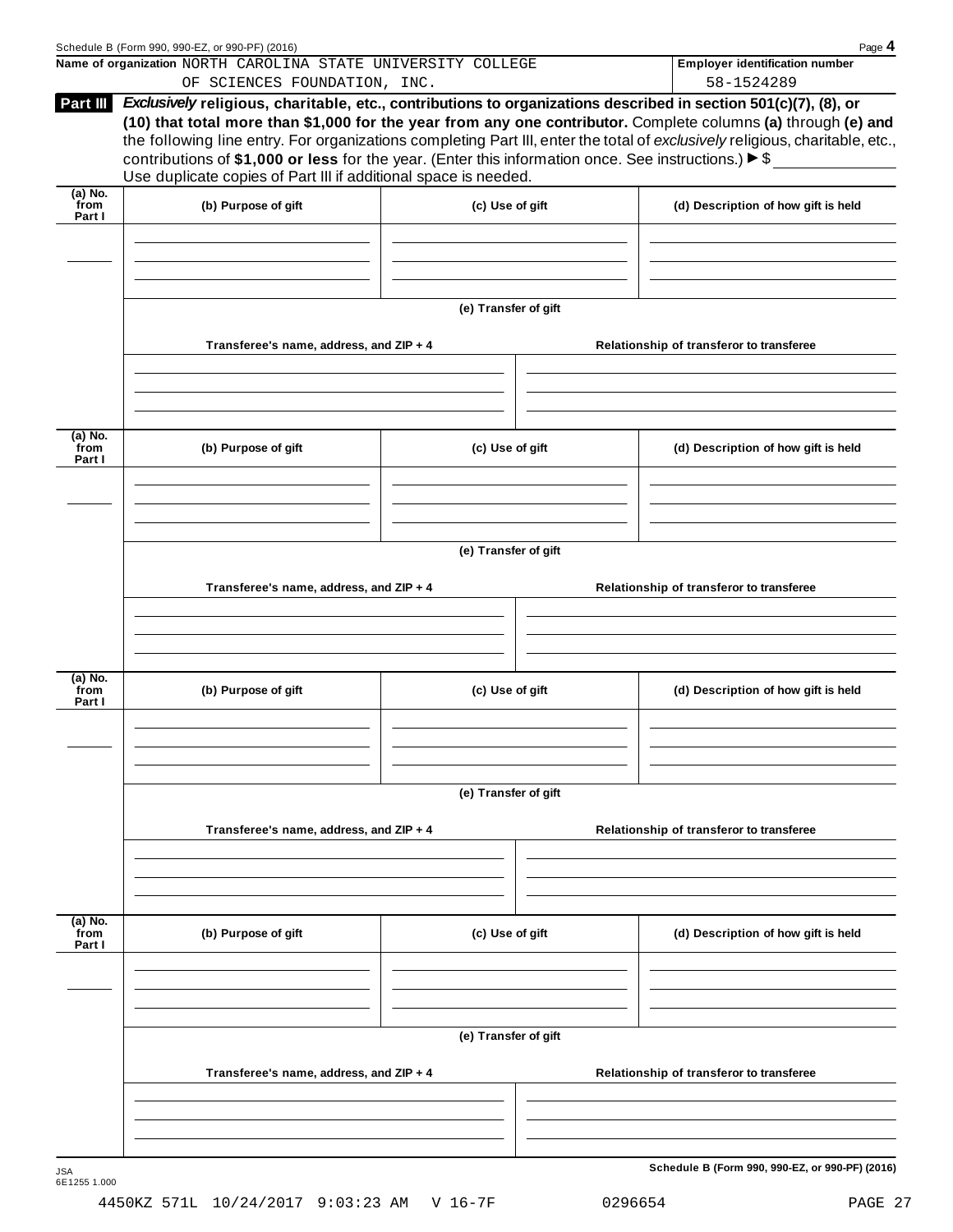|                              | Schedule B (Form 990, 990-EZ, or 990-PF) (2016)                                                                                                                                                                                                                                                                                                                                                                                                                          |                      |                                          | Page 4                                              |  |  |
|------------------------------|--------------------------------------------------------------------------------------------------------------------------------------------------------------------------------------------------------------------------------------------------------------------------------------------------------------------------------------------------------------------------------------------------------------------------------------------------------------------------|----------------------|------------------------------------------|-----------------------------------------------------|--|--|
|                              | Name of organization NORTH CAROLINA STATE UNIVERSITY COLLEGE<br>OF SCIENCES FOUNDATION, INC.                                                                                                                                                                                                                                                                                                                                                                             |                      |                                          | <b>Employer identification number</b><br>58-1524289 |  |  |
| Part III                     | Exclusively religious, charitable, etc., contributions to organizations described in section 501(c)(7), (8), or<br>(10) that total more than \$1,000 for the year from any one contributor. Complete columns (a) through (e) and<br>the following line entry. For organizations completing Part III, enter the total of exclusively religious, charitable, etc.,<br>contributions of \$1,000 or less for the year. (Enter this information once. See instructions.) ▶ \$ |                      |                                          |                                                     |  |  |
| $(a)$ No.                    | Use duplicate copies of Part III if additional space is needed.                                                                                                                                                                                                                                                                                                                                                                                                          |                      |                                          |                                                     |  |  |
| from<br>Part I               | (b) Purpose of gift                                                                                                                                                                                                                                                                                                                                                                                                                                                      | (c) Use of gift      |                                          | (d) Description of how gift is held                 |  |  |
|                              |                                                                                                                                                                                                                                                                                                                                                                                                                                                                          | (e) Transfer of gift |                                          |                                                     |  |  |
|                              | Transferee's name, address, and ZIP + 4                                                                                                                                                                                                                                                                                                                                                                                                                                  |                      |                                          | Relationship of transferor to transferee            |  |  |
| $\overline{a}$ ) No.<br>from |                                                                                                                                                                                                                                                                                                                                                                                                                                                                          | (c) Use of gift      |                                          | (d) Description of how gift is held                 |  |  |
| Part I                       | (b) Purpose of gift                                                                                                                                                                                                                                                                                                                                                                                                                                                      |                      |                                          |                                                     |  |  |
|                              | (e) Transfer of gift                                                                                                                                                                                                                                                                                                                                                                                                                                                     |                      |                                          |                                                     |  |  |
|                              | Transferee's name, address, and ZIP + 4                                                                                                                                                                                                                                                                                                                                                                                                                                  |                      |                                          | Relationship of transferor to transferee            |  |  |
| $(a)$ No.<br>from<br>Part I  | (b) Purpose of gift<br>(c) Use of gift                                                                                                                                                                                                                                                                                                                                                                                                                                   |                      |                                          | (d) Description of how gift is held                 |  |  |
|                              |                                                                                                                                                                                                                                                                                                                                                                                                                                                                          |                      |                                          |                                                     |  |  |
|                              | Transferee's name, address, and ZIP + 4                                                                                                                                                                                                                                                                                                                                                                                                                                  | (e) Transfer of gift | Relationship of transferor to transferee |                                                     |  |  |
|                              |                                                                                                                                                                                                                                                                                                                                                                                                                                                                          |                      |                                          |                                                     |  |  |
| $(a)$ No.<br>from<br>Part I  | (b) Purpose of gift                                                                                                                                                                                                                                                                                                                                                                                                                                                      | (c) Use of gift      |                                          | (d) Description of how gift is held                 |  |  |
|                              |                                                                                                                                                                                                                                                                                                                                                                                                                                                                          |                      |                                          |                                                     |  |  |
|                              | (e) Transfer of gift                                                                                                                                                                                                                                                                                                                                                                                                                                                     |                      |                                          |                                                     |  |  |
|                              | Transferee's name, address, and ZIP + 4                                                                                                                                                                                                                                                                                                                                                                                                                                  |                      |                                          | Relationship of transferor to transferee            |  |  |
|                              |                                                                                                                                                                                                                                                                                                                                                                                                                                                                          |                      |                                          |                                                     |  |  |
| JSA<br>6E1255 1.000          |                                                                                                                                                                                                                                                                                                                                                                                                                                                                          |                      |                                          | Schedule B (Form 990, 990-EZ, or 990-PF) (2016)     |  |  |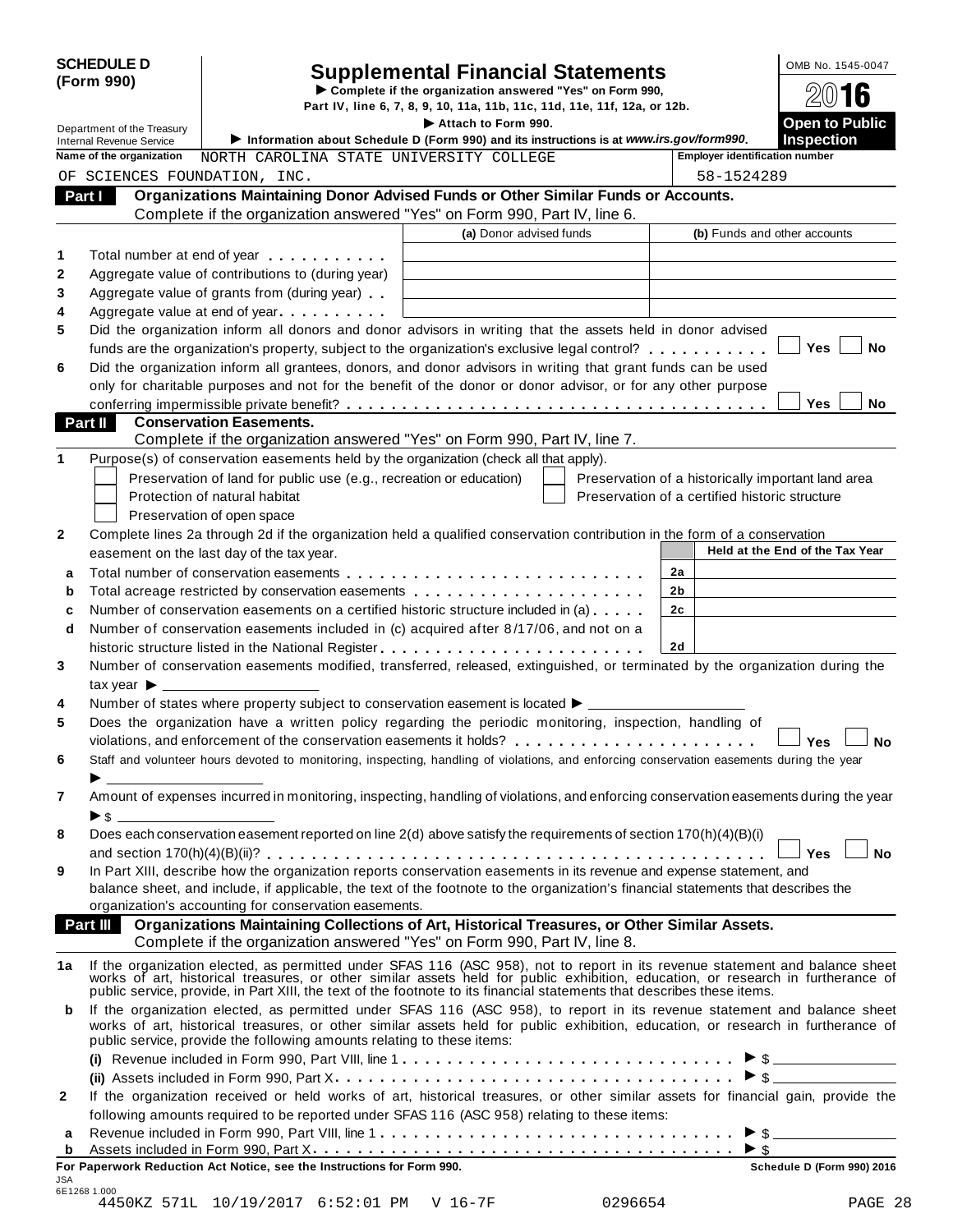|              | <b>SCHEDULE D</b><br>(Form 990)                               |                                                                                                                                                                                                                                | <b>Supplemental Financial Statements</b>                                                                                                                                                                                       |                                                    | OMB No. 1545-0047               |
|--------------|---------------------------------------------------------------|--------------------------------------------------------------------------------------------------------------------------------------------------------------------------------------------------------------------------------|--------------------------------------------------------------------------------------------------------------------------------------------------------------------------------------------------------------------------------|----------------------------------------------------|---------------------------------|
|              |                                                               |                                                                                                                                                                                                                                | Complete if the organization answered "Yes" on Form 990,                                                                                                                                                                       |                                                    | 16                              |
|              |                                                               |                                                                                                                                                                                                                                | Part IV, line 6, 7, 8, 9, 10, 11a, 11b, 11c, 11d, 11e, 11f, 12a, or 12b.<br>Attach to Form 990.                                                                                                                                |                                                    | <b>Open to Public</b>           |
|              | Department of the Treasury<br><b>Internal Revenue Service</b> |                                                                                                                                                                                                                                | Information about Schedule D (Form 990) and its instructions is at www.irs.gov/form990.                                                                                                                                        |                                                    | <b>Inspection</b>               |
|              | Name of the organization                                      | NORTH CAROLINA STATE UNIVERSITY COLLEGE                                                                                                                                                                                        |                                                                                                                                                                                                                                | <b>Employer identification number</b>              |                                 |
|              | OF SCIENCES FOUNDATION, INC.                                  |                                                                                                                                                                                                                                |                                                                                                                                                                                                                                | 58-1524289                                         |                                 |
|              | Part I                                                        |                                                                                                                                                                                                                                | Organizations Maintaining Donor Advised Funds or Other Similar Funds or Accounts.                                                                                                                                              |                                                    |                                 |
|              |                                                               |                                                                                                                                                                                                                                | Complete if the organization answered "Yes" on Form 990, Part IV, line 6.                                                                                                                                                      |                                                    |                                 |
|              |                                                               |                                                                                                                                                                                                                                | (a) Donor advised funds                                                                                                                                                                                                        |                                                    | (b) Funds and other accounts    |
| 1            |                                                               | Total number at end of year example and the set of the set of the set of the set of the set of the set of the set of the set of the set of the set of the set of the set of the set of the set of the set of the set of the se |                                                                                                                                                                                                                                |                                                    |                                 |
| $\mathbf{2}$ |                                                               | Aggregate value of contributions to (during year)                                                                                                                                                                              |                                                                                                                                                                                                                                |                                                    |                                 |
| 3            |                                                               | Aggregate value of grants from (during year)                                                                                                                                                                                   |                                                                                                                                                                                                                                |                                                    |                                 |
| 4            |                                                               | Aggregate value at end of year                                                                                                                                                                                                 |                                                                                                                                                                                                                                |                                                    |                                 |
| 5            |                                                               |                                                                                                                                                                                                                                | Did the organization inform all donors and donor advisors in writing that the assets held in donor advised                                                                                                                     |                                                    |                                 |
|              |                                                               |                                                                                                                                                                                                                                | funds are the organization's property, subject to the organization's exclusive legal control?                                                                                                                                  |                                                    | <b>Yes</b><br>No                |
| 6            |                                                               |                                                                                                                                                                                                                                | Did the organization inform all grantees, donors, and donor advisors in writing that grant funds can be used                                                                                                                   |                                                    |                                 |
|              |                                                               |                                                                                                                                                                                                                                | only for charitable purposes and not for the benefit of the donor or donor advisor, or for any other purpose                                                                                                                   |                                                    | <b>Yes</b><br>No.               |
|              | Part II                                                       | <b>Conservation Easements.</b>                                                                                                                                                                                                 |                                                                                                                                                                                                                                |                                                    |                                 |
|              |                                                               |                                                                                                                                                                                                                                | Complete if the organization answered "Yes" on Form 990, Part IV, line 7.                                                                                                                                                      |                                                    |                                 |
| 1            |                                                               |                                                                                                                                                                                                                                | Purpose(s) of conservation easements held by the organization (check all that apply).                                                                                                                                          |                                                    |                                 |
|              |                                                               | Preservation of land for public use (e.g., recreation or education)                                                                                                                                                            |                                                                                                                                                                                                                                | Preservation of a historically important land area |                                 |
|              |                                                               | Protection of natural habitat                                                                                                                                                                                                  |                                                                                                                                                                                                                                | Preservation of a certified historic structure     |                                 |
|              |                                                               | Preservation of open space                                                                                                                                                                                                     |                                                                                                                                                                                                                                |                                                    |                                 |
| $\mathbf{2}$ |                                                               |                                                                                                                                                                                                                                | Complete lines 2a through 2d if the organization held a qualified conservation contribution in the form of a conservation                                                                                                      |                                                    |                                 |
|              |                                                               | easement on the last day of the tax year.                                                                                                                                                                                      |                                                                                                                                                                                                                                |                                                    | Held at the End of the Tax Year |
| a            |                                                               |                                                                                                                                                                                                                                |                                                                                                                                                                                                                                | 2a                                                 |                                 |
| b            |                                                               |                                                                                                                                                                                                                                | Total acreage restricted by conservation easements                                                                                                                                                                             | 2 <sub>b</sub>                                     |                                 |
| c            |                                                               |                                                                                                                                                                                                                                | Number of conservation easements on a certified historic structure included in (a)                                                                                                                                             | 2c                                                 |                                 |
| d            |                                                               |                                                                                                                                                                                                                                | Number of conservation easements included in (c) acquired after 8/17/06, and not on a                                                                                                                                          |                                                    |                                 |
|              |                                                               |                                                                                                                                                                                                                                |                                                                                                                                                                                                                                | 2d                                                 |                                 |
| 3            |                                                               |                                                                                                                                                                                                                                | Number of conservation easements modified, transferred, released, extinguished, or terminated by the organization during the                                                                                                   |                                                    |                                 |
|              | tax year $\blacktriangleright$                                |                                                                                                                                                                                                                                |                                                                                                                                                                                                                                |                                                    |                                 |
| 4            |                                                               |                                                                                                                                                                                                                                |                                                                                                                                                                                                                                |                                                    |                                 |
| 5            |                                                               |                                                                                                                                                                                                                                | Does the organization have a written policy regarding the periodic monitoring, inspection, handling of                                                                                                                         |                                                    |                                 |
|              |                                                               |                                                                                                                                                                                                                                |                                                                                                                                                                                                                                |                                                    | Yes<br>No                       |
| 6            |                                                               |                                                                                                                                                                                                                                | Staff and volunteer hours devoted to monitoring, inspecting, handling of violations, and enforcing conservation easements during the year                                                                                      |                                                    |                                 |
|              |                                                               |                                                                                                                                                                                                                                | Amount of expenses incurred in monitoring, inspecting, handling of violations, and enforcing conservation easements during the year                                                                                            |                                                    |                                 |
| 7            |                                                               |                                                                                                                                                                                                                                |                                                                                                                                                                                                                                |                                                    |                                 |
| 8            | $\triangleright$ \$                                           |                                                                                                                                                                                                                                | Does each conservation easement reported on line 2(d) above satisfy the requirements of section 170(h)(4)(B)(i)                                                                                                                |                                                    |                                 |
|              |                                                               |                                                                                                                                                                                                                                |                                                                                                                                                                                                                                |                                                    | <b>No</b><br>」Yes               |
| 9            |                                                               |                                                                                                                                                                                                                                | In Part XIII, describe how the organization reports conservation easements in its revenue and expense statement, and                                                                                                           |                                                    |                                 |
|              |                                                               |                                                                                                                                                                                                                                | balance sheet, and include, if applicable, the text of the footnote to the organization's financial statements that describes the                                                                                              |                                                    |                                 |
|              |                                                               | organization's accounting for conservation easements.                                                                                                                                                                          |                                                                                                                                                                                                                                |                                                    |                                 |
|              | Part III                                                      |                                                                                                                                                                                                                                | Organizations Maintaining Collections of Art, Historical Treasures, or Other Similar Assets.                                                                                                                                   |                                                    |                                 |
|              |                                                               |                                                                                                                                                                                                                                | Complete if the organization answered "Yes" on Form 990, Part IV, line 8.                                                                                                                                                      |                                                    |                                 |
| 1a           |                                                               |                                                                                                                                                                                                                                | If the organization elected, as permitted under SFAS 116 (ASC 958), not to report in its revenue statement and balance sheet works of art, historical treasures, or other similar assets held for public exhibition, education |                                                    |                                 |
|              |                                                               |                                                                                                                                                                                                                                | public service, provide, in Part XIII, the text of the footnote to its financial statements that describes these items.                                                                                                        |                                                    |                                 |
| b            |                                                               |                                                                                                                                                                                                                                | If the organization elected, as permitted under SFAS 116 (ASC 958), to report in its revenue statement and balance sheet                                                                                                       |                                                    |                                 |
|              |                                                               | public service, provide the following amounts relating to these items:                                                                                                                                                         | works of art, historical treasures, or other similar assets held for public exhibition, education, or research in furtherance of                                                                                               |                                                    |                                 |
|              |                                                               |                                                                                                                                                                                                                                |                                                                                                                                                                                                                                |                                                    |                                 |
|              |                                                               |                                                                                                                                                                                                                                |                                                                                                                                                                                                                                |                                                    |                                 |
| $\mathbf{2}$ |                                                               |                                                                                                                                                                                                                                | If the organization received or held works of art, historical treasures, or other similar assets for financial gain, provide the                                                                                               |                                                    |                                 |
|              |                                                               |                                                                                                                                                                                                                                | following amounts required to be reported under SFAS 116 (ASC 958) relating to these items:                                                                                                                                    |                                                    |                                 |
| a            |                                                               |                                                                                                                                                                                                                                |                                                                                                                                                                                                                                |                                                    | $\triangleright$ \$             |
| b            |                                                               |                                                                                                                                                                                                                                |                                                                                                                                                                                                                                | $\blacktriangleright$ \$                           |                                 |
|              |                                                               | For Paperwork Reduction Act Notice, see the Instructions for Form 990.                                                                                                                                                         |                                                                                                                                                                                                                                |                                                    | Schedule D (Form 990) 2016      |
| JSA          | 6E1268 1.000                                                  |                                                                                                                                                                                                                                |                                                                                                                                                                                                                                |                                                    |                                 |

| 4450KZ 571L 10/19/2017 6:52:01 PM V 16-7F | 0296654 | PAGE 28 |
|-------------------------------------------|---------|---------|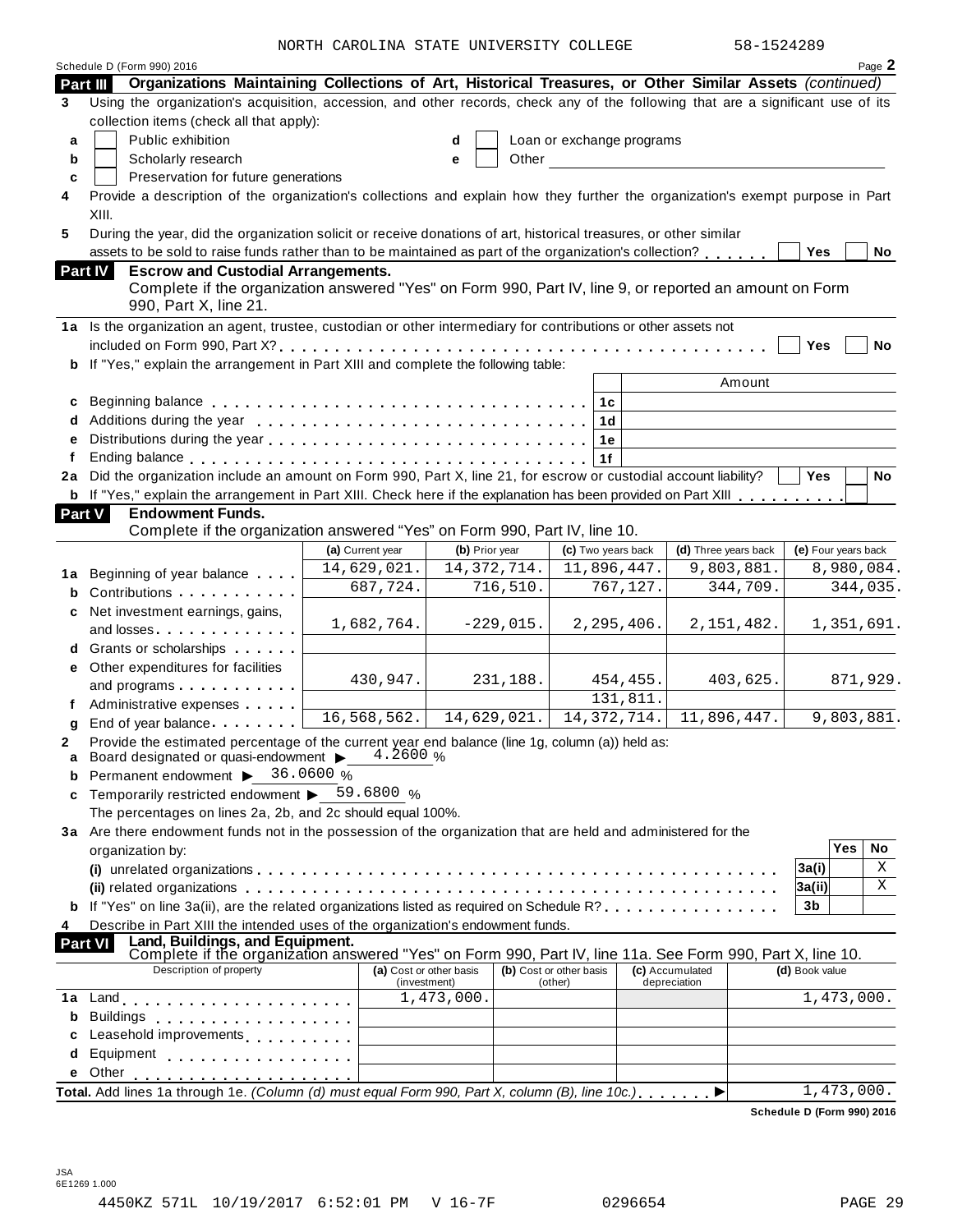NORTH CAROLINA STATE UNIVERSITY COLLEGE 58-15242

|               | Schedule D (Form 990) 2016                                                                                                                                                                                                     | NURIA CARUBINA SIAIB UNIVERSIII CUBBUB  |                |             |                                    |                    |                                                       | コローエコムコムロフ   |                | Page 2                     |
|---------------|--------------------------------------------------------------------------------------------------------------------------------------------------------------------------------------------------------------------------------|-----------------------------------------|----------------|-------------|------------------------------------|--------------------|-------------------------------------------------------|--------------|----------------|----------------------------|
| Part III      | Organizations Maintaining Collections of Art, Historical Treasures, or Other Similar Assets (continued)                                                                                                                        |                                         |                |             |                                    |                    |                                                       |              |                |                            |
| 3             | Using the organization's acquisition, accession, and other records, check any of the following that are a significant use of its                                                                                               |                                         |                |             |                                    |                    |                                                       |              |                |                            |
|               | collection items (check all that apply):                                                                                                                                                                                       |                                         |                |             |                                    |                    |                                                       |              |                |                            |
| a             | Public exhibition                                                                                                                                                                                                              |                                         | d              |             | Loan or exchange programs          |                    |                                                       |              |                |                            |
| b             | Scholarly research                                                                                                                                                                                                             |                                         | е              | Other       |                                    |                    | <u> 1980 - Jan Stein Berlin, amerikansk politiker</u> |              |                |                            |
| C             | Preservation for future generations                                                                                                                                                                                            |                                         |                |             |                                    |                    |                                                       |              |                |                            |
| 4             | Provide a description of the organization's collections and explain how they further the organization's exempt purpose in Part                                                                                                 |                                         |                |             |                                    |                    |                                                       |              |                |                            |
|               | XIII.                                                                                                                                                                                                                          |                                         |                |             |                                    |                    |                                                       |              |                |                            |
| 5             | During the year, did the organization solicit or receive donations of art, historical treasures, or other similar                                                                                                              |                                         |                |             |                                    |                    |                                                       |              |                |                            |
|               | assets to be sold to raise funds rather than to be maintained as part of the organization's collection?                                                                                                                        |                                         |                |             |                                    |                    |                                                       |              | Yes            | No                         |
|               | <b>Escrow and Custodial Arrangements.</b><br>Part IV                                                                                                                                                                           |                                         |                |             |                                    |                    |                                                       |              |                |                            |
|               | Complete if the organization answered "Yes" on Form 990, Part IV, line 9, or reported an amount on Form                                                                                                                        |                                         |                |             |                                    |                    |                                                       |              |                |                            |
|               | 990, Part X, line 21.                                                                                                                                                                                                          |                                         |                |             |                                    |                    |                                                       |              |                |                            |
|               | 1a Is the organization an agent, trustee, custodian or other intermediary for contributions or other assets not                                                                                                                |                                         |                |             |                                    |                    |                                                       |              |                |                            |
|               |                                                                                                                                                                                                                                |                                         |                |             |                                    |                    |                                                       |              | Yes            | No                         |
| b             | If "Yes," explain the arrangement in Part XIII and complete the following table:                                                                                                                                               |                                         |                |             |                                    |                    |                                                       |              |                |                            |
|               |                                                                                                                                                                                                                                |                                         |                |             |                                    |                    |                                                       | Amount       |                |                            |
| c             |                                                                                                                                                                                                                                |                                         |                |             | 1 <sub>c</sub>                     |                    |                                                       |              |                |                            |
| d             |                                                                                                                                                                                                                                |                                         |                |             |                                    | 1 <sub>d</sub>     |                                                       |              |                |                            |
| e             |                                                                                                                                                                                                                                |                                         |                |             |                                    | 1e                 |                                                       |              |                |                            |
| f             |                                                                                                                                                                                                                                |                                         |                |             | 1f                                 |                    |                                                       |              |                |                            |
| 2a            | Did the organization include an amount on Form 990, Part X, line 21, for escrow or custodial account liability?                                                                                                                |                                         |                |             |                                    |                    |                                                       |              | Yes            | No                         |
| b             | If "Yes," explain the arrangement in Part XIII. Check here if the explanation has been provided on Part XIII                                                                                                                   |                                         |                |             |                                    |                    |                                                       |              |                |                            |
| <b>Part V</b> | <b>Endowment Funds.</b>                                                                                                                                                                                                        |                                         |                |             |                                    |                    |                                                       |              |                |                            |
|               | Complete if the organization answered "Yes" on Form 990, Part IV, line 10.                                                                                                                                                     |                                         |                |             |                                    |                    |                                                       |              |                |                            |
|               |                                                                                                                                                                                                                                | (a) Current year                        | (b) Prior year |             |                                    | (c) Two years back | (d) Three years back                                  |              |                | (e) Four years back        |
|               | 1a Beginning of year balance                                                                                                                                                                                                   | 14,629,021.                             | 14, 372, 714.  |             |                                    | 11,896,447.        |                                                       | 9,803,881.   |                | 8,980,084.                 |
| b             | Contributions                                                                                                                                                                                                                  | $\overline{687,}724.$                   |                | 716,510.    |                                    | 767,127.           |                                                       | 344,709.     |                | 344,035.                   |
| c             | Net investment earnings, gains,                                                                                                                                                                                                |                                         |                |             |                                    |                    |                                                       |              |                |                            |
|               | and losses. The contract of the contract of the contract of the contract of the contract of the contract of the contract of the contract of the contract of the contract of the contract of the contract of the contract of th | 1,682,764.                              |                | $-229,015.$ |                                    | 2, 295, 406.       |                                                       | 2, 151, 482. |                | 1,351,691.                 |
|               | d Grants or scholarships                                                                                                                                                                                                       |                                         |                |             |                                    |                    |                                                       |              |                |                            |
|               | e Other expenditures for facilities                                                                                                                                                                                            | 430,947.                                |                | 231,188.    |                                    | 454,455.           |                                                       | 403,625.     |                | 871,929.                   |
|               | and programs                                                                                                                                                                                                                   |                                         |                |             |                                    | 131,811.           |                                                       |              |                |                            |
|               | Administrative expenses                                                                                                                                                                                                        | 16,568,562.                             | 14,629,021.    |             |                                    | 14, 372, 714.      | 11,896,447.                                           |              |                | 9,803,881.                 |
| g             | End of year balance                                                                                                                                                                                                            |                                         |                |             |                                    |                    |                                                       |              |                |                            |
|               | Provide the estimated percentage of the current year end balance (line 1g, column (a)) held as:<br>Board designated or quasi-endowment $\blacktriangleright$ 4.2600 %                                                          |                                         |                |             |                                    |                    |                                                       |              |                |                            |
| a             | Permanent endowment > 36.0600 %                                                                                                                                                                                                |                                         |                |             |                                    |                    |                                                       |              |                |                            |
| c             | Temporarily restricted endowment $\triangleright$ 59.6800 %                                                                                                                                                                    |                                         |                |             |                                    |                    |                                                       |              |                |                            |
|               | The percentages on lines 2a, 2b, and 2c should equal 100%.                                                                                                                                                                     |                                         |                |             |                                    |                    |                                                       |              |                |                            |
|               | 3a Are there endowment funds not in the possession of the organization that are held and administered for the                                                                                                                  |                                         |                |             |                                    |                    |                                                       |              |                |                            |
|               | organization by:                                                                                                                                                                                                               |                                         |                |             |                                    |                    |                                                       |              |                | <b>Yes</b><br>No           |
|               |                                                                                                                                                                                                                                |                                         |                |             |                                    |                    |                                                       |              | 3a(i)          | X                          |
|               |                                                                                                                                                                                                                                |                                         |                |             |                                    |                    |                                                       |              | 3a(ii)         | X                          |
|               | If "Yes" on line 3a(ii), are the related organizations listed as required on Schedule R?, , , , ,                                                                                                                              |                                         |                |             |                                    |                    |                                                       |              | 3b             |                            |
| 4             | Describe in Part XIII the intended uses of the organization's endowment funds.                                                                                                                                                 |                                         |                |             |                                    |                    |                                                       |              |                |                            |
|               | Land, Buildings, and Equipment.<br><b>Part VI</b>                                                                                                                                                                              |                                         |                |             |                                    |                    |                                                       |              |                |                            |
|               | Complete if the organization answered "Yes" on Form 990, Part IV, line 11a. See Form 990, Part X, line 10.                                                                                                                     |                                         |                |             |                                    |                    |                                                       |              |                |                            |
|               | Description of property                                                                                                                                                                                                        | (a) Cost or other basis<br>(investment) |                |             | (b) Cost or other basis<br>(other) |                    | (c) Accumulated<br>depreciation                       |              | (d) Book value |                            |
| 1a            |                                                                                                                                                                                                                                |                                         | 1,473,000.     |             |                                    |                    |                                                       |              |                | 1,473,000.                 |
| b             | Buildings                                                                                                                                                                                                                      |                                         |                |             |                                    |                    |                                                       |              |                |                            |
|               | Leasehold improvements <b>Leasehold</b> improvements                                                                                                                                                                           |                                         |                |             |                                    |                    |                                                       |              |                |                            |
| d             | Equipment                                                                                                                                                                                                                      |                                         |                |             |                                    |                    |                                                       |              |                |                            |
| е             | Other                                                                                                                                                                                                                          |                                         |                |             |                                    |                    |                                                       |              |                |                            |
|               | Total. Add lines 1a through 1e. (Column (d) must equal Form 990, Part X, column (B), line 10c.)                                                                                                                                |                                         |                |             |                                    |                    |                                                       |              |                | 1,473,000.                 |
|               |                                                                                                                                                                                                                                |                                         |                |             |                                    |                    |                                                       |              |                | Schedule D (Form 990) 2016 |
|               |                                                                                                                                                                                                                                |                                         |                |             |                                    |                    |                                                       |              |                |                            |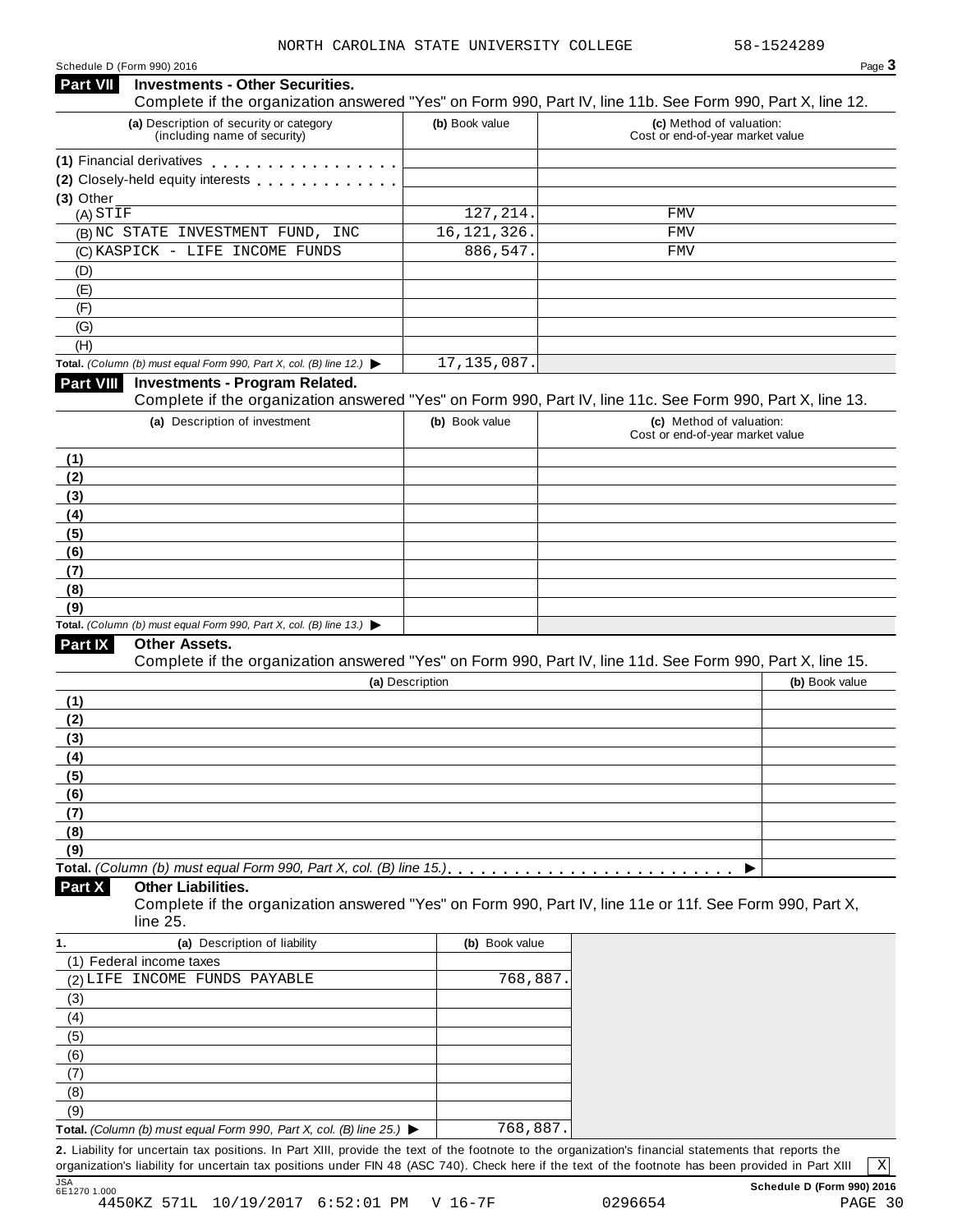| <b>Investments - Other Securities.</b><br><b>Part VII</b>                                |                 |                                                                                                            |
|------------------------------------------------------------------------------------------|-----------------|------------------------------------------------------------------------------------------------------------|
|                                                                                          |                 | Complete if the organization answered "Yes" on Form 990, Part IV, line 11b. See Form 990, Part X, line 12. |
| (a) Description of security or category<br>(including name of security)                  | (b) Book value  | (c) Method of valuation:<br>Cost or end-of-year market value                                               |
| (1) Financial derivatives                                                                |                 |                                                                                                            |
| (2) Closely-held equity interests                                                        |                 |                                                                                                            |
| (3) Other                                                                                |                 |                                                                                                            |
| (A) STIF                                                                                 | 127, 214.       | FMV                                                                                                        |
| (B) NC STATE INVESTMENT FUND, INC                                                        | 16, 121, 326.   | <b>FMV</b>                                                                                                 |
| (C) KASPICK - LIFE INCOME FUNDS                                                          | 886,547.        | FMV                                                                                                        |
| (D)                                                                                      |                 |                                                                                                            |
| (E)                                                                                      |                 |                                                                                                            |
| (F)                                                                                      |                 |                                                                                                            |
| (G)                                                                                      |                 |                                                                                                            |
| (H)                                                                                      |                 |                                                                                                            |
| Total. (Column (b) must equal Form 990, Part X, col. (B) line 12.) $\blacktriangleright$ | 17, 135, 087.   |                                                                                                            |
| <b>Part VIII</b><br><b>Investments - Program Related.</b>                                |                 |                                                                                                            |
|                                                                                          |                 | Complete if the organization answered "Yes" on Form 990, Part IV, line 11c. See Form 990, Part X, line 13. |
| (a) Description of investment                                                            | (b) Book value  | (c) Method of valuation:                                                                                   |
|                                                                                          |                 | Cost or end-of-year market value                                                                           |
| (1)                                                                                      |                 |                                                                                                            |
| (2)                                                                                      |                 |                                                                                                            |
|                                                                                          |                 |                                                                                                            |
| (3)                                                                                      |                 |                                                                                                            |
| (4)                                                                                      |                 |                                                                                                            |
| (5)                                                                                      |                 |                                                                                                            |
| (6)                                                                                      |                 |                                                                                                            |
| (7)                                                                                      |                 |                                                                                                            |
| (8)                                                                                      |                 |                                                                                                            |
| (9)                                                                                      |                 |                                                                                                            |
| Total. (Column (b) must equal Form 990, Part X, col. (B) line 13.) $\blacktriangleright$ |                 |                                                                                                            |
| Part IX<br>Other Assets.                                                                 |                 | Complete if the organization answered "Yes" on Form 990, Part IV, line 11d. See Form 990, Part X, line 15. |
|                                                                                          |                 |                                                                                                            |
|                                                                                          | (a) Description | (b) Book value                                                                                             |
| (1)                                                                                      |                 |                                                                                                            |
| (2)                                                                                      |                 |                                                                                                            |
| (3)                                                                                      |                 |                                                                                                            |
| (4)                                                                                      |                 |                                                                                                            |
| (5)                                                                                      |                 |                                                                                                            |
| (6)                                                                                      |                 |                                                                                                            |
| (7)                                                                                      |                 |                                                                                                            |
| (8)                                                                                      |                 |                                                                                                            |
| (9)                                                                                      |                 |                                                                                                            |
|                                                                                          |                 |                                                                                                            |
| <b>Other Liabilities.</b><br>Part X                                                      |                 |                                                                                                            |
|                                                                                          |                 | Complete if the organization answered "Yes" on Form 990, Part IV, line 11e or 11f. See Form 990, Part X,   |
| line 25.                                                                                 |                 |                                                                                                            |
| (a) Description of liability<br>1.                                                       | (b) Book value  |                                                                                                            |
| (1) Federal income taxes                                                                 |                 |                                                                                                            |
| (2) LIFE INCOME FUNDS PAYABLE                                                            | 768,887         |                                                                                                            |
| (3)                                                                                      |                 |                                                                                                            |
| (4)                                                                                      |                 |                                                                                                            |
|                                                                                          |                 |                                                                                                            |
| (5)                                                                                      |                 |                                                                                                            |
| (6)                                                                                      |                 |                                                                                                            |
| (7)                                                                                      |                 |                                                                                                            |
| (8)                                                                                      |                 |                                                                                                            |
| (9)                                                                                      |                 |                                                                                                            |
| Total. (Column (b) must equal Form 990, Part X, col. (B) line 25.) ▶                     | 768,887.        |                                                                                                            |

**2.** Liability for uncertain tax positions. In Part XIII, provide the text of the footnote to the organization's financial statements that reports the organization's liability for uncertain tax positions under FIN 48 (ASC 740). Check here ifthe text of the footnote has been provided in Part XIII

X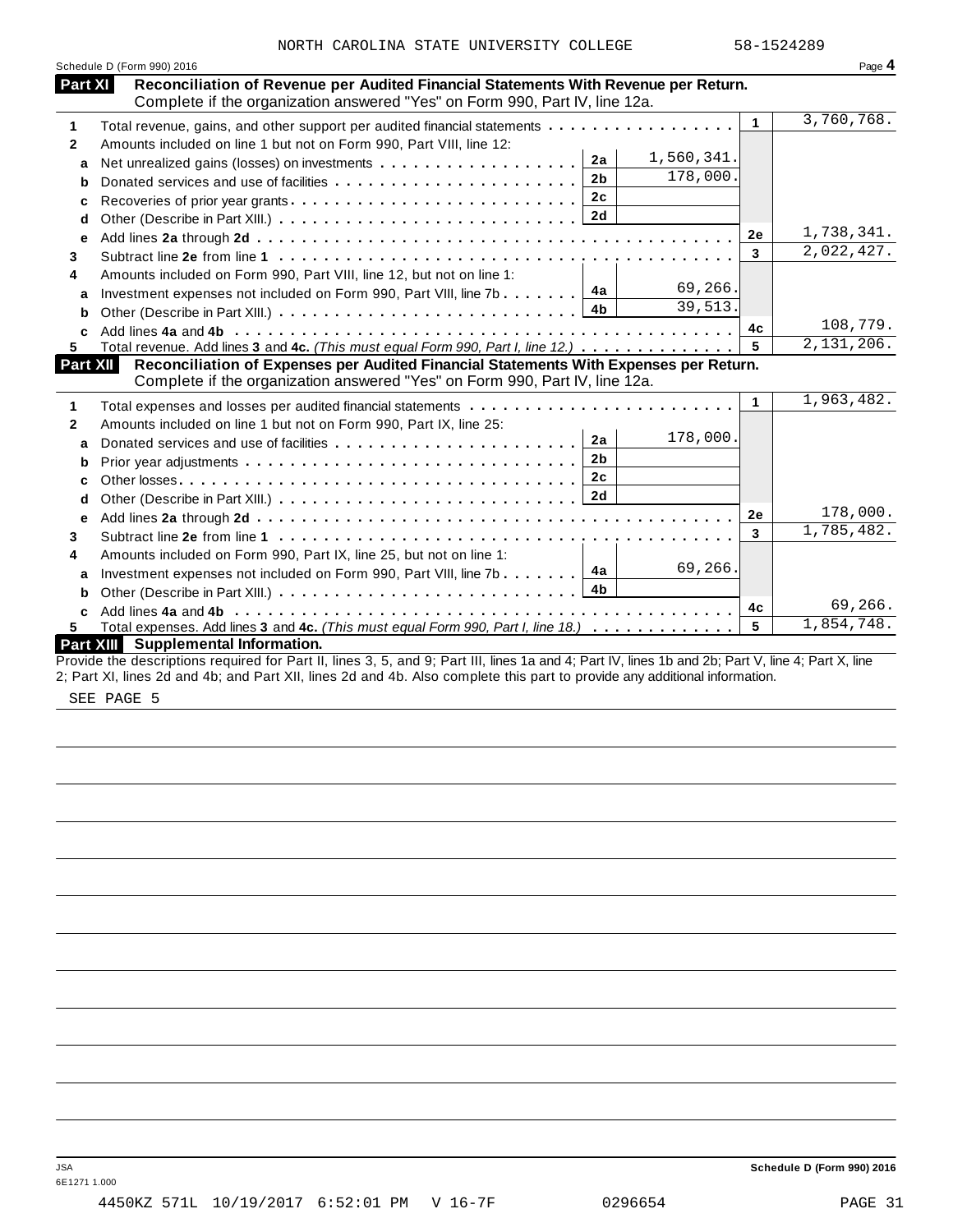| Part XI         | Schedule D (Form 990) 2016<br>Reconciliation of Revenue per Audited Financial Statements With Revenue per Return.                                                                                                                                                                |                         | Page 4     |
|-----------------|----------------------------------------------------------------------------------------------------------------------------------------------------------------------------------------------------------------------------------------------------------------------------------|-------------------------|------------|
|                 | Complete if the organization answered "Yes" on Form 990, Part IV, line 12a.                                                                                                                                                                                                      |                         |            |
| 1               | Total revenue, gains, and other support per audited financial statements                                                                                                                                                                                                         | $\mathbf{1}$            | 3,760,768. |
| $\mathbf{2}$    | Amounts included on line 1 but not on Form 990, Part VIII, line 12:                                                                                                                                                                                                              |                         |            |
| a               | 1,560,341.<br>2a                                                                                                                                                                                                                                                                 |                         |            |
| b               | 178,000.<br>2 <sub>b</sub><br>Donated services and use of facilities                                                                                                                                                                                                             |                         |            |
| c               | 2c<br>Recoveries of prior year grants                                                                                                                                                                                                                                            |                         |            |
| d               |                                                                                                                                                                                                                                                                                  |                         |            |
| е               |                                                                                                                                                                                                                                                                                  | 2e                      | 1,738,341. |
| 3               |                                                                                                                                                                                                                                                                                  | $\overline{3}$          | 2,022,427. |
| 4               | Amounts included on Form 990, Part VIII, line 12, but not on line 1:                                                                                                                                                                                                             |                         |            |
| a               | 69,266.<br>4a<br>Investment expenses not included on Form 990, Part VIII, line 7b                                                                                                                                                                                                |                         |            |
| b               | 39,513.<br>4b                                                                                                                                                                                                                                                                    |                         |            |
|                 |                                                                                                                                                                                                                                                                                  | 4c                      | 108,779.   |
| 5.              | Total revenue. Add lines 3 and 4c. (This must equal Form 990, Part I, line 12.)                                                                                                                                                                                                  | 5                       | 2,131,206. |
| <b>Part XII</b> | Reconciliation of Expenses per Audited Financial Statements With Expenses per Return.                                                                                                                                                                                            |                         |            |
|                 | Complete if the organization answered "Yes" on Form 990, Part IV, line 12a.                                                                                                                                                                                                      |                         | 1,963,482. |
| 1               | Total expenses and losses per audited financial statements                                                                                                                                                                                                                       | $\mathbf{1}$            |            |
| $\mathbf{2}$    | Amounts included on line 1 but not on Form 990, Part IX, line 25:<br>178,000.                                                                                                                                                                                                    |                         |            |
| a               | 2a                                                                                                                                                                                                                                                                               |                         |            |
| b               | 2 <sub>b</sub>                                                                                                                                                                                                                                                                   |                         |            |
| c               | 2 <sub>c</sub>                                                                                                                                                                                                                                                                   |                         |            |
| d               | 2d                                                                                                                                                                                                                                                                               |                         |            |
| е               |                                                                                                                                                                                                                                                                                  | 2e                      | 178,000.   |
| 3               |                                                                                                                                                                                                                                                                                  | $\overline{\mathbf{3}}$ | 1,785,482. |
| 4               | Amounts included on Form 990, Part IX, line 25, but not on line 1:                                                                                                                                                                                                               |                         |            |
| a               | 69,266<br>4a<br>Investment expenses not included on Form 990, Part VIII, line 7b                                                                                                                                                                                                 |                         |            |
| b               | 4b                                                                                                                                                                                                                                                                               |                         |            |
| C               |                                                                                                                                                                                                                                                                                  | 4c                      | 69,266.    |
| 5.              | Total expenses. Add lines 3 and 4c. (This must equal Form 990, Part I, line 18.)                                                                                                                                                                                                 | 5                       | 1,854,748. |
|                 | <b>Part XIII</b><br><b>Supplemental Information.</b>                                                                                                                                                                                                                             |                         |            |
|                 | Provide the descriptions required for Part II, lines 3, 5, and 9; Part III, lines 1a and 4; Part IV, lines 1b and 2b; Part V, line 4; Part X, line<br>2; Part XI, lines 2d and 4b; and Part XII, lines 2d and 4b. Also complete this part to provide any additional information. |                         |            |

SEE PAGE 5

JSA **Schedule D (Form 990) 2016**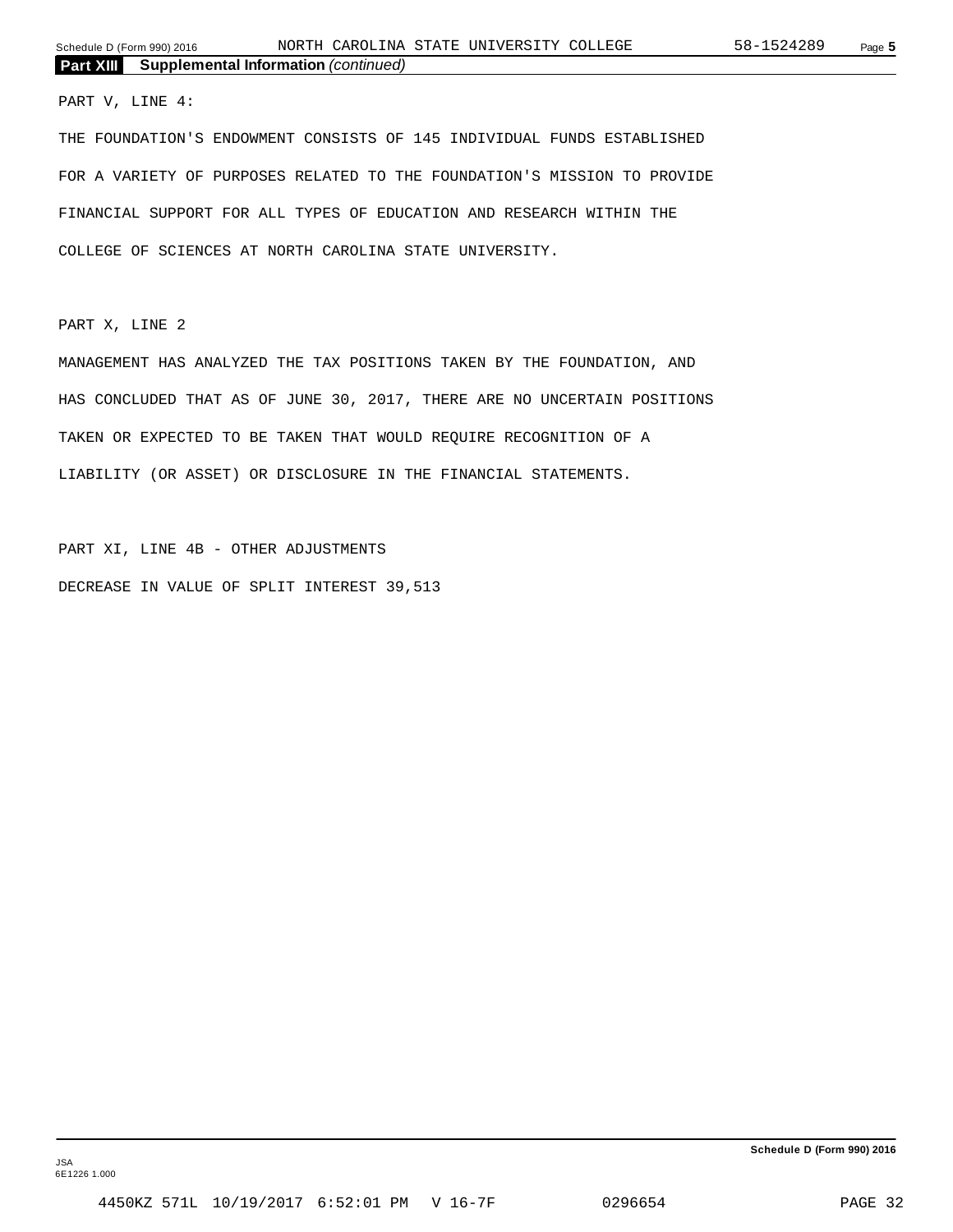#### PART V, LINE 4:

THE FOUNDATION'S ENDOWMENT CONSISTS OF 145 INDIVIDUAL FUNDS ESTABLISHED FOR A VARIETY OF PURPOSES RELATED TO THE FOUNDATION'S MISSION TO PROVIDE FINANCIAL SUPPORT FOR ALL TYPES OF EDUCATION AND RESEARCH WITHIN THE COLLEGE OF SCIENCES AT NORTH CAROLINA STATE UNIVERSITY.

PART X, LINE 2

MANAGEMENT HAS ANALYZED THE TAX POSITIONS TAKEN BY THE FOUNDATION, AND HAS CONCLUDED THAT AS OF JUNE 30, 2017, THERE ARE NO UNCERTAIN POSITIONS TAKEN OR EXPECTED TO BE TAKEN THAT WOULD REQUIRE RECOGNITION OF A LIABILITY (OR ASSET) OR DISCLOSURE IN THE FINANCIAL STATEMENTS.

PART XI, LINE 4B - OTHER ADJUSTMENTS DECREASE IN VALUE OF SPLIT INTEREST 39,513

**Schedule D (Form 990) 2016**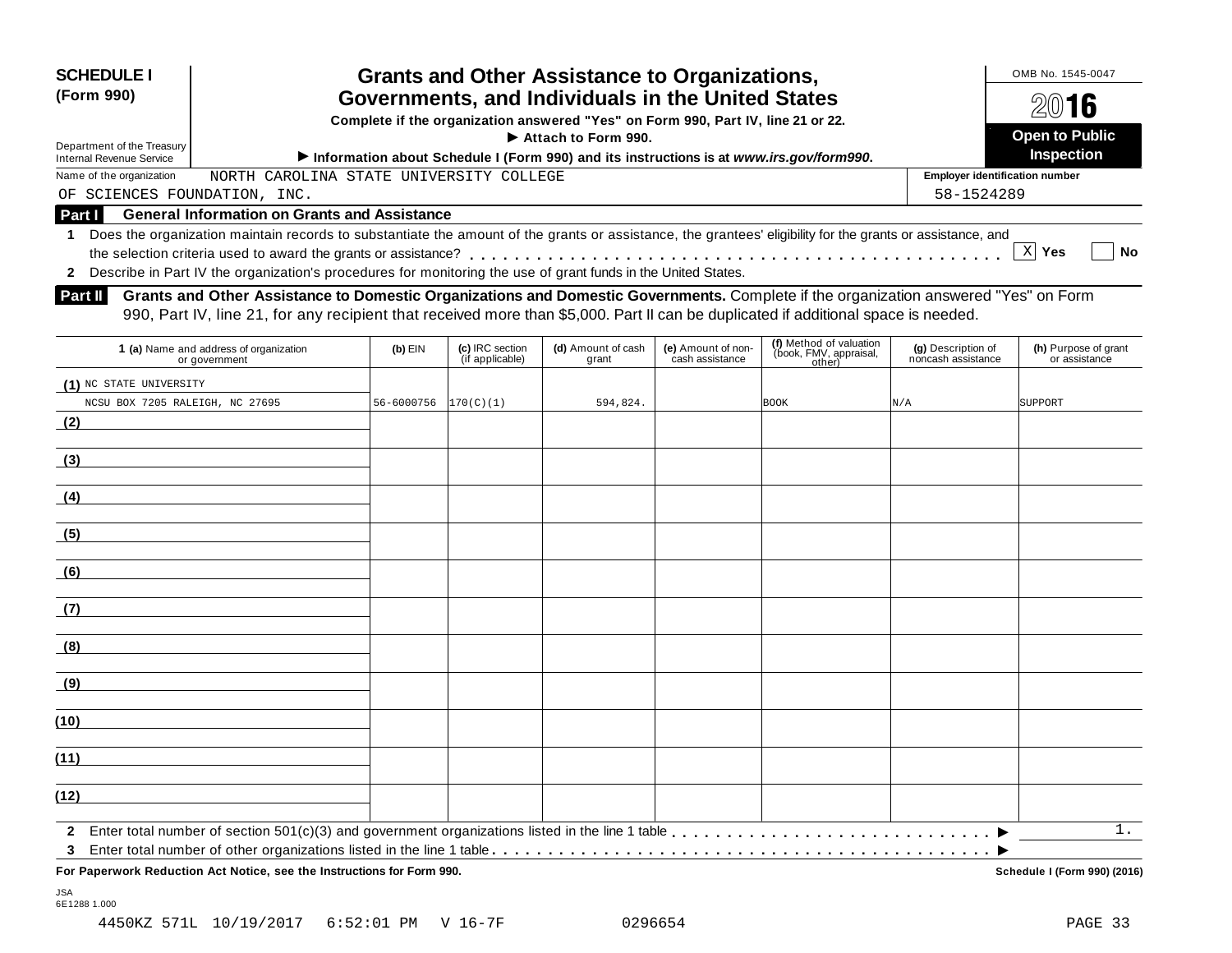| <b>SCHEDULE I</b><br><b>Grants and Other Assistance to Organizations,</b><br>Governments, and Individuals in the United States<br>(Form 990)<br>Complete if the organization answered "Yes" on Form 990, Part IV, line 21 or 22.<br>$\blacktriangleright$ Attach to Form 990.<br>Department of the Treasury<br>Information about Schedule I (Form 990) and its instructions is at www.irs.gov/form990.<br><b>Internal Revenue Service</b> |                                                                                                                                                                                                                                                                             |           |                                      |                             |                                       |                                                   | OMB No. 1545-0047<br>2016<br><b>Open to Public</b><br><b>Inspection</b> |                                       |
|-------------------------------------------------------------------------------------------------------------------------------------------------------------------------------------------------------------------------------------------------------------------------------------------------------------------------------------------------------------------------------------------------------------------------------------------|-----------------------------------------------------------------------------------------------------------------------------------------------------------------------------------------------------------------------------------------------------------------------------|-----------|--------------------------------------|-----------------------------|---------------------------------------|---------------------------------------------------|-------------------------------------------------------------------------|---------------------------------------|
| Name of the organization                                                                                                                                                                                                                                                                                                                                                                                                                  | CAROLINA STATE<br>NORTH                                                                                                                                                                                                                                                     |           | UNIVERSITY COLLEGE                   |                             |                                       |                                                   | <b>Employer identification number</b>                                   |                                       |
| OF                                                                                                                                                                                                                                                                                                                                                                                                                                        | SCIENCES FOUNDATION, INC.                                                                                                                                                                                                                                                   |           |                                      |                             |                                       |                                                   | 58-1524289                                                              |                                       |
| <b>Part I</b>                                                                                                                                                                                                                                                                                                                                                                                                                             | <b>General Information on Grants and Assistance</b>                                                                                                                                                                                                                         |           |                                      |                             |                                       |                                                   |                                                                         |                                       |
|                                                                                                                                                                                                                                                                                                                                                                                                                                           | Does the organization maintain records to substantiate the amount of the grants or assistance, the grantees' eligibility for the grants or assistance, and<br>Describe in Part IV the organization's procedures for monitoring the use of grant funds in the United States. |           |                                      |                             |                                       |                                                   |                                                                         | $X$ Yes<br><b>No</b>                  |
| Part II                                                                                                                                                                                                                                                                                                                                                                                                                                   | Grants and Other Assistance to Domestic Organizations and Domestic Governments. Complete if the organization answered "Yes" on Form<br>990, Part IV, line 21, for any recipient that received more than \$5,000. Part II can be duplicated if additional space is needed.   |           |                                      |                             |                                       |                                                   |                                                                         |                                       |
|                                                                                                                                                                                                                                                                                                                                                                                                                                           | (a) Name and address of organization<br>or anyornmont                                                                                                                                                                                                                       | $(b)$ EIN | (c) IRC section<br>$(i)$ annlicable) | (d) Amount of cash<br>arant | (e) Amount of non-<br>cach accietance | (f) Method of valuation<br>(book, FMV, appraisal, | (g) Description of<br>noncach accietance                                | (h) Purpose of grant<br>or accictance |

| <b>i</b> (a) ivalifie allo addiess of organization<br>or government | צוום (ש                                | <b>IC)</b> INC SECTION<br>(if applicable) | <b>(u)</b> Allivullt of Casti<br>grant | <b>(e)</b> Alliodite of Holl-<br>cash assistance | (book, FMV, appraisal,<br>other) | <b>(g)</b> Description of<br>noncash assistance | (ii) Fulpose of grant<br>or assistance |
|---------------------------------------------------------------------|----------------------------------------|-------------------------------------------|----------------------------------------|--------------------------------------------------|----------------------------------|-------------------------------------------------|----------------------------------------|
| (1) NC STATE UNIVERSITY                                             |                                        |                                           |                                        |                                                  |                                  |                                                 |                                        |
| NCSU BOX 7205 RALEIGH, NC 27695                                     | $56 - 6000756$ $\vert 170(C)(1) \vert$ |                                           | 594,824.                               |                                                  | <b>BOOK</b>                      | N/A                                             | SUPPORT                                |
| (2)                                                                 |                                        |                                           |                                        |                                                  |                                  |                                                 |                                        |
| (3)                                                                 |                                        |                                           |                                        |                                                  |                                  |                                                 |                                        |
| (4)                                                                 |                                        |                                           |                                        |                                                  |                                  |                                                 |                                        |
| (5)                                                                 |                                        |                                           |                                        |                                                  |                                  |                                                 |                                        |
| (6)                                                                 |                                        |                                           |                                        |                                                  |                                  |                                                 |                                        |
| (7)                                                                 |                                        |                                           |                                        |                                                  |                                  |                                                 |                                        |
| (8)                                                                 |                                        |                                           |                                        |                                                  |                                  |                                                 |                                        |
| (9)                                                                 |                                        |                                           |                                        |                                                  |                                  |                                                 |                                        |
| (10)                                                                |                                        |                                           |                                        |                                                  |                                  |                                                 |                                        |
| (11)                                                                |                                        |                                           |                                        |                                                  |                                  |                                                 |                                        |
| (12)                                                                |                                        |                                           |                                        |                                                  |                                  |                                                 |                                        |
|                                                                     |                                        |                                           |                                        |                                                  |                                  |                                                 | 1.                                     |
| $3^{\circ}$                                                         |                                        |                                           |                                        |                                                  |                                  |                                                 |                                        |

**For Paperwork Reduction Act Notice, see the Instructions for Form 990. Schedule I (Form 990) (2016)**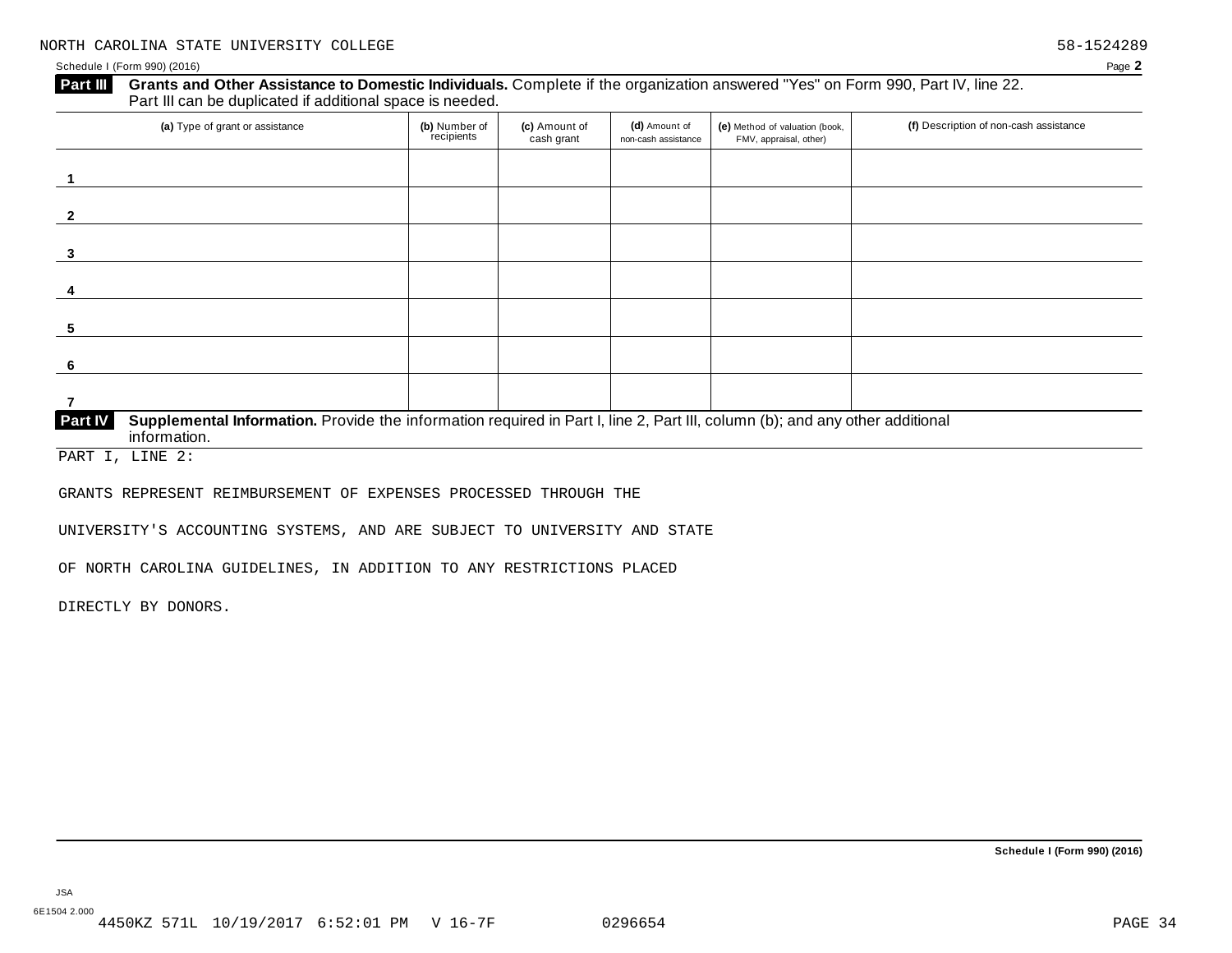#### Schedule I (Form 990) (2016) Page **2**

#### **Grants and Other Assistance to Domestic Individuals.** Complete ifthe organization answered "Yes" on Form 990, Part IV, line 22. **Part III** Grants and Other Assistance to Domestic Individuals<br>Part III can be duplicated if additional space is needed.

| (a) Type of grant or assistance                                                                                                                         | (b) Number of<br>recipients | (c) Amount of<br>cash grant | (d) Amount of<br>non-cash assistance | (e) Method of valuation (book,<br>FMV, appraisal, other) | (f) Description of non-cash assistance |
|---------------------------------------------------------------------------------------------------------------------------------------------------------|-----------------------------|-----------------------------|--------------------------------------|----------------------------------------------------------|----------------------------------------|
|                                                                                                                                                         |                             |                             |                                      |                                                          |                                        |
|                                                                                                                                                         |                             |                             |                                      |                                                          |                                        |
| 3                                                                                                                                                       |                             |                             |                                      |                                                          |                                        |
| 4                                                                                                                                                       |                             |                             |                                      |                                                          |                                        |
| -5                                                                                                                                                      |                             |                             |                                      |                                                          |                                        |
| -6                                                                                                                                                      |                             |                             |                                      |                                                          |                                        |
|                                                                                                                                                         |                             |                             |                                      |                                                          |                                        |
| Supplemental Information. Provide the information required in Part I, line 2, Part III, column (b); and any other additional<br>Part IV<br>information. |                             |                             |                                      |                                                          |                                        |

PART I, LINE 2:

GRANTS REPRESENT REIMBURSEMENT OF EXPENSES PROCESSED THROUGH THE

UNIVERSITY'S ACCOUNTING SYSTEMS, AND ARE SUBJECT TO UNIVERSITY AND STATE

OF NORTH CAROLINA GUIDELINES, IN ADDITION TO ANY RESTRICTIONS PLACED

DIRECTLY BY DONORS.

**Schedule I (Form 990) (2016)**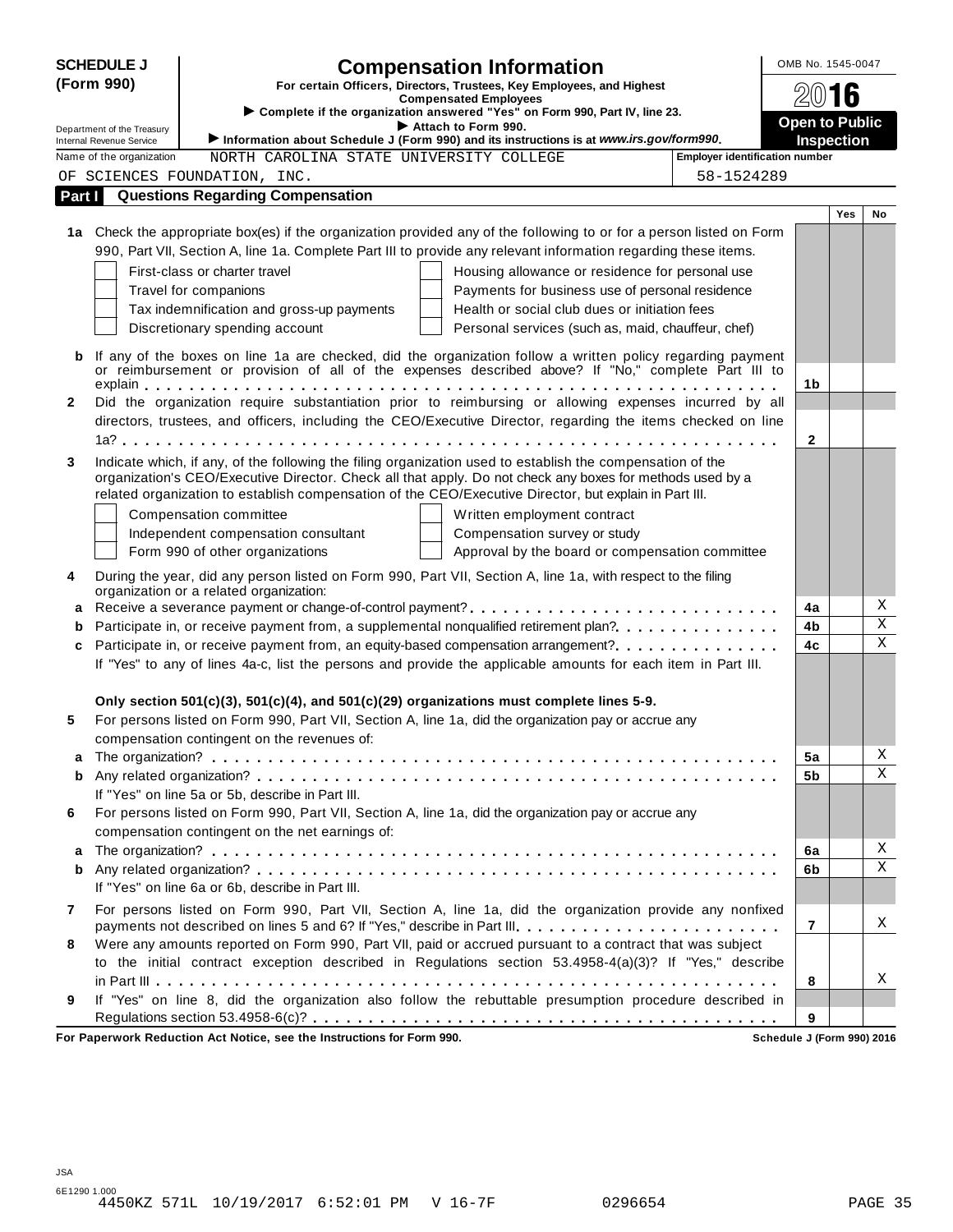| <b>SCHEDULE J</b> |                                                             |                                                                                                                                                                                                  | <b>Compensation Information</b>                                                                                                                                                                                       | OMB No. 1545-0047     |            |             |
|-------------------|-------------------------------------------------------------|--------------------------------------------------------------------------------------------------------------------------------------------------------------------------------------------------|-----------------------------------------------------------------------------------------------------------------------------------------------------------------------------------------------------------------------|-----------------------|------------|-------------|
| (Form 990)        |                                                             |                                                                                                                                                                                                  | For certain Officers, Directors, Trustees, Key Employees, and Highest                                                                                                                                                 |                       | 2016       |             |
|                   |                                                             | Complete if the organization answered "Yes" on Form 990, Part IV, line 23.                                                                                                                       | <b>Compensated Employees</b>                                                                                                                                                                                          |                       |            |             |
|                   | Department of the Treasury                                  | Attach to Form 990.                                                                                                                                                                              |                                                                                                                                                                                                                       | <b>Open to Public</b> |            |             |
|                   | <b>Internal Revenue Service</b><br>Name of the organization | Information about Schedule J (Form 990) and its instructions is at www.irs.gov/form990.<br>NORTH CAROLINA STATE UNIVERSITY COLLEGE                                                               | <b>Employer identification number</b>                                                                                                                                                                                 |                       | Inspection |             |
|                   |                                                             | OF SCIENCES FOUNDATION, INC.                                                                                                                                                                     | 58-1524289                                                                                                                                                                                                            |                       |            |             |
| Part I            |                                                             | <b>Questions Regarding Compensation</b>                                                                                                                                                          |                                                                                                                                                                                                                       |                       |            |             |
|                   |                                                             |                                                                                                                                                                                                  |                                                                                                                                                                                                                       |                       | <b>Yes</b> | No          |
|                   |                                                             |                                                                                                                                                                                                  | 1a Check the appropriate box(es) if the organization provided any of the following to or for a person listed on Form                                                                                                  |                       |            |             |
|                   |                                                             |                                                                                                                                                                                                  | 990, Part VII, Section A, line 1a. Complete Part III to provide any relevant information regarding these items.                                                                                                       |                       |            |             |
|                   |                                                             | First-class or charter travel                                                                                                                                                                    | Housing allowance or residence for personal use                                                                                                                                                                       |                       |            |             |
|                   |                                                             | Travel for companions                                                                                                                                                                            | Payments for business use of personal residence                                                                                                                                                                       |                       |            |             |
|                   |                                                             | Tax indemnification and gross-up payments                                                                                                                                                        | Health or social club dues or initiation fees                                                                                                                                                                         |                       |            |             |
|                   |                                                             | Discretionary spending account                                                                                                                                                                   | Personal services (such as, maid, chauffeur, chef)                                                                                                                                                                    |                       |            |             |
| b                 |                                                             |                                                                                                                                                                                                  | If any of the boxes on line 1a are checked, did the organization follow a written policy regarding payment                                                                                                            |                       |            |             |
|                   |                                                             |                                                                                                                                                                                                  | or reimbursement or provision of all of the expenses described above? If "No," complete Part III to                                                                                                                   |                       |            |             |
|                   |                                                             |                                                                                                                                                                                                  |                                                                                                                                                                                                                       | 1b                    |            |             |
| $\mathbf{2}$      |                                                             |                                                                                                                                                                                                  | Did the organization require substantiation prior to reimbursing or allowing expenses incurred by all<br>directors, trustees, and officers, including the CEO/Executive Director, regarding the items checked on line |                       |            |             |
|                   |                                                             |                                                                                                                                                                                                  |                                                                                                                                                                                                                       | $\mathbf{2}$          |            |             |
| 3                 |                                                             | Indicate which, if any, of the following the filing organization used to establish the compensation of the                                                                                       |                                                                                                                                                                                                                       |                       |            |             |
|                   |                                                             | organization's CEO/Executive Director. Check all that apply. Do not check any boxes for methods used by a                                                                                        |                                                                                                                                                                                                                       |                       |            |             |
|                   |                                                             | related organization to establish compensation of the CEO/Executive Director, but explain in Part III.                                                                                           |                                                                                                                                                                                                                       |                       |            |             |
|                   |                                                             | Compensation committee                                                                                                                                                                           | Written employment contract                                                                                                                                                                                           |                       |            |             |
|                   |                                                             | Independent compensation consultant                                                                                                                                                              | Compensation survey or study                                                                                                                                                                                          |                       |            |             |
|                   |                                                             | Form 990 of other organizations                                                                                                                                                                  | Approval by the board or compensation committee                                                                                                                                                                       |                       |            |             |
| 4                 |                                                             | During the year, did any person listed on Form 990, Part VII, Section A, line 1a, with respect to the filing<br>organization or a related organization:                                          |                                                                                                                                                                                                                       |                       |            |             |
| а                 |                                                             |                                                                                                                                                                                                  | Receive a severance payment or change-of-control payment?                                                                                                                                                             | 4a                    |            | Χ           |
| b                 |                                                             |                                                                                                                                                                                                  | Participate in, or receive payment from, a supplemental nonqualified retirement plan?.                                                                                                                                | 4b                    |            | Χ           |
| c                 |                                                             |                                                                                                                                                                                                  | Participate in, or receive payment from, an equity-based compensation arrangement?                                                                                                                                    | 4c                    |            | $\mathbf X$ |
|                   |                                                             |                                                                                                                                                                                                  | If "Yes" to any of lines 4a-c, list the persons and provide the applicable amounts for each item in Part III.                                                                                                         |                       |            |             |
|                   |                                                             |                                                                                                                                                                                                  |                                                                                                                                                                                                                       |                       |            |             |
| 5                 |                                                             | Only section 501(c)(3), 501(c)(4), and 501(c)(29) organizations must complete lines 5-9.<br>For persons listed on Form 990, Part VII, Section A, line 1a, did the organization pay or accrue any |                                                                                                                                                                                                                       |                       |            |             |
|                   |                                                             | compensation contingent on the revenues of:                                                                                                                                                      |                                                                                                                                                                                                                       |                       |            |             |
| a                 |                                                             |                                                                                                                                                                                                  |                                                                                                                                                                                                                       | 5a                    |            | Χ           |
| b                 |                                                             |                                                                                                                                                                                                  |                                                                                                                                                                                                                       | 5b                    |            | Χ           |
|                   |                                                             | If "Yes" on line 5a or 5b, describe in Part III.                                                                                                                                                 |                                                                                                                                                                                                                       |                       |            |             |
| 6                 |                                                             | For persons listed on Form 990, Part VII, Section A, line 1a, did the organization pay or accrue any                                                                                             |                                                                                                                                                                                                                       |                       |            |             |
|                   |                                                             | compensation contingent on the net earnings of:                                                                                                                                                  |                                                                                                                                                                                                                       |                       |            |             |
| a                 |                                                             |                                                                                                                                                                                                  |                                                                                                                                                                                                                       | 6a                    |            | Χ           |
| b                 |                                                             |                                                                                                                                                                                                  |                                                                                                                                                                                                                       | 6b                    |            | X           |
|                   |                                                             | If "Yes" on line 6a or 6b, describe in Part III.                                                                                                                                                 |                                                                                                                                                                                                                       |                       |            |             |
| 7                 |                                                             |                                                                                                                                                                                                  | For persons listed on Form 990, Part VII, Section A, line 1a, did the organization provide any nonfixed<br>payments not described on lines 5 and 6? If "Yes," describe in Part III.                                   | 7                     |            | X           |
| 8                 |                                                             |                                                                                                                                                                                                  | Were any amounts reported on Form 990, Part VII, paid or accrued pursuant to a contract that was subject                                                                                                              |                       |            |             |
|                   |                                                             |                                                                                                                                                                                                  | to the initial contract exception described in Regulations section 53.4958-4(a)(3)? If "Yes," describe                                                                                                                |                       |            |             |
|                   |                                                             |                                                                                                                                                                                                  |                                                                                                                                                                                                                       | 8                     |            | Χ           |
| 9                 |                                                             |                                                                                                                                                                                                  | If "Yes" on line 8, did the organization also follow the rebuttable presumption procedure described in                                                                                                                |                       |            |             |
|                   |                                                             |                                                                                                                                                                                                  |                                                                                                                                                                                                                       | 9                     |            |             |

**For Paperwork Reduction Act Notice, see the Instructions for Form 990. Schedule J (Form 990) 2016**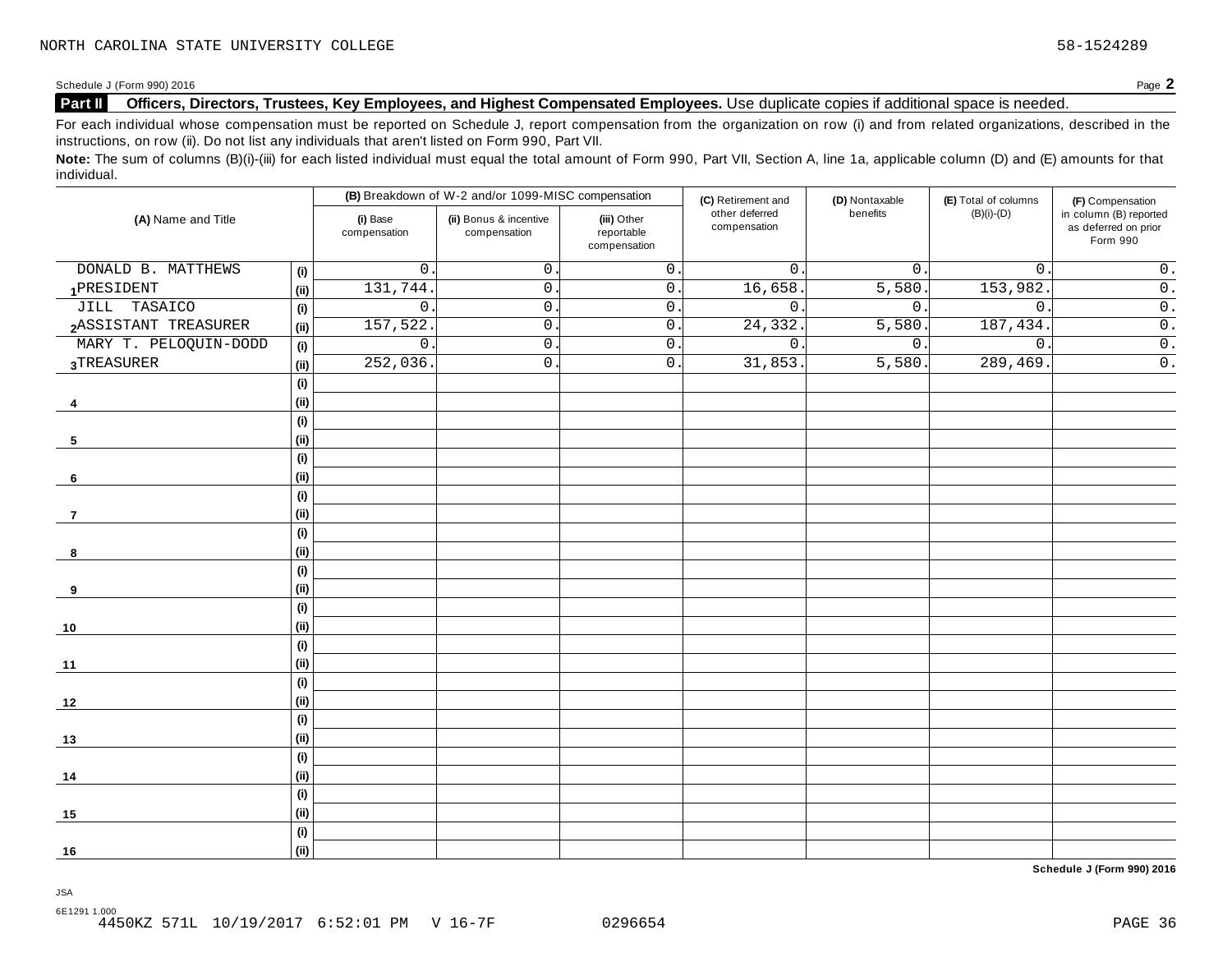#### **Part II Officers, Directors, Trustees, Key Employees, and Highest Compensated Employees.** Use duplicate copies ifadditional space is needed.

For each individual whose compensation must be reported on Schedule J, report compensation from the organization on row (i) and from related organizations, described in the instructions, on row (ii). Do not list any individuals that aren't listed on Form 990, Part VII.

Note: The sum of columns (B)(i)-(iii) for each listed individual must equal the total amount of Form 990, Part VII, Section A, line 1a, applicable column (D) and (E) amounts for that individual.

|                       |                              |                          | (B) Breakdown of W-2 and/or 1099-MISC compensation |                                           | (C) Retirement and             | (D) Nontaxable | (E) Total of columns | (F) Compensation                                           |
|-----------------------|------------------------------|--------------------------|----------------------------------------------------|-------------------------------------------|--------------------------------|----------------|----------------------|------------------------------------------------------------|
| (A) Name and Title    |                              | (i) Base<br>compensation | (ii) Bonus & incentive<br>compensation             | (iii) Other<br>reportable<br>compensation | other deferred<br>compensation | benefits       | $(B)(i)-(D)$         | in column (B) reported<br>as deferred on prior<br>Form 990 |
| DONALD B. MATTHEWS    | (i)                          | 0                        | $\mathsf{O}$ .                                     | $\overline{0}$ .                          | $\mathbf{0}$ .                 | $0$ .          | $\mathbf{0}$ .       | $0$ .                                                      |
| 1PRESIDENT            | (i)                          | 131,744                  | $\mathsf{O}$ .                                     | $\overline{0}$ .                          | 16,658                         | 5,580.         | 153,982.             | $\overline{0}$ .                                           |
| JILL TASAICO          | (i)                          | $\mathsf{O}$             | $\mathsf{O}$ .                                     | $\overline{0}$ .                          | $\overline{0}$ .               | 0.             | $\mathsf{O}$ .       | $\overline{0}$ .                                           |
| 2ASSISTANT TREASURER  | (ii)                         | 157,522                  | $\mathsf{O}$ .                                     | $\overline{0}$ .                          | 24, 332.                       | 5,580.         | 187,434.             | $\overline{0}$ .                                           |
| MARY T. PELOQUIN-DODD | (i)                          | $\mathbf 0$              | $\mathbf 0$                                        | $\mathsf 0$ .                             | $\mathbf 0$ .                  | 0.             | $\mathbf 0$ .        | $\overline{0}$ .                                           |
| 3TREASURER            | (i)                          | 252,036                  | $\mathsf{O}$ .                                     | $\overline{0}$ .                          | 31,853.                        | 5,580.         | 289,469              | $\overline{0}$ .                                           |
|                       | (i)                          |                          |                                                    |                                           |                                |                |                      |                                                            |
| 4                     | (i)                          |                          |                                                    |                                           |                                |                |                      |                                                            |
|                       | $\qquad \qquad \textbf{(i)}$ |                          |                                                    |                                           |                                |                |                      |                                                            |
| 5                     | (i)                          |                          |                                                    |                                           |                                |                |                      |                                                            |
|                       | (i)                          |                          |                                                    |                                           |                                |                |                      |                                                            |
| 6                     | (i)                          |                          |                                                    |                                           |                                |                |                      |                                                            |
|                       | (i)                          |                          |                                                    |                                           |                                |                |                      |                                                            |
| $\overline{7}$        | (i)                          |                          |                                                    |                                           |                                |                |                      |                                                            |
|                       | (i)                          |                          |                                                    |                                           |                                |                |                      |                                                            |
| 8                     | (i)                          |                          |                                                    |                                           |                                |                |                      |                                                            |
|                       | (i)                          |                          |                                                    |                                           |                                |                |                      |                                                            |
| 9                     | (ii)                         |                          |                                                    |                                           |                                |                |                      |                                                            |
|                       | (i)                          |                          |                                                    |                                           |                                |                |                      |                                                            |
| 10                    | (i)                          |                          |                                                    |                                           |                                |                |                      |                                                            |
|                       | (i)                          |                          |                                                    |                                           |                                |                |                      |                                                            |
| 11                    | (i)                          |                          |                                                    |                                           |                                |                |                      |                                                            |
|                       | (i)                          |                          |                                                    |                                           |                                |                |                      |                                                            |
| 12                    | (i)                          |                          |                                                    |                                           |                                |                |                      |                                                            |
|                       | (i)                          |                          |                                                    |                                           |                                |                |                      |                                                            |
| 13                    | (i)                          |                          |                                                    |                                           |                                |                |                      |                                                            |
|                       | (i)                          |                          |                                                    |                                           |                                |                |                      |                                                            |
| 14                    | (i)                          |                          |                                                    |                                           |                                |                |                      |                                                            |
|                       | (i)                          |                          |                                                    |                                           |                                |                |                      |                                                            |
| 15                    | (i)                          |                          |                                                    |                                           |                                |                |                      |                                                            |
|                       | (i)                          |                          |                                                    |                                           |                                |                |                      |                                                            |
| 16                    | (ii)                         |                          |                                                    |                                           |                                |                |                      |                                                            |

**Schedule J (Form 990) 2016**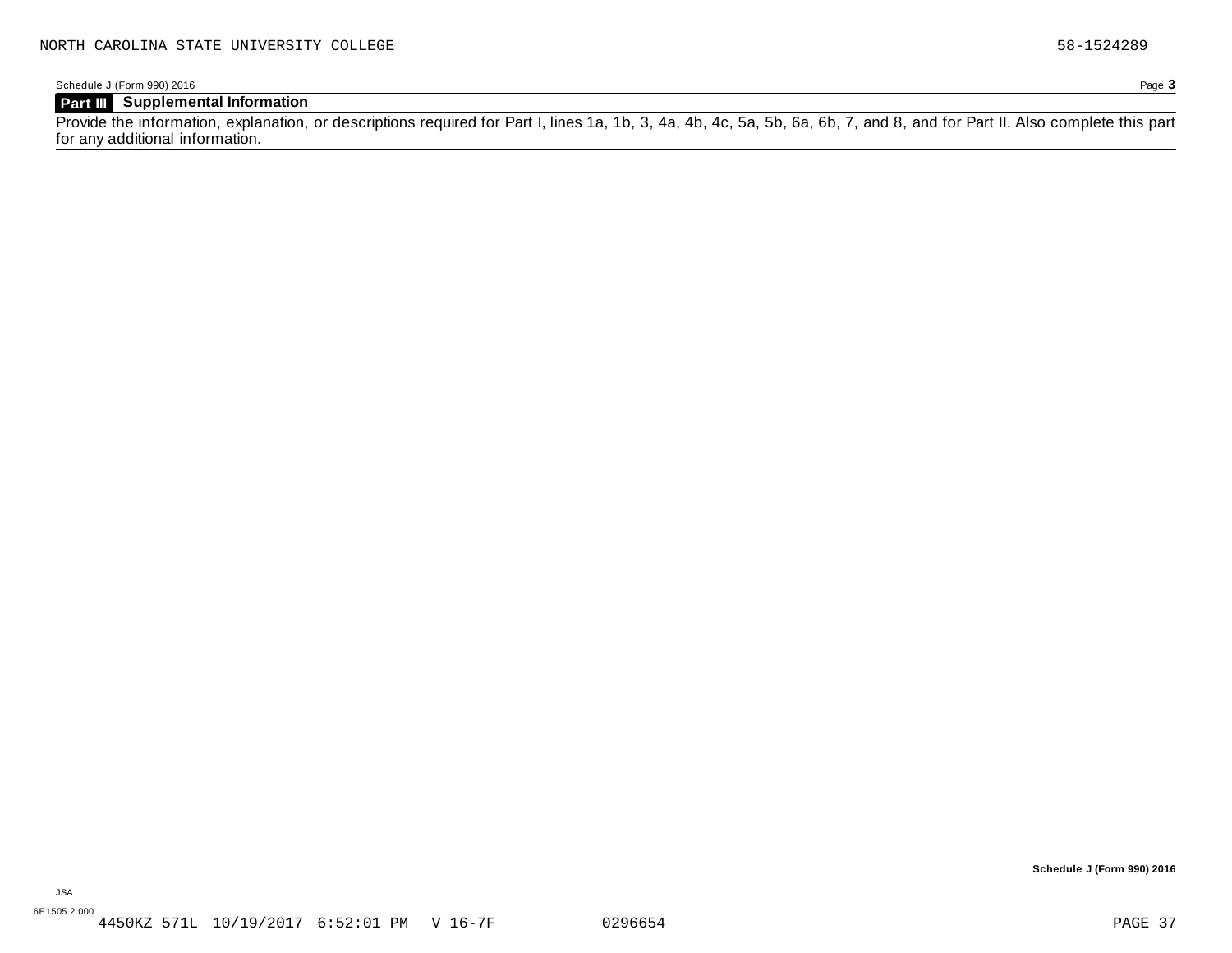Schedule J (Form 990) 2016 Page **3**

### **Part III Supplemental Information**

Provide the information, explanation, or descriptions required for Part I, lines 1a, 1b, 3, 4a, 4b, 4c, 5a, 5b, 6a, 6b, 7, and 8, and for Part II. Also complete this part for any additional information.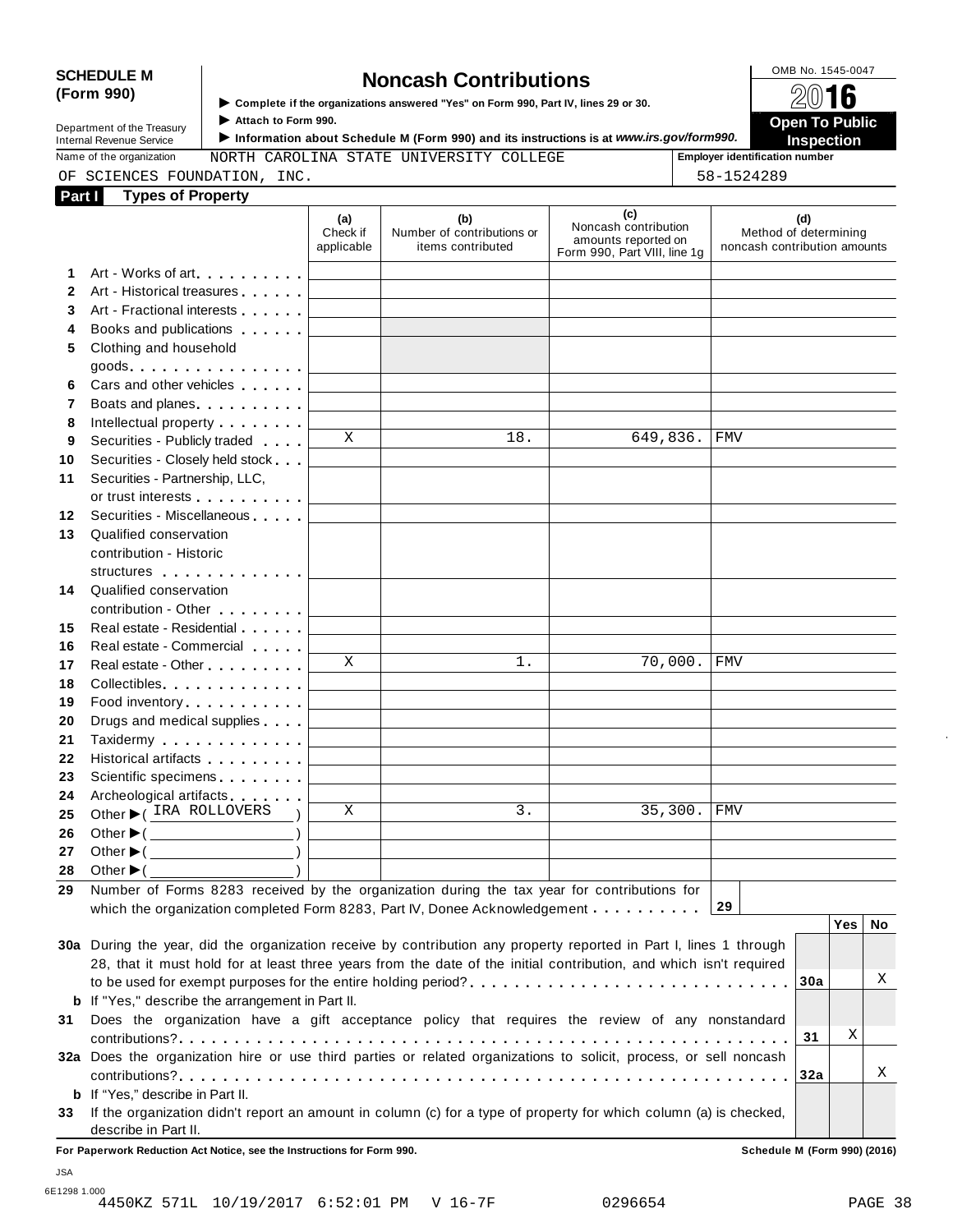# SCHEDULE M<br> **SCHEDULE** M **SOMB No. 1545-0047**<br>  $\bullet$  Complete if the organizations answered "Yes" on Form 990, Part IV, lines 29 or 30.

**(Form 990)** I **Complete if the organizations answered "Yes" on Form 990, Part IV, lines <sup>29</sup> or 30.** À¾µº

I ► Complete if the organizations answered "Yes" on Form 990, Part IV, lines 29 or 30.<br>Department of the Treasury Attach to Form 990.<br>Department of the Treasury Attach to Form 990. **Internal Revenue Service** ■ ■ → **Information about Schedule M (Form 990)** and its instructions is at *www.irs.gov/form990.* ■ Inspection<br>
Name of the organization MORTH CAROLINA STATE UNIVERSITY COLLEGE Fundboard Employe

OF SCIENCES FOUNDATION, INC. 58-1524289

Name of the organization **MORTH CAROLINA STATE UNIVERSITY COLLEGE Fig. 5 Employer identification number** 

|              | <b>Types of Property</b><br>Part I                                                                                                                                                                                             |                               |                                                        |                                                                                    |                                                              |
|--------------|--------------------------------------------------------------------------------------------------------------------------------------------------------------------------------------------------------------------------------|-------------------------------|--------------------------------------------------------|------------------------------------------------------------------------------------|--------------------------------------------------------------|
|              |                                                                                                                                                                                                                                | (a)<br>Check if<br>applicable | (b)<br>Number of contributions or<br>items contributed | (c)<br>Noncash contribution<br>amounts reported on<br>Form 990, Part VIII, line 1g | (d)<br>Method of determining<br>noncash contribution amounts |
| 1.           | Art - Works of art                                                                                                                                                                                                             |                               |                                                        |                                                                                    |                                                              |
| $\mathbf{2}$ | Art - Historical treasures                                                                                                                                                                                                     |                               |                                                        |                                                                                    |                                                              |
| 3            | Art - Fractional interests                                                                                                                                                                                                     |                               |                                                        |                                                                                    |                                                              |
| 4            | Books and publications <b>Exercises</b>                                                                                                                                                                                        |                               |                                                        |                                                                                    |                                                              |
| 5            | Clothing and household                                                                                                                                                                                                         |                               |                                                        |                                                                                    |                                                              |
|              | $goods.$                                                                                                                                                                                                                       |                               |                                                        |                                                                                    |                                                              |
|              | Cars and other vehicles                                                                                                                                                                                                        |                               |                                                        |                                                                                    |                                                              |
| 7            | Boats and planes expansion and planes                                                                                                                                                                                          |                               |                                                        |                                                                                    |                                                              |
|              | Intellectual property                                                                                                                                                                                                          |                               |                                                        |                                                                                    |                                                              |
|              | Securities - Publicly traded                                                                                                                                                                                                   | X                             | 18.                                                    | 649,836.                                                                           | FMV                                                          |
|              | Securities - Closely held stock                                                                                                                                                                                                |                               |                                                        |                                                                                    |                                                              |
|              | Securities - Partnership, LLC,                                                                                                                                                                                                 |                               |                                                        |                                                                                    |                                                              |
|              | or trust interests experience that the control of the control of the control of the control of the control of the control of the control of the control of the control of the control of the control of the control of the con |                               |                                                        |                                                                                    |                                                              |
|              | Securities - Miscellaneous                                                                                                                                                                                                     |                               |                                                        |                                                                                    |                                                              |
| 12<br>13     | Qualified conservation                                                                                                                                                                                                         |                               |                                                        |                                                                                    |                                                              |
|              | contribution - Historic                                                                                                                                                                                                        |                               |                                                        |                                                                                    |                                                              |
|              |                                                                                                                                                                                                                                |                               |                                                        |                                                                                    |                                                              |
| 14           | structures                                                                                                                                                                                                                     |                               |                                                        |                                                                                    |                                                              |
|              | Qualified conservation                                                                                                                                                                                                         |                               |                                                        |                                                                                    |                                                              |
|              | contribution - Other <b>Canada American</b>                                                                                                                                                                                    |                               |                                                        |                                                                                    |                                                              |
|              | Real estate - Residential                                                                                                                                                                                                      |                               |                                                        |                                                                                    |                                                              |
|              | Real estate - Commercial                                                                                                                                                                                                       | X                             | $1$ .                                                  | 70,000.                                                                            | <b>FMV</b>                                                   |
|              | Real estate - Other <b>Called Accord Principles</b>                                                                                                                                                                            |                               |                                                        |                                                                                    |                                                              |
|              | Collectibles                                                                                                                                                                                                                   |                               |                                                        |                                                                                    |                                                              |
|              | Food inventory entertainment of the state of the state of the state of the state of the state of the state of                                                                                                                  |                               |                                                        |                                                                                    |                                                              |
|              | Drugs and medical supplies                                                                                                                                                                                                     |                               |                                                        |                                                                                    |                                                              |
|              | Taxidermy                                                                                                                                                                                                                      |                               |                                                        |                                                                                    |                                                              |
|              | Historical artifacts <b>All Accords</b>                                                                                                                                                                                        |                               |                                                        |                                                                                    |                                                              |
|              | Scientific specimens <b>Scientific specimens</b>                                                                                                                                                                               |                               |                                                        |                                                                                    |                                                              |
|              | Archeological artifacts                                                                                                                                                                                                        |                               |                                                        |                                                                                    |                                                              |
|              | Other C IRA ROLLOVERS                                                                                                                                                                                                          | X                             | 3.                                                     | 35,300.                                                                            | <b>FMV</b>                                                   |
|              | Other ▶( <u></u>                                                                                                                                                                                                               |                               |                                                        |                                                                                    |                                                              |
|              | $\overline{\phantom{a}}$ )<br>Other $\blacktriangleright$ (                                                                                                                                                                    |                               |                                                        |                                                                                    |                                                              |
|              | Other $\blacktriangleright$ (                                                                                                                                                                                                  |                               |                                                        |                                                                                    |                                                              |
|              | Number of Forms 8283 received by the organization during the tax year for contributions for                                                                                                                                    |                               |                                                        |                                                                                    |                                                              |
|              | which the organization completed Form 8283, Part IV, Donee Acknowledgement                                                                                                                                                     |                               |                                                        |                                                                                    | 29                                                           |
|              |                                                                                                                                                                                                                                |                               |                                                        |                                                                                    | Yes  <br>No                                                  |
|              | 30a During the year, did the organization receive by contribution any property reported in Part I, lines 1 through                                                                                                             |                               |                                                        |                                                                                    |                                                              |
|              | 28, that it must hold for at least three years from the date of the initial contribution, and which isn't required                                                                                                             |                               |                                                        |                                                                                    |                                                              |
|              | to be used for exempt purposes for the entire holding period?                                                                                                                                                                  |                               |                                                        |                                                                                    | Χ<br>30a                                                     |
|              | <b>b</b> If "Yes," describe the arrangement in Part II.                                                                                                                                                                        |                               |                                                        |                                                                                    |                                                              |
|              | Does the organization have a gift acceptance policy that requires the review of any nonstandard                                                                                                                                |                               |                                                        |                                                                                    |                                                              |
|              |                                                                                                                                                                                                                                |                               |                                                        |                                                                                    | Χ<br>31                                                      |
|              |                                                                                                                                                                                                                                |                               |                                                        |                                                                                    |                                                              |
|              | 32a Does the organization hire or use third parties or related organizations to solicit, process, or sell noncash                                                                                                              |                               |                                                        |                                                                                    |                                                              |
|              |                                                                                                                                                                                                                                |                               |                                                        |                                                                                    | 32a                                                          |
|              | <b>b</b> If "Yes," describe in Part II.                                                                                                                                                                                        |                               |                                                        |                                                                                    | Χ                                                            |
| 33           | If the organization didn't report an amount in column (c) for a type of property for which column (a) is checked,                                                                                                              |                               |                                                        |                                                                                    |                                                              |

JSA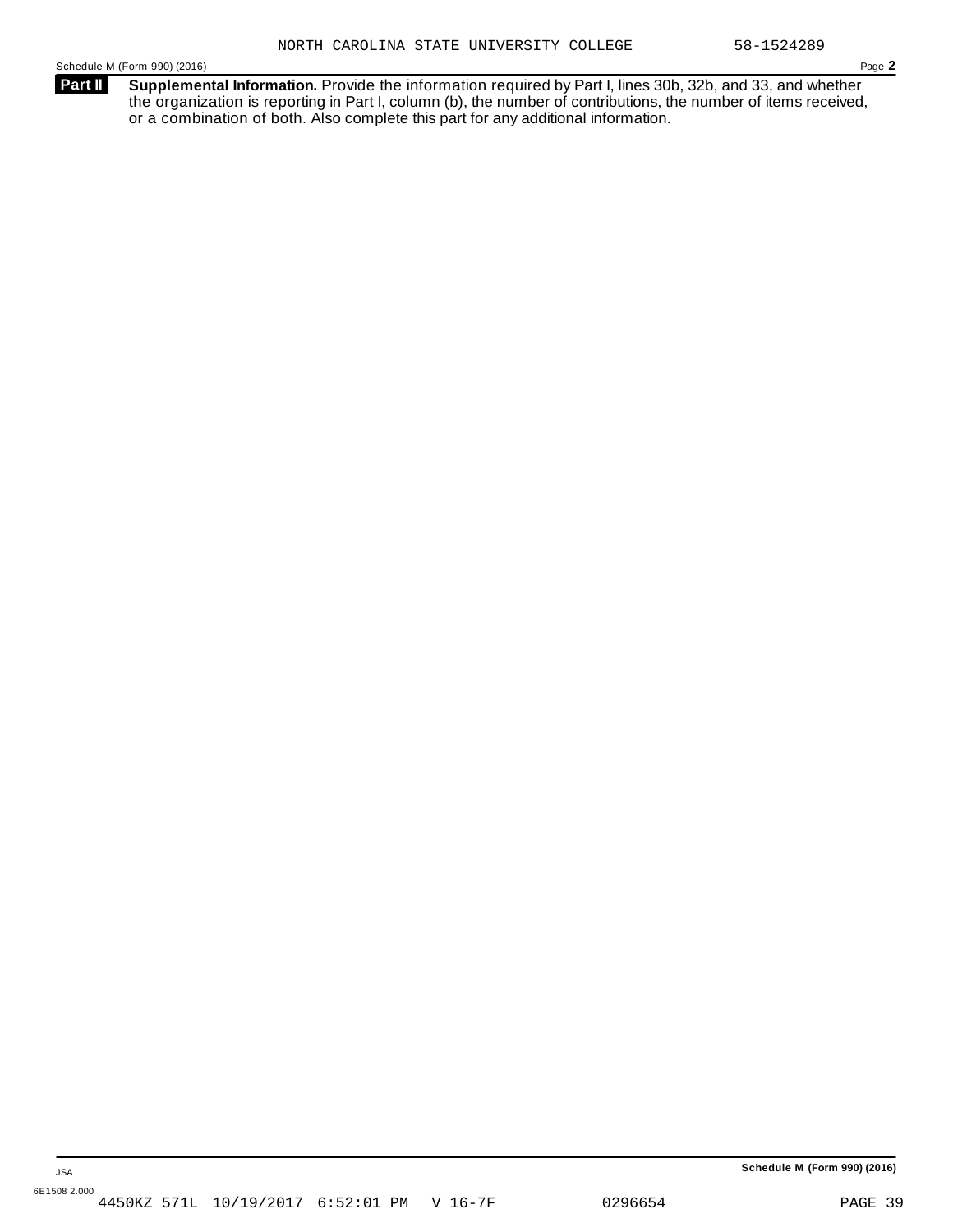**Supplemental Information.** Provide the information required by Part I, lines 30b, 32b, and 33, and whether the organization is reporting in Part I, column (b), the number of contributions, the number of items received, or a combination of both. Also complete this part for any additional information. **Part II**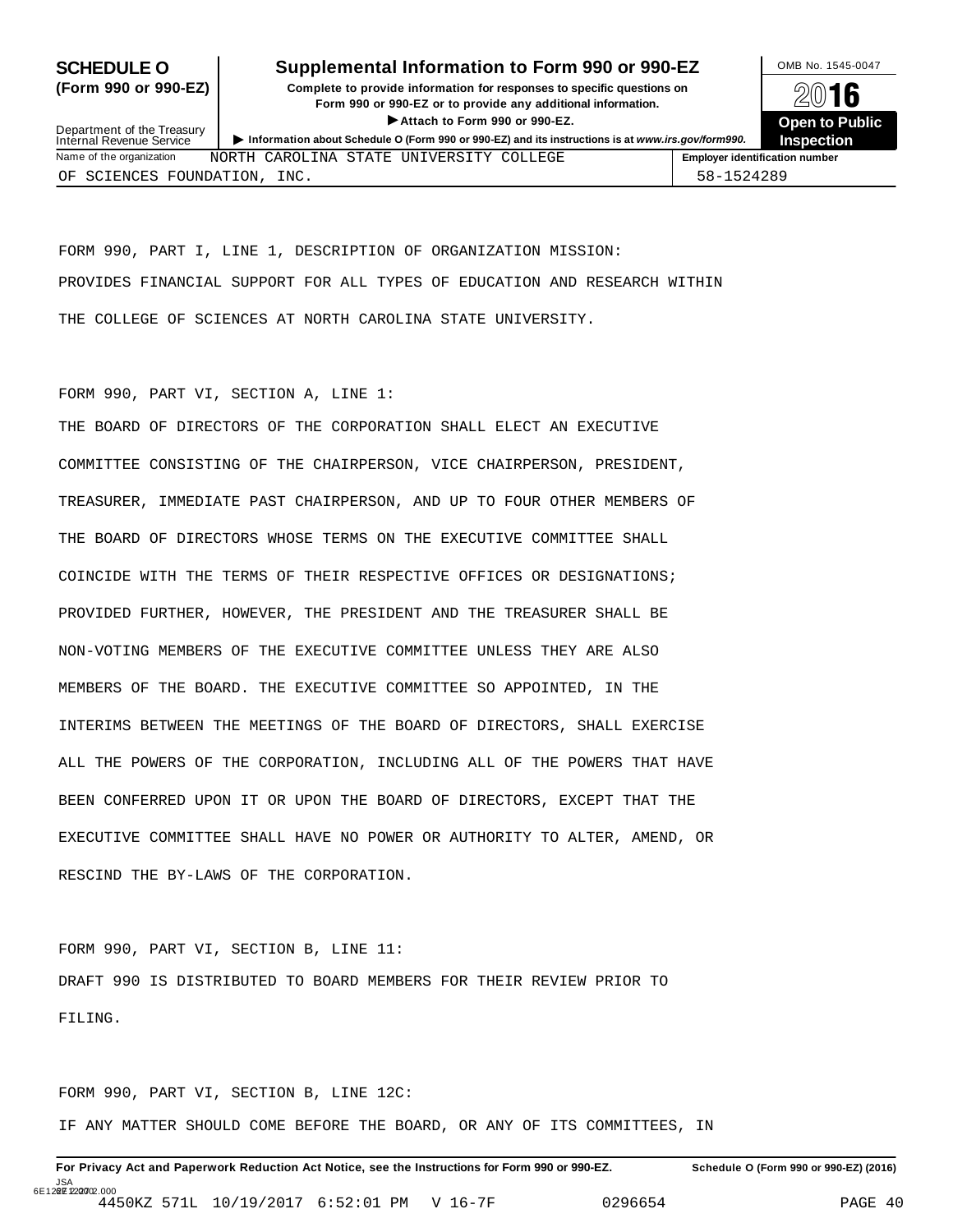### **SCHEDULE O** Supplemental Information to Form 990 or 990-EZ DMB No. 1545-0047

**(Form 990 or 990-EZ) Complete to provide information for responses to specific questions on** plete to provide information for responses to specific questions on  $\mathbb{Z}^{\square}$  **16 EXECUTE:** Attach to Form 990 or 990-EZ.<br>
Attach to Form 990 or 990-EZ.<br> **Company of the Company of the Company of the Company of the Company of the Company of the Company of the Company of the Company of the Company of th** 



Department of the Treasury<br>Internal Revenue Service Department of the Treasury<br>
Information about Schedule O (Form 990 or 990-EZ) and its instructions is at www.irs.gov/form990.<br>
Name of the organization MORTH CAROLINA STATE UNIVERSITY COLLEGE Frame of the organization numb NORTH CAROLINA STATE UNIVERSITY COLLEGE OF SCIENCES FOUNDATION, INC. 58-1524289

FORM 990, PART I, LINE 1, DESCRIPTION OF ORGANIZATION MISSION: PROVIDES FINANCIAL SUPPORT FOR ALL TYPES OF EDUCATION AND RESEARCH WITHIN THE COLLEGE OF SCIENCES AT NORTH CAROLINA STATE UNIVERSITY.

#### FORM 990, PART VI, SECTION A, LINE 1:

THE BOARD OF DIRECTORS OF THE CORPORATION SHALL ELECT AN EXECUTIVE COMMITTEE CONSISTING OF THE CHAIRPERSON, VICE CHAIRPERSON, PRESIDENT, TREASURER, IMMEDIATE PAST CHAIRPERSON, AND UP TO FOUR OTHER MEMBERS OF THE BOARD OF DIRECTORS WHOSE TERMS ON THE EXECUTIVE COMMITTEE SHALL COINCIDE WITH THE TERMS OF THEIR RESPECTIVE OFFICES OR DESIGNATIONS; PROVIDED FURTHER, HOWEVER, THE PRESIDENT AND THE TREASURER SHALL BE NON-VOTING MEMBERS OF THE EXECUTIVE COMMITTEE UNLESS THEY ARE ALSO MEMBERS OF THE BOARD. THE EXECUTIVE COMMITTEE SO APPOINTED, IN THE INTERIMS BETWEEN THE MEETINGS OF THE BOARD OF DIRECTORS, SHALL EXERCISE ALL THE POWERS OF THE CORPORATION, INCLUDING ALL OF THE POWERS THAT HAVE BEEN CONFERRED UPON IT OR UPON THE BOARD OF DIRECTORS, EXCEPT THAT THE EXECUTIVE COMMITTEE SHALL HAVE NO POWER OR AUTHORITY TO ALTER, AMEND, OR RESCIND THE BY-LAWS OF THE CORPORATION.

FORM 990, PART VI, SECTION B, LINE 11: DRAFT 990 IS DISTRIBUTED TO BOARD MEMBERS FOR THEIR REVIEW PRIOR TO FILING.

FORM 990, PART VI, SECTION B, LINE 12C: IF ANY MATTER SHOULD COME BEFORE THE BOARD, OR ANY OF ITS COMMITTEES, IN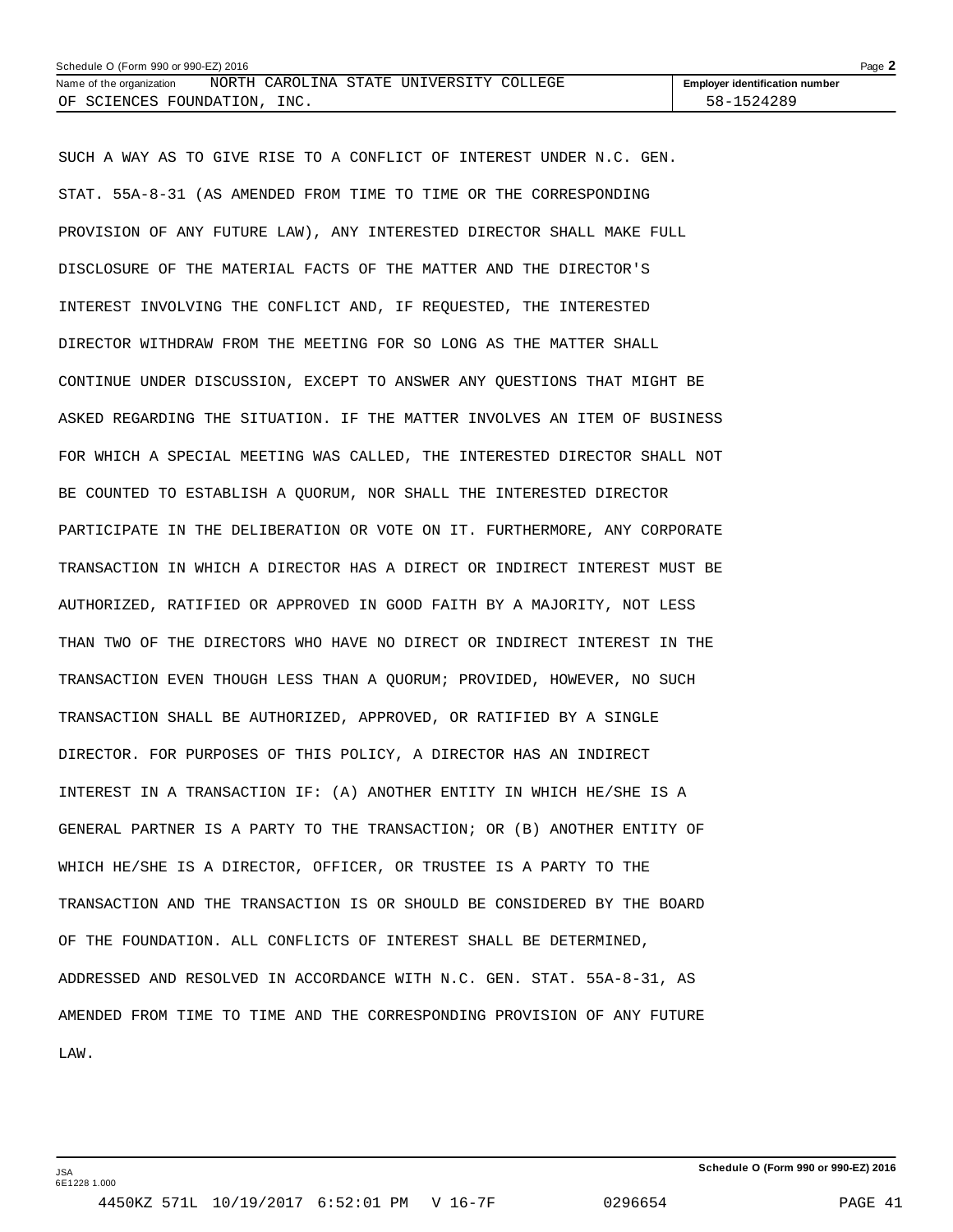| Schedule O (Form 990 or 990-EZ) 2016 |  |      |  |                                         |  |  |                                       | Page $\blacktriangle$ |
|--------------------------------------|--|------|--|-----------------------------------------|--|--|---------------------------------------|-----------------------|
| Name of the organization             |  |      |  | NORTH CAROLINA STATE UNIVERSITY COLLEGE |  |  | <b>Employer identification number</b> |                       |
| OF SCIENCES FOUNDATION,              |  | INC. |  |                                         |  |  | 58-1524289                            |                       |

SUCH A WAY AS TO GIVE RISE TO A CONFLICT OF INTEREST UNDER N.C. GEN. STAT. 55A-8-31 (AS AMENDED FROM TIME TO TIME OR THE CORRESPONDING PROVISION OF ANY FUTURE LAW), ANY INTERESTED DIRECTOR SHALL MAKE FULL DISCLOSURE OF THE MATERIAL FACTS OF THE MATTER AND THE DIRECTOR'S INTEREST INVOLVING THE CONFLICT AND, IF REQUESTED, THE INTERESTED DIRECTOR WITHDRAW FROM THE MEETING FOR SO LONG AS THE MATTER SHALL CONTINUE UNDER DISCUSSION, EXCEPT TO ANSWER ANY QUESTIONS THAT MIGHT BE ASKED REGARDING THE SITUATION. IF THE MATTER INVOLVES AN ITEM OF BUSINESS FOR WHICH A SPECIAL MEETING WAS CALLED, THE INTERESTED DIRECTOR SHALL NOT BE COUNTED TO ESTABLISH A QUORUM, NOR SHALL THE INTERESTED DIRECTOR PARTICIPATE IN THE DELIBERATION OR VOTE ON IT. FURTHERMORE, ANY CORPORATE TRANSACTION IN WHICH A DIRECTOR HAS A DIRECT OR INDIRECT INTEREST MUST BE AUTHORIZED, RATIFIED OR APPROVED IN GOOD FAITH BY A MAJORITY, NOT LESS THAN TWO OF THE DIRECTORS WHO HAVE NO DIRECT OR INDIRECT INTEREST IN THE TRANSACTION EVEN THOUGH LESS THAN A QUORUM; PROVIDED, HOWEVER, NO SUCH TRANSACTION SHALL BE AUTHORIZED, APPROVED, OR RATIFIED BY A SINGLE DIRECTOR. FOR PURPOSES OF THIS POLICY, A DIRECTOR HAS AN INDIRECT INTEREST IN A TRANSACTION IF: (A) ANOTHER ENTITY IN WHICH HE/SHE IS A GENERAL PARTNER IS A PARTY TO THE TRANSACTION; OR (B) ANOTHER ENTITY OF WHICH HE/SHE IS A DIRECTOR, OFFICER, OR TRUSTEE IS A PARTY TO THE TRANSACTION AND THE TRANSACTION IS OR SHOULD BE CONSIDERED BY THE BOARD OF THE FOUNDATION. ALL CONFLICTS OF INTEREST SHALL BE DETERMINED, ADDRESSED AND RESOLVED IN ACCORDANCE WITH N.C. GEN. STAT. 55A-8-31, AS AMENDED FROM TIME TO TIME AND THE CORRESPONDING PROVISION OF ANY FUTURE LAW.

JSA 6E1228 1.000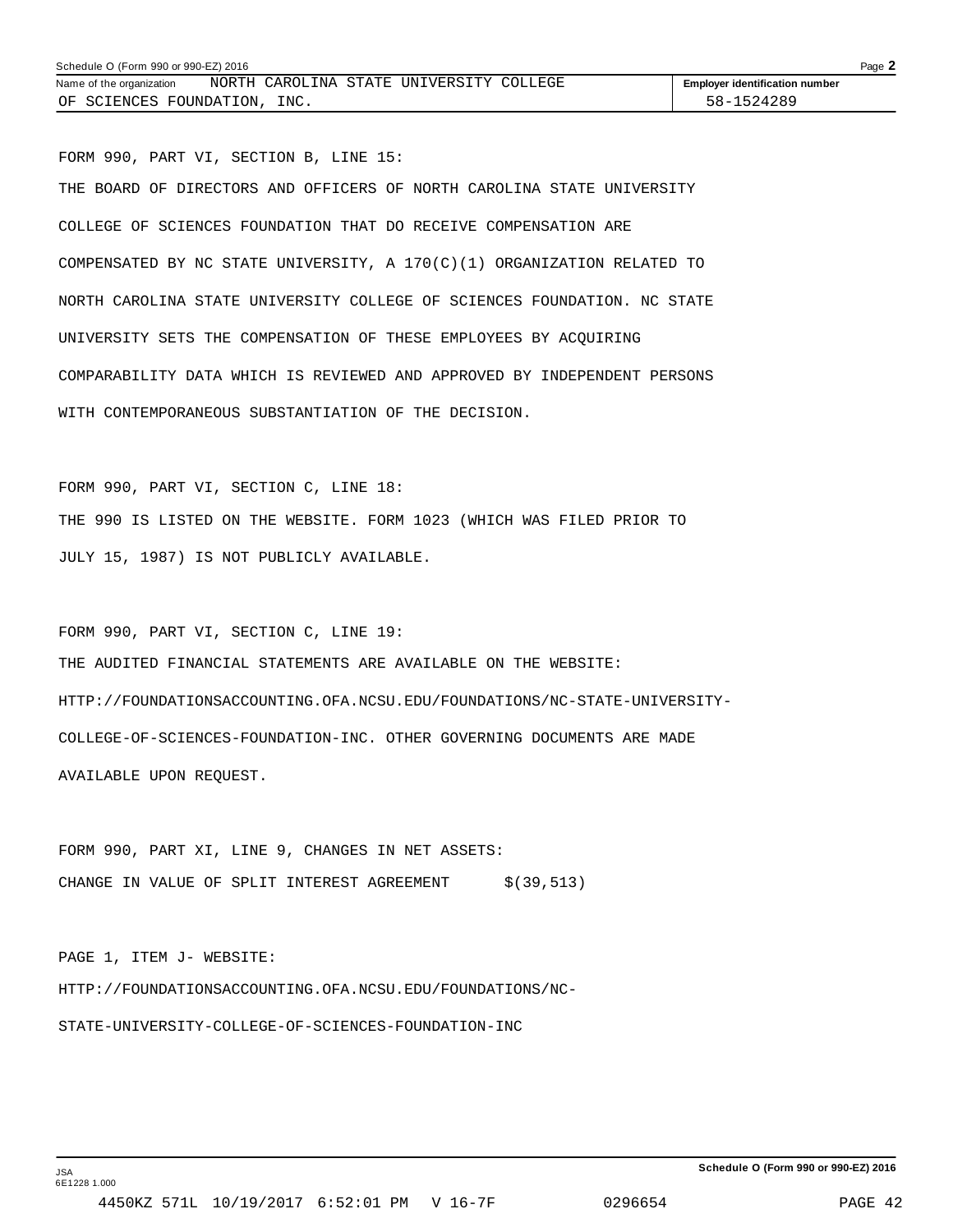FORM 990, PART VI, SECTION B, LINE 15: THE BOARD OF DIRECTORS AND OFFICERS OF NORTH CAROLINA STATE UNIVERSITY COLLEGE OF SCIENCES FOUNDATION THAT DO RECEIVE COMPENSATION ARE COMPENSATED BY NC STATE UNIVERSITY, A  $170(C)(1)$  ORGANIZATION RELATED TO NORTH CAROLINA STATE UNIVERSITY COLLEGE OF SCIENCES FOUNDATION. NC STATE UNIVERSITY SETS THE COMPENSATION OF THESE EMPLOYEES BY ACQUIRING COMPARABILITY DATA WHICH IS REVIEWED AND APPROVED BY INDEPENDENT PERSONS WITH CONTEMPORANEOUS SUBSTANTIATION OF THE DECISION.

FORM 990, PART VI, SECTION C, LINE 18: THE 990 IS LISTED ON THE WEBSITE. FORM 1023 (WHICH WAS FILED PRIOR TO JULY 15, 1987) IS NOT PUBLICLY AVAILABLE.

FORM 990, PART VI, SECTION C, LINE 19: THE AUDITED FINANCIAL STATEMENTS ARE AVAILABLE ON THE WEBSITE: HTTP://FOUNDATIONSACCOUNTING.OFA.NCSU.EDU/FOUNDATIONS/NC-STATE-UNIVERSITY-COLLEGE-OF-SCIENCES-FOUNDATION-INC. OTHER GOVERNING DOCUMENTS ARE MADE AVAILABLE UPON REQUEST.

FORM 990, PART XI, LINE 9, CHANGES IN NET ASSETS: CHANGE IN VALUE OF SPLIT INTEREST AGREEMENT  $$(39,513)$ 

PAGE 1, ITEM J- WEBSITE: HTTP://FOUNDATIONSACCOUNTING.OFA.NCSU.EDU/FOUNDATIONS/NC-STATE-UNIVERSITY-COLLEGE-OF-SCIENCES-FOUNDATION-INC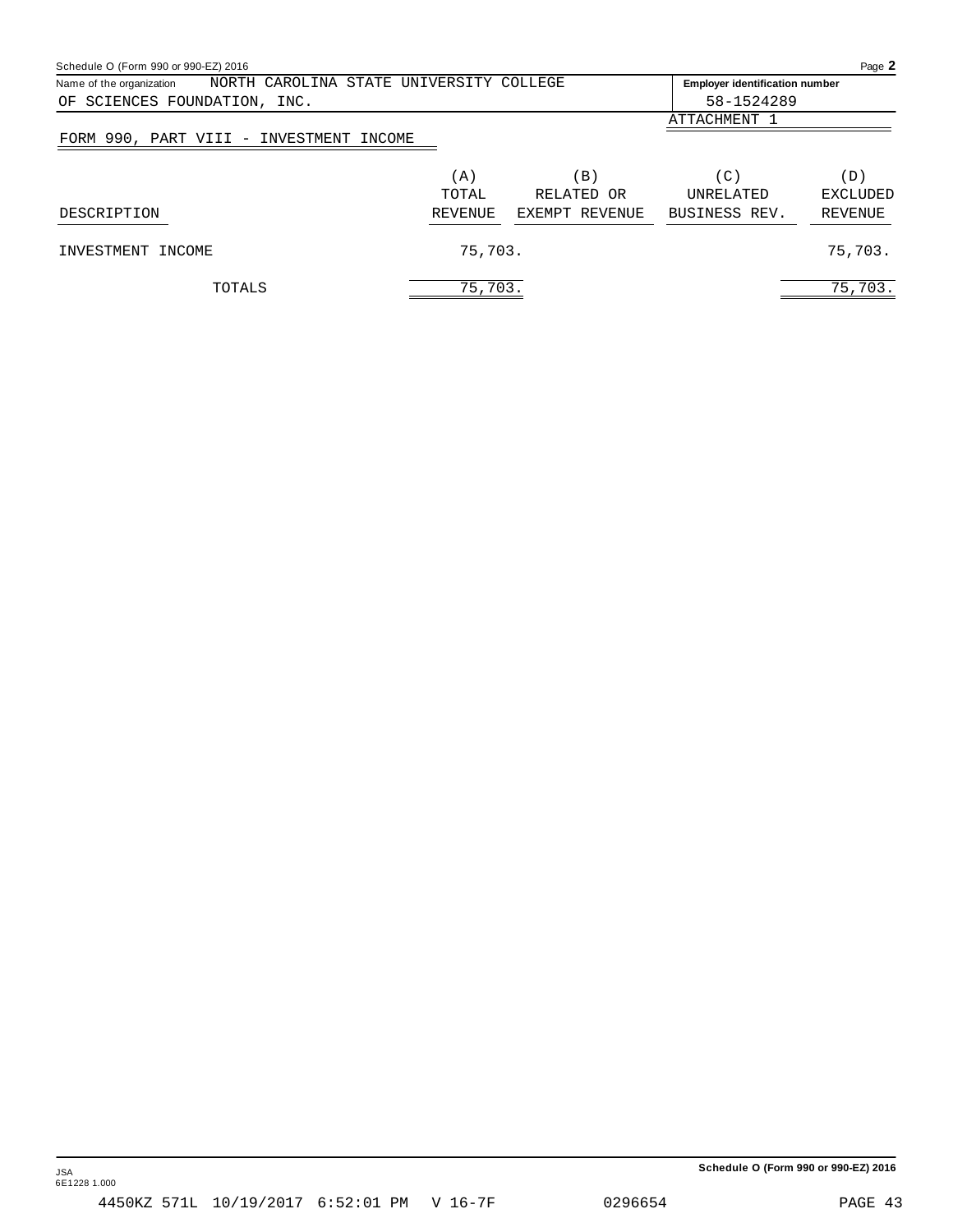<span id="page-43-0"></span>

| Schedule O (Form 990 or 990-EZ) 2016                                |         |                 |                                       | Page 2          |  |  |  |  |
|---------------------------------------------------------------------|---------|-----------------|---------------------------------------|-----------------|--|--|--|--|
| NORTH CAROLINA STATE UNIVERSITY COLLEGE<br>Name of the organization |         |                 | <b>Employer identification number</b> |                 |  |  |  |  |
| OF SCIENCES FOUNDATION, INC.                                        |         |                 | 58-1524289                            |                 |  |  |  |  |
|                                                                     |         |                 | ATTACHMENT 1                          |                 |  |  |  |  |
| FORM 990, PART VIII - INVESTMENT INCOME                             |         |                 |                                       |                 |  |  |  |  |
|                                                                     | (A)     | $\vert B \vert$ | $\left( C\right)$                     | (D)             |  |  |  |  |
|                                                                     | TOTAL   | RELATED OR      | <b>UNRELATED</b>                      | <b>EXCLUDED</b> |  |  |  |  |
| DESCRIPTION                                                         | REVENUE | EXEMPT REVENUE  | BUSINESS REV.                         | REVENUE         |  |  |  |  |
| INVESTMENT INCOME                                                   | 75,703. |                 |                                       | 75,703.         |  |  |  |  |
| TOTALS                                                              | 75,703. |                 |                                       | 75,703.         |  |  |  |  |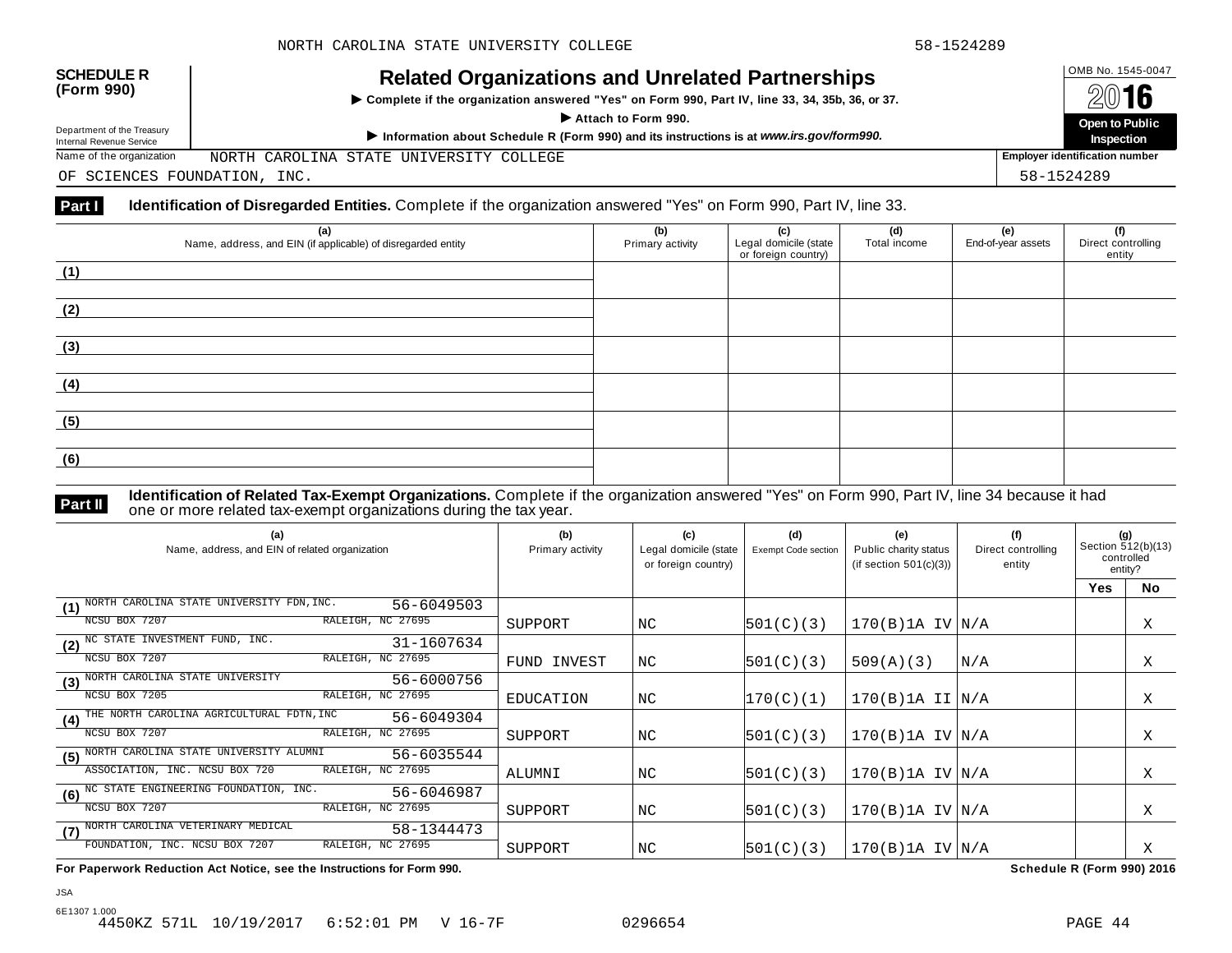**Inspection**

## OMB No. 1545-0047 **SCHEDULE R (Form 990) Related Organizations and Unrelated Partnerships**

 $\triangleright$  Complete if the organization answered "Yes" on Form 990, Part IV, line 33, 34, 35b, 36, or 37.  $\overline{A}$  **CONTRES** on Form 990, Part IV, line 33, 34, 35b, 36, or 37.

Department of the Treasury

Department of the Treasury<br>
Information about Schedule R (Form 990) and its instructions is at www.irs.gov/form990.<br>
Name of the organization MORTH CAROLINA STATE UNIVERSITY COLLEGE | Employer identification number

NORTH CAROLINA STATE UNIVERSITY COLLEGE

OF SCIENCES FOUNDATION, INC. 58-1524289

### **Part I** Identification of Disregarded Entities. Complete if the organization answered "Yes" on Form 990, Part IV, line 33.

| (a)<br>Name, address, and EIN (if applicable) of disregarded entity | (b)<br>Primary activity | (c)<br>Legal domicile (state<br>or foreign country) | (d)<br>Total income | (e)<br>End-of-year assets | (f)<br>Direct controlling<br>entity |
|---------------------------------------------------------------------|-------------------------|-----------------------------------------------------|---------------------|---------------------------|-------------------------------------|
| (1)                                                                 |                         |                                                     |                     |                           |                                     |
|                                                                     |                         |                                                     |                     |                           |                                     |
| (2)                                                                 |                         |                                                     |                     |                           |                                     |
|                                                                     |                         |                                                     |                     |                           |                                     |
| (3)                                                                 |                         |                                                     |                     |                           |                                     |
|                                                                     |                         |                                                     |                     |                           |                                     |
| (4)                                                                 |                         |                                                     |                     |                           |                                     |
|                                                                     |                         |                                                     |                     |                           |                                     |
| (5)                                                                 |                         |                                                     |                     |                           |                                     |
|                                                                     |                         |                                                     |                     |                           |                                     |
| (6)                                                                 |                         |                                                     |                     |                           |                                     |
|                                                                     |                         |                                                     |                     |                           |                                     |

**Identification of Related Tax-Exempt Organizations.** Complete if the organization answered "Yes" on Form 990, Part IV, line 34 because it had **Part II** one or more related tax-exempt organizations during the tax year.

| (a)<br>Name, address, and EIN of related organization          | (b)<br>Primary activity | (c)<br>Legal domicile (state<br>or foreign country) | (d)<br>Exempt Code section | (e)<br>Public charity status<br>(if section $501(c)(3)$ ) | (f)<br>Direct controlling<br>entity | (g)<br>Section 512(b)(13)<br>controlled<br>entity? |           |
|----------------------------------------------------------------|-------------------------|-----------------------------------------------------|----------------------------|-----------------------------------------------------------|-------------------------------------|----------------------------------------------------|-----------|
|                                                                |                         |                                                     |                            |                                                           |                                     | <b>Yes</b>                                         | <b>No</b> |
| NORTH CAROLINA STATE UNIVERSITY FDN, INC.<br>56-6049503<br>(1) |                         |                                                     |                            |                                                           |                                     |                                                    |           |
| RALEIGH, NC 27695<br>NCSU BOX 7207                             | SUPPORT                 | NC.                                                 | 501(C)(3)                  | $170(B)$ 1A IV $N/A$                                      |                                     |                                                    | Χ         |
| (2) <sup>NC</sup> STATE INVESTMENT FUND, INC.<br>31-1607634    |                         |                                                     |                            |                                                           |                                     |                                                    |           |
| RALEIGH, NC 27695<br>NCSU BOX 7207                             | FUND INVEST             | NC                                                  | 501(C)(3)                  | 509(A)(3)                                                 | N/A                                 |                                                    | Χ         |
| (3) NORTH CAROLINA STATE UNIVERSITY<br>56-6000756              |                         |                                                     |                            |                                                           |                                     |                                                    |           |
| RALEIGH, NC 27695<br>NCSU BOX 7205                             | <b>EDUCATION</b>        | NC                                                  | 170(C)(1)                  | $170(B)$ 1A II $\vert N/A \vert$                          |                                     |                                                    | Χ         |
| (4) THE NORTH CAROLINA AGRICULTURAL FDTN, INC<br>56-6049304    |                         |                                                     |                            |                                                           |                                     |                                                    |           |
| RALEIGH, NC 27695<br>NCSU BOX 7207                             | SUPPORT                 | NC                                                  | 501(C)(3)                  | $170(B)$ 1A IV $N/A$                                      |                                     |                                                    | Χ         |
| NORTH CAROLINA STATE UNIVERSITY ALUMNI<br>56-6035544<br>(5)    |                         |                                                     |                            |                                                           |                                     |                                                    |           |
| ASSOCIATION, INC. NCSU BOX 720<br>RALEIGH, NC 27695            | ALUMNI                  | NC                                                  | 501(C)(3)                  | $170(B)$ 1A IV $N/A$                                      |                                     |                                                    | Χ         |
| (6) NC STATE ENGINEERING FOUNDATION, INC.<br>56-6046987        |                         |                                                     |                            |                                                           |                                     |                                                    |           |
| NCSU BOX 7207<br>RALEIGH, NC 27695                             | SUPPORT                 | NC                                                  | 501(C)(3)                  | $170(B)$ 1A IV $ N/A$                                     |                                     |                                                    | X         |
| (7) NORTH CAROLINA VETERINARY MEDICAL<br>58-1344473            |                         |                                                     |                            |                                                           |                                     |                                                    |           |
| RALEIGH, NC 27695<br>FOUNDATION, INC. NCSU BOX 7207            | SUPPORT                 | NC                                                  | 501(C)(3)                  | $170(B)$ 1A IV $ N/A$                                     |                                     |                                                    | Χ         |

**For Paperwork Reduction Act Notice, see the Instructions for Form 990. Schedule R (Form 990) 2016**

6E1307 1.000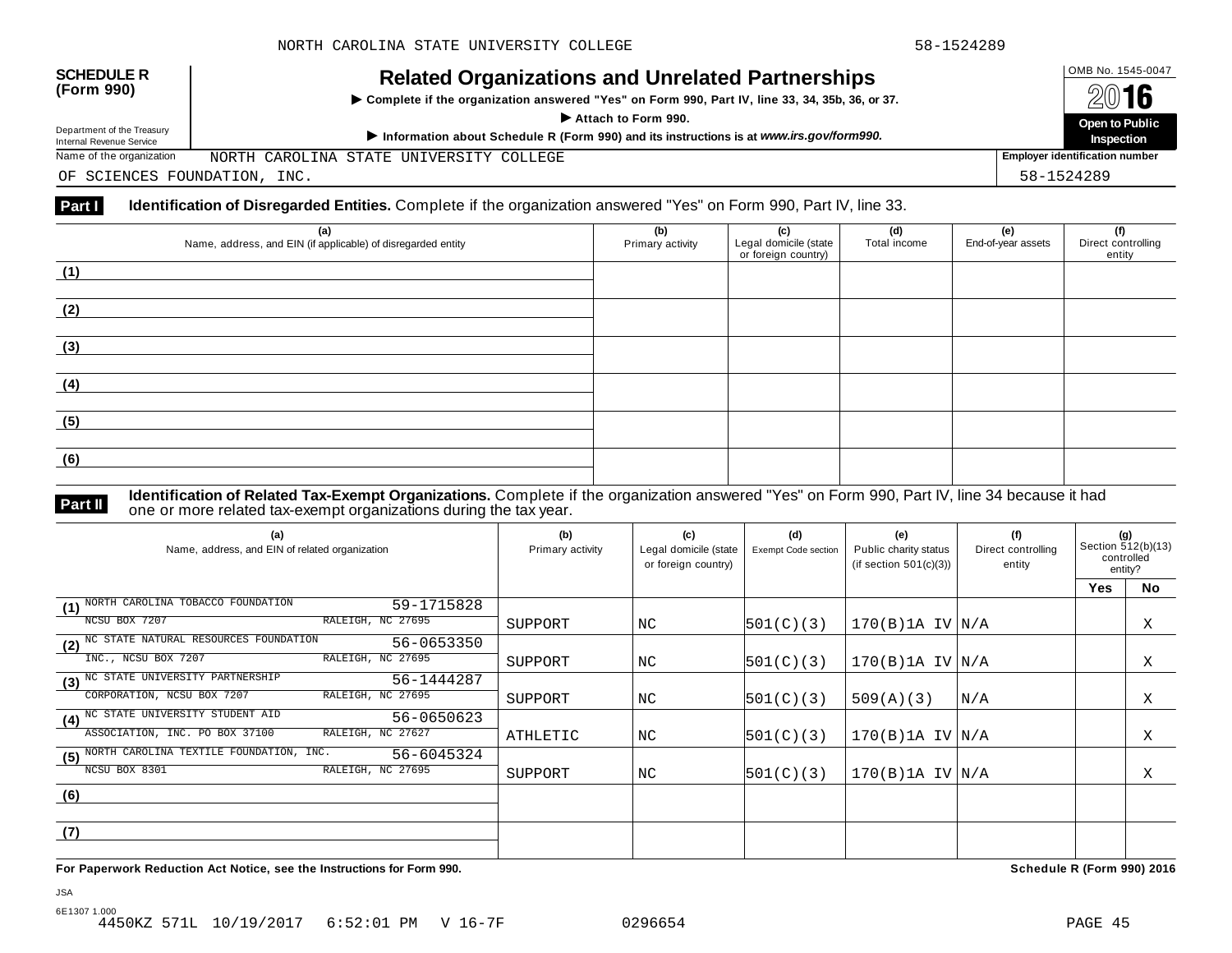## OMB No. 1545-0047 **SCHEDULE R (Form 990) Related Organizations and Unrelated Partnerships**

 $\triangleright$  Complete if the organization answered "Yes" on Form 990, Part IV, line 33, 34, 35b, 36, or 37.  $\overline{A}$  **CONTRES** on Form 990, Part IV, line 33, 34, 35b, 36, or 37.

Department of the Treasury

Department of the Treasury<br>
Information about Schedule R (Form 990) and its instructions is at www.irs.gov/form990.<br>
Name of the organization MORTH CAROLINA STATE UNIVERSITY COLLEGE | Employer identification number

NORTH CAROLINA STATE UNIVERSITY COLLEGE

OF SCIENCES FOUNDATION, INC. 58-1524289

### **Part I** Identification of Disregarded Entities. Complete if the organization answered "Yes" on Form 990, Part IV, line 33.

| (a)<br>Name, address, and EIN (if applicable) of disregarded entity | (b)<br>Primary activity | (c)<br>Legal domicile (state<br>or foreign country) | (d)<br>Total income | (e)<br>End-of-year assets | (f)<br>Direct controlling<br>entity |
|---------------------------------------------------------------------|-------------------------|-----------------------------------------------------|---------------------|---------------------------|-------------------------------------|
| (1)                                                                 |                         |                                                     |                     |                           |                                     |
|                                                                     |                         |                                                     |                     |                           |                                     |
| (2)                                                                 |                         |                                                     |                     |                           |                                     |
| (3)                                                                 |                         |                                                     |                     |                           |                                     |
|                                                                     |                         |                                                     |                     |                           |                                     |
| (4)                                                                 |                         |                                                     |                     |                           |                                     |
| (5)                                                                 |                         |                                                     |                     |                           |                                     |
|                                                                     |                         |                                                     |                     |                           |                                     |
| (6)                                                                 |                         |                                                     |                     |                           |                                     |

JSA

**Identification of Related Tax-Exempt Organizations.** Complete if the organization answered "Yes" on Form 990, Part IV, line 34 because it had **Part II** one or more related tax-exempt organizations during the tax year.

| (a)<br>Name, address, and EIN of related organization        | (b)<br>Primary activity | (c)<br>Legal domicile (state<br>or foreign country) | (d)<br><b>Exempt Code section</b> | (e)<br>Public charity status<br>(if section $501(c)(3)$ ) | (f)<br>Direct controlling<br>entity | (g)<br>Section 512(b)(13)<br>controlled<br>entity? |    |
|--------------------------------------------------------------|-------------------------|-----------------------------------------------------|-----------------------------------|-----------------------------------------------------------|-------------------------------------|----------------------------------------------------|----|
|                                                              |                         |                                                     |                                   |                                                           |                                     | <b>Yes</b>                                         | No |
| NORTH CAROLINA TOBACCO FOUNDATION<br>59-1715828<br>(1)       |                         |                                                     |                                   |                                                           |                                     |                                                    |    |
| NCSU BOX 7207<br>RALEIGH, NC 27695                           | SUPPORT                 | NC.                                                 | 501(C)(3)                         | $170(B)$ 1A IV $N/A$                                      |                                     |                                                    | X  |
| NC STATE NATURAL RESOURCES FOUNDATION<br>56-0653350<br>(2)   |                         |                                                     |                                   |                                                           |                                     |                                                    |    |
| RALEIGH, NC 27695<br>INC., NCSU BOX 7207                     | SUPPORT                 | NC.                                                 | 501(C)(3)                         | $170(B)$ 1A IV $N/A$                                      |                                     |                                                    | Χ  |
| NC STATE UNIVERSITY PARTNERSHIP<br>56-1444287<br>(3)         |                         |                                                     |                                   |                                                           |                                     |                                                    |    |
| CORPORATION, NCSU BOX 7207<br>RALEIGH, NC 27695              | SUPPORT                 | NC                                                  | 501(C)(3)                         | 509(A)(3)                                                 | N/A                                 |                                                    | Χ  |
| (4) <sup>NC</sup> STATE UNIVERSITY STUDENT AID<br>56-0650623 |                         |                                                     |                                   |                                                           |                                     |                                                    |    |
| ASSOCIATION, INC. PO BOX 37100<br>RALEIGH, NC 27627          | ATHLETIC                | NC                                                  | 501(C)(3)                         | $170(B)$ 1A IV $N/A$                                      |                                     |                                                    | Χ  |
| NORTH CAROLINA TEXTILE FOUNDATION, INC.<br>56-6045324<br>(5) |                         |                                                     |                                   |                                                           |                                     |                                                    |    |
| NCSU BOX 8301<br>RALEIGH, NC 27695                           | SUPPORT                 | ΝC                                                  | 501(C)(3)                         | $170(B)$ 1A IV $N/A$                                      |                                     |                                                    | Χ  |
| (6)                                                          |                         |                                                     |                                   |                                                           |                                     |                                                    |    |
|                                                              |                         |                                                     |                                   |                                                           |                                     |                                                    |    |
| (7)                                                          |                         |                                                     |                                   |                                                           |                                     |                                                    |    |
|                                                              |                         |                                                     |                                   |                                                           |                                     |                                                    |    |

**For Paperwork Reduction Act Notice, see the Instructions for Form 990. Schedule R (Form 990) 2016**

**Inspection**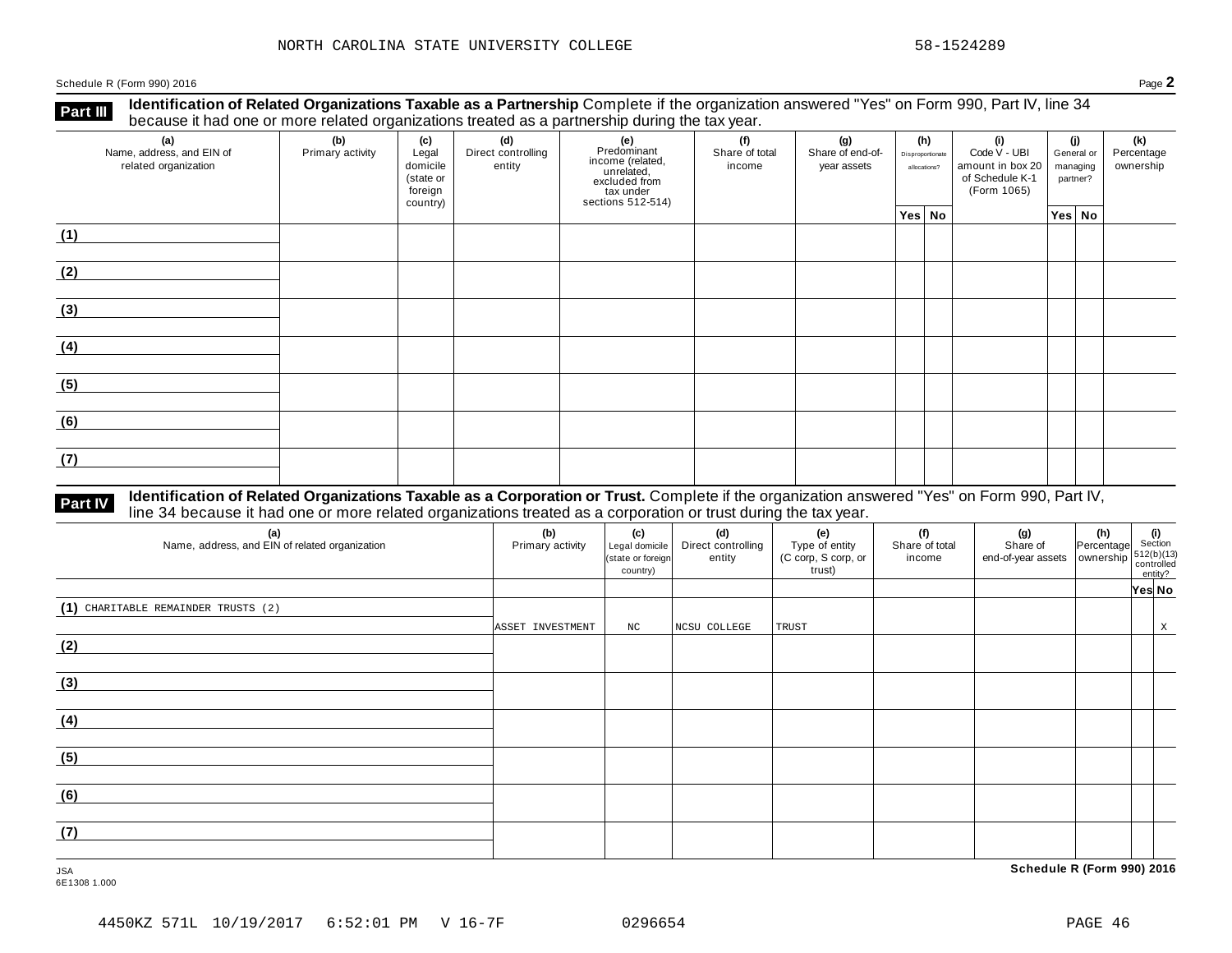Schedule <sup>R</sup> (Form 990) <sup>2016</sup> Page **2**

**Identification of Related Organizations Taxable as a Partnership** Complete if the organization answered "Yes" on Form 990, Part IV, line 34 **because it had one or more related organizations Taxable as a Partnership** Complete if the organization of Related organizations treated as a partnership during the tax year.

| (a)<br>Name, address, and EIN of<br>related organization | ັ<br>(b)<br>Primary activity | (c)<br>Legal<br>domicile<br>(state or<br>foreign<br>country) | (d)<br>Direct controlling<br>entity | ັ<br>(e)<br>Predominant<br>income (related,<br>unrelated,<br>excluded from<br>tax under<br>sections 512-514) | (f)<br>Share of total<br>income | (g)<br>Share of end-of-<br>year assets | (h)<br>Disproportionate<br>allocations? | (i)<br>Code V - UBI<br>amount in box 20<br>of Schedule K-1<br>(Form 1065) | (i)<br>General or<br>managing<br>partner? | (k)<br>Percentage<br>ownership |
|----------------------------------------------------------|------------------------------|--------------------------------------------------------------|-------------------------------------|--------------------------------------------------------------------------------------------------------------|---------------------------------|----------------------------------------|-----------------------------------------|---------------------------------------------------------------------------|-------------------------------------------|--------------------------------|
|                                                          |                              |                                                              |                                     |                                                                                                              |                                 |                                        | Yes No                                  |                                                                           | Yes No                                    |                                |
| (1)                                                      |                              |                                                              |                                     |                                                                                                              |                                 |                                        |                                         |                                                                           |                                           |                                |
| (2)                                                      |                              |                                                              |                                     |                                                                                                              |                                 |                                        |                                         |                                                                           |                                           |                                |
| (3)                                                      |                              |                                                              |                                     |                                                                                                              |                                 |                                        |                                         |                                                                           |                                           |                                |
| (4)                                                      |                              |                                                              |                                     |                                                                                                              |                                 |                                        |                                         |                                                                           |                                           |                                |
| (5)                                                      |                              |                                                              |                                     |                                                                                                              |                                 |                                        |                                         |                                                                           |                                           |                                |
| (6)                                                      |                              |                                                              |                                     |                                                                                                              |                                 |                                        |                                         |                                                                           |                                           |                                |
| (7)                                                      |                              |                                                              |                                     |                                                                                                              |                                 |                                        |                                         |                                                                           |                                           |                                |

# **Part IV** Identification of Related Organizations Taxable as a Corporation or Trust. Complete if the organization answered "Yes" on Form 990, Part IV,<br>line 34 because it had one or more related organizations treated as a c

| (a)<br>Name, address, and EIN of related organization | (b)<br>Primary activity | (c)<br>Legal domicile<br>(state or foreign<br>country) | (d)<br>Direct controlling<br>entity | (e)<br>Type of entity<br>(C corp, S corp, or<br>trust) | (f)<br>Share of total<br>income | (g)<br>Share of<br>end-of-year assets   ownership | $\left \text{Percentage}\right _{\substack{\text{Section}\\ \text{swership}\,}}$ (i)<br>$\left \text{Section}\right _{\substack{512(b)(13)\text{controlled}\\ \text{controlled}\\ \text{out}}$ | entity? |   |
|-------------------------------------------------------|-------------------------|--------------------------------------------------------|-------------------------------------|--------------------------------------------------------|---------------------------------|---------------------------------------------------|------------------------------------------------------------------------------------------------------------------------------------------------------------------------------------------------|---------|---|
|                                                       |                         |                                                        |                                     |                                                        |                                 |                                                   |                                                                                                                                                                                                | Yes No  |   |
| (1) CHARITABLE REMAINDER TRUSTS (2)                   |                         |                                                        |                                     |                                                        |                                 |                                                   |                                                                                                                                                                                                |         |   |
|                                                       | ASSET INVESTMENT        | $_{\mathrm{NC}}$                                       | NCSU COLLEGE                        | TRUST                                                  |                                 |                                                   |                                                                                                                                                                                                |         | X |
| (2)                                                   |                         |                                                        |                                     |                                                        |                                 |                                                   |                                                                                                                                                                                                |         |   |
|                                                       |                         |                                                        |                                     |                                                        |                                 |                                                   |                                                                                                                                                                                                |         |   |
| (3)                                                   |                         |                                                        |                                     |                                                        |                                 |                                                   |                                                                                                                                                                                                |         |   |
|                                                       |                         |                                                        |                                     |                                                        |                                 |                                                   |                                                                                                                                                                                                |         |   |
| (4)                                                   |                         |                                                        |                                     |                                                        |                                 |                                                   |                                                                                                                                                                                                |         |   |
|                                                       |                         |                                                        |                                     |                                                        |                                 |                                                   |                                                                                                                                                                                                |         |   |
| (5)                                                   |                         |                                                        |                                     |                                                        |                                 |                                                   |                                                                                                                                                                                                |         |   |
|                                                       |                         |                                                        |                                     |                                                        |                                 |                                                   |                                                                                                                                                                                                |         |   |
| (6)                                                   |                         |                                                        |                                     |                                                        |                                 |                                                   |                                                                                                                                                                                                |         |   |
|                                                       |                         |                                                        |                                     |                                                        |                                 |                                                   |                                                                                                                                                                                                |         |   |
| (7)                                                   |                         |                                                        |                                     |                                                        |                                 |                                                   |                                                                                                                                                                                                |         |   |
|                                                       |                         |                                                        |                                     |                                                        |                                 |                                                   |                                                                                                                                                                                                |         |   |
| <b>JSA</b>                                            |                         |                                                        |                                     |                                                        |                                 | Schedule R (Form 990) 2016                        |                                                                                                                                                                                                |         |   |

6E1308 1.000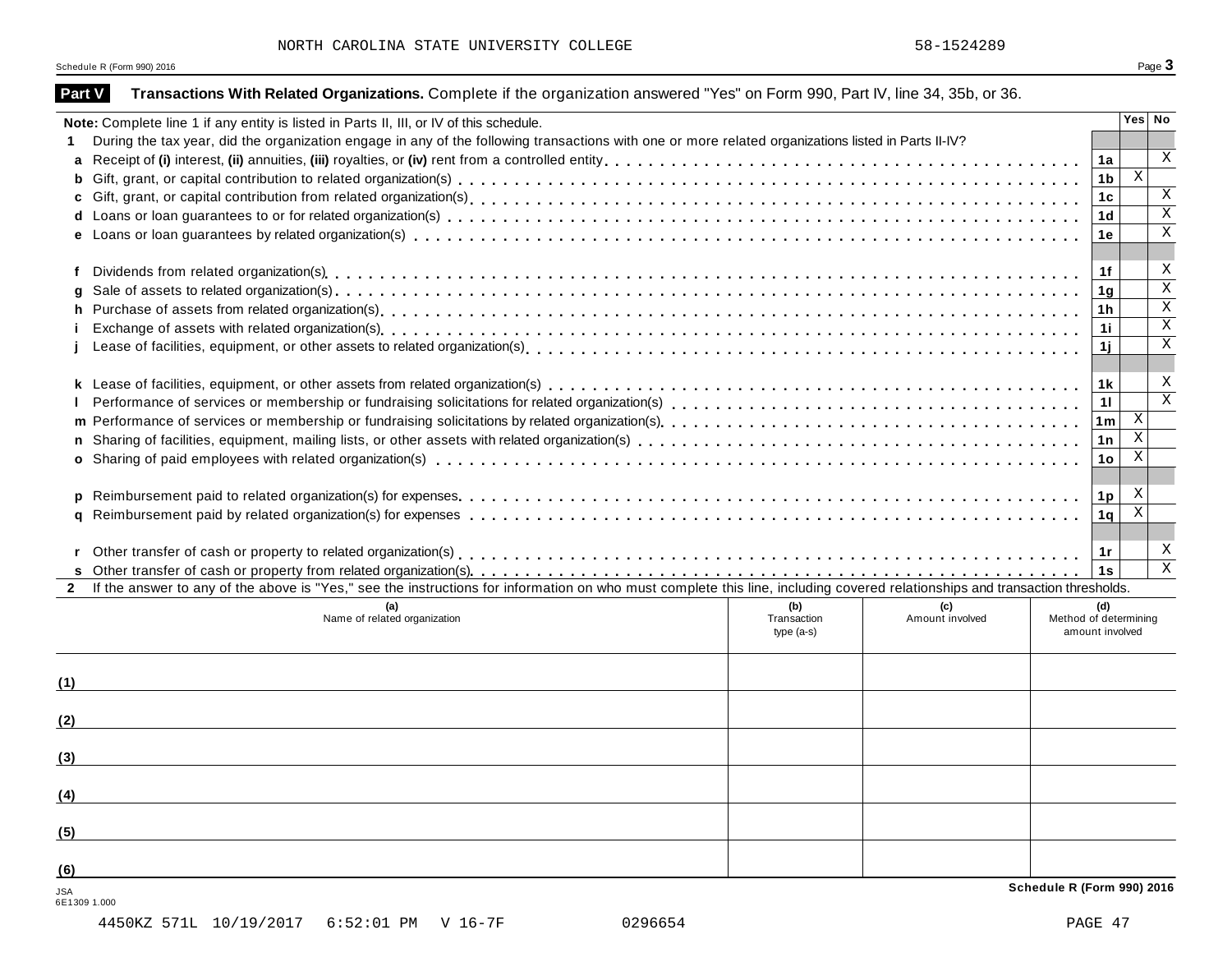Schedule R (Form 990) 2016  $\overline{\textbf{S}}$  Page  $\overline{\textbf{3}}$ 

| Yes No<br>Note: Complete line 1 if any entity is listed in Parts II, III, or IV of this schedule.<br>During the tax year, did the organization engage in any of the following transactions with one or more related organizations listed in Parts II-IV?<br>1.<br>$\mathbf X$<br>1a<br>a<br>$\mathbf{X}$<br>1b<br>$\mathbf X$<br>1 <sub>c</sub><br>$\overline{X}$<br>1 <sub>d</sub><br>$\mathbf X$<br>1е<br>X<br>1f<br>f<br>$\overline{X}$<br>1 <sub>q</sub><br>q<br>$\overline{X}$<br>$^{\dagger}$ 1h<br>$\overline{X}$<br>1i<br>$\mathbf x$<br>1j<br>$\boldsymbol{\mathrm{X}}$<br>1 k<br>$\overline{\mathbf{x}}$<br>11<br>Performance of services or membership or fundraising solicitations for related organization(s)<br>examination(s) examination(s) and containmental contractor or services or membership or the state of critical<br>or relations for<br>$\boldsymbol{\mathrm{X}}$<br>1 <sub>m</sub><br>$\mathbf X$<br>1n<br>$\overline{\mathbf{x}}$<br>1 <sub>o</sub><br>X<br>1 <sub>p</sub><br>$\overline{\mathbf{x}}$<br>1q<br>$\mathbf{q}$<br>X<br>1r<br>$\overline{\mathbf{x}}$<br>1s<br>If the answer to any of the above is "Yes," see the instructions for information on who must complete this line, including covered relationships and transaction thresholds.<br>(d)<br>(a)<br>(b)<br>(c)<br>Name of related organization<br>Transaction<br>Amount involved<br>Method of determining<br>amount involved<br>type $(a-s)$<br>(1)<br>(2)<br>(3)<br>(4)<br>(5)<br>(6)<br>Schedule R (Form 990) 2016<br><b>JSA</b> | Part V | Transactions With Related Organizations. Complete if the organization answered "Yes" on Form 990, Part IV, line 34, 35b, or 36. |  |  |  |  |  |  |  |  |
|--------------------------------------------------------------------------------------------------------------------------------------------------------------------------------------------------------------------------------------------------------------------------------------------------------------------------------------------------------------------------------------------------------------------------------------------------------------------------------------------------------------------------------------------------------------------------------------------------------------------------------------------------------------------------------------------------------------------------------------------------------------------------------------------------------------------------------------------------------------------------------------------------------------------------------------------------------------------------------------------------------------------------------------------------------------------------------------------------------------------------------------------------------------------------------------------------------------------------------------------------------------------------------------------------------------------------------------------------------------------------------------------------------------------------------------------------------------------------------------------------------------------------------------|--------|---------------------------------------------------------------------------------------------------------------------------------|--|--|--|--|--|--|--|--|
|                                                                                                                                                                                                                                                                                                                                                                                                                                                                                                                                                                                                                                                                                                                                                                                                                                                                                                                                                                                                                                                                                                                                                                                                                                                                                                                                                                                                                                                                                                                                      |        |                                                                                                                                 |  |  |  |  |  |  |  |  |
|                                                                                                                                                                                                                                                                                                                                                                                                                                                                                                                                                                                                                                                                                                                                                                                                                                                                                                                                                                                                                                                                                                                                                                                                                                                                                                                                                                                                                                                                                                                                      |        |                                                                                                                                 |  |  |  |  |  |  |  |  |
|                                                                                                                                                                                                                                                                                                                                                                                                                                                                                                                                                                                                                                                                                                                                                                                                                                                                                                                                                                                                                                                                                                                                                                                                                                                                                                                                                                                                                                                                                                                                      |        |                                                                                                                                 |  |  |  |  |  |  |  |  |
|                                                                                                                                                                                                                                                                                                                                                                                                                                                                                                                                                                                                                                                                                                                                                                                                                                                                                                                                                                                                                                                                                                                                                                                                                                                                                                                                                                                                                                                                                                                                      |        |                                                                                                                                 |  |  |  |  |  |  |  |  |
|                                                                                                                                                                                                                                                                                                                                                                                                                                                                                                                                                                                                                                                                                                                                                                                                                                                                                                                                                                                                                                                                                                                                                                                                                                                                                                                                                                                                                                                                                                                                      |        |                                                                                                                                 |  |  |  |  |  |  |  |  |
|                                                                                                                                                                                                                                                                                                                                                                                                                                                                                                                                                                                                                                                                                                                                                                                                                                                                                                                                                                                                                                                                                                                                                                                                                                                                                                                                                                                                                                                                                                                                      |        |                                                                                                                                 |  |  |  |  |  |  |  |  |
|                                                                                                                                                                                                                                                                                                                                                                                                                                                                                                                                                                                                                                                                                                                                                                                                                                                                                                                                                                                                                                                                                                                                                                                                                                                                                                                                                                                                                                                                                                                                      |        |                                                                                                                                 |  |  |  |  |  |  |  |  |
|                                                                                                                                                                                                                                                                                                                                                                                                                                                                                                                                                                                                                                                                                                                                                                                                                                                                                                                                                                                                                                                                                                                                                                                                                                                                                                                                                                                                                                                                                                                                      |        |                                                                                                                                 |  |  |  |  |  |  |  |  |
|                                                                                                                                                                                                                                                                                                                                                                                                                                                                                                                                                                                                                                                                                                                                                                                                                                                                                                                                                                                                                                                                                                                                                                                                                                                                                                                                                                                                                                                                                                                                      |        |                                                                                                                                 |  |  |  |  |  |  |  |  |
|                                                                                                                                                                                                                                                                                                                                                                                                                                                                                                                                                                                                                                                                                                                                                                                                                                                                                                                                                                                                                                                                                                                                                                                                                                                                                                                                                                                                                                                                                                                                      |        |                                                                                                                                 |  |  |  |  |  |  |  |  |
|                                                                                                                                                                                                                                                                                                                                                                                                                                                                                                                                                                                                                                                                                                                                                                                                                                                                                                                                                                                                                                                                                                                                                                                                                                                                                                                                                                                                                                                                                                                                      |        |                                                                                                                                 |  |  |  |  |  |  |  |  |
|                                                                                                                                                                                                                                                                                                                                                                                                                                                                                                                                                                                                                                                                                                                                                                                                                                                                                                                                                                                                                                                                                                                                                                                                                                                                                                                                                                                                                                                                                                                                      |        |                                                                                                                                 |  |  |  |  |  |  |  |  |
|                                                                                                                                                                                                                                                                                                                                                                                                                                                                                                                                                                                                                                                                                                                                                                                                                                                                                                                                                                                                                                                                                                                                                                                                                                                                                                                                                                                                                                                                                                                                      |        |                                                                                                                                 |  |  |  |  |  |  |  |  |
|                                                                                                                                                                                                                                                                                                                                                                                                                                                                                                                                                                                                                                                                                                                                                                                                                                                                                                                                                                                                                                                                                                                                                                                                                                                                                                                                                                                                                                                                                                                                      |        |                                                                                                                                 |  |  |  |  |  |  |  |  |
|                                                                                                                                                                                                                                                                                                                                                                                                                                                                                                                                                                                                                                                                                                                                                                                                                                                                                                                                                                                                                                                                                                                                                                                                                                                                                                                                                                                                                                                                                                                                      |        |                                                                                                                                 |  |  |  |  |  |  |  |  |
|                                                                                                                                                                                                                                                                                                                                                                                                                                                                                                                                                                                                                                                                                                                                                                                                                                                                                                                                                                                                                                                                                                                                                                                                                                                                                                                                                                                                                                                                                                                                      |        |                                                                                                                                 |  |  |  |  |  |  |  |  |
|                                                                                                                                                                                                                                                                                                                                                                                                                                                                                                                                                                                                                                                                                                                                                                                                                                                                                                                                                                                                                                                                                                                                                                                                                                                                                                                                                                                                                                                                                                                                      |        |                                                                                                                                 |  |  |  |  |  |  |  |  |
|                                                                                                                                                                                                                                                                                                                                                                                                                                                                                                                                                                                                                                                                                                                                                                                                                                                                                                                                                                                                                                                                                                                                                                                                                                                                                                                                                                                                                                                                                                                                      |        |                                                                                                                                 |  |  |  |  |  |  |  |  |
|                                                                                                                                                                                                                                                                                                                                                                                                                                                                                                                                                                                                                                                                                                                                                                                                                                                                                                                                                                                                                                                                                                                                                                                                                                                                                                                                                                                                                                                                                                                                      |        |                                                                                                                                 |  |  |  |  |  |  |  |  |
|                                                                                                                                                                                                                                                                                                                                                                                                                                                                                                                                                                                                                                                                                                                                                                                                                                                                                                                                                                                                                                                                                                                                                                                                                                                                                                                                                                                                                                                                                                                                      |        |                                                                                                                                 |  |  |  |  |  |  |  |  |
|                                                                                                                                                                                                                                                                                                                                                                                                                                                                                                                                                                                                                                                                                                                                                                                                                                                                                                                                                                                                                                                                                                                                                                                                                                                                                                                                                                                                                                                                                                                                      |        |                                                                                                                                 |  |  |  |  |  |  |  |  |
|                                                                                                                                                                                                                                                                                                                                                                                                                                                                                                                                                                                                                                                                                                                                                                                                                                                                                                                                                                                                                                                                                                                                                                                                                                                                                                                                                                                                                                                                                                                                      |        |                                                                                                                                 |  |  |  |  |  |  |  |  |
|                                                                                                                                                                                                                                                                                                                                                                                                                                                                                                                                                                                                                                                                                                                                                                                                                                                                                                                                                                                                                                                                                                                                                                                                                                                                                                                                                                                                                                                                                                                                      |        |                                                                                                                                 |  |  |  |  |  |  |  |  |
|                                                                                                                                                                                                                                                                                                                                                                                                                                                                                                                                                                                                                                                                                                                                                                                                                                                                                                                                                                                                                                                                                                                                                                                                                                                                                                                                                                                                                                                                                                                                      |        |                                                                                                                                 |  |  |  |  |  |  |  |  |
|                                                                                                                                                                                                                                                                                                                                                                                                                                                                                                                                                                                                                                                                                                                                                                                                                                                                                                                                                                                                                                                                                                                                                                                                                                                                                                                                                                                                                                                                                                                                      |        |                                                                                                                                 |  |  |  |  |  |  |  |  |
|                                                                                                                                                                                                                                                                                                                                                                                                                                                                                                                                                                                                                                                                                                                                                                                                                                                                                                                                                                                                                                                                                                                                                                                                                                                                                                                                                                                                                                                                                                                                      |        |                                                                                                                                 |  |  |  |  |  |  |  |  |
|                                                                                                                                                                                                                                                                                                                                                                                                                                                                                                                                                                                                                                                                                                                                                                                                                                                                                                                                                                                                                                                                                                                                                                                                                                                                                                                                                                                                                                                                                                                                      |        |                                                                                                                                 |  |  |  |  |  |  |  |  |
|                                                                                                                                                                                                                                                                                                                                                                                                                                                                                                                                                                                                                                                                                                                                                                                                                                                                                                                                                                                                                                                                                                                                                                                                                                                                                                                                                                                                                                                                                                                                      |        |                                                                                                                                 |  |  |  |  |  |  |  |  |
|                                                                                                                                                                                                                                                                                                                                                                                                                                                                                                                                                                                                                                                                                                                                                                                                                                                                                                                                                                                                                                                                                                                                                                                                                                                                                                                                                                                                                                                                                                                                      |        |                                                                                                                                 |  |  |  |  |  |  |  |  |
|                                                                                                                                                                                                                                                                                                                                                                                                                                                                                                                                                                                                                                                                                                                                                                                                                                                                                                                                                                                                                                                                                                                                                                                                                                                                                                                                                                                                                                                                                                                                      |        |                                                                                                                                 |  |  |  |  |  |  |  |  |
|                                                                                                                                                                                                                                                                                                                                                                                                                                                                                                                                                                                                                                                                                                                                                                                                                                                                                                                                                                                                                                                                                                                                                                                                                                                                                                                                                                                                                                                                                                                                      |        |                                                                                                                                 |  |  |  |  |  |  |  |  |
|                                                                                                                                                                                                                                                                                                                                                                                                                                                                                                                                                                                                                                                                                                                                                                                                                                                                                                                                                                                                                                                                                                                                                                                                                                                                                                                                                                                                                                                                                                                                      |        |                                                                                                                                 |  |  |  |  |  |  |  |  |
|                                                                                                                                                                                                                                                                                                                                                                                                                                                                                                                                                                                                                                                                                                                                                                                                                                                                                                                                                                                                                                                                                                                                                                                                                                                                                                                                                                                                                                                                                                                                      |        |                                                                                                                                 |  |  |  |  |  |  |  |  |
|                                                                                                                                                                                                                                                                                                                                                                                                                                                                                                                                                                                                                                                                                                                                                                                                                                                                                                                                                                                                                                                                                                                                                                                                                                                                                                                                                                                                                                                                                                                                      |        |                                                                                                                                 |  |  |  |  |  |  |  |  |
|                                                                                                                                                                                                                                                                                                                                                                                                                                                                                                                                                                                                                                                                                                                                                                                                                                                                                                                                                                                                                                                                                                                                                                                                                                                                                                                                                                                                                                                                                                                                      |        |                                                                                                                                 |  |  |  |  |  |  |  |  |
|                                                                                                                                                                                                                                                                                                                                                                                                                                                                                                                                                                                                                                                                                                                                                                                                                                                                                                                                                                                                                                                                                                                                                                                                                                                                                                                                                                                                                                                                                                                                      |        |                                                                                                                                 |  |  |  |  |  |  |  |  |
|                                                                                                                                                                                                                                                                                                                                                                                                                                                                                                                                                                                                                                                                                                                                                                                                                                                                                                                                                                                                                                                                                                                                                                                                                                                                                                                                                                                                                                                                                                                                      |        |                                                                                                                                 |  |  |  |  |  |  |  |  |
| 6E1309 1.000                                                                                                                                                                                                                                                                                                                                                                                                                                                                                                                                                                                                                                                                                                                                                                                                                                                                                                                                                                                                                                                                                                                                                                                                                                                                                                                                                                                                                                                                                                                         |        |                                                                                                                                 |  |  |  |  |  |  |  |  |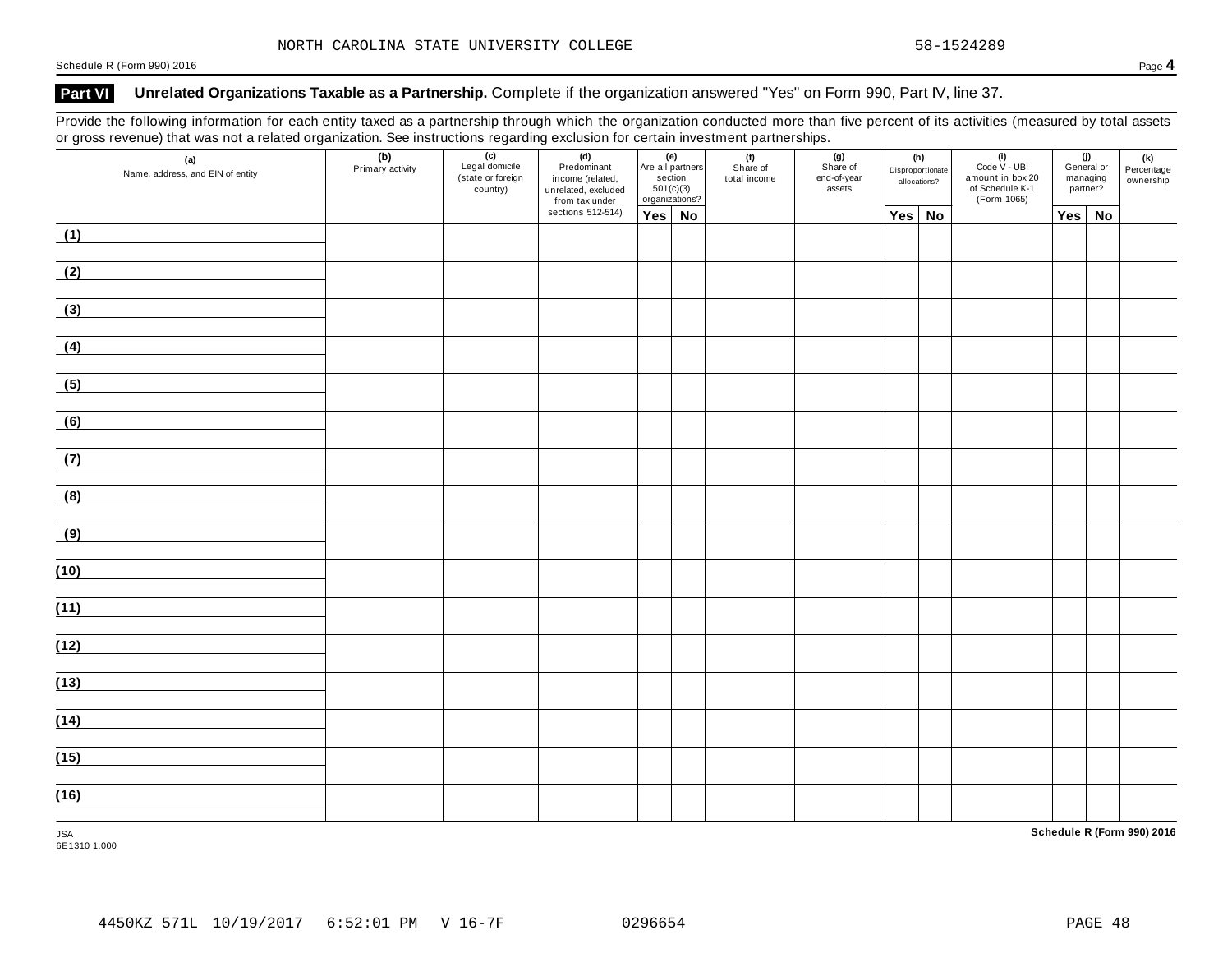Schedule <sup>R</sup> (Form 990) <sup>2016</sup> Page **4**

### **Part VI Unrelated Organizations Taxable as a Partnership.** Complete if the organization answered "Yes" on Form 990, Part IV, line 37.

Provide the following information for each entity taxed as a partnership through which the organization conducted more than five percent of its activities (measured by total assets or gross revenue) that was not a related organization. See instructions regarding exclusion for certain investment partnerships.

| (a)<br>Name, address, and EIN of entity | (b)<br>Primary activity | (c)<br>Legal domicile<br>(state or foreign<br>country) | (d)<br>Predominant<br>income (related,<br>unrelated, excluded<br>from tax under |               | (e)<br>Are all partners<br>section<br>501(c)(3)<br>organizations? | (f)<br>Share of<br>total income | (g)<br>Share of<br>end-of-year<br>assets | (h)<br>Disproportionate<br>allocations? | $(i)$<br>Code $\vee$ - UBI<br>amount in box 20<br>of Schedule K-1<br>(Form 1065) |     | (j)<br>General or<br>managing<br>partner? | (k)<br>Percentage<br>ownership |
|-----------------------------------------|-------------------------|--------------------------------------------------------|---------------------------------------------------------------------------------|---------------|-------------------------------------------------------------------|---------------------------------|------------------------------------------|-----------------------------------------|----------------------------------------------------------------------------------|-----|-------------------------------------------|--------------------------------|
|                                         |                         |                                                        | sections 512-514)                                                               | $Yes \mid No$ |                                                                   |                                 |                                          | Yes No                                  |                                                                                  | Yes | No                                        |                                |
| (1)                                     |                         |                                                        |                                                                                 |               |                                                                   |                                 |                                          |                                         |                                                                                  |     |                                           |                                |
| (2)                                     |                         |                                                        |                                                                                 |               |                                                                   |                                 |                                          |                                         |                                                                                  |     |                                           |                                |
| (3)                                     |                         |                                                        |                                                                                 |               |                                                                   |                                 |                                          |                                         |                                                                                  |     |                                           |                                |
| (4)                                     |                         |                                                        |                                                                                 |               |                                                                   |                                 |                                          |                                         |                                                                                  |     |                                           |                                |
| (5)                                     |                         |                                                        |                                                                                 |               |                                                                   |                                 |                                          |                                         |                                                                                  |     |                                           |                                |
| (6)                                     |                         |                                                        |                                                                                 |               |                                                                   |                                 |                                          |                                         |                                                                                  |     |                                           |                                |
| (7)                                     |                         |                                                        |                                                                                 |               |                                                                   |                                 |                                          |                                         |                                                                                  |     |                                           |                                |
| (8)                                     |                         |                                                        |                                                                                 |               |                                                                   |                                 |                                          |                                         |                                                                                  |     |                                           |                                |
| (9)                                     |                         |                                                        |                                                                                 |               |                                                                   |                                 |                                          |                                         |                                                                                  |     |                                           |                                |
| (10)                                    |                         |                                                        |                                                                                 |               |                                                                   |                                 |                                          |                                         |                                                                                  |     |                                           |                                |
| (11)                                    |                         |                                                        |                                                                                 |               |                                                                   |                                 |                                          |                                         |                                                                                  |     |                                           |                                |
| (12)                                    |                         |                                                        |                                                                                 |               |                                                                   |                                 |                                          |                                         |                                                                                  |     |                                           |                                |
| (13)                                    |                         |                                                        |                                                                                 |               |                                                                   |                                 |                                          |                                         |                                                                                  |     |                                           |                                |
| (14)                                    |                         |                                                        |                                                                                 |               |                                                                   |                                 |                                          |                                         |                                                                                  |     |                                           |                                |
| (15)                                    |                         |                                                        |                                                                                 |               |                                                                   |                                 |                                          |                                         |                                                                                  |     |                                           |                                |
| (16)                                    |                         |                                                        |                                                                                 |               |                                                                   |                                 |                                          |                                         |                                                                                  |     |                                           |                                |
| <b>JSA</b>                              |                         |                                                        |                                                                                 |               |                                                                   |                                 |                                          |                                         |                                                                                  |     |                                           | Schedule R (Form 990) 2016     |

6E1310 1.000